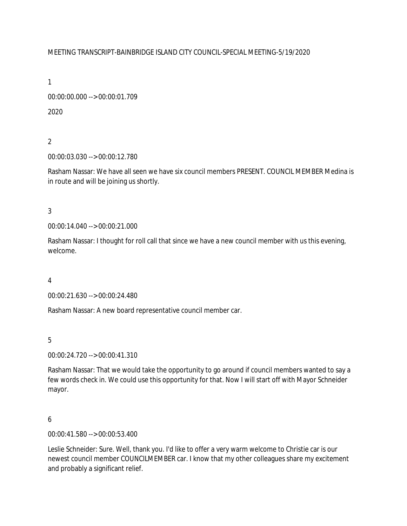# MEETING TRANSCRIPT-BAINBRIDGE ISLAND CITY COUNCIL-SPECIAL MEETING-5/19/2020

1

00:00:00.000 --> 00:00:01.709

2020

2

00:00:03.030 --> 00:00:12.780

Rasham Nassar: We have all seen we have six council members PRESENT. COUNCIL MEMBER Medina is in route and will be joining us shortly.

3

00:00:14.040 --> 00:00:21.000

Rasham Nassar: I thought for roll call that since we have a new council member with us this evening, welcome.

4

00:00:21.630 --> 00:00:24.480

Rasham Nassar: A new board representative council member car.

5

00:00:24.720 --> 00:00:41.310

Rasham Nassar: That we would take the opportunity to go around if council members wanted to say a few words check in. We could use this opportunity for that. Now I will start off with Mayor Schneider mayor.

6

00:00:41.580 --> 00:00:53.400

Leslie Schneider: Sure. Well, thank you. I'd like to offer a very warm welcome to Christie car is our newest council member COUNCILMEMBER car. I know that my other colleagues share my excitement and probably a significant relief.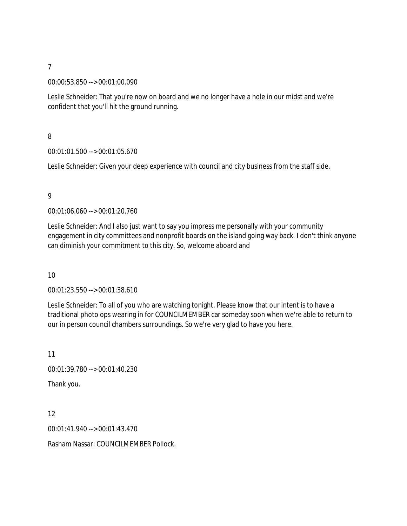00:00:53.850 --> 00:01:00.090

Leslie Schneider: That you're now on board and we no longer have a hole in our midst and we're confident that you'll hit the ground running.

8

00:01:01.500 --> 00:01:05.670

Leslie Schneider: Given your deep experience with council and city business from the staff side.

9

00:01:06.060 --> 00:01:20.760

Leslie Schneider: And I also just want to say you impress me personally with your community engagement in city committees and nonprofit boards on the island going way back. I don't think anyone can diminish your commitment to this city. So, welcome aboard and

10

00:01:23.550 --> 00:01:38.610

Leslie Schneider: To all of you who are watching tonight. Please know that our intent is to have a traditional photo ops wearing in for COUNCILMEMBER car someday soon when we're able to return to our in person council chambers surroundings. So we're very glad to have you here.

11

00:01:39.780 --> 00:01:40.230

Thank you.

12

00:01:41.940 --> 00:01:43.470

Rasham Nassar: COUNCILMEMBER Pollock.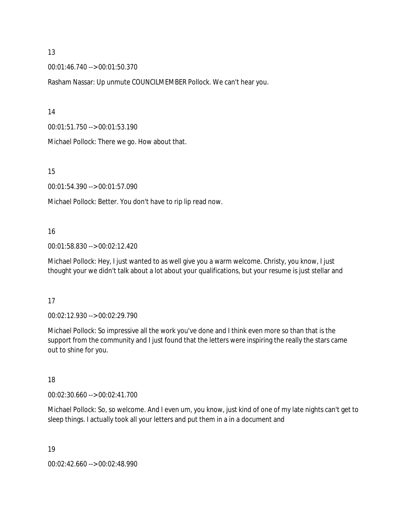00:01:46.740 --> 00:01:50.370

Rasham Nassar: Up unmute COUNCILMEMBER Pollock. We can't hear you.

14

00:01:51.750 --> 00:01:53.190

Michael Pollock: There we go. How about that.

15

00:01:54.390 --> 00:01:57.090

Michael Pollock: Better. You don't have to rip lip read now.

## 16

00:01:58.830 --> 00:02:12.420

Michael Pollock: Hey, I just wanted to as well give you a warm welcome. Christy, you know, I just thought your we didn't talk about a lot about your qualifications, but your resume is just stellar and

# 17

00:02:12.930 --> 00:02:29.790

Michael Pollock: So impressive all the work you've done and I think even more so than that is the support from the community and I just found that the letters were inspiring the really the stars came out to shine for you.

# 18

00:02:30.660 --> 00:02:41.700

Michael Pollock: So, so welcome. And I even um, you know, just kind of one of my late nights can't get to sleep things. I actually took all your letters and put them in a in a document and

19

00:02:42.660 --> 00:02:48.990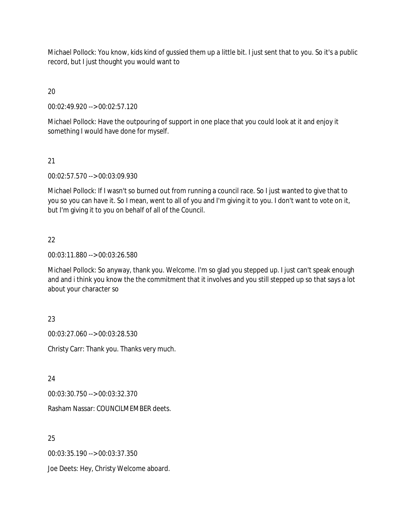Michael Pollock: You know, kids kind of gussied them up a little bit. I just sent that to you. So it's a public record, but I just thought you would want to

 $20$ 

00:02:49.920 --> 00:02:57.120

Michael Pollock: Have the outpouring of support in one place that you could look at it and enjoy it something I would have done for myself.

21

00:02:57.570 --> 00:03:09.930

Michael Pollock: If I wasn't so burned out from running a council race. So I just wanted to give that to you so you can have it. So I mean, went to all of you and I'm giving it to you. I don't want to vote on it, but I'm giving it to you on behalf of all of the Council.

22

00:03:11.880 --> 00:03:26.580

Michael Pollock: So anyway, thank you. Welcome. I'm so glad you stepped up. I just can't speak enough and and i think you know the the commitment that it involves and you still stepped up so that says a lot about your character so

23

00:03:27.060 --> 00:03:28.530

Christy Carr: Thank you. Thanks very much.

24

00:03:30.750 --> 00:03:32.370

Rasham Nassar: COUNCILMEMBER deets.

25

00:03:35.190 --> 00:03:37.350

Joe Deets: Hey, Christy Welcome aboard.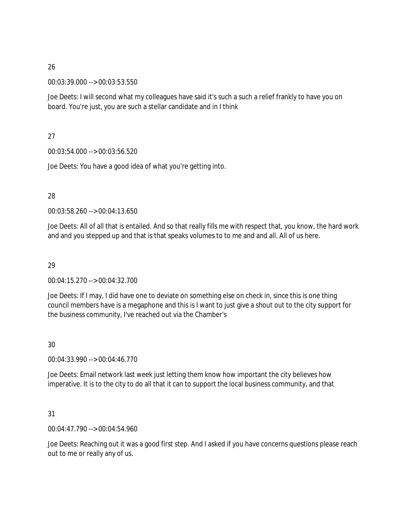00:03:39.000 --> 00:03:53.550

Joe Deets: I will second what my colleagues have said it's such a such a relief frankly to have you on board. You're just, you are such a stellar candidate and in I think

27

00:03:54.000 --> 00:03:56.520

Joe Deets: You have a good idea of what you're getting into.

28

00:03:58.260 --> 00:04:13.650

Joe Deets: All of all that is entailed. And so that really fills me with respect that, you know, the hard work and and you stepped up and that is that speaks volumes to to me and and all. All of us here.

29

00:04:15.270 --> 00:04:32.700

Joe Deets: If I may, I did have one to deviate on something else on check in, since this is one thing council members have is a megaphone and this is I want to just give a shout out to the city support for the business community, I've reached out via the Chamber's

30

00:04:33.990 --> 00:04:46.770

Joe Deets: Email network last week just letting them know how important the city believes how imperative. It is to the city to do all that it can to support the local business community, and that

31

00:04:47.790 --> 00:04:54.960

Joe Deets: Reaching out it was a good first step. And I asked if you have concerns questions please reach out to me or really any of us.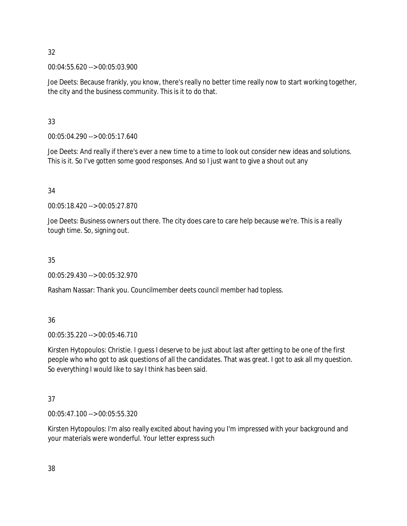00:04:55.620 --> 00:05:03.900

Joe Deets: Because frankly, you know, there's really no better time really now to start working together, the city and the business community. This is it to do that.

33

00:05:04.290 --> 00:05:17.640

Joe Deets: And really if there's ever a new time to a time to look out consider new ideas and solutions. This is it. So I've gotten some good responses. And so I just want to give a shout out any

34

00:05:18.420 --> 00:05:27.870

Joe Deets: Business owners out there. The city does care to care help because we're. This is a really tough time. So, signing out.

35

00:05:29.430 --> 00:05:32.970

Rasham Nassar: Thank you. Councilmember deets council member had topless.

36

00:05:35.220 --> 00:05:46.710

Kirsten Hytopoulos: Christie. I guess I deserve to be just about last after getting to be one of the first people who who got to ask questions of all the candidates. That was great. I got to ask all my question. So everything I would like to say I think has been said.

37

00:05:47.100 --> 00:05:55.320

Kirsten Hytopoulos: I'm also really excited about having you I'm impressed with your background and your materials were wonderful. Your letter express such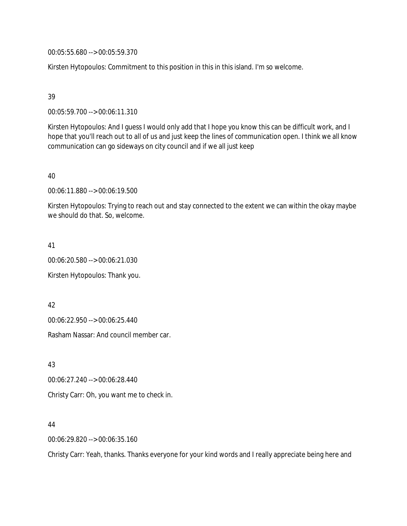00:05:55.680 --> 00:05:59.370

Kirsten Hytopoulos: Commitment to this position in this in this island. I'm so welcome.

## 39

00:05:59.700 --> 00:06:11.310

Kirsten Hytopoulos: And I guess I would only add that I hope you know this can be difficult work, and I hope that you'll reach out to all of us and just keep the lines of communication open. I think we all know communication can go sideways on city council and if we all just keep

40

00:06:11.880 --> 00:06:19.500

Kirsten Hytopoulos: Trying to reach out and stay connected to the extent we can within the okay maybe we should do that. So, welcome.

41

00:06:20.580 --> 00:06:21.030

Kirsten Hytopoulos: Thank you.

42

00:06:22.950 --> 00:06:25.440

Rasham Nassar: And council member car.

43

00:06:27.240 --> 00:06:28.440 Christy Carr: Oh, you want me to check in.

# 44

00:06:29.820 --> 00:06:35.160

Christy Carr: Yeah, thanks. Thanks everyone for your kind words and I really appreciate being here and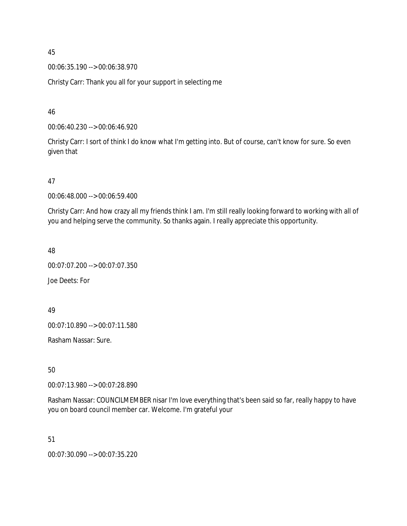00:06:35.190 --> 00:06:38.970

Christy Carr: Thank you all for your support in selecting me

46

00:06:40.230 --> 00:06:46.920

Christy Carr: I sort of think I do know what I'm getting into. But of course, can't know for sure. So even given that

47

00:06:48.000 --> 00:06:59.400

Christy Carr: And how crazy all my friends think I am. I'm still really looking forward to working with all of you and helping serve the community. So thanks again. I really appreciate this opportunity.

48

00:07:07.200 --> 00:07:07.350

Joe Deets: For

49

00:07:10.890 --> 00:07:11.580

Rasham Nassar: Sure.

50

00:07:13.980 --> 00:07:28.890

Rasham Nassar: COUNCILMEMBER nisar I'm love everything that's been said so far, really happy to have you on board council member car. Welcome. I'm grateful your

51

00:07:30.090 --> 00:07:35.220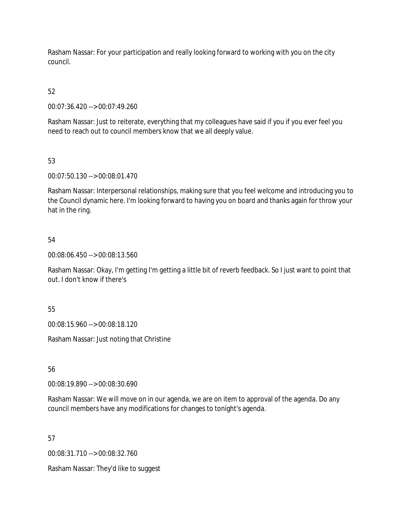Rasham Nassar: For your participation and really looking forward to working with you on the city council.

52

00:07:36.420 --> 00:07:49.260

Rasham Nassar: Just to reiterate, everything that my colleagues have said if you if you ever feel you need to reach out to council members know that we all deeply value.

53

00:07:50.130 --> 00:08:01.470

Rasham Nassar: Interpersonal relationships, making sure that you feel welcome and introducing you to the Council dynamic here. I'm looking forward to having you on board and thanks again for throw your hat in the ring.

## 54

00:08:06.450 --> 00:08:13.560

Rasham Nassar: Okay, I'm getting I'm getting a little bit of reverb feedback. So I just want to point that out. I don't know if there's

55

00:08:15.960 --> 00:08:18.120

Rasham Nassar: Just noting that Christine

56

00:08:19.890 --> 00:08:30.690

Rasham Nassar: We will move on in our agenda, we are on item to approval of the agenda. Do any council members have any modifications for changes to tonight's agenda.

57

00:08:31.710 --> 00:08:32.760

Rasham Nassar: They'd like to suggest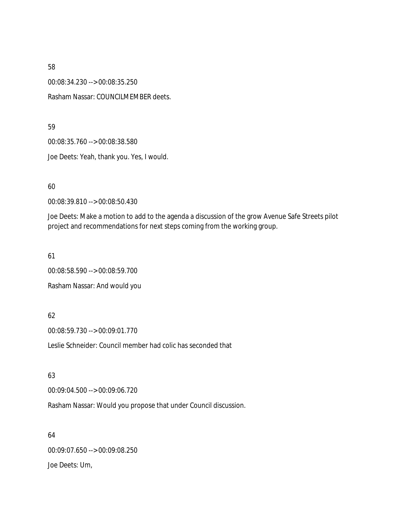00:08:34.230 --> 00:08:35.250

Rasham Nassar: COUNCILMEMBER deets.

59

00:08:35.760 --> 00:08:38.580

Joe Deets: Yeah, thank you. Yes, I would.

60

00:08:39.810 --> 00:08:50.430

Joe Deets: Make a motion to add to the agenda a discussion of the grow Avenue Safe Streets pilot project and recommendations for next steps coming from the working group.

61

00:08:58.590 --> 00:08:59.700 Rasham Nassar: And would you

#### 62

00:08:59.730 --> 00:09:01.770

Leslie Schneider: Council member had colic has seconded that

#### 63

00:09:04.500 --> 00:09:06.720

Rasham Nassar: Would you propose that under Council discussion.

#### 64

00:09:07.650 --> 00:09:08.250 Joe Deets: Um,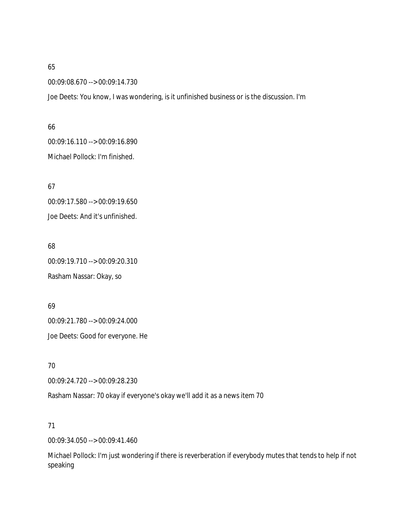#### 00:09:08.670 --> 00:09:14.730

Joe Deets: You know, I was wondering, is it unfinished business or is the discussion. I'm

#### 66

00:09:16.110 --> 00:09:16.890 Michael Pollock: I'm finished.

67 00:09:17.580 --> 00:09:19.650 Joe Deets: And it's unfinished.

68 00:09:19.710 --> 00:09:20.310 Rasham Nassar: Okay, so

# 69

00:09:21.780 --> 00:09:24.000 Joe Deets: Good for everyone. He

70

00:09:24.720 --> 00:09:28.230

Rasham Nassar: 70 okay if everyone's okay we'll add it as a news item 70

#### 71

00:09:34.050 --> 00:09:41.460

Michael Pollock: I'm just wondering if there is reverberation if everybody mutes that tends to help if not speaking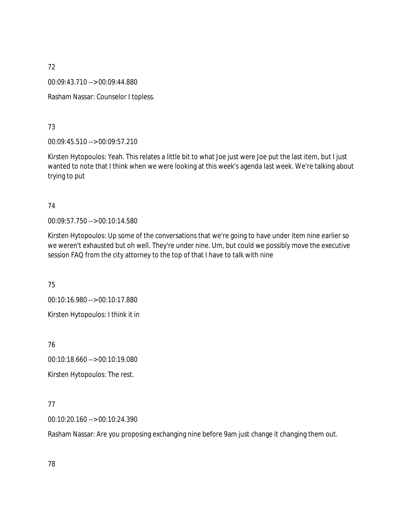00:09:43.710 --> 00:09:44.880

Rasham Nassar: Counselor I topless.

# 73

00:09:45.510 --> 00:09:57.210

Kirsten Hytopoulos: Yeah. This relates a little bit to what Joe just were Joe put the last item, but I just wanted to note that I think when we were looking at this week's agenda last week. We're talking about trying to put

# 74

00:09:57.750 --> 00:10:14.580

Kirsten Hytopoulos: Up some of the conversations that we're going to have under item nine earlier so we weren't exhausted but oh well. They're under nine. Um, but could we possibly move the executive session FAQ from the city attorney to the top of that I have to talk with nine

75

00:10:16.980 --> 00:10:17.880 Kirsten Hytopoulos: I think it in

76

00:10:18.660 --> 00:10:19.080

Kirsten Hytopoulos: The rest.

# 77

00:10:20.160 --> 00:10:24.390

Rasham Nassar: Are you proposing exchanging nine before 9am just change it changing them out.

78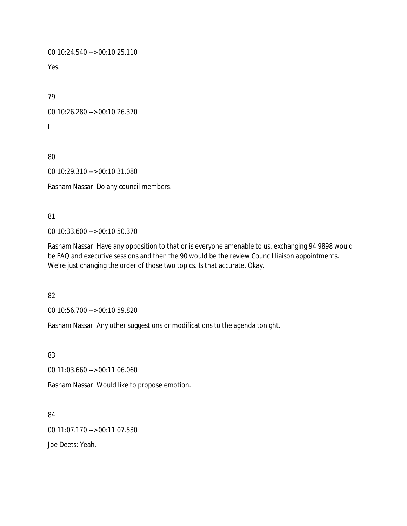00:10:24.540 --> 00:10:25.110

Yes.

79

00:10:26.280 --> 00:10:26.370

I

80

00:10:29.310 --> 00:10:31.080

Rasham Nassar: Do any council members.

# 81

00:10:33.600 --> 00:10:50.370

Rasham Nassar: Have any opposition to that or is everyone amenable to us, exchanging 94 9898 would be FAQ and executive sessions and then the 90 would be the review Council liaison appointments. We're just changing the order of those two topics. Is that accurate. Okay.

82

00:10:56.700 --> 00:10:59.820

Rasham Nassar: Any other suggestions or modifications to the agenda tonight.

83

00:11:03.660 --> 00:11:06.060

Rasham Nassar: Would like to propose emotion.

84

00:11:07.170 --> 00:11:07.530

Joe Deets: Yeah.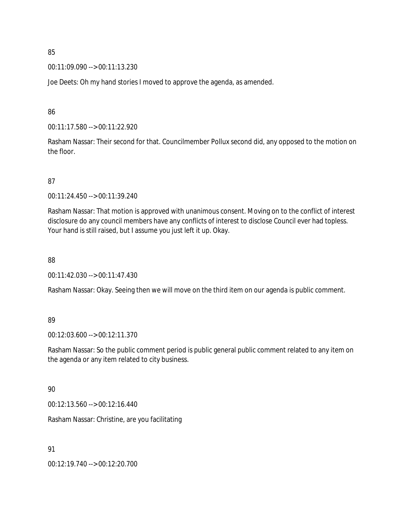00:11:09.090 --> 00:11:13.230

Joe Deets: Oh my hand stories I moved to approve the agenda, as amended.

86

00:11:17.580 --> 00:11:22.920

Rasham Nassar: Their second for that. Councilmember Pollux second did, any opposed to the motion on the floor.

87

00:11:24.450 --> 00:11:39.240

Rasham Nassar: That motion is approved with unanimous consent. Moving on to the conflict of interest disclosure do any council members have any conflicts of interest to disclose Council ever had topless. Your hand is still raised, but I assume you just left it up. Okay.

88

00:11:42.030 --> 00:11:47.430

Rasham Nassar: Okay. Seeing then we will move on the third item on our agenda is public comment.

#### 89

00:12:03.600 --> 00:12:11.370

Rasham Nassar: So the public comment period is public general public comment related to any item on the agenda or any item related to city business.

90

00:12:13.560 --> 00:12:16.440

Rasham Nassar: Christine, are you facilitating

91

00:12:19.740 --> 00:12:20.700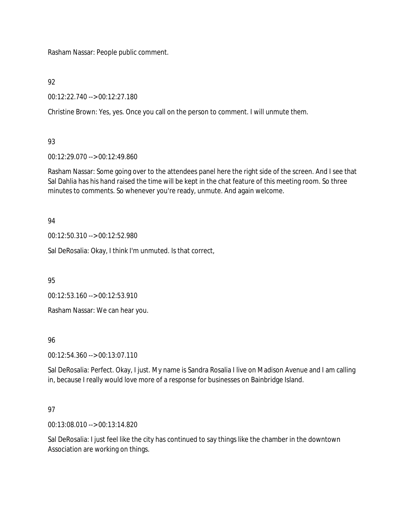Rasham Nassar: People public comment.

92

00:12:22.740 --> 00:12:27.180

Christine Brown: Yes, yes. Once you call on the person to comment. I will unmute them.

# 93

00:12:29.070 --> 00:12:49.860

Rasham Nassar: Some going over to the attendees panel here the right side of the screen. And I see that Sal Dahlia has his hand raised the time will be kept in the chat feature of this meeting room. So three minutes to comments. So whenever you're ready, unmute. And again welcome.

## 94

00:12:50.310 --> 00:12:52.980

Sal DeRosalia: Okay, I think I'm unmuted. Is that correct,

95

00:12:53.160 --> 00:12:53.910

Rasham Nassar: We can hear you.

# 96

00:12:54.360 --> 00:13:07.110

Sal DeRosalia: Perfect. Okay, I just. My name is Sandra Rosalia I live on Madison Avenue and I am calling in, because I really would love more of a response for businesses on Bainbridge Island.

# 97

00:13:08.010 --> 00:13:14.820

Sal DeRosalia: I just feel like the city has continued to say things like the chamber in the downtown Association are working on things.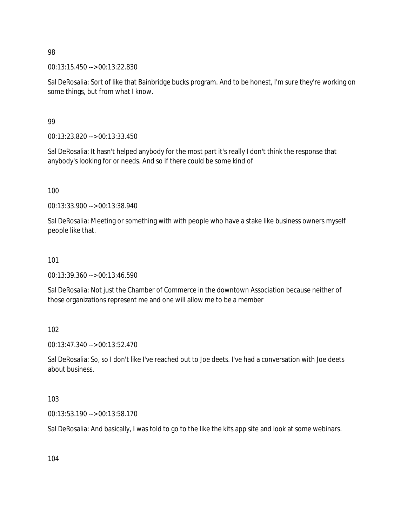00:13:15.450 --> 00:13:22.830

Sal DeRosalia: Sort of like that Bainbridge bucks program. And to be honest, I'm sure they're working on some things, but from what I know.

## 99

00:13:23.820 --> 00:13:33.450

Sal DeRosalia: It hasn't helped anybody for the most part it's really I don't think the response that anybody's looking for or needs. And so if there could be some kind of

100

00:13:33.900 --> 00:13:38.940

Sal DeRosalia: Meeting or something with with people who have a stake like business owners myself people like that.

## 101

00:13:39.360 --> 00:13:46.590

Sal DeRosalia: Not just the Chamber of Commerce in the downtown Association because neither of those organizations represent me and one will allow me to be a member

102

00:13:47.340 --> 00:13:52.470

Sal DeRosalia: So, so I don't like I've reached out to Joe deets. I've had a conversation with Joe deets about business.

103

00:13:53.190 --> 00:13:58.170

Sal DeRosalia: And basically, I was told to go to the like the kits app site and look at some webinars.

104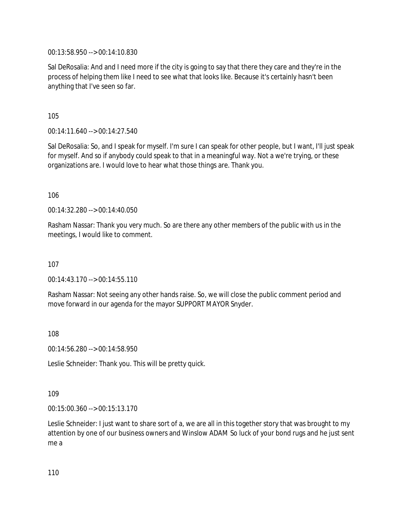00:13:58.950 --> 00:14:10.830

Sal DeRosalia: And and I need more if the city is going to say that there they care and they're in the process of helping them like I need to see what that looks like. Because it's certainly hasn't been anything that I've seen so far.

105

00:14:11.640 --> 00:14:27.540

Sal DeRosalia: So, and I speak for myself. I'm sure I can speak for other people, but I want, I'll just speak for myself. And so if anybody could speak to that in a meaningful way. Not a we're trying, or these organizations are. I would love to hear what those things are. Thank you.

106

00:14:32.280 --> 00:14:40.050

Rasham Nassar: Thank you very much. So are there any other members of the public with us in the meetings, I would like to comment.

107

00:14:43.170 --> 00:14:55.110

Rasham Nassar: Not seeing any other hands raise. So, we will close the public comment period and move forward in our agenda for the mayor SUPPORT MAYOR Snyder.

108

00:14:56.280 --> 00:14:58.950

Leslie Schneider: Thank you. This will be pretty quick.

109

00:15:00.360 --> 00:15:13.170

Leslie Schneider: I just want to share sort of a, we are all in this together story that was brought to my attention by one of our business owners and Winslow ADAM So luck of your bond rugs and he just sent me a

110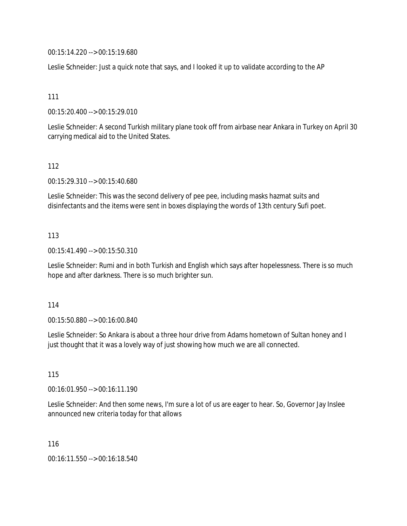00:15:14.220 --> 00:15:19.680

Leslie Schneider: Just a quick note that says, and I looked it up to validate according to the AP

111

00:15:20.400 --> 00:15:29.010

Leslie Schneider: A second Turkish military plane took off from airbase near Ankara in Turkey on April 30 carrying medical aid to the United States.

112

00:15:29.310 --> 00:15:40.680

Leslie Schneider: This was the second delivery of pee pee, including masks hazmat suits and disinfectants and the items were sent in boxes displaying the words of 13th century Sufi poet.

113

00:15:41.490 --> 00:15:50.310

Leslie Schneider: Rumi and in both Turkish and English which says after hopelessness. There is so much hope and after darkness. There is so much brighter sun.

114

00:15:50.880 --> 00:16:00.840

Leslie Schneider: So Ankara is about a three hour drive from Adams hometown of Sultan honey and I just thought that it was a lovely way of just showing how much we are all connected.

115

00:16:01.950 --> 00:16:11.190

Leslie Schneider: And then some news, I'm sure a lot of us are eager to hear. So, Governor Jay Inslee announced new criteria today for that allows

116

00:16:11.550 --> 00:16:18.540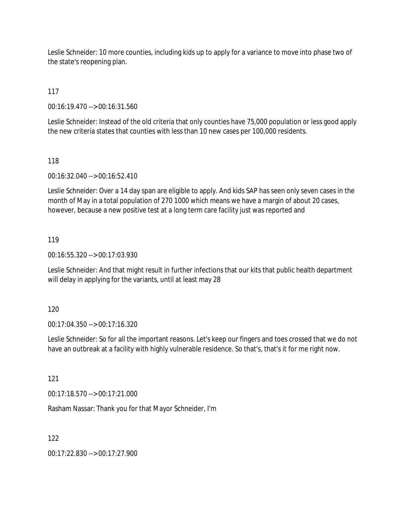Leslie Schneider: 10 more counties, including kids up to apply for a variance to move into phase two of the state's reopening plan.

# 117

00:16:19.470 --> 00:16:31.560

Leslie Schneider: Instead of the old criteria that only counties have 75,000 population or less good apply the new criteria states that counties with less than 10 new cases per 100,000 residents.

## 118

00:16:32.040 --> 00:16:52.410

Leslie Schneider: Over a 14 day span are eligible to apply. And kids SAP has seen only seven cases in the month of May in a total population of 270 1000 which means we have a margin of about 20 cases, however, because a new positive test at a long term care facility just was reported and

## 119

00:16:55.320 --> 00:17:03.930

Leslie Schneider: And that might result in further infections that our kits that public health department will delay in applying for the variants, until at least may 28

#### 120

00:17:04.350 --> 00:17:16.320

Leslie Schneider: So for all the important reasons. Let's keep our fingers and toes crossed that we do not have an outbreak at a facility with highly vulnerable residence. So that's, that's it for me right now.

121

00:17:18.570 --> 00:17:21.000

Rasham Nassar: Thank you for that Mayor Schneider, I'm

#### 122

00:17:22.830 --> 00:17:27.900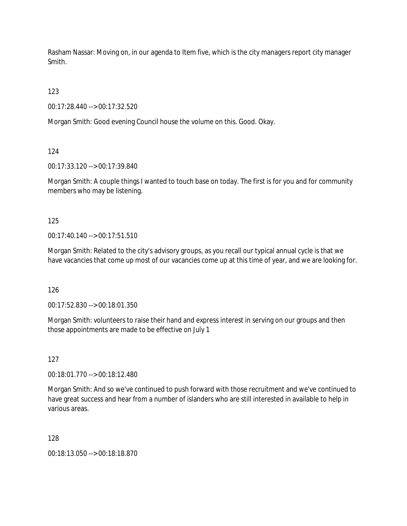Rasham Nassar: Moving on, in our agenda to Item five, which is the city managers report city manager Smith.

123

00:17:28.440 --> 00:17:32.520

Morgan Smith: Good evening Council house the volume on this. Good. Okay.

124

00:17:33.120 --> 00:17:39.840

Morgan Smith: A couple things I wanted to touch base on today. The first is for you and for community members who may be listening.

125

 $00.17.40$  140 -->  $00.17.51$  510

Morgan Smith: Related to the city's advisory groups, as you recall our typical annual cycle is that we have vacancies that come up most of our vacancies come up at this time of year, and we are looking for.

126

00:17:52.830 --> 00:18:01.350

Morgan Smith: volunteers to raise their hand and express interest in serving on our groups and then those appointments are made to be effective on July 1

127

00:18:01.770 --> 00:18:12.480

Morgan Smith: And so we've continued to push forward with those recruitment and we've continued to have great success and hear from a number of islanders who are still interested in available to help in various areas.

128

00:18:13.050 --> 00:18:18.870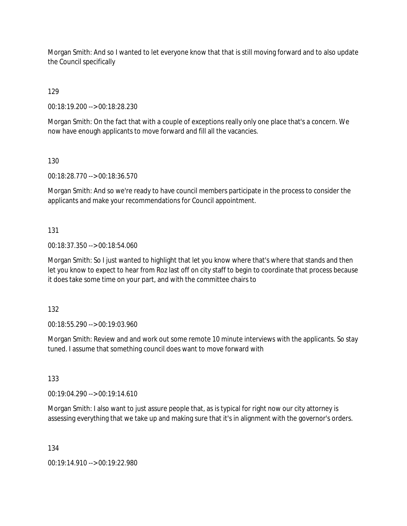Morgan Smith: And so I wanted to let everyone know that that is still moving forward and to also update the Council specifically

129

00:18:19.200 --> 00:18:28.230

Morgan Smith: On the fact that with a couple of exceptions really only one place that's a concern. We now have enough applicants to move forward and fill all the vacancies.

130

00:18:28.770 --> 00:18:36.570

Morgan Smith: And so we're ready to have council members participate in the process to consider the applicants and make your recommendations for Council appointment.

131

00:18:37.350 --> 00:18:54.060

Morgan Smith: So I just wanted to highlight that let you know where that's where that stands and then let you know to expect to hear from Roz last off on city staff to begin to coordinate that process because it does take some time on your part, and with the committee chairs to

132

00:18:55.290 --> 00:19:03.960

Morgan Smith: Review and and work out some remote 10 minute interviews with the applicants. So stay tuned. I assume that something council does want to move forward with

133

00:19:04.290 --> 00:19:14.610

Morgan Smith: I also want to just assure people that, as is typical for right now our city attorney is assessing everything that we take up and making sure that it's in alignment with the governor's orders.

134

00:19:14.910 --> 00:19:22.980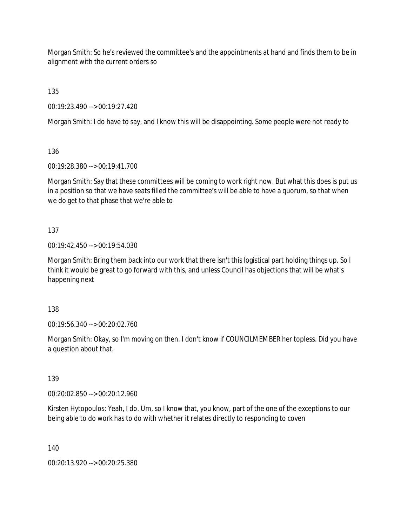Morgan Smith: So he's reviewed the committee's and the appointments at hand and finds them to be in alignment with the current orders so

135

00:19:23.490 --> 00:19:27.420

Morgan Smith: I do have to say, and I know this will be disappointing. Some people were not ready to

136

00:19:28.380 --> 00:19:41.700

Morgan Smith: Say that these committees will be coming to work right now. But what this does is put us in a position so that we have seats filled the committee's will be able to have a quorum, so that when we do get to that phase that we're able to

# 137

00:19:42.450 --> 00:19:54.030

Morgan Smith: Bring them back into our work that there isn't this logistical part holding things up. So I think it would be great to go forward with this, and unless Council has objections that will be what's happening next

# 138

00:19:56.340 --> 00:20:02.760

Morgan Smith: Okay, so I'm moving on then. I don't know if COUNCILMEMBER her topless. Did you have a question about that.

139

00:20:02.850 --> 00:20:12.960

Kirsten Hytopoulos: Yeah, I do. Um, so I know that, you know, part of the one of the exceptions to our being able to do work has to do with whether it relates directly to responding to coven

140

00:20:13.920 --> 00:20:25.380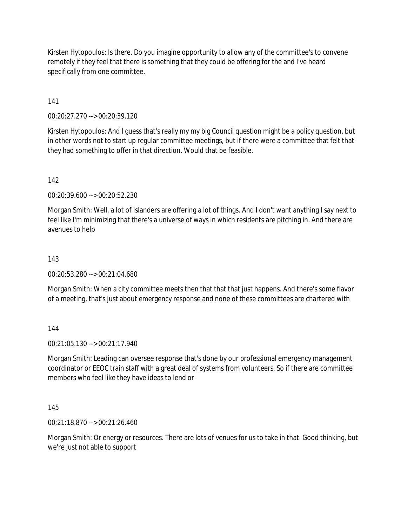Kirsten Hytopoulos: Is there. Do you imagine opportunity to allow any of the committee's to convene remotely if they feel that there is something that they could be offering for the and I've heard specifically from one committee.

141

00:20:27.270 --> 00:20:39.120

Kirsten Hytopoulos: And I guess that's really my my big Council question might be a policy question, but in other words not to start up regular committee meetings, but if there were a committee that felt that they had something to offer in that direction. Would that be feasible.

142

00:20:39.600 --> 00:20:52.230

Morgan Smith: Well, a lot of Islanders are offering a lot of things. And I don't want anything I say next to feel like I'm minimizing that there's a universe of ways in which residents are pitching in. And there are avenues to help

143

00:20:53.280 --> 00:21:04.680

Morgan Smith: When a city committee meets then that that that just happens. And there's some flavor of a meeting, that's just about emergency response and none of these committees are chartered with

144

00:21:05.130 --> 00:21:17.940

Morgan Smith: Leading can oversee response that's done by our professional emergency management coordinator or EEOC train staff with a great deal of systems from volunteers. So if there are committee members who feel like they have ideas to lend or

145

00:21:18.870 --> 00:21:26.460

Morgan Smith: Or energy or resources. There are lots of venues for us to take in that. Good thinking, but we're just not able to support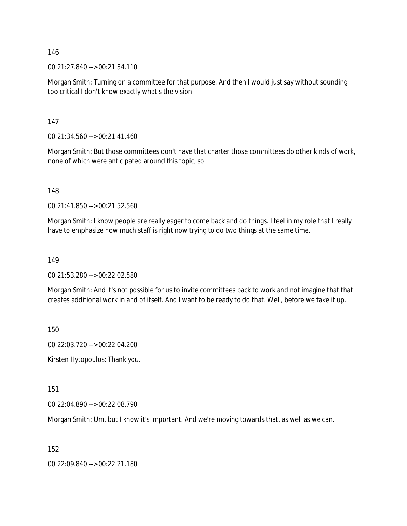00:21:27.840 --> 00:21:34.110

Morgan Smith: Turning on a committee for that purpose. And then I would just say without sounding too critical I don't know exactly what's the vision.

147

00:21:34.560 --> 00:21:41.460

Morgan Smith: But those committees don't have that charter those committees do other kinds of work, none of which were anticipated around this topic, so

148

00:21:41.850 --> 00:21:52.560

Morgan Smith: I know people are really eager to come back and do things. I feel in my role that I really have to emphasize how much staff is right now trying to do two things at the same time.

149

00:21:53.280 --> 00:22:02.580

Morgan Smith: And it's not possible for us to invite committees back to work and not imagine that that creates additional work in and of itself. And I want to be ready to do that. Well, before we take it up.

150

00:22:03.720 --> 00:22:04.200

Kirsten Hytopoulos: Thank you.

151

00:22:04.890 --> 00:22:08.790

Morgan Smith: Um, but I know it's important. And we're moving towards that, as well as we can.

152

00:22:09.840 --> 00:22:21.180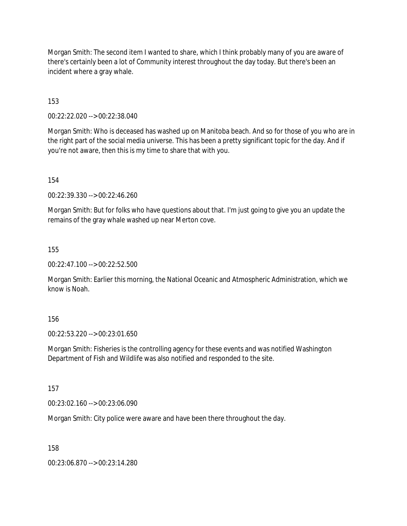Morgan Smith: The second item I wanted to share, which I think probably many of you are aware of there's certainly been a lot of Community interest throughout the day today. But there's been an incident where a gray whale.

153

00:22:22.020 --> 00:22:38.040

Morgan Smith: Who is deceased has washed up on Manitoba beach. And so for those of you who are in the right part of the social media universe. This has been a pretty significant topic for the day. And if you're not aware, then this is my time to share that with you.

154

00:22:39.330 --> 00:22:46.260

Morgan Smith: But for folks who have questions about that. I'm just going to give you an update the remains of the gray whale washed up near Merton cove.

155

00:22:47.100 --> 00:22:52.500

Morgan Smith: Earlier this morning, the National Oceanic and Atmospheric Administration, which we know is Noah.

156

00:22:53.220 --> 00:23:01.650

Morgan Smith: Fisheries is the controlling agency for these events and was notified Washington Department of Fish and Wildlife was also notified and responded to the site.

157

00:23:02.160 --> 00:23:06.090

Morgan Smith: City police were aware and have been there throughout the day.

158

00:23:06.870 --> 00:23:14.280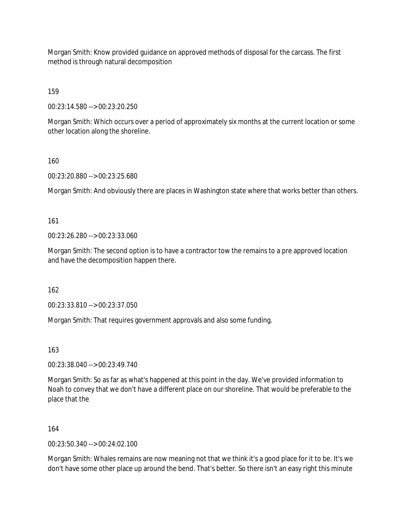Morgan Smith: Know provided guidance on approved methods of disposal for the carcass. The first method is through natural decomposition

159

00:23:14.580 --> 00:23:20.250

Morgan Smith: Which occurs over a period of approximately six months at the current location or some other location along the shoreline.

## 160

00:23:20.880 --> 00:23:25.680

Morgan Smith: And obviously there are places in Washington state where that works better than others.

161

00:23:26.280 --> 00:23:33.060

Morgan Smith: The second option is to have a contractor tow the remains to a pre approved location and have the decomposition happen there.

162

00:23:33.810 --> 00:23:37.050

Morgan Smith: That requires government approvals and also some funding.

163

00:23:38.040 --> 00:23:49.740

Morgan Smith: So as far as what's happened at this point in the day. We've provided information to Noah to convey that we don't have a different place on our shoreline. That would be preferable to the place that the

164

00:23:50.340 --> 00:24:02.100

Morgan Smith: Whales remains are now meaning not that we think it's a good place for it to be. It's we don't have some other place up around the bend. That's better. So there isn't an easy right this minute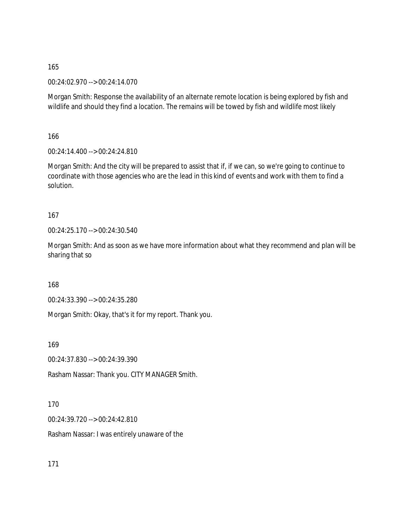00:24:02.970 --> 00:24:14.070

Morgan Smith: Response the availability of an alternate remote location is being explored by fish and wildlife and should they find a location. The remains will be towed by fish and wildlife most likely

166

00:24:14.400 --> 00:24:24.810

Morgan Smith: And the city will be prepared to assist that if, if we can, so we're going to continue to coordinate with those agencies who are the lead in this kind of events and work with them to find a solution.

167

00:24:25.170 --> 00:24:30.540

Morgan Smith: And as soon as we have more information about what they recommend and plan will be sharing that so

168

00:24:33.390 --> 00:24:35.280

Morgan Smith: Okay, that's it for my report. Thank you.

169

00:24:37.830 --> 00:24:39.390

Rasham Nassar: Thank you. CITY MANAGER Smith.

170

00:24:39.720 --> 00:24:42.810

Rasham Nassar: I was entirely unaware of the

171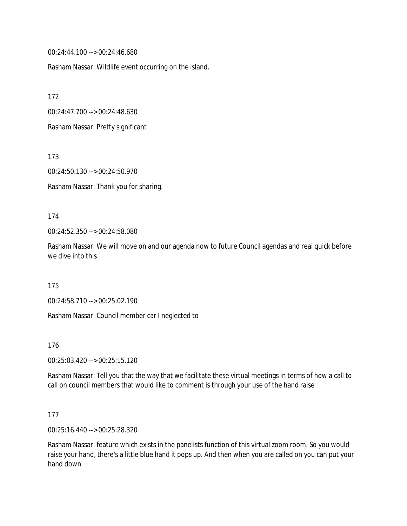00:24:44.100 --> 00:24:46.680

Rasham Nassar: Wildlife event occurring on the island.

172

00:24:47.700 --> 00:24:48.630

Rasham Nassar: Pretty significant

173

00:24:50.130 --> 00:24:50.970

Rasham Nassar: Thank you for sharing.

#### 174

00:24:52.350 --> 00:24:58.080

Rasham Nassar: We will move on and our agenda now to future Council agendas and real quick before we dive into this

175

00:24:58.710 --> 00:25:02.190

Rasham Nassar: Council member car I neglected to

#### 176

00:25:03.420 --> 00:25:15.120

Rasham Nassar: Tell you that the way that we facilitate these virtual meetings in terms of how a call to call on council members that would like to comment is through your use of the hand raise

#### 177

00:25:16.440 --> 00:25:28.320

Rasham Nassar: feature which exists in the panelists function of this virtual zoom room. So you would raise your hand, there's a little blue hand it pops up. And then when you are called on you can put your hand down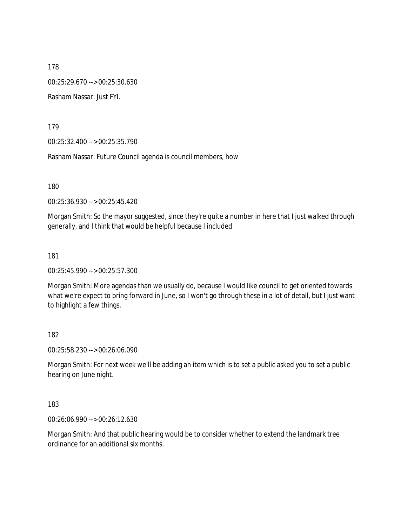178 00:25:29.670 --> 00:25:30.630 Rasham Nassar: Just FYI.

179

00:25:32.400 --> 00:25:35.790

Rasham Nassar: Future Council agenda is council members, how

180

00:25:36.930 --> 00:25:45.420

Morgan Smith: So the mayor suggested, since they're quite a number in here that I just walked through generally, and I think that would be helpful because I included

181

00:25:45.990 --> 00:25:57.300

Morgan Smith: More agendas than we usually do, because I would like council to get oriented towards what we're expect to bring forward in June, so I won't go through these in a lot of detail, but I just want to highlight a few things.

182

00:25:58.230 --> 00:26:06.090

Morgan Smith: For next week we'll be adding an item which is to set a public asked you to set a public hearing on June night.

183

00:26:06.990 --> 00:26:12.630

Morgan Smith: And that public hearing would be to consider whether to extend the landmark tree ordinance for an additional six months.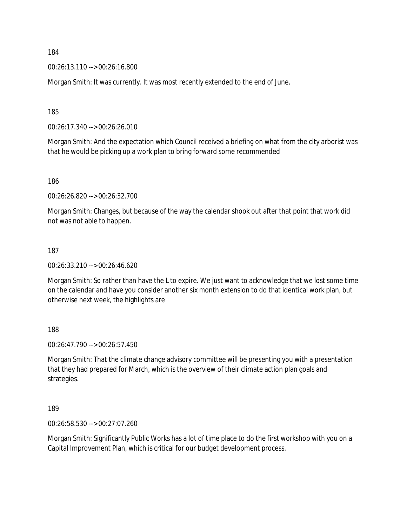00:26:13.110 --> 00:26:16.800

Morgan Smith: It was currently. It was most recently extended to the end of June.

185

00:26:17.340 --> 00:26:26.010

Morgan Smith: And the expectation which Council received a briefing on what from the city arborist was that he would be picking up a work plan to bring forward some recommended

186

00:26:26.820 --> 00:26:32.700

Morgan Smith: Changes, but because of the way the calendar shook out after that point that work did not was not able to happen.

#### 187

00:26:33.210 --> 00:26:46.620

Morgan Smith: So rather than have the L to expire. We just want to acknowledge that we lost some time on the calendar and have you consider another six month extension to do that identical work plan, but otherwise next week, the highlights are

188

00:26:47.790 --> 00:26:57.450

Morgan Smith: That the climate change advisory committee will be presenting you with a presentation that they had prepared for March, which is the overview of their climate action plan goals and strategies.

189

00:26:58.530 --> 00:27:07.260

Morgan Smith: Significantly Public Works has a lot of time place to do the first workshop with you on a Capital Improvement Plan, which is critical for our budget development process.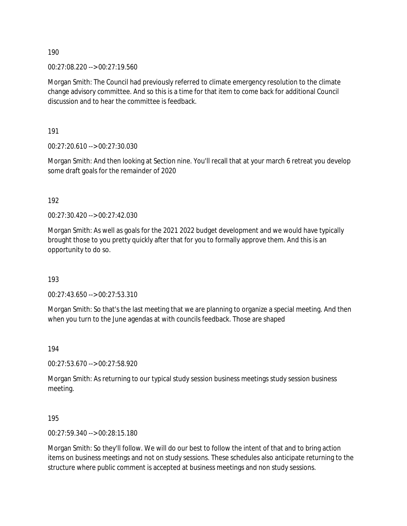00:27:08.220 --> 00:27:19.560

Morgan Smith: The Council had previously referred to climate emergency resolution to the climate change advisory committee. And so this is a time for that item to come back for additional Council discussion and to hear the committee is feedback.

191

00:27:20.610 --> 00:27:30.030

Morgan Smith: And then looking at Section nine. You'll recall that at your march 6 retreat you develop some draft goals for the remainder of 2020

192

00:27:30.420 --> 00:27:42.030

Morgan Smith: As well as goals for the 2021 2022 budget development and we would have typically brought those to you pretty quickly after that for you to formally approve them. And this is an opportunity to do so.

193

00:27:43.650 --> 00:27:53.310

Morgan Smith: So that's the last meeting that we are planning to organize a special meeting. And then when you turn to the June agendas at with councils feedback. Those are shaped

194

00:27:53.670 --> 00:27:58.920

Morgan Smith: As returning to our typical study session business meetings study session business meeting.

195

00:27:59.340 --> 00:28:15.180

Morgan Smith: So they'll follow. We will do our best to follow the intent of that and to bring action items on business meetings and not on study sessions. These schedules also anticipate returning to the structure where public comment is accepted at business meetings and non study sessions.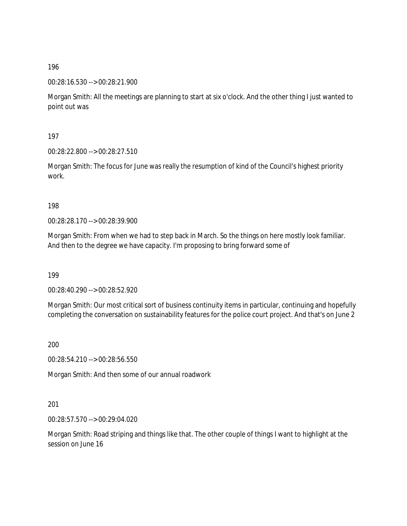00:28:16.530 --> 00:28:21.900

Morgan Smith: All the meetings are planning to start at six o'clock. And the other thing I just wanted to point out was

197

00:28:22.800 --> 00:28:27.510

Morgan Smith: The focus for June was really the resumption of kind of the Council's highest priority work.

198

00:28:28.170 --> 00:28:39.900

Morgan Smith: From when we had to step back in March. So the things on here mostly look familiar. And then to the degree we have capacity. I'm proposing to bring forward some of

199

00:28:40.290 --> 00:28:52.920

Morgan Smith: Our most critical sort of business continuity items in particular, continuing and hopefully completing the conversation on sustainability features for the police court project. And that's on June 2

200

00:28:54.210 --> 00:28:56.550

Morgan Smith: And then some of our annual roadwork

201

00:28:57.570 --> 00:29:04.020

Morgan Smith: Road striping and things like that. The other couple of things I want to highlight at the session on June 16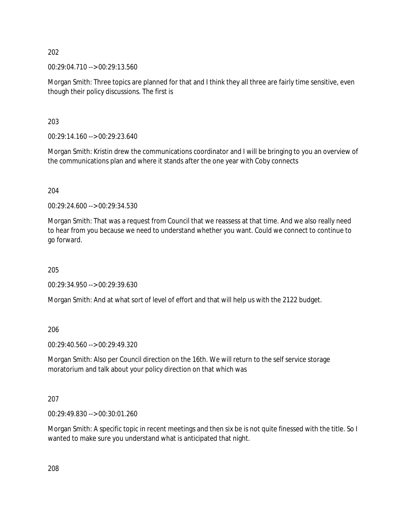00:29:04.710 --> 00:29:13.560

Morgan Smith: Three topics are planned for that and I think they all three are fairly time sensitive, even though their policy discussions. The first is

203

00:29:14.160 --> 00:29:23.640

Morgan Smith: Kristin drew the communications coordinator and I will be bringing to you an overview of the communications plan and where it stands after the one year with Coby connects

204

00:29:24.600 --> 00:29:34.530

Morgan Smith: That was a request from Council that we reassess at that time. And we also really need to hear from you because we need to understand whether you want. Could we connect to continue to go forward.

205

00:29:34.950 --> 00:29:39.630

Morgan Smith: And at what sort of level of effort and that will help us with the 2122 budget.

206

00:29:40.560 --> 00:29:49.320

Morgan Smith: Also per Council direction on the 16th. We will return to the self service storage moratorium and talk about your policy direction on that which was

207

00:29:49.830 --> 00:30:01.260

Morgan Smith: A specific topic in recent meetings and then six be is not quite finessed with the title. So I wanted to make sure you understand what is anticipated that night.

208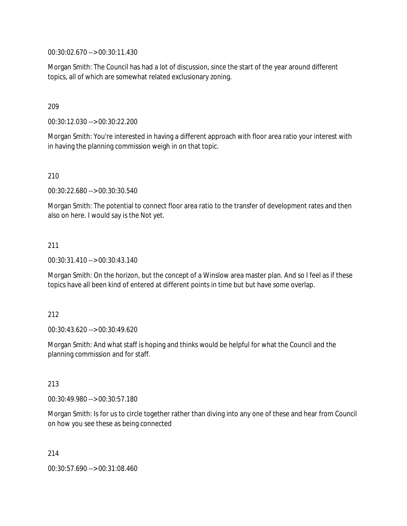00:30:02.670 --> 00:30:11.430

Morgan Smith: The Council has had a lot of discussion, since the start of the year around different topics, all of which are somewhat related exclusionary zoning.

209

00:30:12.030 --> 00:30:22.200

Morgan Smith: You're interested in having a different approach with floor area ratio your interest with in having the planning commission weigh in on that topic.

210

00:30:22.680 --> 00:30:30.540

Morgan Smith: The potential to connect floor area ratio to the transfer of development rates and then also on here. I would say is the Not yet.

211

00:30:31.410 --> 00:30:43.140

Morgan Smith: On the horizon, but the concept of a Winslow area master plan. And so I feel as if these topics have all been kind of entered at different points in time but but have some overlap.

212

00:30:43.620 --> 00:30:49.620

Morgan Smith: And what staff is hoping and thinks would be helpful for what the Council and the planning commission and for staff.

213

00:30:49.980 --> 00:30:57.180

Morgan Smith: Is for us to circle together rather than diving into any one of these and hear from Council on how you see these as being connected

214

00:30:57.690 --> 00:31:08.460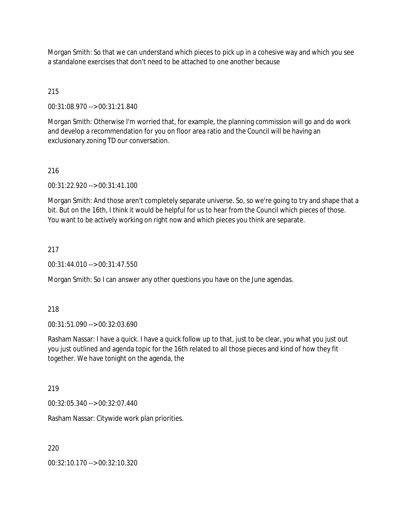Morgan Smith: So that we can understand which pieces to pick up in a cohesive way and which you see a standalone exercises that don't need to be attached to one another because

## 215

00:31:08.970 --> 00:31:21.840

Morgan Smith: Otherwise I'm worried that, for example, the planning commission will go and do work and develop a recommendation for you on floor area ratio and the Council will be having an exclusionary zoning TD our conversation.

## 216

00:31:22.920 --> 00:31:41.100

Morgan Smith: And those aren't completely separate universe. So, so we're going to try and shape that a bit. But on the 16th, I think it would be helpful for us to hear from the Council which pieces of those. You want to be actively working on right now and which pieces you think are separate.

## 217

00:31:44.010 --> 00:31:47.550

Morgan Smith: So I can answer any other questions you have on the June agendas.

#### 218

00:31:51.090 --> 00:32:03.690

Rasham Nassar: I have a quick. I have a quick follow up to that, just to be clear, you what you just out you just outlined and agenda topic for the 16th related to all those pieces and kind of how they fit together. We have tonight on the agenda, the

#### 219

00:32:05.340 --> 00:32:07.440

Rasham Nassar: Citywide work plan priorities.

220

00:32:10.170 --> 00:32:10.320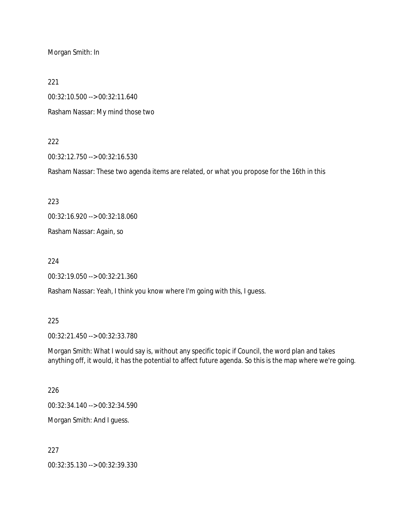Morgan Smith: In

221

00:32:10.500 --> 00:32:11.640 Rasham Nassar: My mind those two

#### 222

00:32:12.750 --> 00:32:16.530

Rasham Nassar: These two agenda items are related, or what you propose for the 16th in this

223

00:32:16.920 --> 00:32:18.060

Rasham Nassar: Again, so

224

00:32:19.050 --> 00:32:21.360

Rasham Nassar: Yeah, I think you know where I'm going with this, I guess.

#### 225

00:32:21.450 --> 00:32:33.780

Morgan Smith: What I would say is, without any specific topic if Council, the word plan and takes anything off, it would, it has the potential to affect future agenda. So this is the map where we're going.

#### 226

00:32:34.140 --> 00:32:34.590

Morgan Smith: And I guess.

#### 227

00:32:35.130 --> 00:32:39.330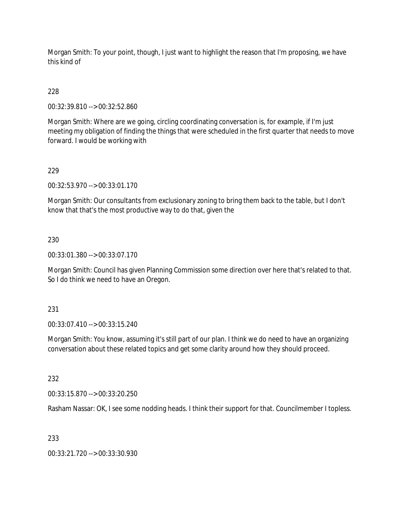Morgan Smith: To your point, though, I just want to highlight the reason that I'm proposing, we have this kind of

# 228

00:32:39.810 --> 00:32:52.860

Morgan Smith: Where are we going, circling coordinating conversation is, for example, if I'm just meeting my obligation of finding the things that were scheduled in the first quarter that needs to move forward. I would be working with

# 229

00:32:53.970 --> 00:33:01.170

Morgan Smith: Our consultants from exclusionary zoning to bring them back to the table, but I don't know that that's the most productive way to do that, given the

# 230

00:33:01.380 --> 00:33:07.170

Morgan Smith: Council has given Planning Commission some direction over here that's related to that. So I do think we need to have an Oregon.

## 231

00:33:07.410 --> 00:33:15.240

Morgan Smith: You know, assuming it's still part of our plan. I think we do need to have an organizing conversation about these related topics and get some clarity around how they should proceed.

## 232

00:33:15.870 --> 00:33:20.250

Rasham Nassar: OK, I see some nodding heads. I think their support for that. Councilmember I topless.

# 233

00:33:21.720 --> 00:33:30.930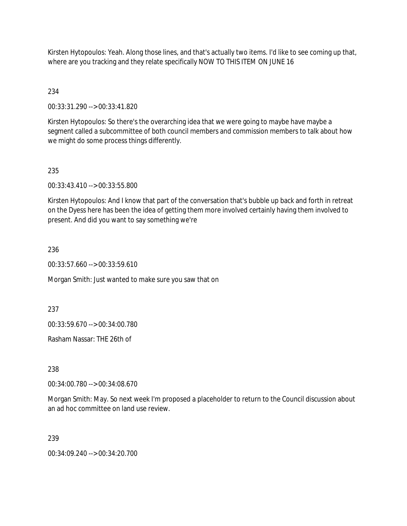Kirsten Hytopoulos: Yeah. Along those lines, and that's actually two items. I'd like to see coming up that, where are you tracking and they relate specifically NOW TO THIS ITEM ON JUNE 16

# 234

00:33:31.290 --> 00:33:41.820

Kirsten Hytopoulos: So there's the overarching idea that we were going to maybe have maybe a segment called a subcommittee of both council members and commission members to talk about how we might do some process things differently.

## 235

00:33:43.410 --> 00:33:55.800

Kirsten Hytopoulos: And I know that part of the conversation that's bubble up back and forth in retreat on the Dyess here has been the idea of getting them more involved certainly having them involved to present. And did you want to say something we're

#### 236

00:33:57.660 --> 00:33:59.610

Morgan Smith: Just wanted to make sure you saw that on

237

00:33:59.670 --> 00:34:00.780

Rasham Nassar: THE 26th of

238

00:34:00.780 --> 00:34:08.670

Morgan Smith: May. So next week I'm proposed a placeholder to return to the Council discussion about an ad hoc committee on land use review.

239

00:34:09.240 --> 00:34:20.700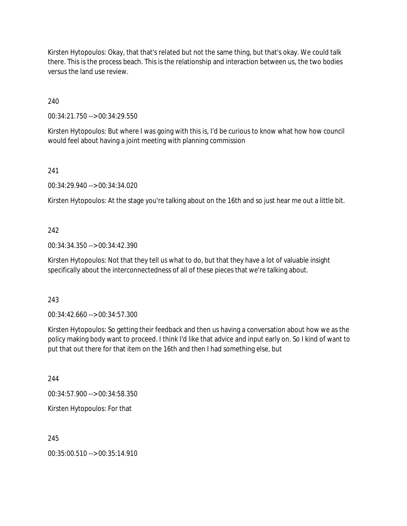Kirsten Hytopoulos: Okay, that that's related but not the same thing, but that's okay. We could talk there. This is the process beach. This is the relationship and interaction between us, the two bodies versus the land use review.

240

00:34:21.750 --> 00:34:29.550

Kirsten Hytopoulos: But where I was going with this is, I'd be curious to know what how how council would feel about having a joint meeting with planning commission

241

00:34:29.940 --> 00:34:34.020

Kirsten Hytopoulos: At the stage you're talking about on the 16th and so just hear me out a little bit.

## 242

00:34:34.350 --> 00:34:42.390

Kirsten Hytopoulos: Not that they tell us what to do, but that they have a lot of valuable insight specifically about the interconnectedness of all of these pieces that we're talking about.

243

00:34:42.660 --> 00:34:57.300

Kirsten Hytopoulos: So getting their feedback and then us having a conversation about how we as the policy making body want to proceed. I think I'd like that advice and input early on. So I kind of want to put that out there for that item on the 16th and then I had something else, but

244

00:34:57.900 --> 00:34:58.350

Kirsten Hytopoulos: For that

245

00:35:00.510 --> 00:35:14.910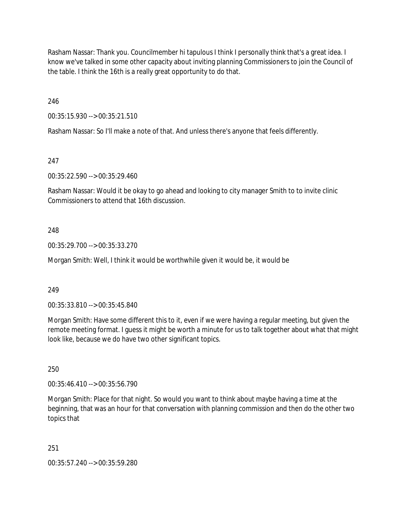Rasham Nassar: Thank you. Councilmember hi tapulous I think I personally think that's a great idea. I know we've talked in some other capacity about inviting planning Commissioners to join the Council of the table. I think the 16th is a really great opportunity to do that.

246

00:35:15.930 --> 00:35:21.510

Rasham Nassar: So I'll make a note of that. And unless there's anyone that feels differently.

247

00:35:22.590 --> 00:35:29.460

Rasham Nassar: Would it be okay to go ahead and looking to city manager Smith to to invite clinic Commissioners to attend that 16th discussion.

## 248

00:35:29.700 --> 00:35:33.270

Morgan Smith: Well, I think it would be worthwhile given it would be, it would be

## 249

00:35:33.810 --> 00:35:45.840

Morgan Smith: Have some different this to it, even if we were having a regular meeting, but given the remote meeting format. I guess it might be worth a minute for us to talk together about what that might look like, because we do have two other significant topics.

250

00:35:46.410 --> 00:35:56.790

Morgan Smith: Place for that night. So would you want to think about maybe having a time at the beginning, that was an hour for that conversation with planning commission and then do the other two topics that

251

00:35:57.240 --> 00:35:59.280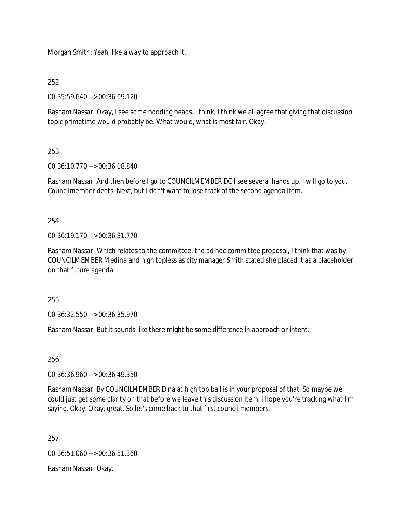Morgan Smith: Yeah, like a way to approach it.

252

00:35:59.640 --> 00:36:09.120

Rasham Nassar: Okay, I see some nodding heads. I think, I think we all agree that giving that discussion topic primetime would probably be. What would, what is most fair. Okay.

# 253

00:36:10.770 --> 00:36:18.840

Rasham Nassar: And then before I go to COUNCILMEMBER DC I see several hands up. I will go to you. Councilmember deets. Next, but I don't want to lose track of the second agenda item.

254

00:36:19.170 --> 00:36:31.770

Rasham Nassar: Which relates to the committee, the ad hoc committee proposal, I think that was by COUNCILMEMBER Medina and high topless as city manager Smith stated she placed it as a placeholder on that future agenda.

255

00:36:32.550 --> 00:36:35.970

Rasham Nassar: But it sounds like there might be some difference in approach or intent.

## 256

00:36:36.960 --> 00:36:49.350

Rasham Nassar: By COUNCILMEMBER Dina at high top ball is in your proposal of that. So maybe we could just get some clarity on that before we leave this discussion item. I hope you're tracking what I'm saying. Okay. Okay, great. So let's come back to that first council members.

257

00:36:51.060 --> 00:36:51.360

Rasham Nassar: Okay.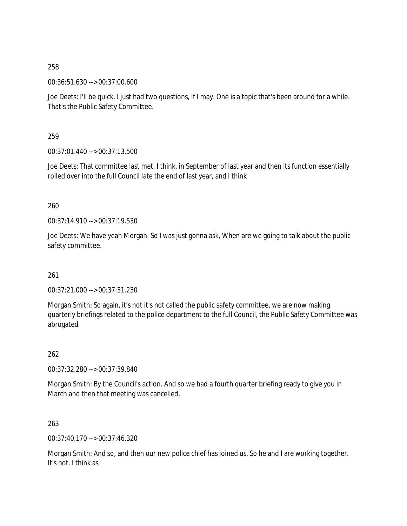00:36:51.630 --> 00:37:00.600

Joe Deets: I'll be quick. I just had two questions, if I may. One is a topic that's been around for a while. That's the Public Safety Committee.

259

00:37:01.440 --> 00:37:13.500

Joe Deets: That committee last met, I think, in September of last year and then its function essentially rolled over into the full Council late the end of last year, and I think

260

00:37:14.910 --> 00:37:19.530

Joe Deets: We have yeah Morgan. So I was just gonna ask, When are we going to talk about the public safety committee.

261

00:37:21.000 --> 00:37:31.230

Morgan Smith: So again, it's not it's not called the public safety committee, we are now making quarterly briefings related to the police department to the full Council, the Public Safety Committee was abrogated

262

00:37:32.280 --> 00:37:39.840

Morgan Smith: By the Council's action. And so we had a fourth quarter briefing ready to give you in March and then that meeting was cancelled.

263

00:37:40.170 --> 00:37:46.320

Morgan Smith: And so, and then our new police chief has joined us. So he and I are working together. It's not. I think as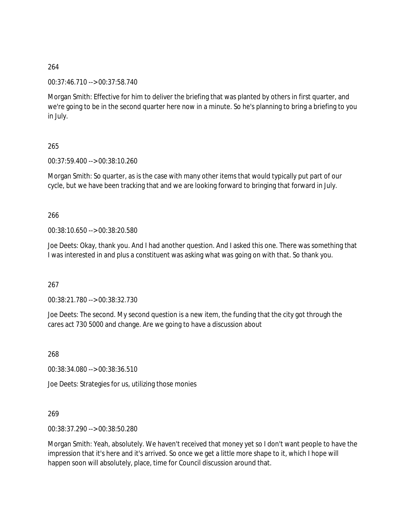00:37:46.710 --> 00:37:58.740

Morgan Smith: Effective for him to deliver the briefing that was planted by others in first quarter, and we're going to be in the second quarter here now in a minute. So he's planning to bring a briefing to you in July.

# 265

00:37:59.400 --> 00:38:10.260

Morgan Smith: So quarter, as is the case with many other items that would typically put part of our cycle, but we have been tracking that and we are looking forward to bringing that forward in July.

## 266

00:38:10.650 --> 00:38:20.580

Joe Deets: Okay, thank you. And I had another question. And I asked this one. There was something that I was interested in and plus a constituent was asking what was going on with that. So thank you.

267

00:38:21.780 --> 00:38:32.730

Joe Deets: The second. My second question is a new item, the funding that the city got through the cares act 730 5000 and change. Are we going to have a discussion about

268

00:38:34.080 --> 00:38:36.510

Joe Deets: Strategies for us, utilizing those monies

## 269

00:38:37.290 --> 00:38:50.280

Morgan Smith: Yeah, absolutely. We haven't received that money yet so I don't want people to have the impression that it's here and it's arrived. So once we get a little more shape to it, which I hope will happen soon will absolutely, place, time for Council discussion around that.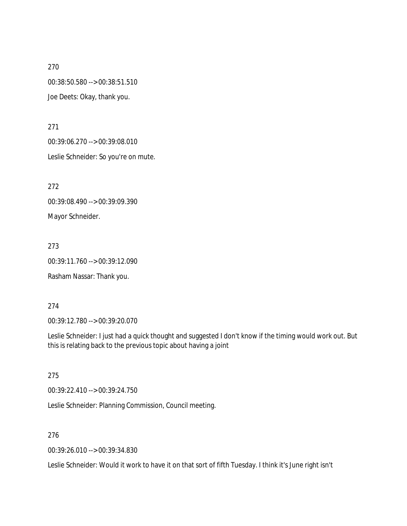270 00:38:50.580 --> 00:38:51.510 Joe Deets: Okay, thank you.

271

00:39:06.270 --> 00:39:08.010

Leslie Schneider: So you're on mute.

272

00:39:08.490 --> 00:39:09.390

Mayor Schneider.

273

00:39:11.760 --> 00:39:12.090

Rasham Nassar: Thank you.

274

00:39:12.780 --> 00:39:20.070

Leslie Schneider: I just had a quick thought and suggested I don't know if the timing would work out. But this is relating back to the previous topic about having a joint

275

00:39:22.410 --> 00:39:24.750

Leslie Schneider: Planning Commission, Council meeting.

276

00:39:26.010 --> 00:39:34.830

Leslie Schneider: Would it work to have it on that sort of fifth Tuesday. I think it's June right isn't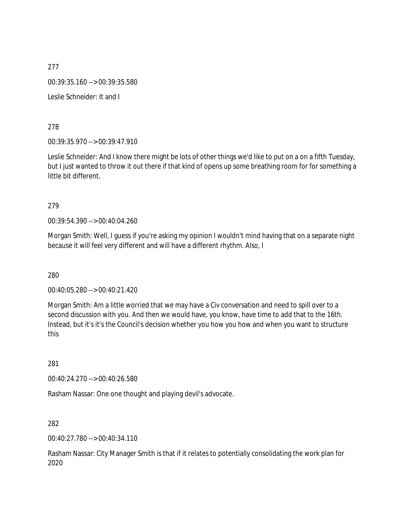277 00:39:35.160 --> 00:39:35.580 Leslie Schneider: It and I

278

00:39:35.970 --> 00:39:47.910

Leslie Schneider: And I know there might be lots of other things we'd like to put on a on a fifth Tuesday, but I just wanted to throw it out there if that kind of opens up some breathing room for for something a little bit different.

279

00:39:54.390 --> 00:40:04.260

Morgan Smith: Well, I guess if you're asking my opinion I wouldn't mind having that on a separate night because it will feel very different and will have a different rhythm. Also, I

280

00:40:05.280 --> 00:40:21.420

Morgan Smith: Am a little worried that we may have a Civ conversation and need to spill over to a second discussion with you. And then we would have, you know, have time to add that to the 16th. Instead, but it's it's the Council's decision whether you how you how and when you want to structure this

281

00:40:24.270 --> 00:40:26.580

Rasham Nassar: One one thought and playing devil's advocate.

282

00:40:27.780 --> 00:40:34.110

Rasham Nassar: City Manager Smith is that if it relates to potentially consolidating the work plan for 2020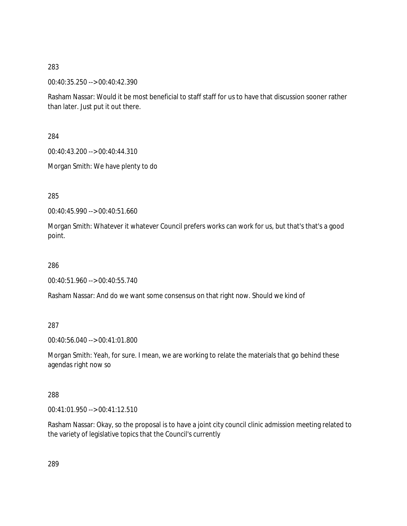00:40:35.250 --> 00:40:42.390

Rasham Nassar: Would it be most beneficial to staff staff for us to have that discussion sooner rather than later. Just put it out there.

284

00:40:43.200 --> 00:40:44.310

Morgan Smith: We have plenty to do

285

00:40:45.990 --> 00:40:51.660

Morgan Smith: Whatever it whatever Council prefers works can work for us, but that's that's a good point.

286

00:40:51.960 --> 00:40:55.740

Rasham Nassar: And do we want some consensus on that right now. Should we kind of

287

00:40:56.040 --> 00:41:01.800

Morgan Smith: Yeah, for sure. I mean, we are working to relate the materials that go behind these agendas right now so

288

00:41:01.950 --> 00:41:12.510

Rasham Nassar: Okay, so the proposal is to have a joint city council clinic admission meeting related to the variety of legislative topics that the Council's currently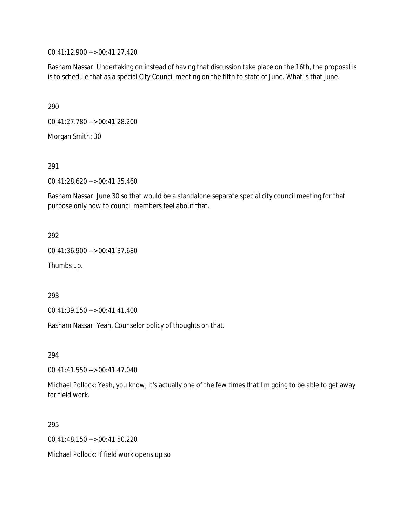00:41:12.900 --> 00:41:27.420

Rasham Nassar: Undertaking on instead of having that discussion take place on the 16th, the proposal is is to schedule that as a special City Council meeting on the fifth to state of June. What is that June.

290

00:41:27.780 --> 00:41:28.200

Morgan Smith: 30

291

00:41:28.620 --> 00:41:35.460

Rasham Nassar: June 30 so that would be a standalone separate special city council meeting for that purpose only how to council members feel about that.

292

00:41:36.900 --> 00:41:37.680

Thumbs up.

293

00:41:39.150 --> 00:41:41.400

Rasham Nassar: Yeah, Counselor policy of thoughts on that.

294

00:41:41.550 --> 00:41:47.040

Michael Pollock: Yeah, you know, it's actually one of the few times that I'm going to be able to get away for field work.

295

00:41:48.150 --> 00:41:50.220

Michael Pollock: If field work opens up so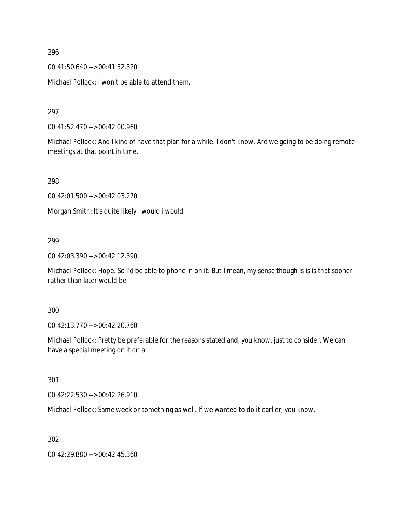00:41:50.640 --> 00:41:52.320

Michael Pollock: I won't be able to attend them.

297

00:41:52.470 --> 00:42:00.960

Michael Pollock: And I kind of have that plan for a while. I don't know. Are we going to be doing remote meetings at that point in time.

298

00:42:01.500 --> 00:42:03.270

Morgan Smith: It's quite likely i would i would

299

00:42:03.390 --> 00:42:12.390

Michael Pollock: Hope. So I'd be able to phone in on it. But I mean, my sense though is is is that sooner rather than later would be

300

00:42:13.770 --> 00:42:20.760

Michael Pollock: Pretty be preferable for the reasons stated and, you know, just to consider. We can have a special meeting on it on a

301

00:42:22.530 --> 00:42:26.910

Michael Pollock: Same week or something as well. If we wanted to do it earlier, you know,

302

00:42:29.880 --> 00:42:45.360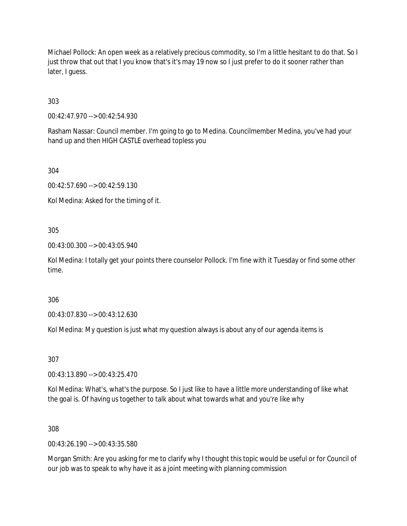Michael Pollock: An open week as a relatively precious commodity, so I'm a little hesitant to do that. So I just throw that out that I you know that's it's may 19 now so I just prefer to do it sooner rather than later, I guess.

303

00:42:47.970 --> 00:42:54.930

Rasham Nassar: Council member. I'm going to go to Medina. Councilmember Medina, you've had your hand up and then HIGH CASTLE overhead topless you

304

00:42:57.690 --> 00:42:59.130

Kol Medina: Asked for the timing of it.

305

00:43:00.300 --> 00:43:05.940

Kol Medina: I totally get your points there counselor Pollock. I'm fine with it Tuesday or find some other time.

306

00:43:07.830 --> 00:43:12.630

Kol Medina: My question is just what my question always is about any of our agenda items is

307

00:43:13.890 --> 00:43:25.470

Kol Medina: What's, what's the purpose. So I just like to have a little more understanding of like what the goal is. Of having us together to talk about what towards what and you're like why

308

00:43:26.190 --> 00:43:35.580

Morgan Smith: Are you asking for me to clarify why I thought this topic would be useful or for Council of our job was to speak to why have it as a joint meeting with planning commission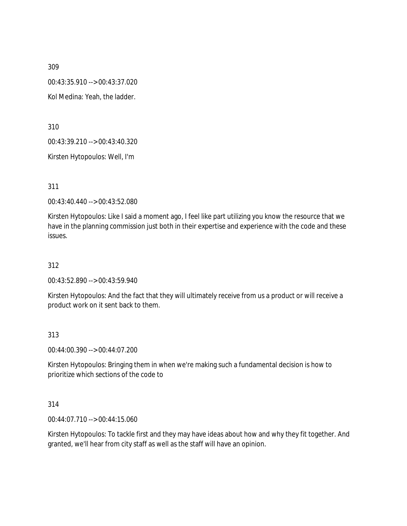00:43:35.910 --> 00:43:37.020

Kol Medina: Yeah, the ladder.

310

00:43:39.210 --> 00:43:40.320

Kirsten Hytopoulos: Well, I'm

311

00:43:40.440 --> 00:43:52.080

Kirsten Hytopoulos: Like I said a moment ago, I feel like part utilizing you know the resource that we have in the planning commission just both in their expertise and experience with the code and these issues.

312

00:43:52.890 --> 00:43:59.940

Kirsten Hytopoulos: And the fact that they will ultimately receive from us a product or will receive a product work on it sent back to them.

313

00:44:00.390 --> 00:44:07.200

Kirsten Hytopoulos: Bringing them in when we're making such a fundamental decision is how to prioritize which sections of the code to

314

00:44:07.710 --> 00:44:15.060

Kirsten Hytopoulos: To tackle first and they may have ideas about how and why they fit together. And granted, we'll hear from city staff as well as the staff will have an opinion.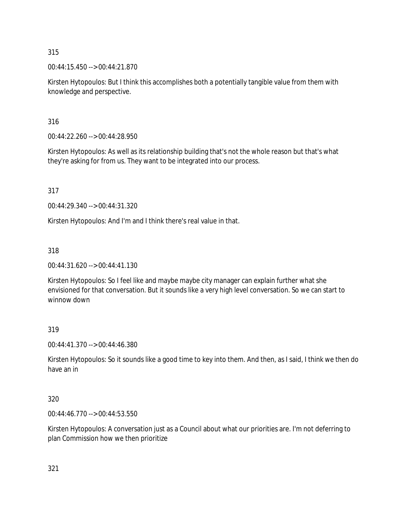00:44:15.450 --> 00:44:21.870

Kirsten Hytopoulos: But I think this accomplishes both a potentially tangible value from them with knowledge and perspective.

316

00:44:22.260 --> 00:44:28.950

Kirsten Hytopoulos: As well as its relationship building that's not the whole reason but that's what they're asking for from us. They want to be integrated into our process.

317

00:44:29.340 --> 00:44:31.320

Kirsten Hytopoulos: And I'm and I think there's real value in that.

318

00:44:31.620 --> 00:44:41.130

Kirsten Hytopoulos: So I feel like and maybe maybe city manager can explain further what she envisioned for that conversation. But it sounds like a very high level conversation. So we can start to winnow down

319

00:44:41.370 --> 00:44:46.380

Kirsten Hytopoulos: So it sounds like a good time to key into them. And then, as I said, I think we then do have an in

320

00:44:46.770 --> 00:44:53.550

Kirsten Hytopoulos: A conversation just as a Council about what our priorities are. I'm not deferring to plan Commission how we then prioritize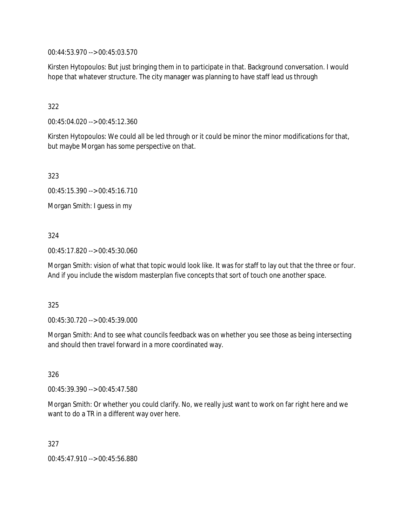00:44:53.970 --> 00:45:03.570

Kirsten Hytopoulos: But just bringing them in to participate in that. Background conversation. I would hope that whatever structure. The city manager was planning to have staff lead us through

# 322

00:45:04.020 --> 00:45:12.360

Kirsten Hytopoulos: We could all be led through or it could be minor the minor modifications for that, but maybe Morgan has some perspective on that.

323

00:45:15.390 --> 00:45:16.710

Morgan Smith: I guess in my

# 324

00:45:17.820 --> 00:45:30.060

Morgan Smith: vision of what that topic would look like. It was for staff to lay out that the three or four. And if you include the wisdom masterplan five concepts that sort of touch one another space.

## 325

00:45:30.720 --> 00:45:39.000

Morgan Smith: And to see what councils feedback was on whether you see those as being intersecting and should then travel forward in a more coordinated way.

326

00:45:39.390 --> 00:45:47.580

Morgan Smith: Or whether you could clarify. No, we really just want to work on far right here and we want to do a TR in a different way over here.

327

00:45:47.910 --> 00:45:56.880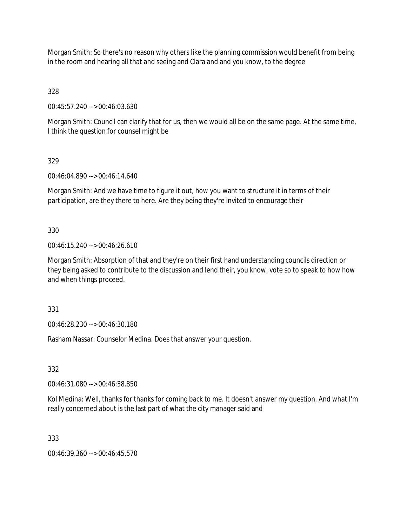Morgan Smith: So there's no reason why others like the planning commission would benefit from being in the room and hearing all that and seeing and Clara and and you know, to the degree

328

00:45:57.240 --> 00:46:03.630

Morgan Smith: Council can clarify that for us, then we would all be on the same page. At the same time, I think the question for counsel might be

329

00:46:04.890 --> 00:46:14.640

Morgan Smith: And we have time to figure it out, how you want to structure it in terms of their participation, are they there to here. Are they being they're invited to encourage their

330

00:46:15.240 --> 00:46:26.610

Morgan Smith: Absorption of that and they're on their first hand understanding councils direction or they being asked to contribute to the discussion and lend their, you know, vote so to speak to how how and when things proceed.

331

00:46:28.230 --> 00:46:30.180

Rasham Nassar: Counselor Medina. Does that answer your question.

332

00:46:31.080 --> 00:46:38.850

Kol Medina: Well, thanks for thanks for coming back to me. It doesn't answer my question. And what I'm really concerned about is the last part of what the city manager said and

333

00:46:39.360 --> 00:46:45.570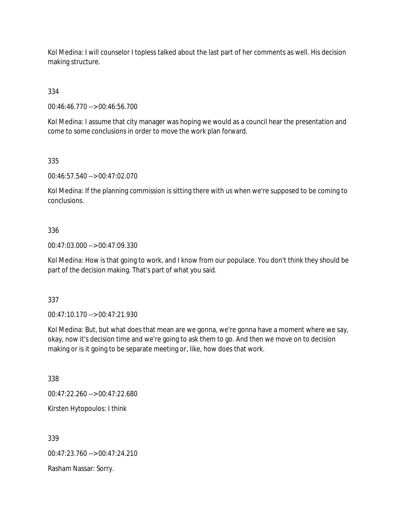Kol Medina: I will counselor I topless talked about the last part of her comments as well. His decision making structure.

334

00:46:46.770 --> 00:46:56.700

Kol Medina: I assume that city manager was hoping we would as a council hear the presentation and come to some conclusions in order to move the work plan forward.

335

00:46:57.540 --> 00:47:02.070

Kol Medina: If the planning commission is sitting there with us when we're supposed to be coming to conclusions.

# 336

00:47:03.000 --> 00:47:09.330

Kol Medina: How is that going to work, and I know from our populace. You don't think they should be part of the decision making. That's part of what you said.

337

00:47:10.170 --> 00:47:21.930

Kol Medina: But, but what does that mean are we gonna, we're gonna have a moment where we say, okay, now it's decision time and we're going to ask them to go. And then we move on to decision making or is it going to be separate meeting or, like, how does that work.

338

00:47:22.260 --> 00:47:22.680

Kirsten Hytopoulos: I think

339

00:47:23.760 --> 00:47:24.210

Rasham Nassar: Sorry.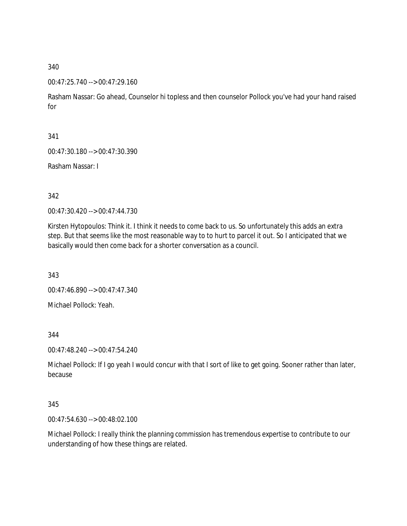00:47:25.740 --> 00:47:29.160

Rasham Nassar: Go ahead, Counselor hi topless and then counselor Pollock you've had your hand raised for

341

00:47:30.180 --> 00:47:30.390

Rasham Nassar: I

342

00:47:30.420 --> 00:47:44.730

Kirsten Hytopoulos: Think it. I think it needs to come back to us. So unfortunately this adds an extra step. But that seems like the most reasonable way to to hurt to parcel it out. So I anticipated that we basically would then come back for a shorter conversation as a council.

343

00:47:46.890 --> 00:47:47.340

Michael Pollock: Yeah.

344

00:47:48.240 --> 00:47:54.240

Michael Pollock: If I go yeah I would concur with that I sort of like to get going. Sooner rather than later, because

345

00:47:54.630 --> 00:48:02.100

Michael Pollock: I really think the planning commission has tremendous expertise to contribute to our understanding of how these things are related.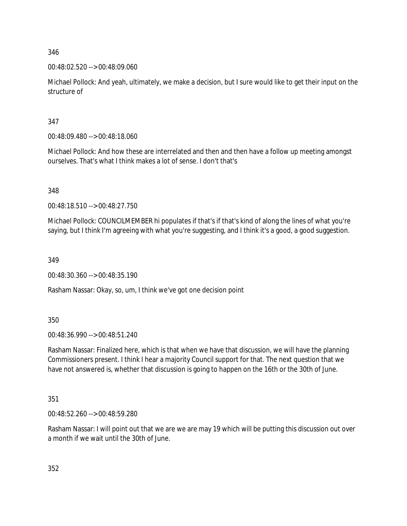# 00:48:02.520 --> 00:48:09.060

Michael Pollock: And yeah, ultimately, we make a decision, but I sure would like to get their input on the structure of

# 347

00:48:09.480 --> 00:48:18.060

Michael Pollock: And how these are interrelated and then and then have a follow up meeting amongst ourselves. That's what I think makes a lot of sense. I don't that's

# 348

00:48:18.510 --> 00:48:27.750

Michael Pollock: COUNCILMEMBER hi populates if that's if that's kind of along the lines of what you're saying, but I think I'm agreeing with what you're suggesting, and I think it's a good, a good suggestion.

349

00:48:30.360 --> 00:48:35.190

Rasham Nassar: Okay, so, um, I think we've got one decision point

## 350

00:48:36.990 --> 00:48:51.240

Rasham Nassar: Finalized here, which is that when we have that discussion, we will have the planning Commissioners present. I think I hear a majority Council support for that. The next question that we have not answered is, whether that discussion is going to happen on the 16th or the 30th of June.

# 351

00:48:52.260 --> 00:48:59.280

Rasham Nassar: I will point out that we are we are may 19 which will be putting this discussion out over a month if we wait until the 30th of June.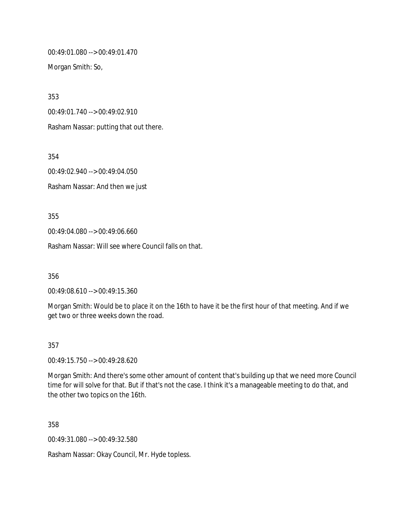00:49:01.080 --> 00:49:01.470

Morgan Smith: So,

353

00:49:01.740 --> 00:49:02.910

Rasham Nassar: putting that out there.

354

00:49:02.940 --> 00:49:04.050

Rasham Nassar: And then we just

355

00:49:04.080 --> 00:49:06.660

Rasham Nassar: Will see where Council falls on that.

356

00:49:08.610 --> 00:49:15.360

Morgan Smith: Would be to place it on the 16th to have it be the first hour of that meeting. And if we get two or three weeks down the road.

## 357

00:49:15.750 --> 00:49:28.620

Morgan Smith: And there's some other amount of content that's building up that we need more Council time for will solve for that. But if that's not the case. I think it's a manageable meeting to do that, and the other two topics on the 16th.

358

00:49:31.080 --> 00:49:32.580

Rasham Nassar: Okay Council, Mr. Hyde topless.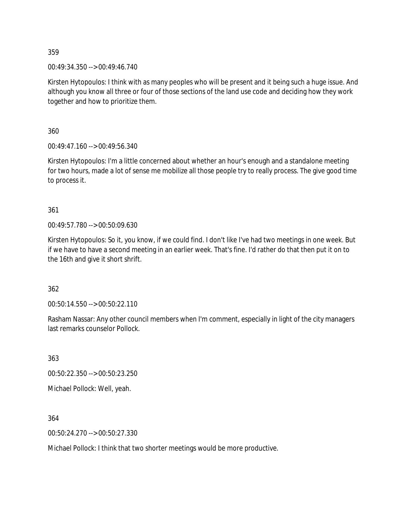00:49:34.350 --> 00:49:46.740

Kirsten Hytopoulos: I think with as many peoples who will be present and it being such a huge issue. And although you know all three or four of those sections of the land use code and deciding how they work together and how to prioritize them.

360

00:49:47.160 --> 00:49:56.340

Kirsten Hytopoulos: I'm a little concerned about whether an hour's enough and a standalone meeting for two hours, made a lot of sense me mobilize all those people try to really process. The give good time to process it.

361

00:49:57.780 --> 00:50:09.630

Kirsten Hytopoulos: So it, you know, if we could find. I don't like I've had two meetings in one week. But if we have to have a second meeting in an earlier week. That's fine. I'd rather do that then put it on to the 16th and give it short shrift.

362

00:50:14.550 --> 00:50:22.110

Rasham Nassar: Any other council members when I'm comment, especially in light of the city managers last remarks counselor Pollock.

363

00:50:22.350 --> 00:50:23.250

Michael Pollock: Well, yeah.

364

00:50:24.270 --> 00:50:27.330

Michael Pollock: I think that two shorter meetings would be more productive.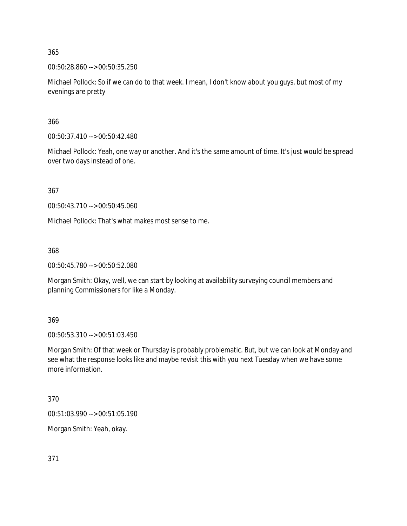00:50:28.860 --> 00:50:35.250

Michael Pollock: So if we can do to that week. I mean, I don't know about you guys, but most of my evenings are pretty

366

00:50:37.410 --> 00:50:42.480

Michael Pollock: Yeah, one way or another. And it's the same amount of time. It's just would be spread over two days instead of one.

367

00:50:43.710 --> 00:50:45.060

Michael Pollock: That's what makes most sense to me.

368

00:50:45.780 --> 00:50:52.080

Morgan Smith: Okay, well, we can start by looking at availability surveying council members and planning Commissioners for like a Monday.

369

00:50:53.310 --> 00:51:03.450

Morgan Smith: Of that week or Thursday is probably problematic. But, but we can look at Monday and see what the response looks like and maybe revisit this with you next Tuesday when we have some more information.

370

00:51:03.990 --> 00:51:05.190

Morgan Smith: Yeah, okay.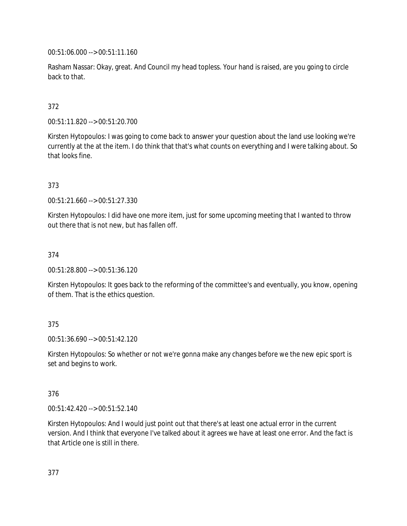00:51:06.000 --> 00:51:11.160

Rasham Nassar: Okay, great. And Council my head topless. Your hand is raised, are you going to circle back to that.

# 372

00:51:11.820 --> 00:51:20.700

Kirsten Hytopoulos: I was going to come back to answer your question about the land use looking we're currently at the at the item. I do think that that's what counts on everything and I were talking about. So that looks fine.

373

00:51:21.660 --> 00:51:27.330

Kirsten Hytopoulos: I did have one more item, just for some upcoming meeting that I wanted to throw out there that is not new, but has fallen off.

## 374

00:51:28.800 --> 00:51:36.120

Kirsten Hytopoulos: It goes back to the reforming of the committee's and eventually, you know, opening of them. That is the ethics question.

## 375

00:51:36.690 --> 00:51:42.120

Kirsten Hytopoulos: So whether or not we're gonna make any changes before we the new epic sport is set and begins to work.

## 376

00:51:42.420 --> 00:51:52.140

Kirsten Hytopoulos: And I would just point out that there's at least one actual error in the current version. And I think that everyone I've talked about it agrees we have at least one error. And the fact is that Article one is still in there.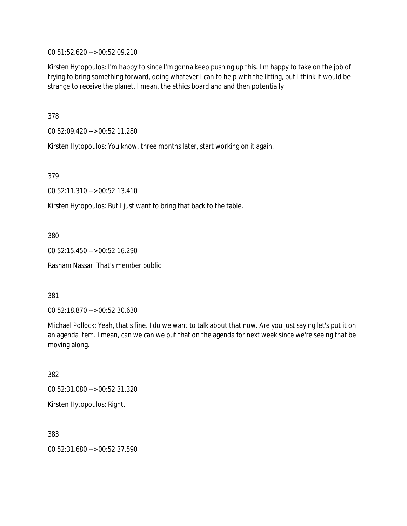00:51:52.620 --> 00:52:09.210

Kirsten Hytopoulos: I'm happy to since I'm gonna keep pushing up this. I'm happy to take on the job of trying to bring something forward, doing whatever I can to help with the lifting, but I think it would be strange to receive the planet. I mean, the ethics board and and then potentially

378

00:52:09.420 --> 00:52:11.280

Kirsten Hytopoulos: You know, three months later, start working on it again.

379

00:52:11.310 --> 00:52:13.410

Kirsten Hytopoulos: But I just want to bring that back to the table.

380

00:52:15.450 --> 00:52:16.290

Rasham Nassar: That's member public

381

00:52:18.870 --> 00:52:30.630

Michael Pollock: Yeah, that's fine. I do we want to talk about that now. Are you just saying let's put it on an agenda item. I mean, can we can we put that on the agenda for next week since we're seeing that be moving along.

382 00:52:31.080 --> 00:52:31.320 Kirsten Hytopoulos: Right.

383

00:52:31.680 --> 00:52:37.590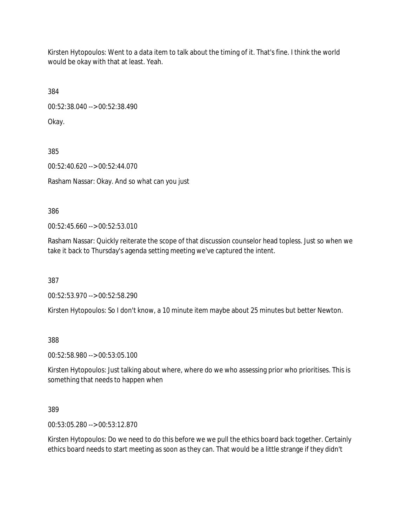Kirsten Hytopoulos: Went to a data item to talk about the timing of it. That's fine. I think the world would be okay with that at least. Yeah.

384

00:52:38.040 --> 00:52:38.490

Okay.

385 00:52:40.620 --> 00:52:44.070 Rasham Nassar: Okay. And so what can you just

386

00:52:45.660 --> 00:52:53.010

Rasham Nassar: Quickly reiterate the scope of that discussion counselor head topless. Just so when we take it back to Thursday's agenda setting meeting we've captured the intent.

387

00:52:53.970 --> 00:52:58.290

Kirsten Hytopoulos: So I don't know, a 10 minute item maybe about 25 minutes but better Newton.

388

00:52:58.980 --> 00:53:05.100

Kirsten Hytopoulos: Just talking about where, where do we who assessing prior who prioritises. This is something that needs to happen when

389

00:53:05.280 --> 00:53:12.870

Kirsten Hytopoulos: Do we need to do this before we we pull the ethics board back together. Certainly ethics board needs to start meeting as soon as they can. That would be a little strange if they didn't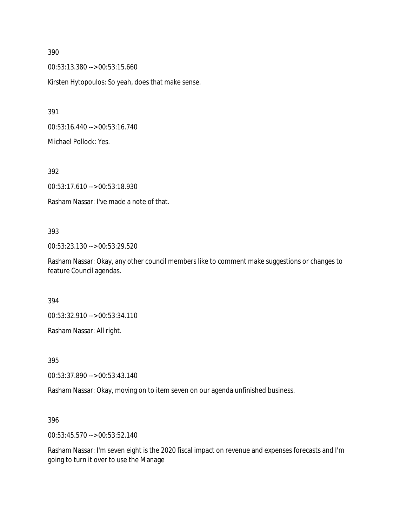00:53:13.380 --> 00:53:15.660

Kirsten Hytopoulos: So yeah, does that make sense.

391

00:53:16.440 --> 00:53:16.740

Michael Pollock: Yes.

392

00:53:17.610 --> 00:53:18.930

Rasham Nassar: I've made a note of that.

#### 393

00:53:23.130 --> 00:53:29.520

Rasham Nassar: Okay, any other council members like to comment make suggestions or changes to feature Council agendas.

394

00:53:32.910 --> 00:53:34.110

Rasham Nassar: All right.

395

00:53:37.890 --> 00:53:43.140

Rasham Nassar: Okay, moving on to item seven on our agenda unfinished business.

396

00:53:45.570 --> 00:53:52.140

Rasham Nassar: I'm seven eight is the 2020 fiscal impact on revenue and expenses forecasts and I'm going to turn it over to use the Manage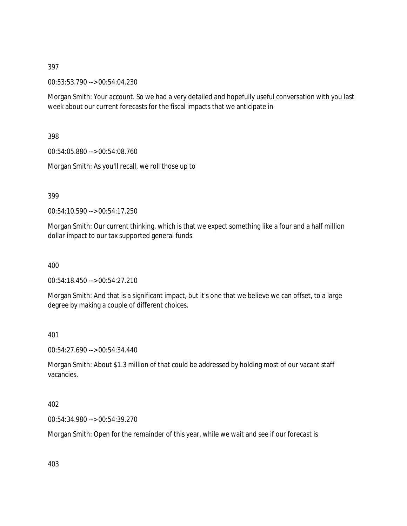00:53:53.790 --> 00:54:04.230

Morgan Smith: Your account. So we had a very detailed and hopefully useful conversation with you last week about our current forecasts for the fiscal impacts that we anticipate in

398

00:54:05.880 --> 00:54:08.760

Morgan Smith: As you'll recall, we roll those up to

399

00:54:10.590 --> 00:54:17.250

Morgan Smith: Our current thinking, which is that we expect something like a four and a half million dollar impact to our tax supported general funds.

400

00:54:18.450 --> 00:54:27.210

Morgan Smith: And that is a significant impact, but it's one that we believe we can offset, to a large degree by making a couple of different choices.

401

00:54:27.690 --> 00:54:34.440

Morgan Smith: About \$1.3 million of that could be addressed by holding most of our vacant staff vacancies.

402

00:54:34.980 --> 00:54:39.270

Morgan Smith: Open for the remainder of this year, while we wait and see if our forecast is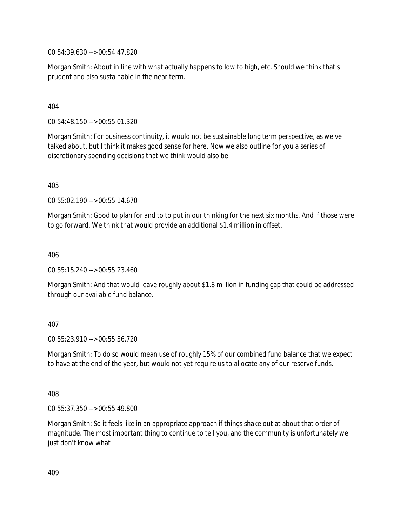00:54:39.630 --> 00:54:47.820

Morgan Smith: About in line with what actually happens to low to high, etc. Should we think that's prudent and also sustainable in the near term.

# 404

00:54:48.150 --> 00:55:01.320

Morgan Smith: For business continuity, it would not be sustainable long term perspective, as we've talked about, but I think it makes good sense for here. Now we also outline for you a series of discretionary spending decisions that we think would also be

405

00:55:02.190 --> 00:55:14.670

Morgan Smith: Good to plan for and to to put in our thinking for the next six months. And if those were to go forward. We think that would provide an additional \$1.4 million in offset.

406

00:55:15.240 --> 00:55:23.460

Morgan Smith: And that would leave roughly about \$1.8 million in funding gap that could be addressed through our available fund balance.

## 407

00:55:23.910 --> 00:55:36.720

Morgan Smith: To do so would mean use of roughly 15% of our combined fund balance that we expect to have at the end of the year, but would not yet require us to allocate any of our reserve funds.

408

00:55:37.350 --> 00:55:49.800

Morgan Smith: So it feels like in an appropriate approach if things shake out at about that order of magnitude. The most important thing to continue to tell you, and the community is unfortunately we just don't know what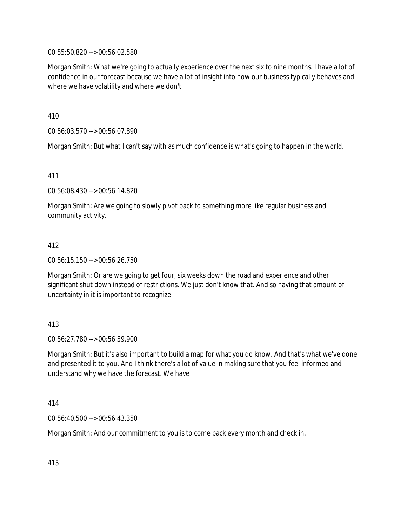00:55:50.820 --> 00:56:02.580

Morgan Smith: What we're going to actually experience over the next six to nine months. I have a lot of confidence in our forecast because we have a lot of insight into how our business typically behaves and where we have volatility and where we don't

410

00:56:03.570 --> 00:56:07.890

Morgan Smith: But what I can't say with as much confidence is what's going to happen in the world.

411

00:56:08.430 --> 00:56:14.820

Morgan Smith: Are we going to slowly pivot back to something more like regular business and community activity.

## 412

00:56:15.150 --> 00:56:26.730

Morgan Smith: Or are we going to get four, six weeks down the road and experience and other significant shut down instead of restrictions. We just don't know that. And so having that amount of uncertainty in it is important to recognize

## 413

00:56:27.780 --> 00:56:39.900

Morgan Smith: But it's also important to build a map for what you do know. And that's what we've done and presented it to you. And I think there's a lot of value in making sure that you feel informed and understand why we have the forecast. We have

## 414

00:56:40.500 --> 00:56:43.350

Morgan Smith: And our commitment to you is to come back every month and check in.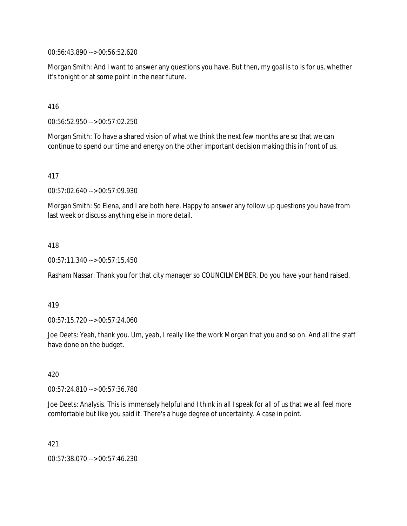00:56:43.890 --> 00:56:52.620

Morgan Smith: And I want to answer any questions you have. But then, my goal is to is for us, whether it's tonight or at some point in the near future.

416

00:56:52.950 --> 00:57:02.250

Morgan Smith: To have a shared vision of what we think the next few months are so that we can continue to spend our time and energy on the other important decision making this in front of us.

417

00:57:02.640 --> 00:57:09.930

Morgan Smith: So Elena, and I are both here. Happy to answer any follow up questions you have from last week or discuss anything else in more detail.

#### 418

00:57:11.340 --> 00:57:15.450

Rasham Nassar: Thank you for that city manager so COUNCILMEMBER. Do you have your hand raised.

#### 419

00:57:15.720 --> 00:57:24.060

Joe Deets: Yeah, thank you. Um, yeah, I really like the work Morgan that you and so on. And all the staff have done on the budget.

420

00:57:24.810 --> 00:57:36.780

Joe Deets: Analysis. This is immensely helpful and I think in all I speak for all of us that we all feel more comfortable but like you said it. There's a huge degree of uncertainty. A case in point.

421

00:57:38.070 --> 00:57:46.230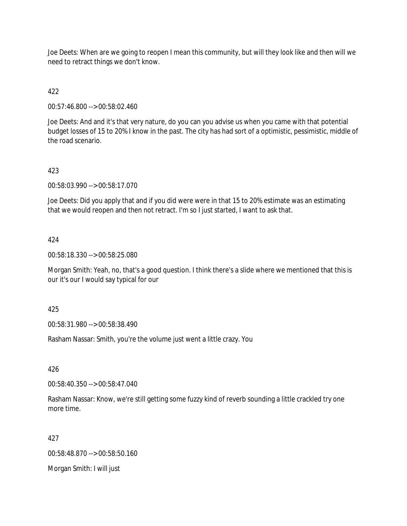Joe Deets: When are we going to reopen I mean this community, but will they look like and then will we need to retract things we don't know.

422

00:57:46.800 --> 00:58:02.460

Joe Deets: And and it's that very nature, do you can you advise us when you came with that potential budget losses of 15 to 20% I know in the past. The city has had sort of a optimistic, pessimistic, middle of the road scenario.

## 423

00:58:03.990 --> 00:58:17.070

Joe Deets: Did you apply that and if you did were were in that 15 to 20% estimate was an estimating that we would reopen and then not retract. I'm so I just started, I want to ask that.

#### 424

00:58:18.330 --> 00:58:25.080

Morgan Smith: Yeah, no, that's a good question. I think there's a slide where we mentioned that this is our it's our I would say typical for our

425

00:58:31.980 --> 00:58:38.490

Rasham Nassar: Smith, you're the volume just went a little crazy. You

426

00:58:40.350 --> 00:58:47.040

Rasham Nassar: Know, we're still getting some fuzzy kind of reverb sounding a little crackled try one more time.

#### 427

00:58:48.870 --> 00:58:50.160

Morgan Smith: I will just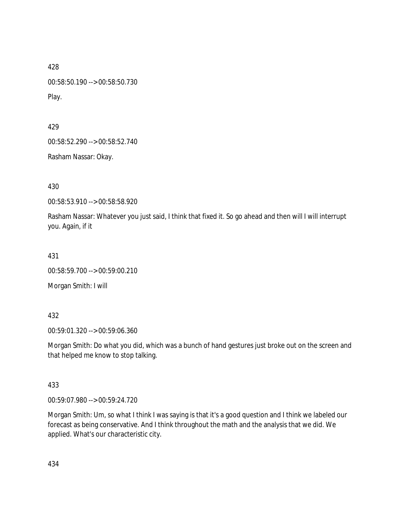428 00:58:50.190 --> 00:58:50.730

Play.

429

00:58:52.290 --> 00:58:52.740

Rasham Nassar: Okay.

430

00:58:53.910 --> 00:58:58.920

Rasham Nassar: Whatever you just said, I think that fixed it. So go ahead and then will I will interrupt you. Again, if it

431

00:58:59.700 --> 00:59:00.210

Morgan Smith: I will

432

00:59:01.320 --> 00:59:06.360

Morgan Smith: Do what you did, which was a bunch of hand gestures just broke out on the screen and that helped me know to stop talking.

433

00:59:07.980 --> 00:59:24.720

Morgan Smith: Um, so what I think I was saying is that it's a good question and I think we labeled our forecast as being conservative. And I think throughout the math and the analysis that we did. We applied. What's our characteristic city.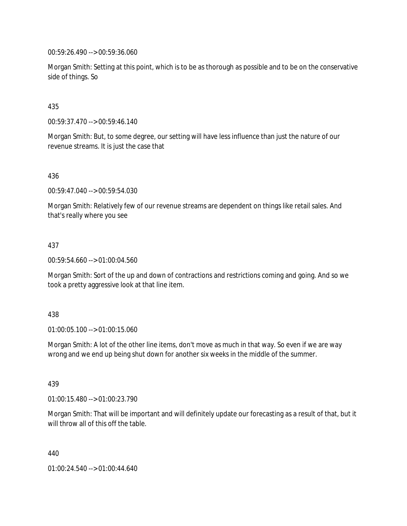00:59:26.490 --> 00:59:36.060

Morgan Smith: Setting at this point, which is to be as thorough as possible and to be on the conservative side of things. So

## 435

00:59:37.470 --> 00:59:46.140

Morgan Smith: But, to some degree, our setting will have less influence than just the nature of our revenue streams. It is just the case that

436

00:59:47.040 --> 00:59:54.030

Morgan Smith: Relatively few of our revenue streams are dependent on things like retail sales. And that's really where you see

#### 437

00:59:54.660 --> 01:00:04.560

Morgan Smith: Sort of the up and down of contractions and restrictions coming and going. And so we took a pretty aggressive look at that line item.

#### 438

01:00:05.100 --> 01:00:15.060

Morgan Smith: A lot of the other line items, don't move as much in that way. So even if we are way wrong and we end up being shut down for another six weeks in the middle of the summer.

#### 439

01:00:15.480 --> 01:00:23.790

Morgan Smith: That will be important and will definitely update our forecasting as a result of that, but it will throw all of this off the table.

440

01:00:24.540 --> 01:00:44.640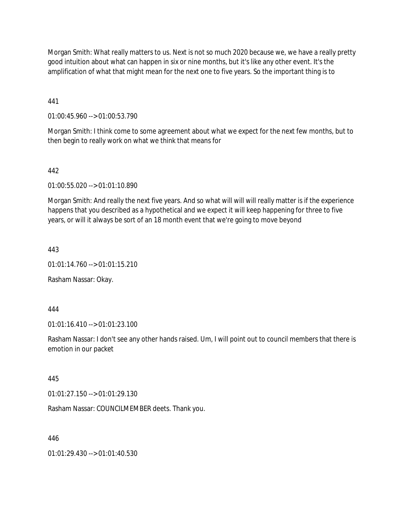Morgan Smith: What really matters to us. Next is not so much 2020 because we, we have a really pretty good intuition about what can happen in six or nine months, but it's like any other event. It's the amplification of what that might mean for the next one to five years. So the important thing is to

441

01:00:45.960 --> 01:00:53.790

Morgan Smith: I think come to some agreement about what we expect for the next few months, but to then begin to really work on what we think that means for

## 442

01:00:55.020 --> 01:01:10.890

Morgan Smith: And really the next five years. And so what will will will really matter is if the experience happens that you described as a hypothetical and we expect it will keep happening for three to five years, or will it always be sort of an 18 month event that we're going to move beyond

443

01:01:14.760 --> 01:01:15.210

Rasham Nassar: Okay.

444

01:01:16.410 --> 01:01:23.100

Rasham Nassar: I don't see any other hands raised. Um, I will point out to council members that there is emotion in our packet

445

01:01:27.150 --> 01:01:29.130

Rasham Nassar: COUNCILMEMBER deets. Thank you.

446

01:01:29.430 --> 01:01:40.530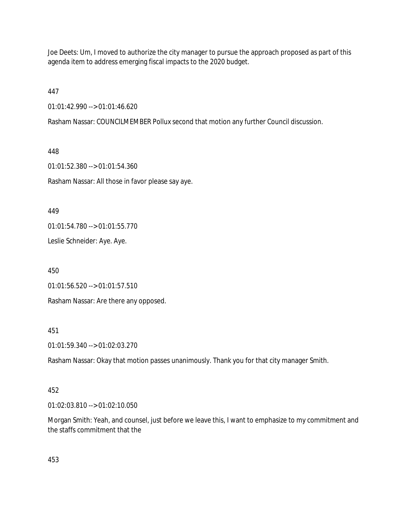Joe Deets: Um, I moved to authorize the city manager to pursue the approach proposed as part of this agenda item to address emerging fiscal impacts to the 2020 budget.

447

01:01:42.990 --> 01:01:46.620

Rasham Nassar: COUNCILMEMBER Pollux second that motion any further Council discussion.

448

01:01:52.380 --> 01:01:54.360

Rasham Nassar: All those in favor please say aye.

449

01:01:54.780 --> 01:01:55.770

Leslie Schneider: Aye. Aye.

450

01:01:56.520 --> 01:01:57.510

Rasham Nassar: Are there any opposed.

451

01:01:59.340 --> 01:02:03.270

Rasham Nassar: Okay that motion passes unanimously. Thank you for that city manager Smith.

## 452

01:02:03.810 --> 01:02:10.050

Morgan Smith: Yeah, and counsel, just before we leave this, I want to emphasize to my commitment and the staffs commitment that the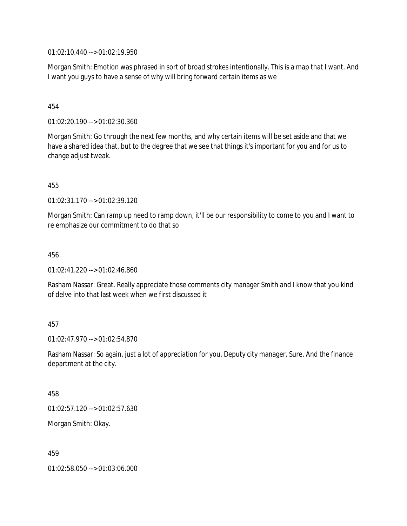01:02:10.440 --> 01:02:19.950

Morgan Smith: Emotion was phrased in sort of broad strokes intentionally. This is a map that I want. And I want you guys to have a sense of why will bring forward certain items as we

### 454

01:02:20.190 --> 01:02:30.360

Morgan Smith: Go through the next few months, and why certain items will be set aside and that we have a shared idea that, but to the degree that we see that things it's important for you and for us to change adjust tweak.

455

01:02:31.170 --> 01:02:39.120

Morgan Smith: Can ramp up need to ramp down, it'll be our responsibility to come to you and I want to re emphasize our commitment to do that so

#### 456

01:02:41.220 --> 01:02:46.860

Rasham Nassar: Great. Really appreciate those comments city manager Smith and I know that you kind of delve into that last week when we first discussed it

### 457

 $01:02:47.970 \rightarrow 01:02:54.870$ 

Rasham Nassar: So again, just a lot of appreciation for you, Deputy city manager. Sure. And the finance department at the city.

458

01:02:57.120 --> 01:02:57.630

Morgan Smith: Okay.

459

01:02:58.050 --> 01:03:06.000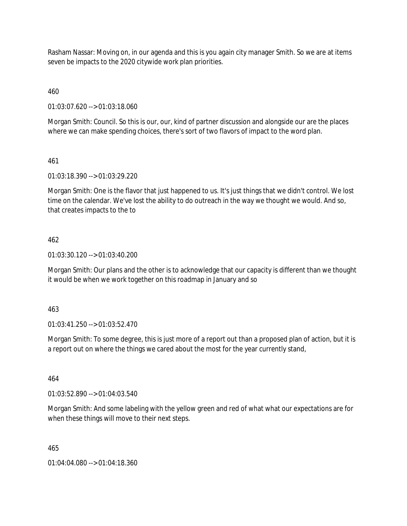Rasham Nassar: Moving on, in our agenda and this is you again city manager Smith. So we are at items seven be impacts to the 2020 citywide work plan priorities.

460

01:03:07.620 --> 01:03:18.060

Morgan Smith: Council. So this is our, our, kind of partner discussion and alongside our are the places where we can make spending choices, there's sort of two flavors of impact to the word plan.

# 461

01:03:18.390 --> 01:03:29.220

Morgan Smith: One is the flavor that just happened to us. It's just things that we didn't control. We lost time on the calendar. We've lost the ability to do outreach in the way we thought we would. And so, that creates impacts to the to

# 462

01:03:30.120 --> 01:03:40.200

Morgan Smith: Our plans and the other is to acknowledge that our capacity is different than we thought it would be when we work together on this roadmap in January and so

### 463

01:03:41.250 --> 01:03:52.470

Morgan Smith: To some degree, this is just more of a report out than a proposed plan of action, but it is a report out on where the things we cared about the most for the year currently stand,

464

01:03:52.890 --> 01:04:03.540

Morgan Smith: And some labeling with the yellow green and red of what what our expectations are for when these things will move to their next steps.

465

01:04:04.080 --> 01:04:18.360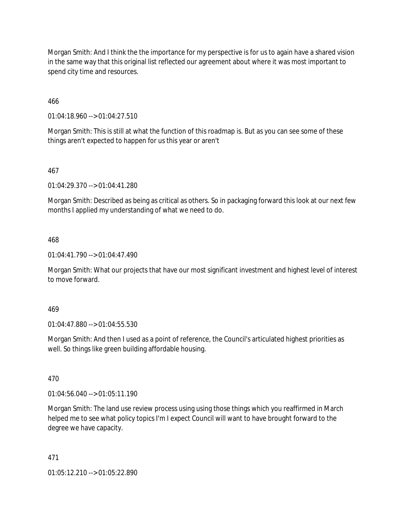Morgan Smith: And I think the the importance for my perspective is for us to again have a shared vision in the same way that this original list reflected our agreement about where it was most important to spend city time and resources.

466

01:04:18.960 --> 01:04:27.510

Morgan Smith: This is still at what the function of this roadmap is. But as you can see some of these things aren't expected to happen for us this year or aren't

467

01:04:29.370 --> 01:04:41.280

Morgan Smith: Described as being as critical as others. So in packaging forward this look at our next few months I applied my understanding of what we need to do.

468

01:04:41.790 --> 01:04:47.490

Morgan Smith: What our projects that have our most significant investment and highest level of interest to move forward.

469

01:04:47.880 --> 01:04:55.530

Morgan Smith: And then I used as a point of reference, the Council's articulated highest priorities as well. So things like green building affordable housing.

470

01:04:56.040 --> 01:05:11.190

Morgan Smith: The land use review process using using those things which you reaffirmed in March helped me to see what policy topics I'm I expect Council will want to have brought forward to the degree we have capacity.

471

01:05:12.210 --> 01:05:22.890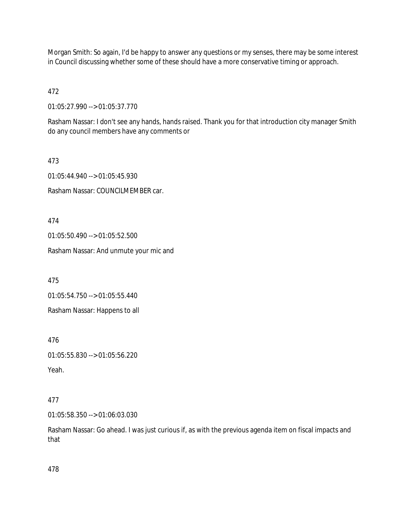Morgan Smith: So again, I'd be happy to answer any questions or my senses, there may be some interest in Council discussing whether some of these should have a more conservative timing or approach.

472

01:05:27.990 --> 01:05:37.770

Rasham Nassar: I don't see any hands, hands raised. Thank you for that introduction city manager Smith do any council members have any comments or

473

01:05:44.940 --> 01:05:45.930

Rasham Nassar: COUNCILMEMBER car.

474

01:05:50.490 --> 01:05:52.500

Rasham Nassar: And unmute your mic and

475

01:05:54.750 --> 01:05:55.440

Rasham Nassar: Happens to all

476

01:05:55.830 --> 01:05:56.220

Yeah.

### 477

01:05:58.350 --> 01:06:03.030

Rasham Nassar: Go ahead. I was just curious if, as with the previous agenda item on fiscal impacts and that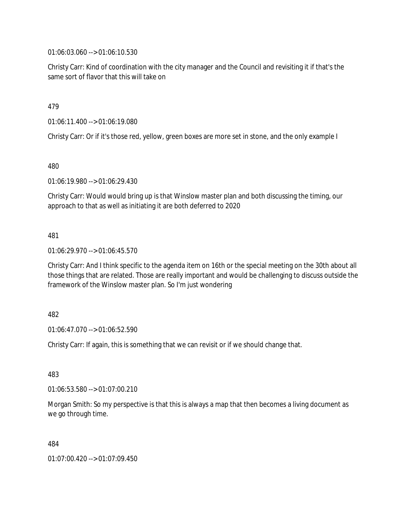01:06:03.060 --> 01:06:10.530

Christy Carr: Kind of coordination with the city manager and the Council and revisiting it if that's the same sort of flavor that this will take on

479

01:06:11.400 --> 01:06:19.080

Christy Carr: Or if it's those red, yellow, green boxes are more set in stone, and the only example I

480

01:06:19.980 --> 01:06:29.430

Christy Carr: Would would bring up is that Winslow master plan and both discussing the timing, our approach to that as well as initiating it are both deferred to 2020

481

01:06:29.970 --> 01:06:45.570

Christy Carr: And I think specific to the agenda item on 16th or the special meeting on the 30th about all those things that are related. Those are really important and would be challenging to discuss outside the framework of the Winslow master plan. So I'm just wondering

482

01:06:47.070 --> 01:06:52.590

Christy Carr: If again, this is something that we can revisit or if we should change that.

483

01:06:53.580 --> 01:07:00.210

Morgan Smith: So my perspective is that this is always a map that then becomes a living document as we go through time.

484

01:07:00.420 --> 01:07:09.450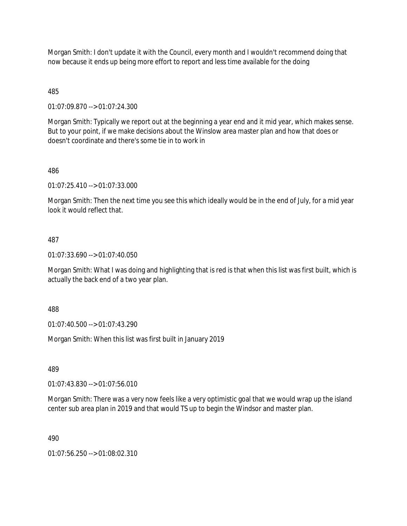Morgan Smith: I don't update it with the Council, every month and I wouldn't recommend doing that now because it ends up being more effort to report and less time available for the doing

485

01:07:09.870 --> 01:07:24.300

Morgan Smith: Typically we report out at the beginning a year end and it mid year, which makes sense. But to your point, if we make decisions about the Winslow area master plan and how that does or doesn't coordinate and there's some tie in to work in

486

01:07:25.410 --> 01:07:33.000

Morgan Smith: Then the next time you see this which ideally would be in the end of July, for a mid year look it would reflect that.

### 487

01:07:33.690 --> 01:07:40.050

Morgan Smith: What I was doing and highlighting that is red is that when this list was first built, which is actually the back end of a two year plan.

488

01:07:40.500 --> 01:07:43.290

Morgan Smith: When this list was first built in January 2019

489

01:07:43.830 --> 01:07:56.010

Morgan Smith: There was a very now feels like a very optimistic goal that we would wrap up the island center sub area plan in 2019 and that would TS up to begin the Windsor and master plan.

490

01:07:56.250 --> 01:08:02.310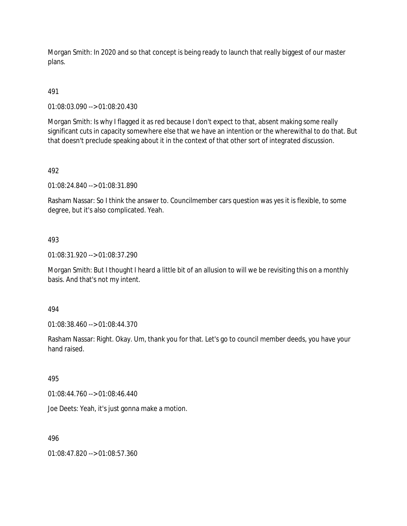Morgan Smith: In 2020 and so that concept is being ready to launch that really biggest of our master plans.

# 491

01:08:03.090 --> 01:08:20.430

Morgan Smith: Is why I flagged it as red because I don't expect to that, absent making some really significant cuts in capacity somewhere else that we have an intention or the wherewithal to do that. But that doesn't preclude speaking about it in the context of that other sort of integrated discussion.

# 492

01:08:24.840 --> 01:08:31.890

Rasham Nassar: So I think the answer to. Councilmember cars question was yes it is flexible, to some degree, but it's also complicated. Yeah.

### 493

01:08:31.920 --> 01:08:37.290

Morgan Smith: But I thought I heard a little bit of an allusion to will we be revisiting this on a monthly basis. And that's not my intent.

494

01:08:38.460 --> 01:08:44.370

Rasham Nassar: Right. Okay. Um, thank you for that. Let's go to council member deeds, you have your hand raised.

### 495

01:08:44.760 --> 01:08:46.440

Joe Deets: Yeah, it's just gonna make a motion.

### 496

01:08:47.820 --> 01:08:57.360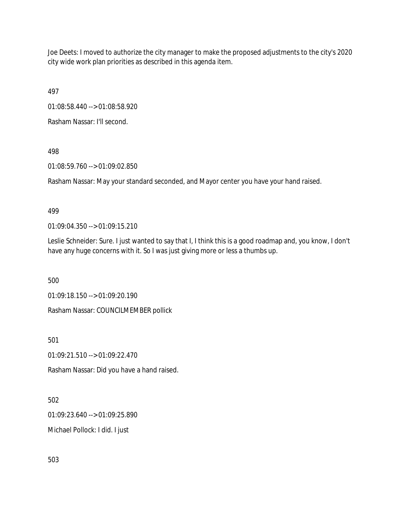Joe Deets: I moved to authorize the city manager to make the proposed adjustments to the city's 2020 city wide work plan priorities as described in this agenda item.

497

01:08:58.440 --> 01:08:58.920

Rasham Nassar: I'll second.

498

01:08:59.760 --> 01:09:02.850

Rasham Nassar: May your standard seconded, and Mayor center you have your hand raised.

# 499

01:09:04.350 --> 01:09:15.210

Leslie Schneider: Sure. I just wanted to say that I, I think this is a good roadmap and, you know, I don't have any huge concerns with it. So I was just giving more or less a thumbs up.

500

01:09:18.150 --> 01:09:20.190

Rasham Nassar: COUNCILMEMBER pollick

501

01:09:21.510 --> 01:09:22.470

Rasham Nassar: Did you have a hand raised.

502

01:09:23.640 --> 01:09:25.890

Michael Pollock: I did. I just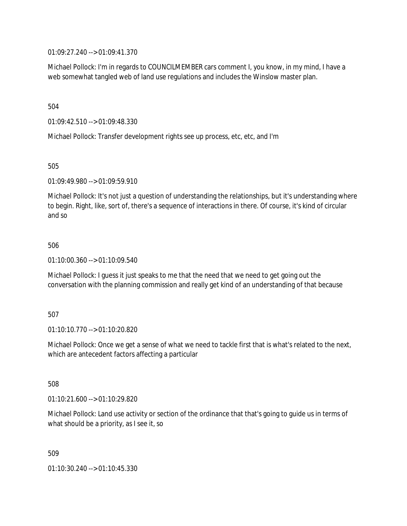01:09:27.240 --> 01:09:41.370

Michael Pollock: I'm in regards to COUNCILMEMBER cars comment I, you know, in my mind, I have a web somewhat tangled web of land use regulations and includes the Winslow master plan.

504

01:09:42.510 --> 01:09:48.330

Michael Pollock: Transfer development rights see up process, etc, etc, and I'm

505

01:09:49.980 --> 01:09:59.910

Michael Pollock: It's not just a question of understanding the relationships, but it's understanding where to begin. Right, like, sort of, there's a sequence of interactions in there. Of course, it's kind of circular and so

506

01:10:00.360 --> 01:10:09.540

Michael Pollock: I guess it just speaks to me that the need that we need to get going out the conversation with the planning commission and really get kind of an understanding of that because

507

01:10:10.770 --> 01:10:20.820

Michael Pollock: Once we get a sense of what we need to tackle first that is what's related to the next, which are antecedent factors affecting a particular

508

01:10:21.600 --> 01:10:29.820

Michael Pollock: Land use activity or section of the ordinance that that's going to guide us in terms of what should be a priority, as I see it, so

509

01:10:30.240 --> 01:10:45.330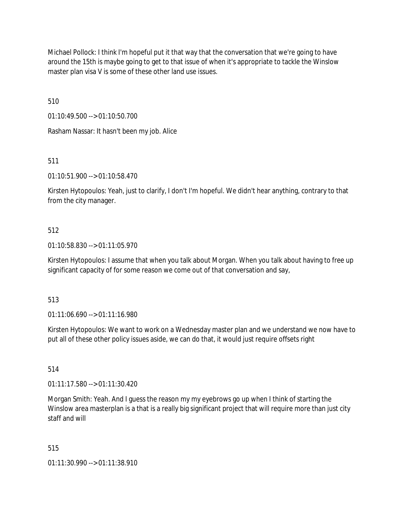Michael Pollock: I think I'm hopeful put it that way that the conversation that we're going to have around the 15th is maybe going to get to that issue of when it's appropriate to tackle the Winslow master plan visa V is some of these other land use issues.

510

01:10:49.500 --> 01:10:50.700

Rasham Nassar: It hasn't been my job. Alice

511

01:10:51.900 --> 01:10:58.470

Kirsten Hytopoulos: Yeah, just to clarify, I don't I'm hopeful. We didn't hear anything, contrary to that from the city manager.

### 512

01:10:58.830 --> 01:11:05.970

Kirsten Hytopoulos: I assume that when you talk about Morgan. When you talk about having to free up significant capacity of for some reason we come out of that conversation and say,

### 513

01:11:06.690 --> 01:11:16.980

Kirsten Hytopoulos: We want to work on a Wednesday master plan and we understand we now have to put all of these other policy issues aside, we can do that, it would just require offsets right

### 514

01:11:17.580 --> 01:11:30.420

Morgan Smith: Yeah. And I guess the reason my my eyebrows go up when I think of starting the Winslow area masterplan is a that is a really big significant project that will require more than just city staff and will

### 515

01:11:30.990 --> 01:11:38.910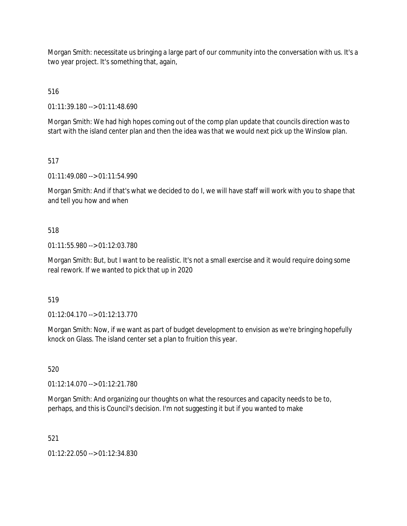Morgan Smith: necessitate us bringing a large part of our community into the conversation with us. It's a two year project. It's something that, again,

516

01:11:39.180 --> 01:11:48.690

Morgan Smith: We had high hopes coming out of the comp plan update that councils direction was to start with the island center plan and then the idea was that we would next pick up the Winslow plan.

517

01:11:49.080 --> 01:11:54.990

Morgan Smith: And if that's what we decided to do I, we will have staff will work with you to shape that and tell you how and when

### 518

01:11:55.980 --> 01:12:03.780

Morgan Smith: But, but I want to be realistic. It's not a small exercise and it would require doing some real rework. If we wanted to pick that up in 2020

519

01:12:04.170 --> 01:12:13.770

Morgan Smith: Now, if we want as part of budget development to envision as we're bringing hopefully knock on Glass. The island center set a plan to fruition this year.

520

01:12:14.070 --> 01:12:21.780

Morgan Smith: And organizing our thoughts on what the resources and capacity needs to be to, perhaps, and this is Council's decision. I'm not suggesting it but if you wanted to make

521

01:12:22.050 --> 01:12:34.830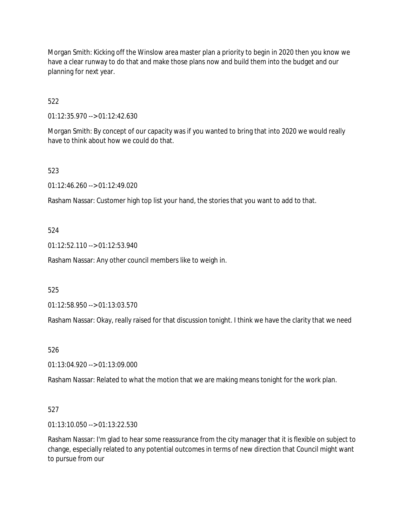Morgan Smith: Kicking off the Winslow area master plan a priority to begin in 2020 then you know we have a clear runway to do that and make those plans now and build them into the budget and our planning for next year.

522

01:12:35.970 --> 01:12:42.630

Morgan Smith: By concept of our capacity was if you wanted to bring that into 2020 we would really have to think about how we could do that.

523

01:12:46.260 --> 01:12:49.020

Rasham Nassar: Customer high top list your hand, the stories that you want to add to that.

524

01:12:52.110 --> 01:12:53.940

Rasham Nassar: Any other council members like to weigh in.

525

01:12:58.950 --> 01:13:03.570

Rasham Nassar: Okay, really raised for that discussion tonight. I think we have the clarity that we need

526

01:13:04.920 --> 01:13:09.000

Rasham Nassar: Related to what the motion that we are making means tonight for the work plan.

### 527

01:13:10.050 --> 01:13:22.530

Rasham Nassar: I'm glad to hear some reassurance from the city manager that it is flexible on subject to change, especially related to any potential outcomes in terms of new direction that Council might want to pursue from our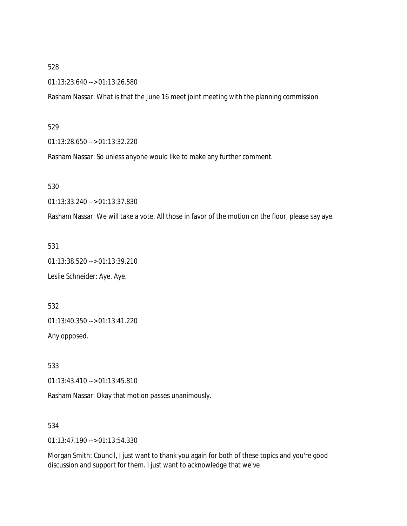01:13:23.640 --> 01:13:26.580

Rasham Nassar: What is that the June 16 meet joint meeting with the planning commission

#### 529

01:13:28.650 --> 01:13:32.220

Rasham Nassar: So unless anyone would like to make any further comment.

#### 530

01:13:33.240 --> 01:13:37.830

Rasham Nassar: We will take a vote. All those in favor of the motion on the floor, please say aye.

#### 531

01:13:38.520 --> 01:13:39.210

Leslie Schneider: Aye. Aye.

532

01:13:40.350 --> 01:13:41.220

Any opposed.

533

01:13:43.410 --> 01:13:45.810

Rasham Nassar: Okay that motion passes unanimously.

#### 534

01:13:47.190 --> 01:13:54.330

Morgan Smith: Council, I just want to thank you again for both of these topics and you're good discussion and support for them. I just want to acknowledge that we've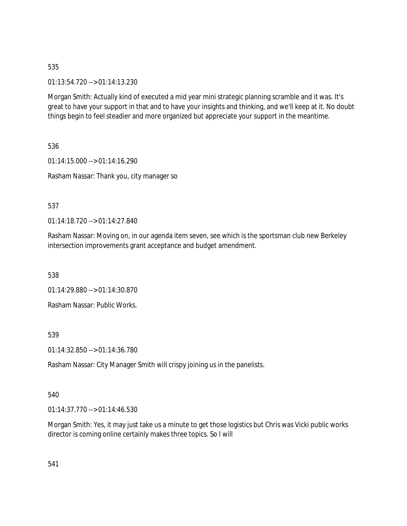01:13:54.720 --> 01:14:13.230

Morgan Smith: Actually kind of executed a mid year mini strategic planning scramble and it was. It's great to have your support in that and to have your insights and thinking, and we'll keep at it. No doubt things begin to feel steadier and more organized but appreciate your support in the meantime.

536

01:14:15.000 --> 01:14:16.290 Rasham Nassar: Thank you, city manager so

537

01:14:18.720 --> 01:14:27.840

Rasham Nassar: Moving on, in our agenda item seven, see which is the sportsman club new Berkeley intersection improvements grant acceptance and budget amendment.

538

01:14:29.880 --> 01:14:30.870

Rasham Nassar: Public Works.

539

01:14:32.850 --> 01:14:36.780

Rasham Nassar: City Manager Smith will crispy joining us in the panelists.

540

01:14:37.770 --> 01:14:46.530

Morgan Smith: Yes, it may just take us a minute to get those logistics but Chris was Vicki public works director is coming online certainly makes three topics. So I will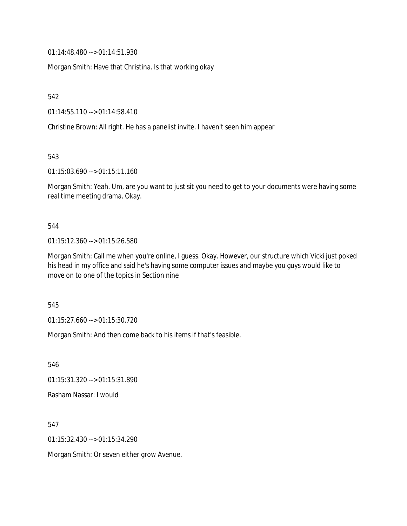01:14:48.480 --> 01:14:51.930

Morgan Smith: Have that Christina. Is that working okay

542

01:14:55.110 --> 01:14:58.410

Christine Brown: All right. He has a panelist invite. I haven't seen him appear

543

01:15:03.690 --> 01:15:11.160

Morgan Smith: Yeah. Um, are you want to just sit you need to get to your documents were having some real time meeting drama. Okay.

544

01:15:12.360 --> 01:15:26.580

Morgan Smith: Call me when you're online, I guess. Okay. However, our structure which Vicki just poked his head in my office and said he's having some computer issues and maybe you guys would like to move on to one of the topics in Section nine

545

01:15:27.660 --> 01:15:30.720

Morgan Smith: And then come back to his items if that's feasible.

546 01:15:31.320 --> 01:15:31.890 Rasham Nassar: I would

547 01:15:32.430 --> 01:15:34.290

Morgan Smith: Or seven either grow Avenue.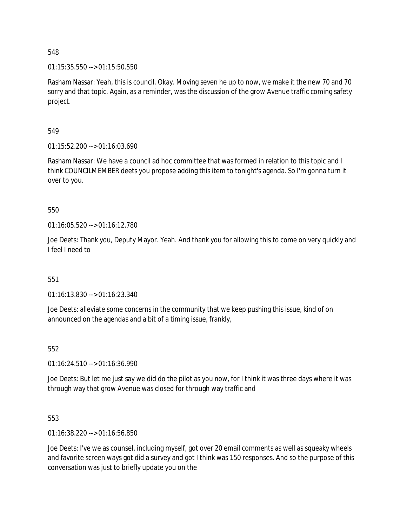01:15:35.550 --> 01:15:50.550

Rasham Nassar: Yeah, this is council. Okay. Moving seven he up to now, we make it the new 70 and 70 sorry and that topic. Again, as a reminder, was the discussion of the grow Avenue traffic coming safety project.

549

01:15:52.200 --> 01:16:03.690

Rasham Nassar: We have a council ad hoc committee that was formed in relation to this topic and I think COUNCILMEMBER deets you propose adding this item to tonight's agenda. So I'm gonna turn it over to you.

550

01:16:05.520 --> 01:16:12.780

Joe Deets: Thank you, Deputy Mayor. Yeah. And thank you for allowing this to come on very quickly and I feel I need to

551

01:16:13.830 --> 01:16:23.340

Joe Deets: alleviate some concerns in the community that we keep pushing this issue, kind of on announced on the agendas and a bit of a timing issue, frankly,

552

01:16:24.510 --> 01:16:36.990

Joe Deets: But let me just say we did do the pilot as you now, for I think it was three days where it was through way that grow Avenue was closed for through way traffic and

553

01:16:38.220 --> 01:16:56.850

Joe Deets: I've we as counsel, including myself, got over 20 email comments as well as squeaky wheels and favorite screen ways got did a survey and got I think was 150 responses. And so the purpose of this conversation was just to briefly update you on the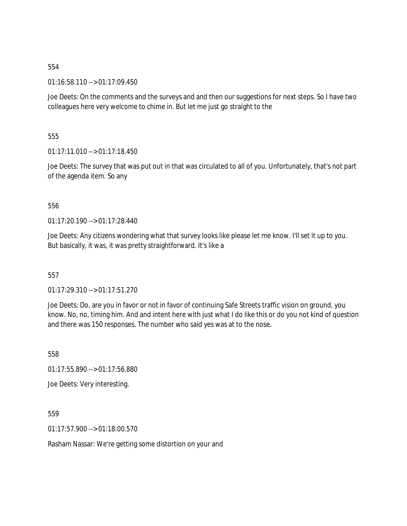01:16:58.110 --> 01:17:09.450

Joe Deets: On the comments and the surveys and and then our suggestions for next steps. So I have two colleagues here very welcome to chime in. But let me just go straight to the

555

 $01:17:11.010 \rightarrow 01:17:18.450$ 

Joe Deets: The survey that was put out in that was circulated to all of you. Unfortunately, that's not part of the agenda item. So any

### 556

01:17:20.190 --> 01:17:28.440

Joe Deets: Any citizens wondering what that survey looks like please let me know. I'll set it up to you. But basically, it was, it was pretty straightforward. It's like a

557

01:17:29.310 --> 01:17:51.270

Joe Deets: Do, are you in favor or not in favor of continuing Safe Streets traffic vision on ground, you know. No, no, timing him. And and intent here with just what I do like this or do you not kind of question and there was 150 responses. The number who said yes was at to the nose.

558

01:17:55.890 --> 01:17:56.880

Joe Deets: Very interesting.

559

01:17:57.900 --> 01:18:00.570

Rasham Nassar: We're getting some distortion on your and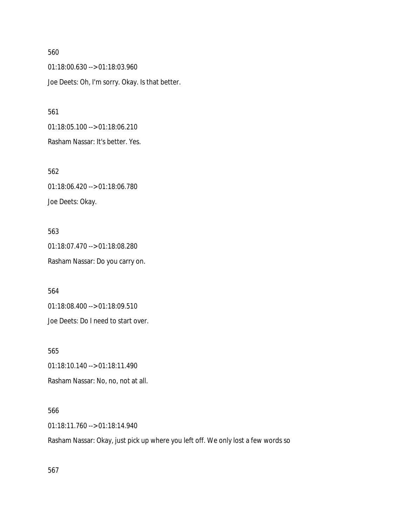560 01:18:00.630 --> 01:18:03.960 Joe Deets: Oh, I'm sorry. Okay. Is that better.

01:18:05.100 --> 01:18:06.210 Rasham Nassar: It's better. Yes.

561

562 01:18:06.420 --> 01:18:06.780 Joe Deets: Okay.

563 01:18:07.470 --> 01:18:08.280 Rasham Nassar: Do you carry on.

564 01:18:08.400 --> 01:18:09.510 Joe Deets: Do I need to start over.

565 01:18:10.140 --> 01:18:11.490

Rasham Nassar: No, no, not at all.

566

01:18:11.760 --> 01:18:14.940

Rasham Nassar: Okay, just pick up where you left off. We only lost a few words so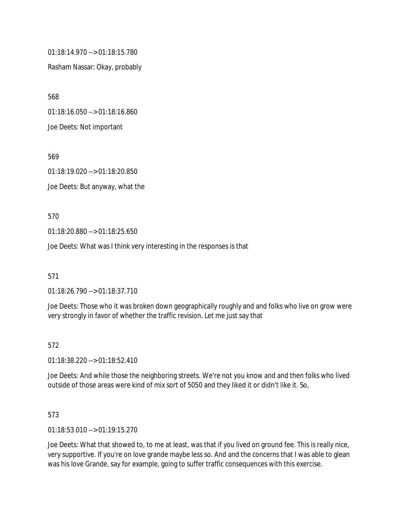01:18:14.970 --> 01:18:15.780

Rasham Nassar: Okay, probably

568

01:18:16.050 --> 01:18:16.860

Joe Deets: Not important

569

01:18:19.020 --> 01:18:20.850

Joe Deets: But anyway, what the

570

01:18:20.880 --> 01:18:25.650

Joe Deets: What was I think very interesting in the responses is that

571

01:18:26.790 --> 01:18:37.710

Joe Deets: Those who it was broken down geographically roughly and and folks who live on grow were very strongly in favor of whether the traffic revision. Let me just say that

572

01:18:38.220 --> 01:18:52.410

Joe Deets: And while those the neighboring streets. We're not you know and and then folks who lived outside of those areas were kind of mix sort of 5050 and they liked it or didn't like it. So,

573

01:18:53.010 --> 01:19:15.270

Joe Deets: What that showed to, to me at least, was that if you lived on ground fee. This is really nice, very supportive. If you're on love grande maybe less so. And and the concerns that I was able to glean was his love Grande, say for example, going to suffer traffic consequences with this exercise.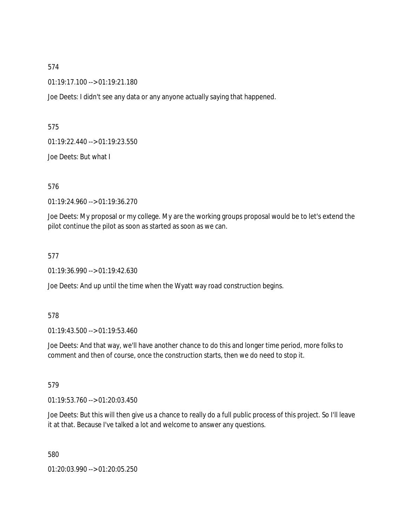01:19:17.100 --> 01:19:21.180

Joe Deets: I didn't see any data or any anyone actually saying that happened.

575

01:19:22.440 --> 01:19:23.550

Joe Deets: But what I

576

01:19:24.960 --> 01:19:36.270

Joe Deets: My proposal or my college. My are the working groups proposal would be to let's extend the pilot continue the pilot as soon as started as soon as we can.

577

01:19:36.990 --> 01:19:42.630

Joe Deets: And up until the time when the Wyatt way road construction begins.

578

01:19:43.500 --> 01:19:53.460

Joe Deets: And that way, we'll have another chance to do this and longer time period, more folks to comment and then of course, once the construction starts, then we do need to stop it.

579

01:19:53.760 --> 01:20:03.450

Joe Deets: But this will then give us a chance to really do a full public process of this project. So I'll leave it at that. Because I've talked a lot and welcome to answer any questions.

580

01:20:03.990 --> 01:20:05.250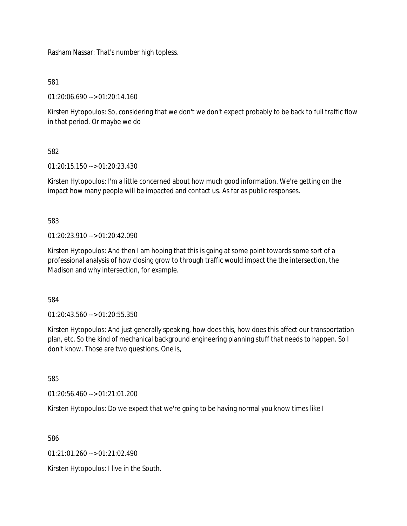Rasham Nassar: That's number high topless.

581

01:20:06.690 --> 01:20:14.160

Kirsten Hytopoulos: So, considering that we don't we don't expect probably to be back to full traffic flow in that period. Or maybe we do

582

01:20:15.150 --> 01:20:23.430

Kirsten Hytopoulos: I'm a little concerned about how much good information. We're getting on the impact how many people will be impacted and contact us. As far as public responses.

583

01:20:23.910 --> 01:20:42.090

Kirsten Hytopoulos: And then I am hoping that this is going at some point towards some sort of a professional analysis of how closing grow to through traffic would impact the the intersection, the Madison and why intersection, for example.

584

01:20:43.560 --> 01:20:55.350

Kirsten Hytopoulos: And just generally speaking, how does this, how does this affect our transportation plan, etc. So the kind of mechanical background engineering planning stuff that needs to happen. So I don't know. Those are two questions. One is,

585

01:20:56.460 --> 01:21:01.200

Kirsten Hytopoulos: Do we expect that we're going to be having normal you know times like I

586

01:21:01.260 --> 01:21:02.490

Kirsten Hytopoulos: I live in the South.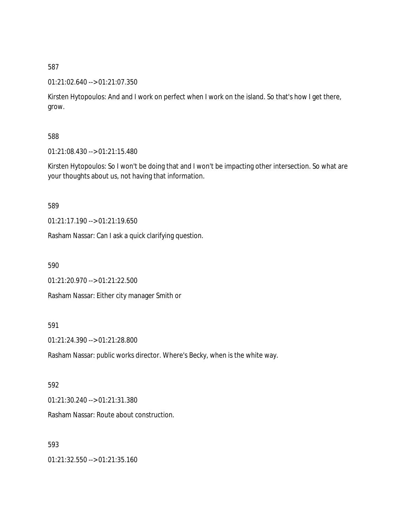### 01:21:02.640 --> 01:21:07.350

Kirsten Hytopoulos: And and I work on perfect when I work on the island. So that's how I get there, grow.

# 588

01:21:08.430 --> 01:21:15.480

Kirsten Hytopoulos: So I won't be doing that and I won't be impacting other intersection. So what are your thoughts about us, not having that information.

### 589

01:21:17.190 --> 01:21:19.650

Rasham Nassar: Can I ask a quick clarifying question.

590

01:21:20.970 --> 01:21:22.500

Rasham Nassar: Either city manager Smith or

# 591

01:21:24.390 --> 01:21:28.800

Rasham Nassar: public works director. Where's Becky, when is the white way.

# 592

01:21:30.240 --> 01:21:31.380

Rasham Nassar: Route about construction.

# 593

01:21:32.550 --> 01:21:35.160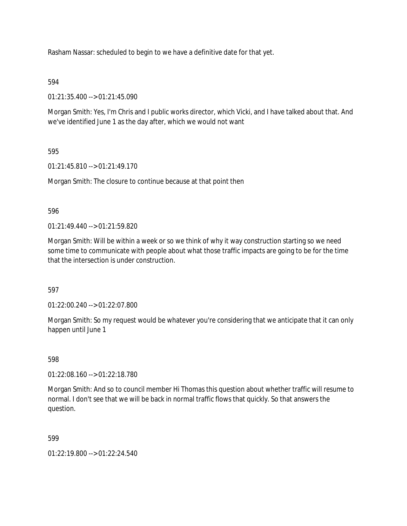Rasham Nassar: scheduled to begin to we have a definitive date for that yet.

594

01:21:35.400 --> 01:21:45.090

Morgan Smith: Yes, I'm Chris and I public works director, which Vicki, and I have talked about that. And we've identified June 1 as the day after, which we would not want

595

01:21:45.810 --> 01:21:49.170

Morgan Smith: The closure to continue because at that point then

596

01:21:49.440 --> 01:21:59.820

Morgan Smith: Will be within a week or so we think of why it way construction starting so we need some time to communicate with people about what those traffic impacts are going to be for the time that the intersection is under construction.

597

01:22:00.240 --> 01:22:07.800

Morgan Smith: So my request would be whatever you're considering that we anticipate that it can only happen until June 1

598

01:22:08.160 --> 01:22:18.780

Morgan Smith: And so to council member Hi Thomas this question about whether traffic will resume to normal. I don't see that we will be back in normal traffic flows that quickly. So that answers the question.

599

01:22:19.800 --> 01:22:24.540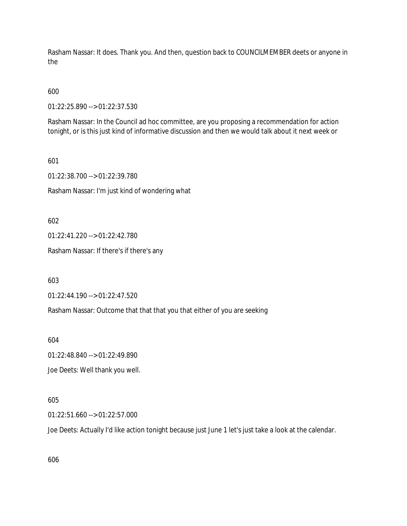Rasham Nassar: It does. Thank you. And then, question back to COUNCILMEMBER deets or anyone in the

600

01:22:25.890 --> 01:22:37.530

Rasham Nassar: In the Council ad hoc committee, are you proposing a recommendation for action tonight, or is this just kind of informative discussion and then we would talk about it next week or

601

01:22:38.700 --> 01:22:39.780

Rasham Nassar: I'm just kind of wondering what

602

01:22:41.220 --> 01:22:42.780

Rasham Nassar: If there's if there's any

603

01:22:44.190 --> 01:22:47.520

Rasham Nassar: Outcome that that that you that either of you are seeking

604

01:22:48.840 --> 01:22:49.890

Joe Deets: Well thank you well.

### 605

01:22:51.660 --> 01:22:57.000

Joe Deets: Actually I'd like action tonight because just June 1 let's just take a look at the calendar.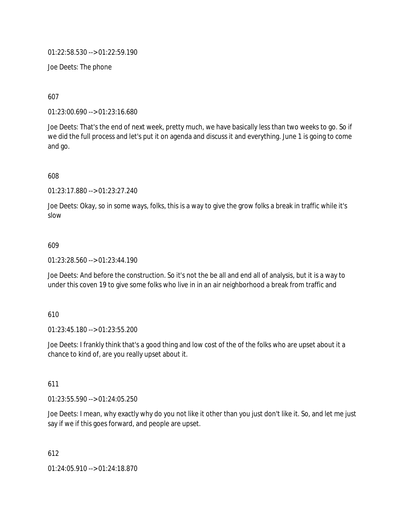01:22:58.530 --> 01:22:59.190

Joe Deets: The phone

607

01:23:00.690 --> 01:23:16.680

Joe Deets: That's the end of next week, pretty much, we have basically less than two weeks to go. So if we did the full process and let's put it on agenda and discuss it and everything. June 1 is going to come and go.

608

01:23:17.880 --> 01:23:27.240

Joe Deets: Okay, so in some ways, folks, this is a way to give the grow folks a break in traffic while it's slow

#### 609

01:23:28.560 --> 01:23:44.190

Joe Deets: And before the construction. So it's not the be all and end all of analysis, but it is a way to under this coven 19 to give some folks who live in in an air neighborhood a break from traffic and

610

01:23:45.180 --> 01:23:55.200

Joe Deets: I frankly think that's a good thing and low cost of the of the folks who are upset about it a chance to kind of, are you really upset about it.

611

01:23:55.590 --> 01:24:05.250

Joe Deets: I mean, why exactly why do you not like it other than you just don't like it. So, and let me just say if we if this goes forward, and people are upset.

612

01:24:05.910 --> 01:24:18.870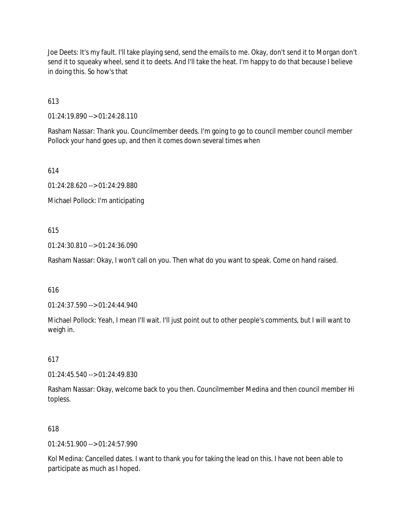Joe Deets: It's my fault. I'll take playing send, send the emails to me. Okay, don't send it to Morgan don't send it to squeaky wheel, send it to deets. And I'll take the heat. I'm happy to do that because I believe in doing this. So how's that

613

01:24:19.890 --> 01:24:28.110

Rasham Nassar: Thank you. Councilmember deeds. I'm going to go to council member council member Pollock your hand goes up, and then it comes down several times when

614

01:24:28.620 --> 01:24:29.880

Michael Pollock: I'm anticipating

615

01:24:30.810 --> 01:24:36.090

Rasham Nassar: Okay, I won't call on you. Then what do you want to speak. Come on hand raised.

616

01:24:37.590 --> 01:24:44.940

Michael Pollock: Yeah, I mean I'll wait. I'll just point out to other people's comments, but I will want to weigh in.

617

01:24:45.540 --> 01:24:49.830

Rasham Nassar: Okay, welcome back to you then. Councilmember Medina and then council member Hi topless.

### 618

 $01:24:51.900 \rightarrow 01:24:57.990$ 

Kol Medina: Cancelled dates. I want to thank you for taking the lead on this. I have not been able to participate as much as I hoped.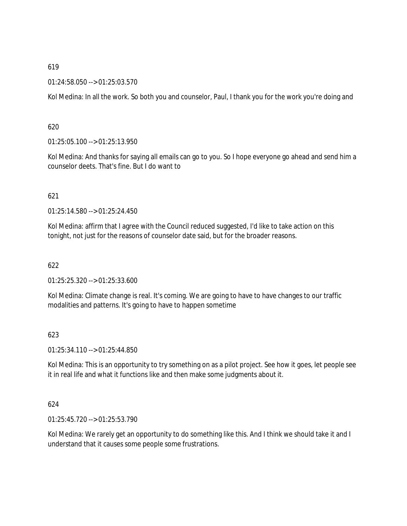### 01:24:58.050 --> 01:25:03.570

Kol Medina: In all the work. So both you and counselor, Paul, I thank you for the work you're doing and

# 620

01:25:05.100 --> 01:25:13.950

Kol Medina: And thanks for saying all emails can go to you. So I hope everyone go ahead and send him a counselor deets. That's fine. But I do want to

# 621

01:25:14.580 --> 01:25:24.450

Kol Medina: affirm that I agree with the Council reduced suggested, I'd like to take action on this tonight, not just for the reasons of counselor date said, but for the broader reasons.

622

01:25:25.320 --> 01:25:33.600

Kol Medina: Climate change is real. It's coming. We are going to have to have changes to our traffic modalities and patterns. It's going to have to happen sometime

### 623

01:25:34.110 --> 01:25:44.850

Kol Medina: This is an opportunity to try something on as a pilot project. See how it goes, let people see it in real life and what it functions like and then make some judgments about it.

### 624

01:25:45.720 --> 01:25:53.790

Kol Medina: We rarely get an opportunity to do something like this. And I think we should take it and I understand that it causes some people some frustrations.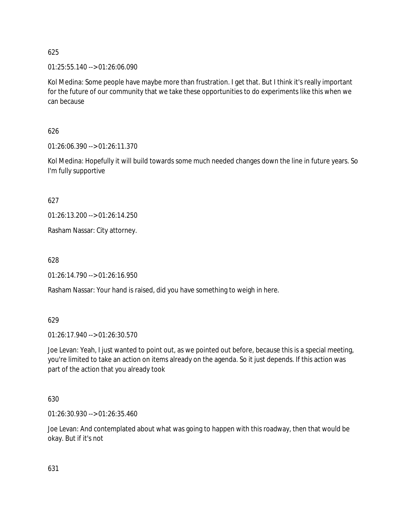01:25:55.140 --> 01:26:06.090

Kol Medina: Some people have maybe more than frustration. I get that. But I think it's really important for the future of our community that we take these opportunities to do experiments like this when we can because

626

01:26:06.390 --> 01:26:11.370

Kol Medina: Hopefully it will build towards some much needed changes down the line in future years. So I'm fully supportive

627

01:26:13.200 --> 01:26:14.250

Rasham Nassar: City attorney.

628

01:26:14.790 --> 01:26:16.950

Rasham Nassar: Your hand is raised, did you have something to weigh in here.

629

01:26:17.940 --> 01:26:30.570

Joe Levan: Yeah, I just wanted to point out, as we pointed out before, because this is a special meeting, you're limited to take an action on items already on the agenda. So it just depends. If this action was part of the action that you already took

630

01:26:30.930 --> 01:26:35.460

Joe Levan: And contemplated about what was going to happen with this roadway, then that would be okay. But if it's not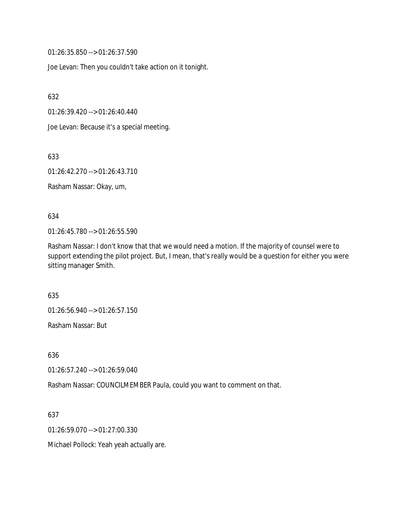01:26:35.850 --> 01:26:37.590

Joe Levan: Then you couldn't take action on it tonight.

632

01:26:39.420 --> 01:26:40.440

Joe Levan: Because it's a special meeting.

633

01:26:42.270 --> 01:26:43.710

Rasham Nassar: Okay, um,

634

01:26:45.780 --> 01:26:55.590

Rasham Nassar: I don't know that that we would need a motion. If the majority of counsel were to support extending the pilot project. But, I mean, that's really would be a question for either you were sitting manager Smith.

635

01:26:56.940 --> 01:26:57.150

Rasham Nassar: But

636

01:26:57.240 --> 01:26:59.040

Rasham Nassar: COUNCILMEMBER Paula, could you want to comment on that.

637

01:26:59.070 --> 01:27:00.330

Michael Pollock: Yeah yeah actually are.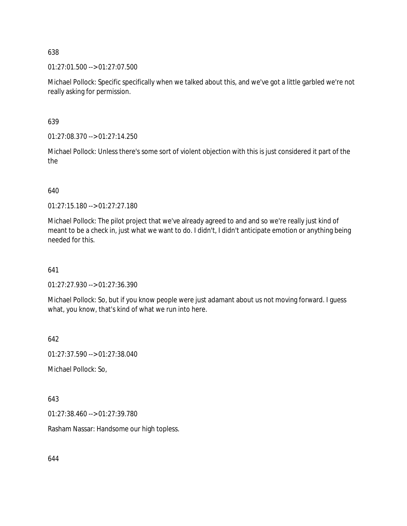01:27:01.500 --> 01:27:07.500

Michael Pollock: Specific specifically when we talked about this, and we've got a little garbled we're not really asking for permission.

639

01:27:08.370 --> 01:27:14.250

Michael Pollock: Unless there's some sort of violent objection with this is just considered it part of the the

### 640

01:27:15.180 --> 01:27:27.180

Michael Pollock: The pilot project that we've already agreed to and and so we're really just kind of meant to be a check in, just what we want to do. I didn't, I didn't anticipate emotion or anything being needed for this.

641

01:27:27.930 --> 01:27:36.390

Michael Pollock: So, but if you know people were just adamant about us not moving forward. I guess what, you know, that's kind of what we run into here.

642

01:27:37.590 --> 01:27:38.040

Michael Pollock: So,

643

01:27:38.460 --> 01:27:39.780

Rasham Nassar: Handsome our high topless.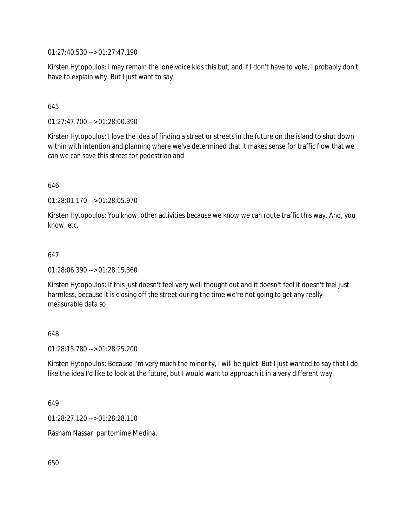01:27:40.530 --> 01:27:47.190

Kirsten Hytopoulos: I may remain the lone voice kids this but, and if I don't have to vote, I probably don't have to explain why. But I just want to say

# 645

01:27:47.700 --> 01:28:00.390

Kirsten Hytopoulos: I love the idea of finding a street or streets in the future on the island to shut down within with intention and planning where we've determined that it makes sense for traffic flow that we can we can save this street for pedestrian and

### 646

01:28:01.170 --> 01:28:05.970

Kirsten Hytopoulos: You know, other activities because we know we can route traffic this way. And, you know, etc.

### 647

01:28:06.390 --> 01:28:15.360

Kirsten Hytopoulos: If this just doesn't feel very well thought out and it doesn't feel it doesn't feel just harmless, because it is closing off the street during the time we're not going to get any really measurable data so

### 648

01:28:15.780 --> 01:28:25.200

Kirsten Hytopoulos: Because I'm very much the minority, I will be quiet. But I just wanted to say that I do like the idea I'd like to look at the future, but I would want to approach it in a very different way.

649

01:28:27.120 --> 01:28:28.110

Rasham Nassar: pantomime Medina.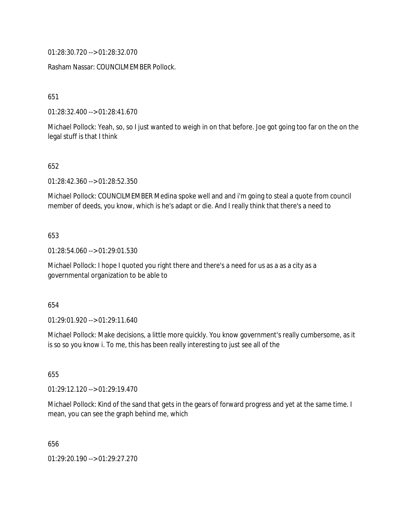01:28:30.720 --> 01:28:32.070

Rasham Nassar: COUNCILMEMBER Pollock.

651

01:28:32.400 --> 01:28:41.670

Michael Pollock: Yeah, so, so I just wanted to weigh in on that before. Joe got going too far on the on the legal stuff is that I think

### 652

01:28:42.360 --> 01:28:52.350

Michael Pollock: COUNCILMEMBER Medina spoke well and and i'm going to steal a quote from council member of deeds, you know, which is he's adapt or die. And I really think that there's a need to

# 653

01:28:54.060 --> 01:29:01.530

Michael Pollock: I hope I quoted you right there and there's a need for us as a as a city as a governmental organization to be able to

### 654

01:29:01.920 --> 01:29:11.640

Michael Pollock: Make decisions, a little more quickly. You know government's really cumbersome, as it is so so you know i. To me, this has been really interesting to just see all of the

655

01:29:12.120 --> 01:29:19.470

Michael Pollock: Kind of the sand that gets in the gears of forward progress and yet at the same time. I mean, you can see the graph behind me, which

656

01:29:20.190 --> 01:29:27.270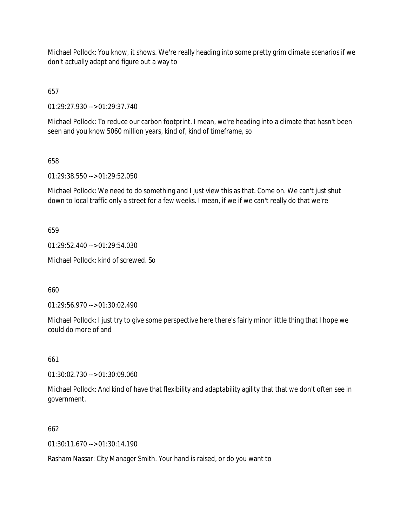Michael Pollock: You know, it shows. We're really heading into some pretty grim climate scenarios if we don't actually adapt and figure out a way to

657

01:29:27.930 --> 01:29:37.740

Michael Pollock: To reduce our carbon footprint. I mean, we're heading into a climate that hasn't been seen and you know 5060 million years, kind of, kind of timeframe, so

### 658

01:29:38.550 --> 01:29:52.050

Michael Pollock: We need to do something and I just view this as that. Come on. We can't just shut down to local traffic only a street for a few weeks. I mean, if we if we can't really do that we're

659

01:29:52.440 --> 01:29:54.030

Michael Pollock: kind of screwed. So

660

01:29:56.970 --> 01:30:02.490

Michael Pollock: I just try to give some perspective here there's fairly minor little thing that I hope we could do more of and

### 661

01:30:02.730 --> 01:30:09.060

Michael Pollock: And kind of have that flexibility and adaptability agility that that we don't often see in government.

### 662

 $01:30:11.670 \rightarrow 01:30:14.190$ 

Rasham Nassar: City Manager Smith. Your hand is raised, or do you want to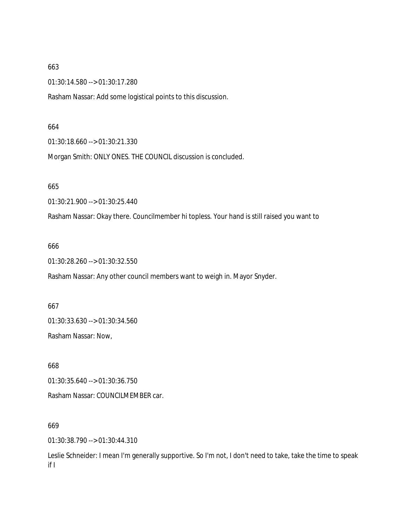01:30:14.580 --> 01:30:17.280

Rasham Nassar: Add some logistical points to this discussion.

664

01:30:18.660 --> 01:30:21.330

Morgan Smith: ONLY ONES. THE COUNCIL discussion is concluded.

665

01:30:21.900 --> 01:30:25.440

Rasham Nassar: Okay there. Councilmember hi topless. Your hand is still raised you want to

666

01:30:28.260 --> 01:30:32.550

Rasham Nassar: Any other council members want to weigh in. Mayor Snyder.

667

01:30:33.630 --> 01:30:34.560

Rasham Nassar: Now,

668

01:30:35.640 --> 01:30:36.750

Rasham Nassar: COUNCILMEMBER car.

669

01:30:38.790 --> 01:30:44.310

Leslie Schneider: I mean I'm generally supportive. So I'm not, I don't need to take, take the time to speak if I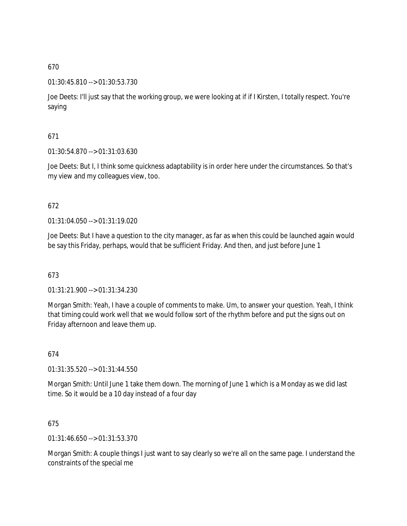### 01:30:45.810 --> 01:30:53.730

Joe Deets: I'll just say that the working group, we were looking at if if I Kirsten, I totally respect. You're saying

### 671

01:30:54.870 --> 01:31:03.630

Joe Deets: But I, I think some quickness adaptability is in order here under the circumstances. So that's my view and my colleagues view, too.

### 672

01:31:04.050 --> 01:31:19.020

Joe Deets: But I have a question to the city manager, as far as when this could be launched again would be say this Friday, perhaps, would that be sufficient Friday. And then, and just before June 1

### 673

01:31:21.900 --> 01:31:34.230

Morgan Smith: Yeah, I have a couple of comments to make. Um, to answer your question. Yeah, I think that timing could work well that we would follow sort of the rhythm before and put the signs out on Friday afternoon and leave them up.

### 674

01:31:35.520 --> 01:31:44.550

Morgan Smith: Until June 1 take them down. The morning of June 1 which is a Monday as we did last time. So it would be a 10 day instead of a four day

### 675

01:31:46.650 --> 01:31:53.370

Morgan Smith: A couple things I just want to say clearly so we're all on the same page. I understand the constraints of the special me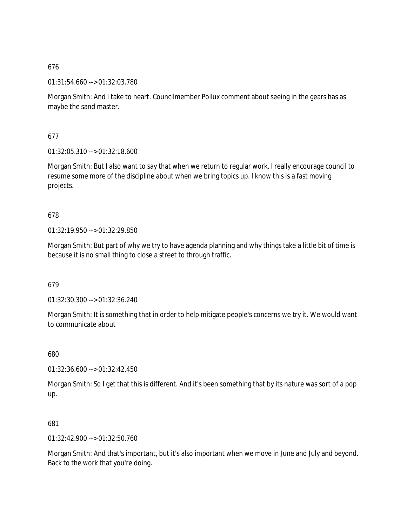01:31:54.660 --> 01:32:03.780

Morgan Smith: And I take to heart. Councilmember Pollux comment about seeing in the gears has as maybe the sand master.

677

01:32:05.310 --> 01:32:18.600

Morgan Smith: But I also want to say that when we return to regular work. I really encourage council to resume some more of the discipline about when we bring topics up. I know this is a fast moving projects.

# 678

01:32:19.950 --> 01:32:29.850

Morgan Smith: But part of why we try to have agenda planning and why things take a little bit of time is because it is no small thing to close a street to through traffic.

679

01:32:30.300 --> 01:32:36.240

Morgan Smith: It is something that in order to help mitigate people's concerns we try it. We would want to communicate about

680

01:32:36.600 --> 01:32:42.450

Morgan Smith: So I get that this is different. And it's been something that by its nature was sort of a pop up.

# 681

01:32:42.900 --> 01:32:50.760

Morgan Smith: And that's important, but it's also important when we move in June and July and beyond. Back to the work that you're doing.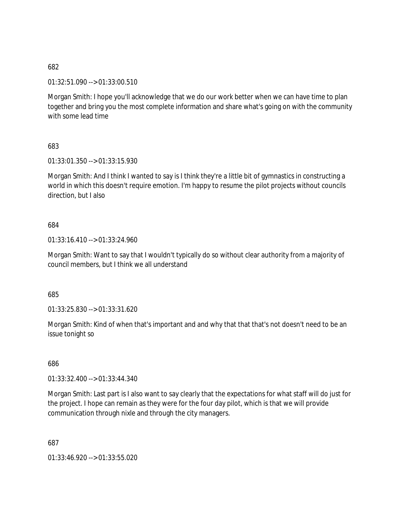01:32:51.090 --> 01:33:00.510

Morgan Smith: I hope you'll acknowledge that we do our work better when we can have time to plan together and bring you the most complete information and share what's going on with the community with some lead time

683

01:33:01.350 --> 01:33:15.930

Morgan Smith: And I think I wanted to say is I think they're a little bit of gymnastics in constructing a world in which this doesn't require emotion. I'm happy to resume the pilot projects without councils direction, but I also

684

01:33:16.410 --> 01:33:24.960

Morgan Smith: Want to say that I wouldn't typically do so without clear authority from a majority of council members, but I think we all understand

685

01:33:25.830 --> 01:33:31.620

Morgan Smith: Kind of when that's important and and why that that that's not doesn't need to be an issue tonight so

686

01:33:32.400 --> 01:33:44.340

Morgan Smith: Last part is I also want to say clearly that the expectations for what staff will do just for the project. I hope can remain as they were for the four day pilot, which is that we will provide communication through nixle and through the city managers.

687

01:33:46.920 --> 01:33:55.020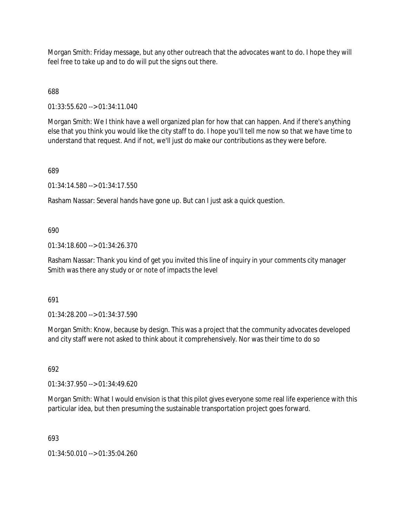Morgan Smith: Friday message, but any other outreach that the advocates want to do. I hope they will feel free to take up and to do will put the signs out there.

688

01:33:55.620 --> 01:34:11.040

Morgan Smith: We I think have a well organized plan for how that can happen. And if there's anything else that you think you would like the city staff to do. I hope you'll tell me now so that we have time to understand that request. And if not, we'll just do make our contributions as they were before.

689

01:34:14.580 --> 01:34:17.550

Rasham Nassar: Several hands have gone up. But can I just ask a quick question.

690

01:34:18.600 --> 01:34:26.370

Rasham Nassar: Thank you kind of get you invited this line of inquiry in your comments city manager Smith was there any study or or note of impacts the level

691

01:34:28.200 --> 01:34:37.590

Morgan Smith: Know, because by design. This was a project that the community advocates developed and city staff were not asked to think about it comprehensively. Nor was their time to do so

692

01:34:37.950 --> 01:34:49.620

Morgan Smith: What I would envision is that this pilot gives everyone some real life experience with this particular idea, but then presuming the sustainable transportation project goes forward.

693

01:34:50.010 --> 01:35:04.260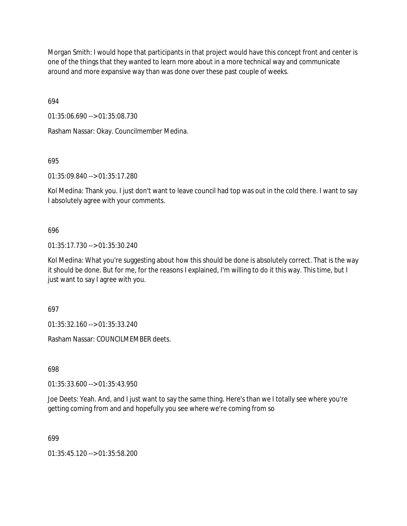Morgan Smith: I would hope that participants in that project would have this concept front and center is one of the things that they wanted to learn more about in a more technical way and communicate around and more expansive way than was done over these past couple of weeks.

694

01:35:06.690 --> 01:35:08.730

Rasham Nassar: Okay. Councilmember Medina.

695

01:35:09.840 --> 01:35:17.280

Kol Medina: Thank you. I just don't want to leave council had top was out in the cold there. I want to say I absolutely agree with your comments.

## 696

01:35:17.730 --> 01:35:30.240

Kol Medina: What you're suggesting about how this should be done is absolutely correct. That is the way it should be done. But for me, for the reasons I explained, I'm willing to do it this way. This time, but I just want to say I agree with you.

697

01:35:32.160 --> 01:35:33.240

Rasham Nassar: COUNCILMEMBER deets.

698

01:35:33.600 --> 01:35:43.950

Joe Deets: Yeah. And, and I just want to say the same thing. Here's than we I totally see where you're getting coming from and and hopefully you see where we're coming from so

699

01:35:45.120 --> 01:35:58.200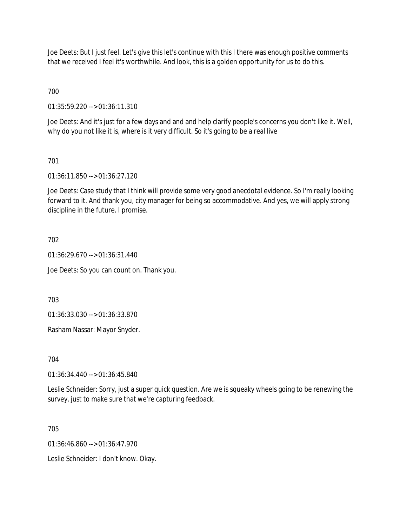Joe Deets: But I just feel. Let's give this let's continue with this I there was enough positive comments that we received I feel it's worthwhile. And look, this is a golden opportunity for us to do this.

700

01:35:59.220 --> 01:36:11.310

Joe Deets: And it's just for a few days and and and help clarify people's concerns you don't like it. Well, why do you not like it is, where is it very difficult. So it's going to be a real live

## 701

01:36:11.850 --> 01:36:27.120

Joe Deets: Case study that I think will provide some very good anecdotal evidence. So I'm really looking forward to it. And thank you, city manager for being so accommodative. And yes, we will apply strong discipline in the future. I promise.

## 702

01:36:29.670 --> 01:36:31.440

Joe Deets: So you can count on. Thank you.

703

01:36:33.030 --> 01:36:33.870

Rasham Nassar: Mayor Snyder.

704

01:36:34.440 --> 01:36:45.840

Leslie Schneider: Sorry, just a super quick question. Are we is squeaky wheels going to be renewing the survey, just to make sure that we're capturing feedback.

## 705

 $01:36:46.860 \rightarrow 01:36:47.970$ 

Leslie Schneider: I don't know. Okay.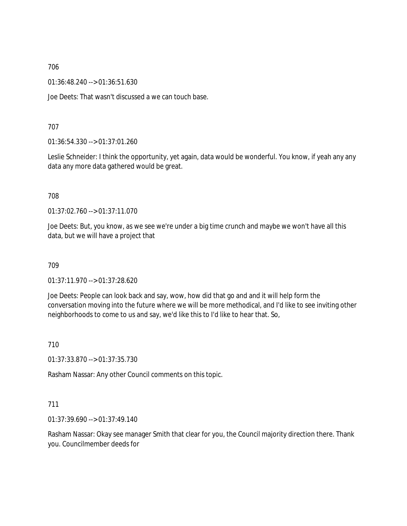01:36:48.240 --> 01:36:51.630

Joe Deets: That wasn't discussed a we can touch base.

## 707

01:36:54.330 --> 01:37:01.260

Leslie Schneider: I think the opportunity, yet again, data would be wonderful. You know, if yeah any any data any more data gathered would be great.

## 708

01:37:02.760 --> 01:37:11.070

Joe Deets: But, you know, as we see we're under a big time crunch and maybe we won't have all this data, but we will have a project that

## 709

01:37:11.970 --> 01:37:28.620

Joe Deets: People can look back and say, wow, how did that go and and it will help form the conversation moving into the future where we will be more methodical, and I'd like to see inviting other neighborhoods to come to us and say, we'd like this to I'd like to hear that. So,

#### 710

01:37:33.870 --> 01:37:35.730

Rasham Nassar: Any other Council comments on this topic.

## 711

01:37:39.690 --> 01:37:49.140

Rasham Nassar: Okay see manager Smith that clear for you, the Council majority direction there. Thank you. Councilmember deeds for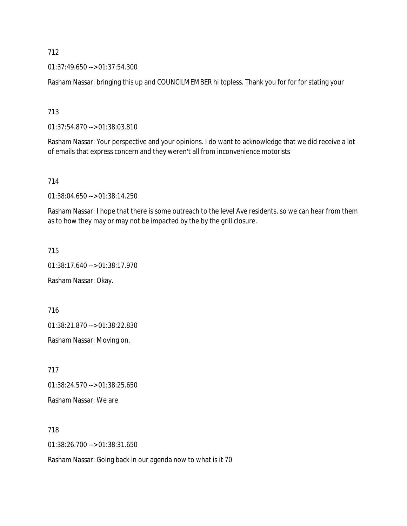01:37:49.650 --> 01:37:54.300

Rasham Nassar: bringing this up and COUNCILMEMBER hi topless. Thank you for for for stating your

713

01:37:54.870 --> 01:38:03.810

Rasham Nassar: Your perspective and your opinions. I do want to acknowledge that we did receive a lot of emails that express concern and they weren't all from inconvenience motorists

714

01:38:04.650 --> 01:38:14.250

Rasham Nassar: I hope that there is some outreach to the level Ave residents, so we can hear from them as to how they may or may not be impacted by the by the grill closure.

715

01:38:17.640 --> 01:38:17.970

Rasham Nassar: Okay.

716

01:38:21.870 --> 01:38:22.830

Rasham Nassar: Moving on.

717

01:38:24.570 --> 01:38:25.650

Rasham Nassar: We are

718

01:38:26.700 --> 01:38:31.650

Rasham Nassar: Going back in our agenda now to what is it 70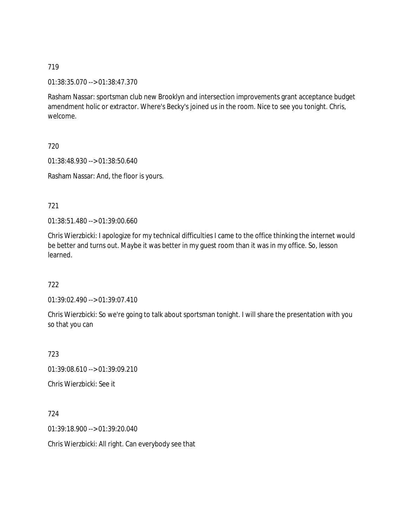01:38:35.070 --> 01:38:47.370

Rasham Nassar: sportsman club new Brooklyn and intersection improvements grant acceptance budget amendment holic or extractor. Where's Becky's joined us in the room. Nice to see you tonight. Chris, welcome.

720

01:38:48.930 --> 01:38:50.640

Rasham Nassar: And, the floor is yours.

721

01:38:51.480 --> 01:39:00.660

Chris Wierzbicki: I apologize for my technical difficulties I came to the office thinking the internet would be better and turns out. Maybe it was better in my guest room than it was in my office. So, lesson learned.

722

01:39:02.490 --> 01:39:07.410

Chris Wierzbicki: So we're going to talk about sportsman tonight. I will share the presentation with you so that you can

723

01:39:08.610 --> 01:39:09.210

Chris Wierzbicki: See it

724

01:39:18.900 --> 01:39:20.040

Chris Wierzbicki: All right. Can everybody see that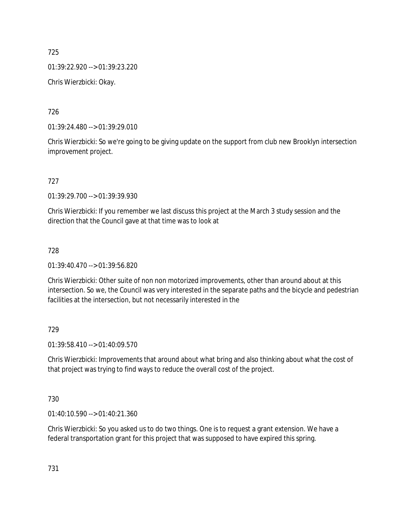01:39:22.920 --> 01:39:23.220

Chris Wierzbicki: Okay.

726

01:39:24.480 --> 01:39:29.010

Chris Wierzbicki: So we're going to be giving update on the support from club new Brooklyn intersection improvement project.

727

01:39:29.700 --> 01:39:39.930

Chris Wierzbicki: If you remember we last discuss this project at the March 3 study session and the direction that the Council gave at that time was to look at

728

01:39:40.470 --> 01:39:56.820

Chris Wierzbicki: Other suite of non non motorized improvements, other than around about at this intersection. So we, the Council was very interested in the separate paths and the bicycle and pedestrian facilities at the intersection, but not necessarily interested in the

729

01:39:58.410 --> 01:40:09.570

Chris Wierzbicki: Improvements that around about what bring and also thinking about what the cost of that project was trying to find ways to reduce the overall cost of the project.

730

01:40:10.590 --> 01:40:21.360

Chris Wierzbicki: So you asked us to do two things. One is to request a grant extension. We have a federal transportation grant for this project that was supposed to have expired this spring.

731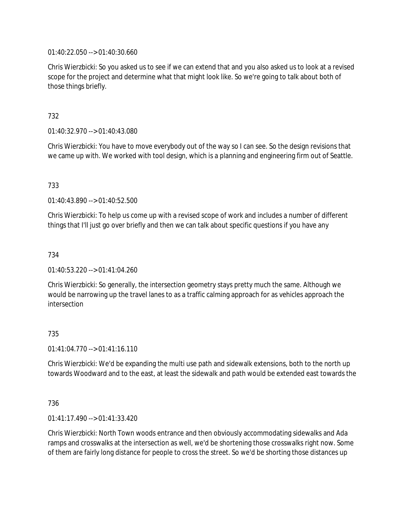01:40:22.050 --> 01:40:30.660

Chris Wierzbicki: So you asked us to see if we can extend that and you also asked us to look at a revised scope for the project and determine what that might look like. So we're going to talk about both of those things briefly.

# 732

01:40:32.970 --> 01:40:43.080

Chris Wierzbicki: You have to move everybody out of the way so I can see. So the design revisions that we came up with. We worked with tool design, which is a planning and engineering firm out of Seattle.

## 733

01:40:43.890 --> 01:40:52.500

Chris Wierzbicki: To help us come up with a revised scope of work and includes a number of different things that I'll just go over briefly and then we can talk about specific questions if you have any

## 734

01:40:53.220 --> 01:41:04.260

Chris Wierzbicki: So generally, the intersection geometry stays pretty much the same. Although we would be narrowing up the travel lanes to as a traffic calming approach for as vehicles approach the intersection

## 735

01:41:04.770 --> 01:41:16.110

Chris Wierzbicki: We'd be expanding the multi use path and sidewalk extensions, both to the north up towards Woodward and to the east, at least the sidewalk and path would be extended east towards the

## 736

01:41:17.490 --> 01:41:33.420

Chris Wierzbicki: North Town woods entrance and then obviously accommodating sidewalks and Ada ramps and crosswalks at the intersection as well, we'd be shortening those crosswalks right now. Some of them are fairly long distance for people to cross the street. So we'd be shorting those distances up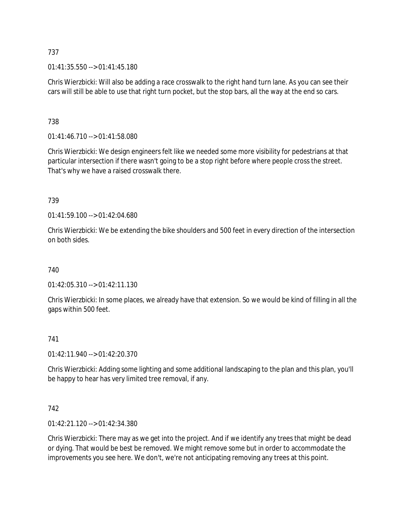01:41:35.550 --> 01:41:45.180

Chris Wierzbicki: Will also be adding a race crosswalk to the right hand turn lane. As you can see their cars will still be able to use that right turn pocket, but the stop bars, all the way at the end so cars.

# 738

01:41:46.710 --> 01:41:58.080

Chris Wierzbicki: We design engineers felt like we needed some more visibility for pedestrians at that particular intersection if there wasn't going to be a stop right before where people cross the street. That's why we have a raised crosswalk there.

# 739

01:41:59.100 --> 01:42:04.680

Chris Wierzbicki: We be extending the bike shoulders and 500 feet in every direction of the intersection on both sides.

# 740

01:42:05.310 --> 01:42:11.130

Chris Wierzbicki: In some places, we already have that extension. So we would be kind of filling in all the gaps within 500 feet.

# 741

01:42:11.940 --> 01:42:20.370

Chris Wierzbicki: Adding some lighting and some additional landscaping to the plan and this plan, you'll be happy to hear has very limited tree removal, if any.

# 742

01:42:21.120 --> 01:42:34.380

Chris Wierzbicki: There may as we get into the project. And if we identify any trees that might be dead or dying. That would be best be removed. We might remove some but in order to accommodate the improvements you see here. We don't, we're not anticipating removing any trees at this point.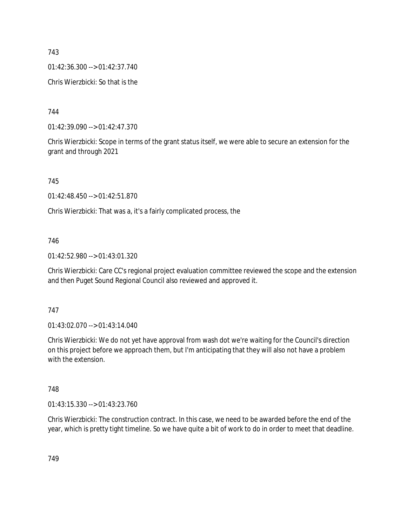01:42:36.300 --> 01:42:37.740 Chris Wierzbicki: So that is the

744

01:42:39.090 --> 01:42:47.370

Chris Wierzbicki: Scope in terms of the grant status itself, we were able to secure an extension for the grant and through 2021

745

01:42:48.450 --> 01:42:51.870

Chris Wierzbicki: That was a, it's a fairly complicated process, the

746

01:42:52.980 --> 01:43:01.320

Chris Wierzbicki: Care CC's regional project evaluation committee reviewed the scope and the extension and then Puget Sound Regional Council also reviewed and approved it.

747

01:43:02.070 --> 01:43:14.040

Chris Wierzbicki: We do not yet have approval from wash dot we're waiting for the Council's direction on this project before we approach them, but I'm anticipating that they will also not have a problem with the extension.

748

01:43:15.330 --> 01:43:23.760

Chris Wierzbicki: The construction contract. In this case, we need to be awarded before the end of the year, which is pretty tight timeline. So we have quite a bit of work to do in order to meet that deadline.

749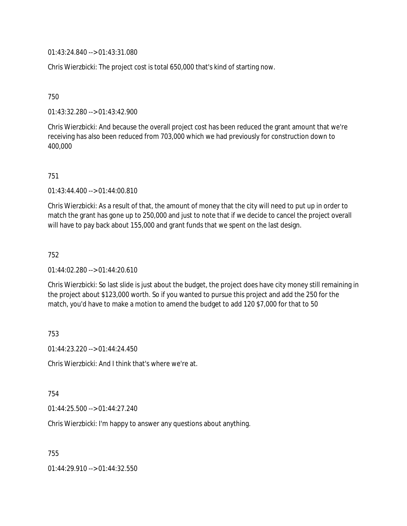01:43:24.840 --> 01:43:31.080

Chris Wierzbicki: The project cost is total 650,000 that's kind of starting now.

750

01:43:32.280 --> 01:43:42.900

Chris Wierzbicki: And because the overall project cost has been reduced the grant amount that we're receiving has also been reduced from 703,000 which we had previously for construction down to 400,000

751

01:43:44.400 --> 01:44:00.810

Chris Wierzbicki: As a result of that, the amount of money that the city will need to put up in order to match the grant has gone up to 250,000 and just to note that if we decide to cancel the project overall will have to pay back about 155,000 and grant funds that we spent on the last design.

752

01:44:02.280 --> 01:44:20.610

Chris Wierzbicki: So last slide is just about the budget, the project does have city money still remaining in the project about \$123,000 worth. So if you wanted to pursue this project and add the 250 for the match, you'd have to make a motion to amend the budget to add 120 \$7,000 for that to 50

753

01:44:23.220 --> 01:44:24.450

Chris Wierzbicki: And I think that's where we're at.

754

01:44:25.500 --> 01:44:27.240

Chris Wierzbicki: I'm happy to answer any questions about anything.

755

01:44:29.910 --> 01:44:32.550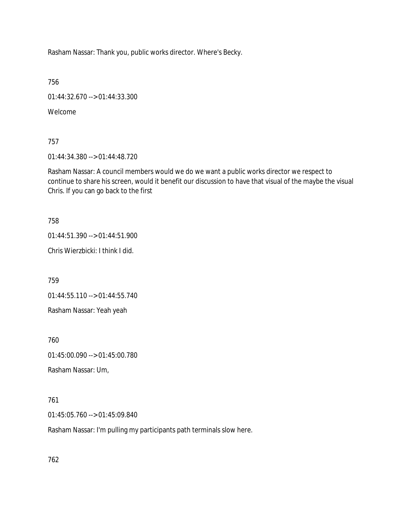Rasham Nassar: Thank you, public works director. Where's Becky.

756

01:44:32.670 --> 01:44:33.300

Welcome

757

01:44:34.380 --> 01:44:48.720

Rasham Nassar: A council members would we do we want a public works director we respect to continue to share his screen, would it benefit our discussion to have that visual of the maybe the visual Chris. If you can go back to the first

758

01:44:51.390 --> 01:44:51.900

Chris Wierzbicki: I think I did.

759

01:44:55.110 --> 01:44:55.740

Rasham Nassar: Yeah yeah

760

01:45:00.090 --> 01:45:00.780

Rasham Nassar: Um,

761

01:45:05.760 --> 01:45:09.840

Rasham Nassar: I'm pulling my participants path terminals slow here.

762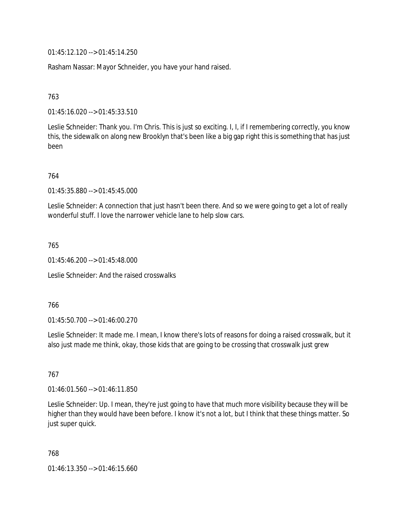01:45:12.120 --> 01:45:14.250

Rasham Nassar: Mayor Schneider, you have your hand raised.

763

01:45:16.020 --> 01:45:33.510

Leslie Schneider: Thank you. I'm Chris. This is just so exciting. I, I, if I remembering correctly, you know this, the sidewalk on along new Brooklyn that's been like a big gap right this is something that has just been

764

01:45:35.880 --> 01:45:45.000

Leslie Schneider: A connection that just hasn't been there. And so we were going to get a lot of really wonderful stuff. I love the narrower vehicle lane to help slow cars.

765

01:45:46.200 --> 01:45:48.000

Leslie Schneider: And the raised crosswalks

766

01:45:50.700 --> 01:46:00.270

Leslie Schneider: It made me. I mean, I know there's lots of reasons for doing a raised crosswalk, but it also just made me think, okay, those kids that are going to be crossing that crosswalk just grew

767

01:46:01.560 --> 01:46:11.850

Leslie Schneider: Up. I mean, they're just going to have that much more visibility because they will be higher than they would have been before. I know it's not a lot, but I think that these things matter. So just super quick.

768

01:46:13.350 --> 01:46:15.660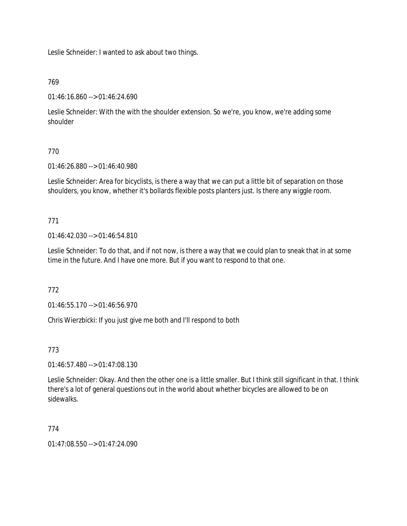Leslie Schneider: I wanted to ask about two things.

## 769

01:46:16.860 --> 01:46:24.690

Leslie Schneider: With the with the shoulder extension. So we're, you know, we're adding some shoulder

# 770

01:46:26.880 --> 01:46:40.980

Leslie Schneider: Area for bicyclists, is there a way that we can put a little bit of separation on those shoulders, you know, whether it's bollards flexible posts planters just. Is there any wiggle room.

# 771

01:46:42.030 --> 01:46:54.810

Leslie Schneider: To do that, and if not now, is there a way that we could plan to sneak that in at some time in the future. And I have one more. But if you want to respond to that one.

772

01:46:55.170 --> 01:46:56.970

Chris Wierzbicki: If you just give me both and I'll respond to both

773

01:46:57.480 --> 01:47:08.130

Leslie Schneider: Okay. And then the other one is a little smaller. But I think still significant in that. I think there's a lot of general questions out in the world about whether bicycles are allowed to be on sidewalks.

## 774

 $01:47:08.550 \rightarrow 01:47:24.090$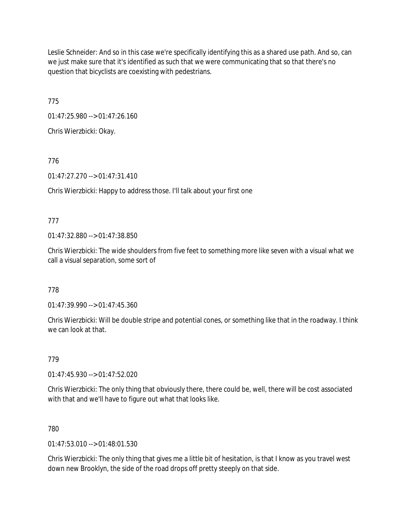Leslie Schneider: And so in this case we're specifically identifying this as a shared use path. And so, can we just make sure that it's identified as such that we were communicating that so that there's no question that bicyclists are coexisting with pedestrians.

775

01:47:25.980 --> 01:47:26.160

Chris Wierzbicki: Okay.

776

01:47:27.270 --> 01:47:31.410

Chris Wierzbicki: Happy to address those. I'll talk about your first one

777

01:47:32.880 --> 01:47:38.850

Chris Wierzbicki: The wide shoulders from five feet to something more like seven with a visual what we call a visual separation, some sort of

778

01:47:39.990 --> 01:47:45.360

Chris Wierzbicki: Will be double stripe and potential cones, or something like that in the roadway. I think we can look at that.

779

01:47:45.930 --> 01:47:52.020

Chris Wierzbicki: The only thing that obviously there, there could be, well, there will be cost associated with that and we'll have to figure out what that looks like.

780

 $01:47:53.010 \rightarrow 01:48:01.530$ 

Chris Wierzbicki: The only thing that gives me a little bit of hesitation, is that I know as you travel west down new Brooklyn, the side of the road drops off pretty steeply on that side.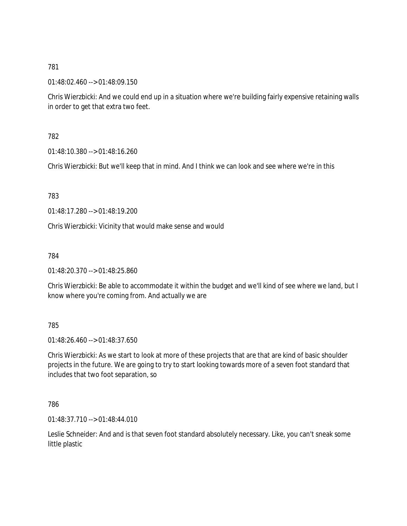01:48:02.460 --> 01:48:09.150

Chris Wierzbicki: And we could end up in a situation where we're building fairly expensive retaining walls in order to get that extra two feet.

782

01:48:10.380 --> 01:48:16.260

Chris Wierzbicki: But we'll keep that in mind. And I think we can look and see where we're in this

783

01:48:17.280 --> 01:48:19.200

Chris Wierzbicki: Vicinity that would make sense and would

784

01:48:20.370 --> 01:48:25.860

Chris Wierzbicki: Be able to accommodate it within the budget and we'll kind of see where we land, but I know where you're coming from. And actually we are

785

01:48:26.460 --> 01:48:37.650

Chris Wierzbicki: As we start to look at more of these projects that are that are kind of basic shoulder projects in the future. We are going to try to start looking towards more of a seven foot standard that includes that two foot separation, so

786

01:48:37.710 --> 01:48:44.010

Leslie Schneider: And and is that seven foot standard absolutely necessary. Like, you can't sneak some little plastic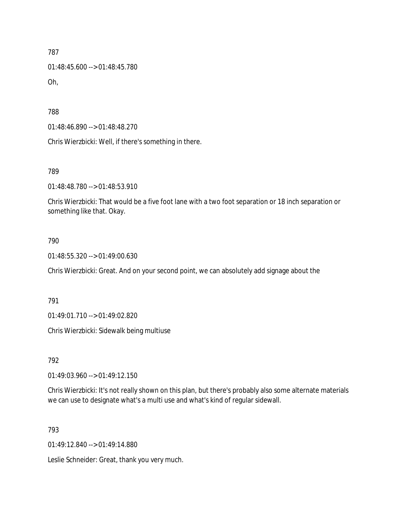01:48:45.600 --> 01:48:45.780 Oh,

788

01:48:46.890 --> 01:48:48.270

Chris Wierzbicki: Well, if there's something in there.

789

01:48:48.780 --> 01:48:53.910

Chris Wierzbicki: That would be a five foot lane with a two foot separation or 18 inch separation or something like that. Okay.

## 790

01:48:55.320 --> 01:49:00.630

Chris Wierzbicki: Great. And on your second point, we can absolutely add signage about the

791

01:49:01.710 --> 01:49:02.820

Chris Wierzbicki: Sidewalk being multiuse

792

01:49:03.960 --> 01:49:12.150

Chris Wierzbicki: It's not really shown on this plan, but there's probably also some alternate materials we can use to designate what's a multi use and what's kind of regular sidewall.

793

01:49:12.840 --> 01:49:14.880

Leslie Schneider: Great, thank you very much.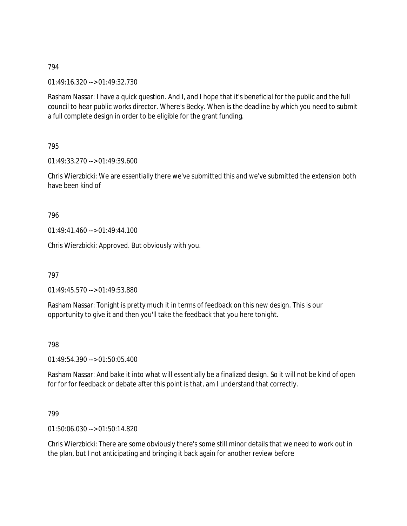01:49:16.320 --> 01:49:32.730

Rasham Nassar: I have a quick question. And I, and I hope that it's beneficial for the public and the full council to hear public works director. Where's Becky. When is the deadline by which you need to submit a full complete design in order to be eligible for the grant funding.

795

01:49:33.270 --> 01:49:39.600

Chris Wierzbicki: We are essentially there we've submitted this and we've submitted the extension both have been kind of

796

01:49:41.460 --> 01:49:44.100

Chris Wierzbicki: Approved. But obviously with you.

797

01:49:45.570 --> 01:49:53.880

Rasham Nassar: Tonight is pretty much it in terms of feedback on this new design. This is our opportunity to give it and then you'll take the feedback that you here tonight.

798

 $01:49:54.390 \rightarrow 01:50:05.400$ 

Rasham Nassar: And bake it into what will essentially be a finalized design. So it will not be kind of open for for for feedback or debate after this point is that, am I understand that correctly.

799

01:50:06.030 --> 01:50:14.820

Chris Wierzbicki: There are some obviously there's some still minor details that we need to work out in the plan, but I not anticipating and bringing it back again for another review before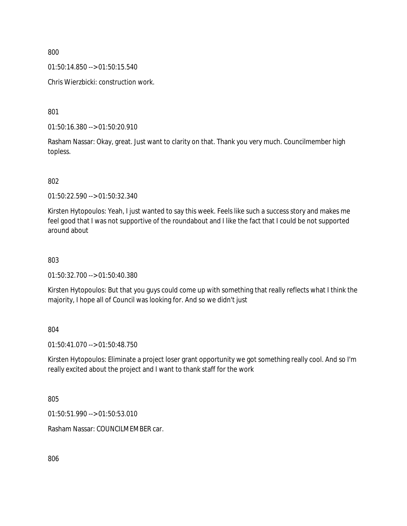01:50:14.850 --> 01:50:15.540

Chris Wierzbicki: construction work.

801

01:50:16.380 --> 01:50:20.910

Rasham Nassar: Okay, great. Just want to clarity on that. Thank you very much. Councilmember high topless.

802

01:50:22.590 --> 01:50:32.340

Kirsten Hytopoulos: Yeah, I just wanted to say this week. Feels like such a success story and makes me feel good that I was not supportive of the roundabout and I like the fact that I could be not supported around about

#### 803

01:50:32.700 --> 01:50:40.380

Kirsten Hytopoulos: But that you guys could come up with something that really reflects what I think the majority, I hope all of Council was looking for. And so we didn't just

804

01:50:41.070 --> 01:50:48.750

Kirsten Hytopoulos: Eliminate a project loser grant opportunity we got something really cool. And so I'm really excited about the project and I want to thank staff for the work

805

01:50:51.990 --> 01:50:53.010

Rasham Nassar: COUNCILMEMBER car.

806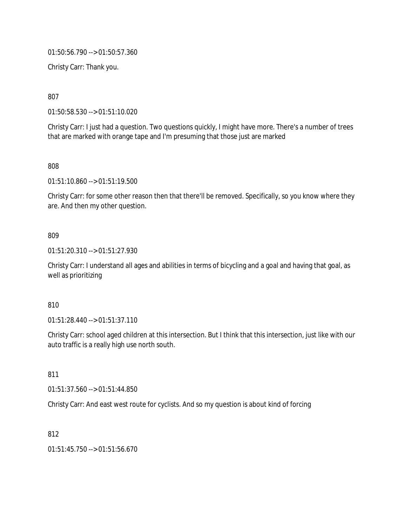01:50:56.790 --> 01:50:57.360

Christy Carr: Thank you.

807

01:50:58.530 --> 01:51:10.020

Christy Carr: I just had a question. Two questions quickly, I might have more. There's a number of trees that are marked with orange tape and I'm presuming that those just are marked

808

01:51:10.860 --> 01:51:19.500

Christy Carr: for some other reason then that there'll be removed. Specifically, so you know where they are. And then my other question.

## 809

01:51:20.310 --> 01:51:27.930

Christy Carr: I understand all ages and abilities in terms of bicycling and a goal and having that goal, as well as prioritizing

## 810

01:51:28.440 --> 01:51:37.110

Christy Carr: school aged children at this intersection. But I think that this intersection, just like with our auto traffic is a really high use north south.

811

01:51:37.560 --> 01:51:44.850

Christy Carr: And east west route for cyclists. And so my question is about kind of forcing

812

01:51:45.750 --> 01:51:56.670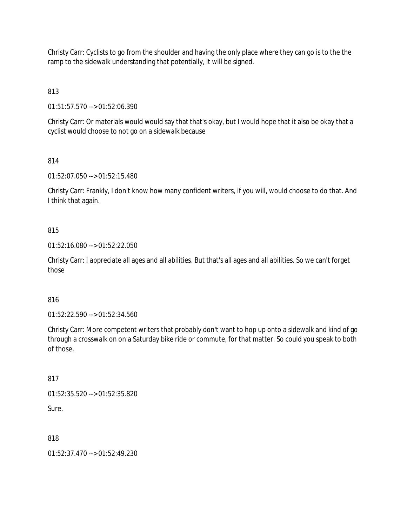Christy Carr: Cyclists to go from the shoulder and having the only place where they can go is to the the ramp to the sidewalk understanding that potentially, it will be signed.

813

01:51:57.570 --> 01:52:06.390

Christy Carr: Or materials would would say that that's okay, but I would hope that it also be okay that a cyclist would choose to not go on a sidewalk because

814

01:52:07.050 --> 01:52:15.480

Christy Carr: Frankly, I don't know how many confident writers, if you will, would choose to do that. And I think that again.

## 815

01:52:16.080 --> 01:52:22.050

Christy Carr: I appreciate all ages and all abilities. But that's all ages and all abilities. So we can't forget those

816

01:52:22.590 --> 01:52:34.560

Christy Carr: More competent writers that probably don't want to hop up onto a sidewalk and kind of go through a crosswalk on on a Saturday bike ride or commute, for that matter. So could you speak to both of those.

817

01:52:35.520 --> 01:52:35.820

Sure.

818

01:52:37.470 --> 01:52:49.230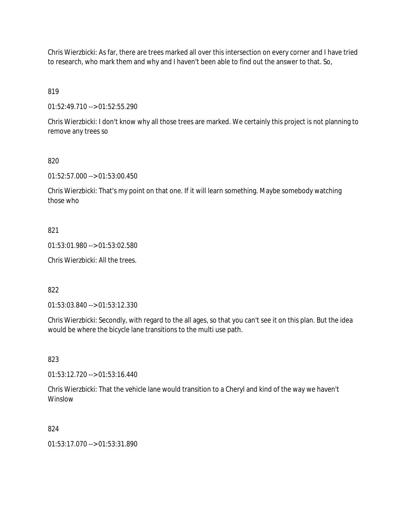Chris Wierzbicki: As far, there are trees marked all over this intersection on every corner and I have tried to research, who mark them and why and I haven't been able to find out the answer to that. So,

819

01:52:49.710 --> 01:52:55.290

Chris Wierzbicki: I don't know why all those trees are marked. We certainly this project is not planning to remove any trees so

## 820

01:52:57.000 --> 01:53:00.450

Chris Wierzbicki: That's my point on that one. If it will learn something. Maybe somebody watching those who

#### 821

01:53:01.980 --> 01:53:02.580

Chris Wierzbicki: All the trees.

## 822

01:53:03.840 --> 01:53:12.330

Chris Wierzbicki: Secondly, with regard to the all ages, so that you can't see it on this plan. But the idea would be where the bicycle lane transitions to the multi use path.

## 823

01:53:12.720 --> 01:53:16.440

Chris Wierzbicki: That the vehicle lane would transition to a Cheryl and kind of the way we haven't Winslow

#### 824

01:53:17.070 --> 01:53:31.890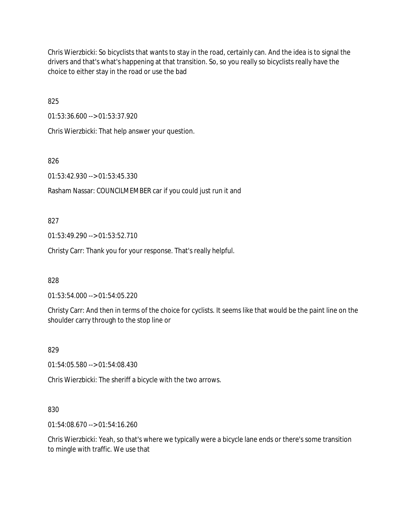Chris Wierzbicki: So bicyclists that wants to stay in the road, certainly can. And the idea is to signal the drivers and that's what's happening at that transition. So, so you really so bicyclists really have the choice to either stay in the road or use the bad

825

01:53:36.600 --> 01:53:37.920

Chris Wierzbicki: That help answer your question.

826

01:53:42.930 --> 01:53:45.330

Rasham Nassar: COUNCILMEMBER car if you could just run it and

827

01:53:49.290 --> 01:53:52.710

Christy Carr: Thank you for your response. That's really helpful.

828

01:53:54.000 --> 01:54:05.220

Christy Carr: And then in terms of the choice for cyclists. It seems like that would be the paint line on the shoulder carry through to the stop line or

829

01:54:05.580 --> 01:54:08.430

Chris Wierzbicki: The sheriff a bicycle with the two arrows.

830

01:54:08.670 --> 01:54:16.260

Chris Wierzbicki: Yeah, so that's where we typically were a bicycle lane ends or there's some transition to mingle with traffic. We use that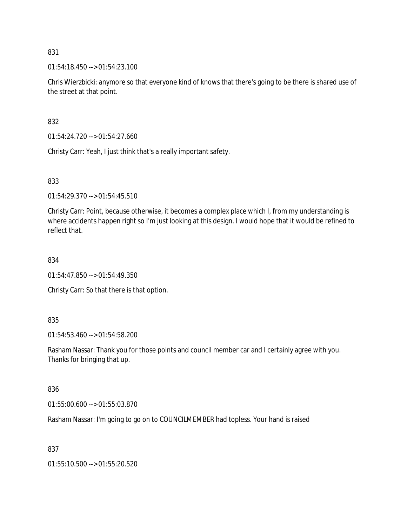01:54:18.450 --> 01:54:23.100

Chris Wierzbicki: anymore so that everyone kind of knows that there's going to be there is shared use of the street at that point.

832

01:54:24.720 --> 01:54:27.660

Christy Carr: Yeah, I just think that's a really important safety.

833

01:54:29.370 --> 01:54:45.510

Christy Carr: Point, because otherwise, it becomes a complex place which I, from my understanding is where accidents happen right so I'm just looking at this design. I would hope that it would be refined to reflect that.

834

01:54:47.850 --> 01:54:49.350

Christy Carr: So that there is that option.

## 835

01:54:53.460 --> 01:54:58.200

Rasham Nassar: Thank you for those points and council member car and I certainly agree with you. Thanks for bringing that up.

#### 836

01:55:00.600 --> 01:55:03.870

Rasham Nassar: I'm going to go on to COUNCILMEMBER had topless. Your hand is raised

## 837

01:55:10.500 --> 01:55:20.520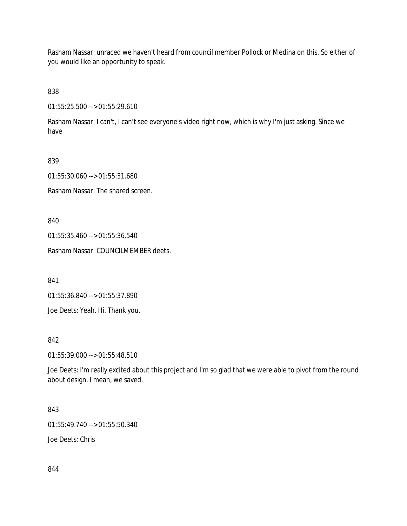Rasham Nassar: unraced we haven't heard from council member Pollock or Medina on this. So either of you would like an opportunity to speak.

838

01:55:25.500 --> 01:55:29.610

Rasham Nassar: I can't, I can't see everyone's video right now, which is why I'm just asking. Since we have

839

01:55:30.060 --> 01:55:31.680

Rasham Nassar: The shared screen.

840

01:55:35.460 --> 01:55:36.540

Rasham Nassar: COUNCILMEMBER deets.

841

01:55:36.840 --> 01:55:37.890

Joe Deets: Yeah. Hi. Thank you.

842

01:55:39.000 --> 01:55:48.510

Joe Deets: I'm really excited about this project and I'm so glad that we were able to pivot from the round about design. I mean, we saved.

843

01:55:49.740 --> 01:55:50.340

Joe Deets: Chris

844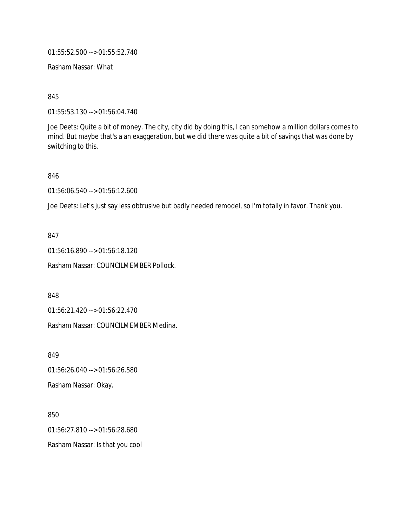01:55:52.500 --> 01:55:52.740

Rasham Nassar: What

845

01:55:53.130 --> 01:56:04.740

Joe Deets: Quite a bit of money. The city, city did by doing this, I can somehow a million dollars comes to mind. But maybe that's a an exaggeration, but we did there was quite a bit of savings that was done by switching to this.

846

01:56:06.540 --> 01:56:12.600

Joe Deets: Let's just say less obtrusive but badly needed remodel, so I'm totally in favor. Thank you.

847

01:56:16.890 --> 01:56:18.120

Rasham Nassar: COUNCILMEMBER Pollock.

848

01:56:21.420 --> 01:56:22.470

Rasham Nassar: COUNCILMEMBER Medina.

849

01:56:26.040 --> 01:56:26.580

Rasham Nassar: Okay.

850

01:56:27.810 --> 01:56:28.680

Rasham Nassar: Is that you cool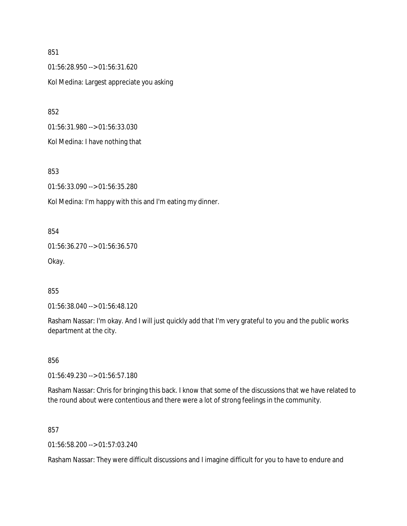01:56:28.950 --> 01:56:31.620 Kol Medina: Largest appreciate you asking

852

01:56:31.980 --> 01:56:33.030

Kol Medina: I have nothing that

853

01:56:33.090 --> 01:56:35.280

Kol Medina: I'm happy with this and I'm eating my dinner.

854

01:56:36.270 --> 01:56:36.570

Okay.

855

01:56:38.040 --> 01:56:48.120

Rasham Nassar: I'm okay. And I will just quickly add that I'm very grateful to you and the public works department at the city.

856

01:56:49.230 --> 01:56:57.180

Rasham Nassar: Chris for bringing this back. I know that some of the discussions that we have related to the round about were contentious and there were a lot of strong feelings in the community.

857

01:56:58.200 --> 01:57:03.240

Rasham Nassar: They were difficult discussions and I imagine difficult for you to have to endure and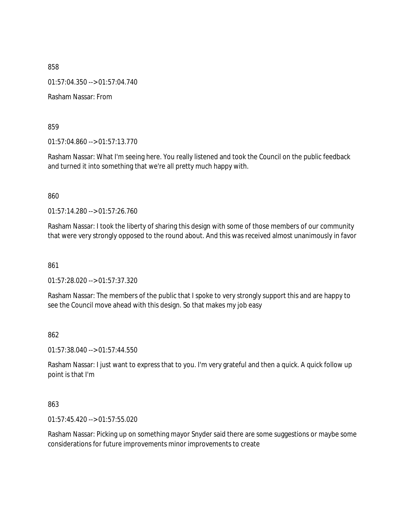01:57:04.350 --> 01:57:04.740

Rasham Nassar: From

859

01:57:04.860 --> 01:57:13.770

Rasham Nassar: What I'm seeing here. You really listened and took the Council on the public feedback and turned it into something that we're all pretty much happy with.

860

01:57:14.280 --> 01:57:26.760

Rasham Nassar: I took the liberty of sharing this design with some of those members of our community that were very strongly opposed to the round about. And this was received almost unanimously in favor

861

01:57:28.020 --> 01:57:37.320

Rasham Nassar: The members of the public that I spoke to very strongly support this and are happy to see the Council move ahead with this design. So that makes my job easy

862

01:57:38.040 --> 01:57:44.550

Rasham Nassar: I just want to express that to you. I'm very grateful and then a quick. A quick follow up point is that I'm

863

01:57:45.420 --> 01:57:55.020

Rasham Nassar: Picking up on something mayor Snyder said there are some suggestions or maybe some considerations for future improvements minor improvements to create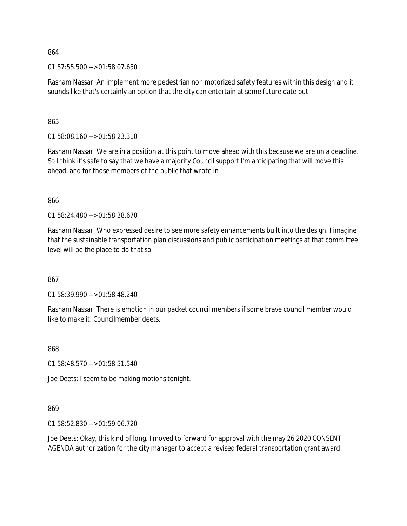01:57:55.500 --> 01:58:07.650

Rasham Nassar: An implement more pedestrian non motorized safety features within this design and it sounds like that's certainly an option that the city can entertain at some future date but

865

01:58:08.160 --> 01:58:23.310

Rasham Nassar: We are in a position at this point to move ahead with this because we are on a deadline. So I think it's safe to say that we have a majority Council support I'm anticipating that will move this ahead, and for those members of the public that wrote in

866

01:58:24.480 --> 01:58:38.670

Rasham Nassar: Who expressed desire to see more safety enhancements built into the design. I imagine that the sustainable transportation plan discussions and public participation meetings at that committee level will be the place to do that so

867

01:58:39.990 --> 01:58:48.240

Rasham Nassar: There is emotion in our packet council members if some brave council member would like to make it. Councilmember deets.

868

01:58:48.570 --> 01:58:51.540

Joe Deets: I seem to be making motions tonight.

869

01:58:52.830 --> 01:59:06.720

Joe Deets: Okay, this kind of long. I moved to forward for approval with the may 26 2020 CONSENT AGENDA authorization for the city manager to accept a revised federal transportation grant award.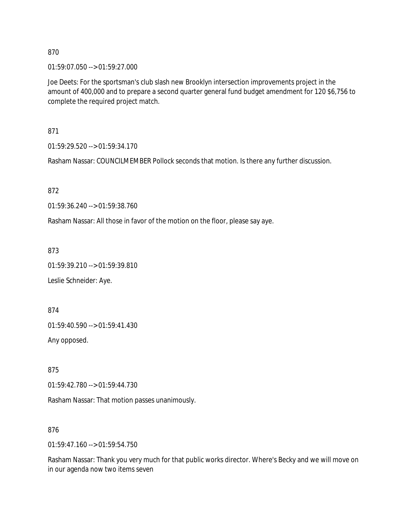01:59:07.050 --> 01:59:27.000

Joe Deets: For the sportsman's club slash new Brooklyn intersection improvements project in the amount of 400,000 and to prepare a second quarter general fund budget amendment for 120 \$6,756 to complete the required project match.

871

01:59:29.520 --> 01:59:34.170

Rasham Nassar: COUNCILMEMBER Pollock seconds that motion. Is there any further discussion.

872

01:59:36.240 --> 01:59:38.760

Rasham Nassar: All those in favor of the motion on the floor, please say aye.

873

01:59:39.210 --> 01:59:39.810

Leslie Schneider: Aye.

874

01:59:40.590 --> 01:59:41.430

Any opposed.

875

01:59:42.780 --> 01:59:44.730

Rasham Nassar: That motion passes unanimously.

876

01:59:47.160 --> 01:59:54.750

Rasham Nassar: Thank you very much for that public works director. Where's Becky and we will move on in our agenda now two items seven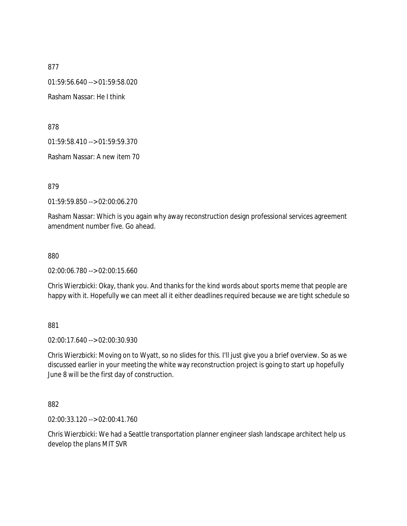01:59:56.640 --> 01:59:58.020

Rasham Nassar: He I think

878

01:59:58.410 --> 01:59:59.370

Rasham Nassar: A new item 70

879

01:59:59.850 --> 02:00:06.270

Rasham Nassar: Which is you again why away reconstruction design professional services agreement amendment number five. Go ahead.

880

02:00:06.780 --> 02:00:15.660

Chris Wierzbicki: Okay, thank you. And thanks for the kind words about sports meme that people are happy with it. Hopefully we can meet all it either deadlines required because we are tight schedule so

881

02:00:17.640 --> 02:00:30.930

Chris Wierzbicki: Moving on to Wyatt, so no slides for this. I'll just give you a brief overview. So as we discussed earlier in your meeting the white way reconstruction project is going to start up hopefully June 8 will be the first day of construction.

882

02:00:33.120 --> 02:00:41.760

Chris Wierzbicki: We had a Seattle transportation planner engineer slash landscape architect help us develop the plans MIT SVR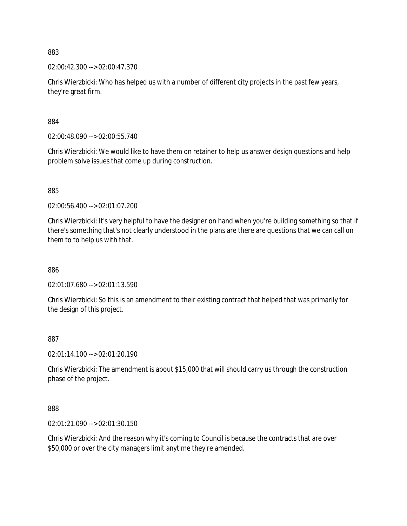02:00:42.300 --> 02:00:47.370

Chris Wierzbicki: Who has helped us with a number of different city projects in the past few years, they're great firm.

884

02:00:48.090 --> 02:00:55.740

Chris Wierzbicki: We would like to have them on retainer to help us answer design questions and help problem solve issues that come up during construction.

885

02:00:56.400 --> 02:01:07.200

Chris Wierzbicki: It's very helpful to have the designer on hand when you're building something so that if there's something that's not clearly understood in the plans are there are questions that we can call on them to to help us with that.

886

02:01:07.680 --> 02:01:13.590

Chris Wierzbicki: So this is an amendment to their existing contract that helped that was primarily for the design of this project.

887

02:01:14.100 --> 02:01:20.190

Chris Wierzbicki: The amendment is about \$15,000 that will should carry us through the construction phase of the project.

888

02:01:21.090 --> 02:01:30.150

Chris Wierzbicki: And the reason why it's coming to Council is because the contracts that are over \$50,000 or over the city managers limit anytime they're amended.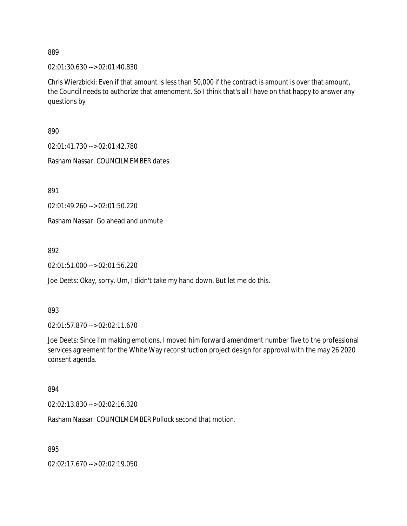02:01:30.630 --> 02:01:40.830

Chris Wierzbicki: Even if that amount is less than 50,000 if the contract is amount is over that amount, the Council needs to authorize that amendment. So I think that's all I have on that happy to answer any questions by

890

02:01:41.730 --> 02:01:42.780

Rasham Nassar: COUNCILMEMBER dates.

891

02:01:49.260 --> 02:01:50.220

Rasham Nassar: Go ahead and unmute

892

02:01:51.000 --> 02:01:56.220

Joe Deets: Okay, sorry. Um, I didn't take my hand down. But let me do this.

893

02:01:57.870 --> 02:02:11.670

Joe Deets: Since I'm making emotions. I moved him forward amendment number five to the professional services agreement for the White Way reconstruction project design for approval with the may 26 2020 consent agenda.

894

02:02:13.830 --> 02:02:16.320

Rasham Nassar: COUNCILMEMBER Pollock second that motion.

895

02:02:17.670 --> 02:02:19.050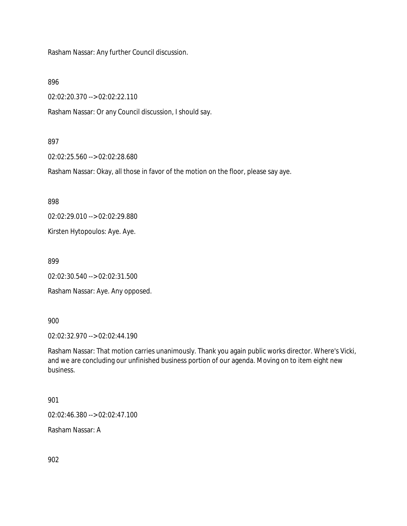Rasham Nassar: Any further Council discussion.

896

02:02:20.370 --> 02:02:22.110

Rasham Nassar: Or any Council discussion, I should say.

#### 897

02:02:25.560 --> 02:02:28.680

Rasham Nassar: Okay, all those in favor of the motion on the floor, please say aye.

898

02:02:29.010 --> 02:02:29.880

Kirsten Hytopoulos: Aye. Aye.

899

02:02:30.540 --> 02:02:31.500

Rasham Nassar: Aye. Any opposed.

900

02:02:32.970 --> 02:02:44.190

Rasham Nassar: That motion carries unanimously. Thank you again public works director. Where's Vicki, and we are concluding our unfinished business portion of our agenda. Moving on to item eight new business.

## 901

02:02:46.380 --> 02:02:47.100

Rasham Nassar: A

902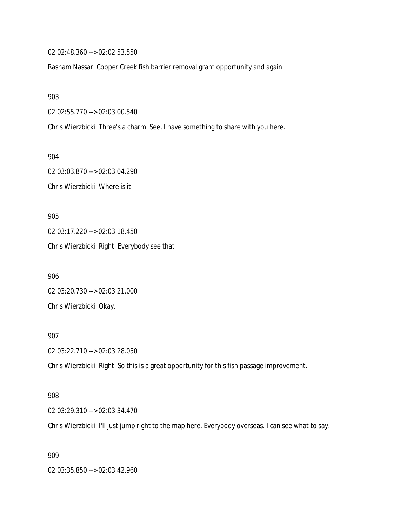02:02:48.360 --> 02:02:53.550

Rasham Nassar: Cooper Creek fish barrier removal grant opportunity and again

903

02:02:55.770 --> 02:03:00.540

Chris Wierzbicki: Three's a charm. See, I have something to share with you here.

904 02:03:03.870 --> 02:03:04.290 Chris Wierzbicki: Where is it

905 02:03:17.220 --> 02:03:18.450 Chris Wierzbicki: Right. Everybody see that

906 02:03:20.730 --> 02:03:21.000 Chris Wierzbicki: Okay.

907

02:03:22.710 --> 02:03:28.050

Chris Wierzbicki: Right. So this is a great opportunity for this fish passage improvement.

#### 908

02:03:29.310 --> 02:03:34.470

Chris Wierzbicki: I'll just jump right to the map here. Everybody overseas. I can see what to say.

909

02:03:35.850 --> 02:03:42.960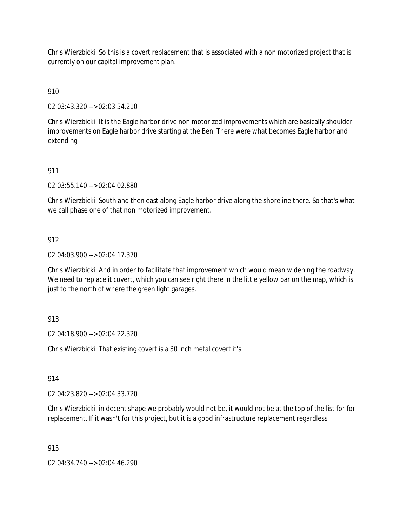Chris Wierzbicki: So this is a covert replacement that is associated with a non motorized project that is currently on our capital improvement plan.

910

02:03:43.320 --> 02:03:54.210

Chris Wierzbicki: It is the Eagle harbor drive non motorized improvements which are basically shoulder improvements on Eagle harbor drive starting at the Ben. There were what becomes Eagle harbor and extending

# 911

02:03:55.140 --> 02:04:02.880

Chris Wierzbicki: South and then east along Eagle harbor drive along the shoreline there. So that's what we call phase one of that non motorized improvement.

## 912

02:04:03.900 --> 02:04:17.370

Chris Wierzbicki: And in order to facilitate that improvement which would mean widening the roadway. We need to replace it covert, which you can see right there in the little yellow bar on the map, which is just to the north of where the green light garages.

## 913

02:04:18.900 --> 02:04:22.320

Chris Wierzbicki: That existing covert is a 30 inch metal covert it's

914

02:04:23.820 --> 02:04:33.720

Chris Wierzbicki: in decent shape we probably would not be, it would not be at the top of the list for for replacement. If it wasn't for this project, but it is a good infrastructure replacement regardless

915

02:04:34.740 --> 02:04:46.290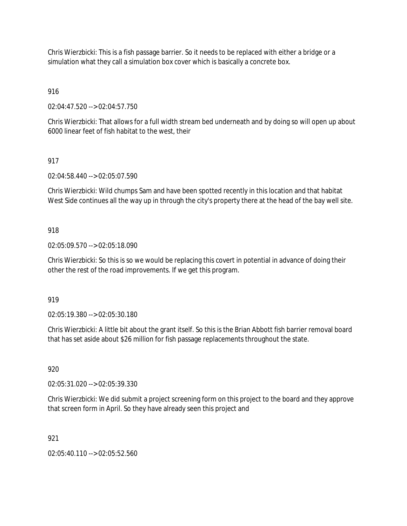Chris Wierzbicki: This is a fish passage barrier. So it needs to be replaced with either a bridge or a simulation what they call a simulation box cover which is basically a concrete box.

916

02:04:47.520 --> 02:04:57.750

Chris Wierzbicki: That allows for a full width stream bed underneath and by doing so will open up about 6000 linear feet of fish habitat to the west, their

# 917

02:04:58.440 --> 02:05:07.590

Chris Wierzbicki: Wild chumps Sam and have been spotted recently in this location and that habitat West Side continues all the way up in through the city's property there at the head of the bay well site.

## 918

02:05:09.570 --> 02:05:18.090

Chris Wierzbicki: So this is so we would be replacing this covert in potential in advance of doing their other the rest of the road improvements. If we get this program.

919

02:05:19.380 --> 02:05:30.180

Chris Wierzbicki: A little bit about the grant itself. So this is the Brian Abbott fish barrier removal board that has set aside about \$26 million for fish passage replacements throughout the state.

## 920

02:05:31.020 --> 02:05:39.330

Chris Wierzbicki: We did submit a project screening form on this project to the board and they approve that screen form in April. So they have already seen this project and

## 921

02:05:40.110 --> 02:05:52.560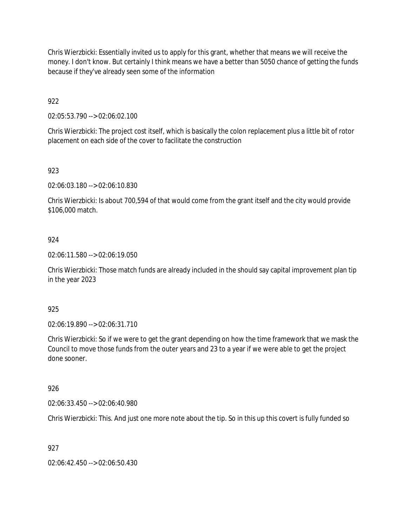Chris Wierzbicki: Essentially invited us to apply for this grant, whether that means we will receive the money. I don't know. But certainly I think means we have a better than 5050 chance of getting the funds because if they've already seen some of the information

922

02:05:53.790 --> 02:06:02.100

Chris Wierzbicki: The project cost itself, which is basically the colon replacement plus a little bit of rotor placement on each side of the cover to facilitate the construction

# 923

02:06:03.180 --> 02:06:10.830

Chris Wierzbicki: Is about 700,594 of that would come from the grant itself and the city would provide \$106,000 match.

## 924

02:06:11.580 --> 02:06:19.050

Chris Wierzbicki: Those match funds are already included in the should say capital improvement plan tip in the year 2023

#### 925

02:06:19.890 --> 02:06:31.710

Chris Wierzbicki: So if we were to get the grant depending on how the time framework that we mask the Council to move those funds from the outer years and 23 to a year if we were able to get the project done sooner.

## 926

02:06:33.450 --> 02:06:40.980

Chris Wierzbicki: This. And just one more note about the tip. So in this up this covert is fully funded so

## 927

02:06:42.450 --> 02:06:50.430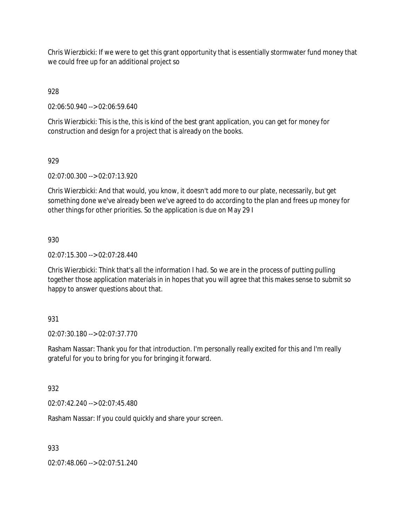Chris Wierzbicki: If we were to get this grant opportunity that is essentially stormwater fund money that we could free up for an additional project so

928

02:06:50.940 --> 02:06:59.640

Chris Wierzbicki: This is the, this is kind of the best grant application, you can get for money for construction and design for a project that is already on the books.

# 929

02:07:00.300 --> 02:07:13.920

Chris Wierzbicki: And that would, you know, it doesn't add more to our plate, necessarily, but get something done we've already been we've agreed to do according to the plan and frees up money for other things for other priorities. So the application is due on May 29 I

# 930

02:07:15.300 --> 02:07:28.440

Chris Wierzbicki: Think that's all the information I had. So we are in the process of putting pulling together those application materials in in hopes that you will agree that this makes sense to submit so happy to answer questions about that.

## 931

02:07:30.180 --> 02:07:37.770

Rasham Nassar: Thank you for that introduction. I'm personally really excited for this and I'm really grateful for you to bring for you for bringing it forward.

# 932

02:07:42.240 --> 02:07:45.480

Rasham Nassar: If you could quickly and share your screen.

## 933

02:07:48.060 --> 02:07:51.240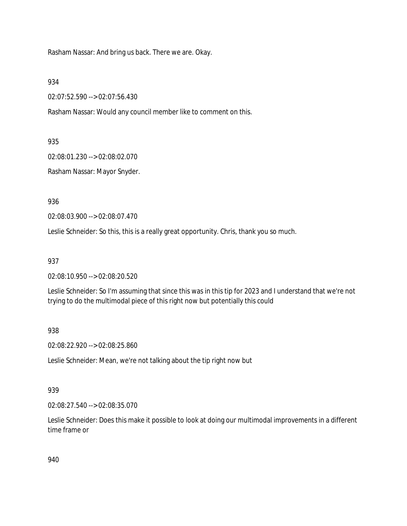Rasham Nassar: And bring us back. There we are. Okay.

934

02:07:52.590 --> 02:07:56.430

Rasham Nassar: Would any council member like to comment on this.

935

02:08:01.230 --> 02:08:02.070

Rasham Nassar: Mayor Snyder.

936

02:08:03.900 --> 02:08:07.470

Leslie Schneider: So this, this is a really great opportunity. Chris, thank you so much.

937

02:08:10.950 --> 02:08:20.520

Leslie Schneider: So I'm assuming that since this was in this tip for 2023 and I understand that we're not trying to do the multimodal piece of this right now but potentially this could

938

02:08:22.920 --> 02:08:25.860

Leslie Schneider: Mean, we're not talking about the tip right now but

## 939

02:08:27.540 --> 02:08:35.070

Leslie Schneider: Does this make it possible to look at doing our multimodal improvements in a different time frame or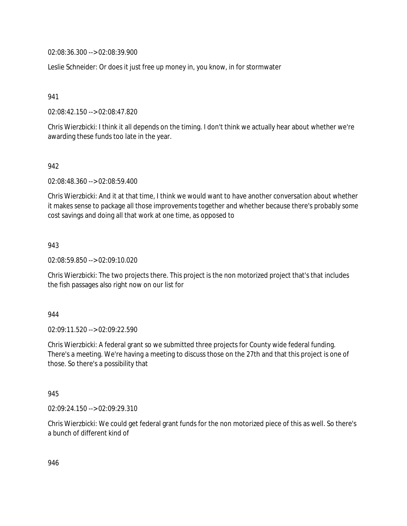02:08:36.300 --> 02:08:39.900

Leslie Schneider: Or does it just free up money in, you know, in for stormwater

941

02:08:42.150 --> 02:08:47.820

Chris Wierzbicki: I think it all depends on the timing. I don't think we actually hear about whether we're awarding these funds too late in the year.

942

02:08:48.360 --> 02:08:59.400

Chris Wierzbicki: And it at that time, I think we would want to have another conversation about whether it makes sense to package all those improvements together and whether because there's probably some cost savings and doing all that work at one time, as opposed to

943

02:08:59.850 --> 02:09:10.020

Chris Wierzbicki: The two projects there. This project is the non motorized project that's that includes the fish passages also right now on our list for

944

02:09:11.520 --> 02:09:22.590

Chris Wierzbicki: A federal grant so we submitted three projects for County wide federal funding. There's a meeting. We're having a meeting to discuss those on the 27th and that this project is one of those. So there's a possibility that

945

02:09:24.150 --> 02:09:29.310

Chris Wierzbicki: We could get federal grant funds for the non motorized piece of this as well. So there's a bunch of different kind of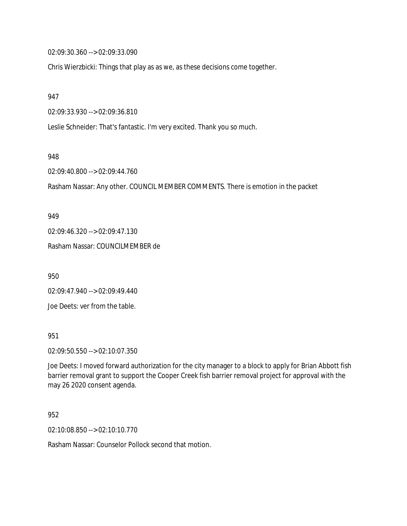02:09:30.360 --> 02:09:33.090

Chris Wierzbicki: Things that play as as we, as these decisions come together.

947

02:09:33.930 --> 02:09:36.810

Leslie Schneider: That's fantastic. I'm very excited. Thank you so much.

948

02:09:40.800 --> 02:09:44.760

Rasham Nassar: Any other. COUNCIL MEMBER COMMENTS. There is emotion in the packet

949

02:09:46.320 --> 02:09:47.130

Rasham Nassar: COUNCILMEMBER de

950

02:09:47.940 --> 02:09:49.440

Joe Deets: ver from the table.

951

02:09:50.550 --> 02:10:07.350

Joe Deets: I moved forward authorization for the city manager to a block to apply for Brian Abbott fish barrier removal grant to support the Cooper Creek fish barrier removal project for approval with the may 26 2020 consent agenda.

952

02:10:08.850 --> 02:10:10.770

Rasham Nassar: Counselor Pollock second that motion.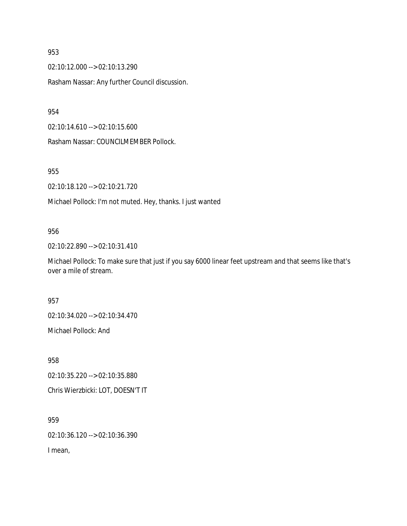02:10:12.000 --> 02:10:13.290

Rasham Nassar: Any further Council discussion.

954

02:10:14.610 --> 02:10:15.600

Rasham Nassar: COUNCILMEMBER Pollock.

955

02:10:18.120 --> 02:10:21.720

Michael Pollock: I'm not muted. Hey, thanks. I just wanted

## 956

02:10:22.890 --> 02:10:31.410

Michael Pollock: To make sure that just if you say 6000 linear feet upstream and that seems like that's over a mile of stream.

957

02:10:34.020 --> 02:10:34.470

Michael Pollock: And

958

02:10:35.220 --> 02:10:35.880

Chris Wierzbicki: LOT, DOESN'T IT

959

02:10:36.120 --> 02:10:36.390

I mean,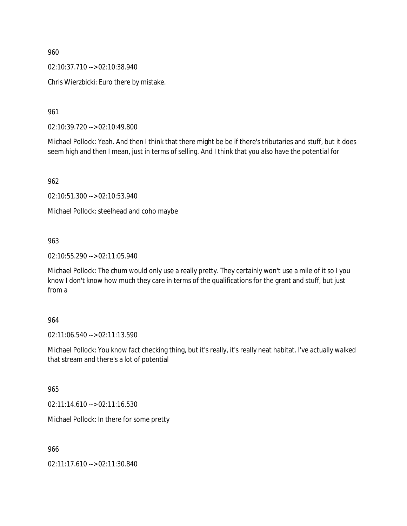02:10:37.710 --> 02:10:38.940

Chris Wierzbicki: Euro there by mistake.

961

02:10:39.720 --> 02:10:49.800

Michael Pollock: Yeah. And then I think that there might be be if there's tributaries and stuff, but it does seem high and then I mean, just in terms of selling. And I think that you also have the potential for

962

02:10:51.300 --> 02:10:53.940

Michael Pollock: steelhead and coho maybe

## 963

02:10:55.290 --> 02:11:05.940

Michael Pollock: The chum would only use a really pretty. They certainly won't use a mile of it so I you know I don't know how much they care in terms of the qualifications for the grant and stuff, but just from a

## 964

02:11:06.540 --> 02:11:13.590

Michael Pollock: You know fact checking thing, but it's really, it's really neat habitat. I've actually walked that stream and there's a lot of potential

965

02:11:14.610 --> 02:11:16.530

Michael Pollock: In there for some pretty

966

02:11:17.610 --> 02:11:30.840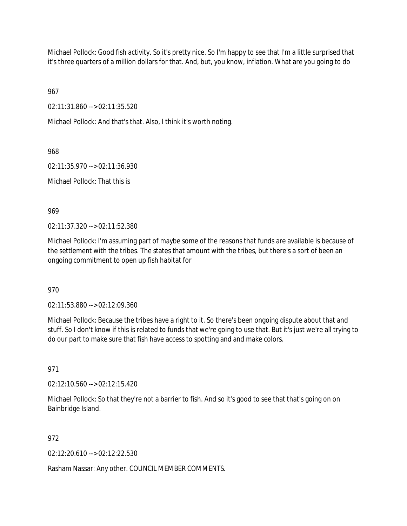Michael Pollock: Good fish activity. So it's pretty nice. So I'm happy to see that I'm a little surprised that it's three quarters of a million dollars for that. And, but, you know, inflation. What are you going to do

967

02:11:31.860 --> 02:11:35.520

Michael Pollock: And that's that. Also, I think it's worth noting.

968

02:11:35.970 --> 02:11:36.930

Michael Pollock: That this is

969

02:11:37.320 --> 02:11:52.380

Michael Pollock: I'm assuming part of maybe some of the reasons that funds are available is because of the settlement with the tribes. The states that amount with the tribes, but there's a sort of been an ongoing commitment to open up fish habitat for

970

02:11:53.880 --> 02:12:09.360

Michael Pollock: Because the tribes have a right to it. So there's been ongoing dispute about that and stuff. So I don't know if this is related to funds that we're going to use that. But it's just we're all trying to do our part to make sure that fish have access to spotting and and make colors.

971

02:12:10.560 --> 02:12:15.420

Michael Pollock: So that they're not a barrier to fish. And so it's good to see that that's going on on Bainbridge Island.

972

02:12:20.610 --> 02:12:22.530

Rasham Nassar: Any other. COUNCIL MEMBER COMMENTS.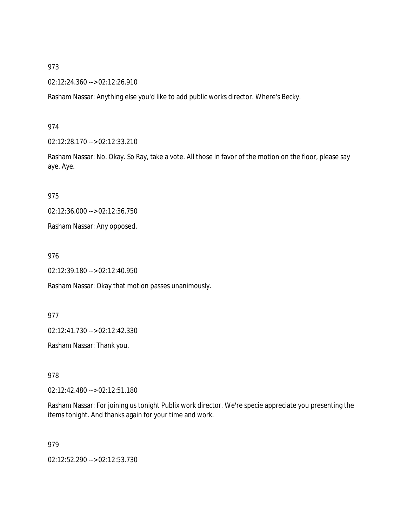02:12:24.360 --> 02:12:26.910

Rasham Nassar: Anything else you'd like to add public works director. Where's Becky.

974

02:12:28.170 --> 02:12:33.210

Rasham Nassar: No. Okay. So Ray, take a vote. All those in favor of the motion on the floor, please say aye. Aye.

975

02:12:36.000 --> 02:12:36.750

Rasham Nassar: Any opposed.

976

02:12:39.180 --> 02:12:40.950

Rasham Nassar: Okay that motion passes unanimously.

977

02:12:41.730 --> 02:12:42.330

Rasham Nassar: Thank you.

978

02:12:42.480 --> 02:12:51.180

Rasham Nassar: For joining us tonight Publix work director. We're specie appreciate you presenting the items tonight. And thanks again for your time and work.

979

02:12:52.290 --> 02:12:53.730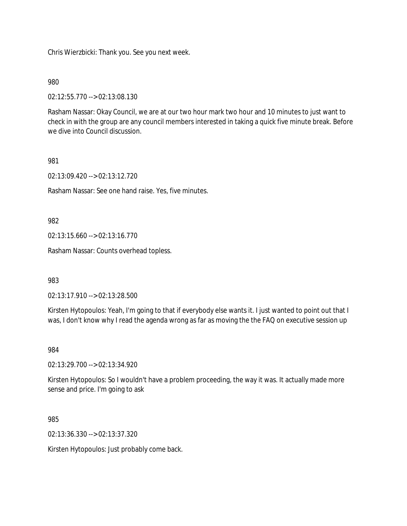Chris Wierzbicki: Thank you. See you next week.

### 980

02:12:55.770 --> 02:13:08.130

Rasham Nassar: Okay Council, we are at our two hour mark two hour and 10 minutes to just want to check in with the group are any council members interested in taking a quick five minute break. Before we dive into Council discussion.

### 981

02:13:09.420 --> 02:13:12.720

Rasham Nassar: See one hand raise. Yes, five minutes.

### 982

02:13:15.660 --> 02:13:16.770

Rasham Nassar: Counts overhead topless.

### 983

02:13:17.910 --> 02:13:28.500

Kirsten Hytopoulos: Yeah, I'm going to that if everybody else wants it. I just wanted to point out that I was, I don't know why I read the agenda wrong as far as moving the the FAQ on executive session up

#### 984

02:13:29.700 --> 02:13:34.920

Kirsten Hytopoulos: So I wouldn't have a problem proceeding, the way it was. It actually made more sense and price. I'm going to ask

985

02:13:36.330 --> 02:13:37.320

Kirsten Hytopoulos: Just probably come back.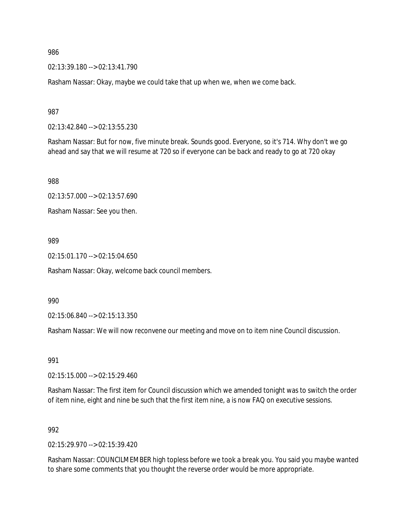02:13:39.180 --> 02:13:41.790

Rasham Nassar: Okay, maybe we could take that up when we, when we come back.

987

02:13:42.840 --> 02:13:55.230

Rasham Nassar: But for now, five minute break. Sounds good. Everyone, so it's 714. Why don't we go ahead and say that we will resume at 720 so if everyone can be back and ready to go at 720 okay

988

02:13:57.000 --> 02:13:57.690

Rasham Nassar: See you then.

### 989

02:15:01.170 --> 02:15:04.650

Rasham Nassar: Okay, welcome back council members.

990

02:15:06.840 --> 02:15:13.350

Rasham Nassar: We will now reconvene our meeting and move on to item nine Council discussion.

991

02:15:15.000 --> 02:15:29.460

Rasham Nassar: The first item for Council discussion which we amended tonight was to switch the order of item nine, eight and nine be such that the first item nine, a is now FAQ on executive sessions.

#### 992

02:15:29.970 --> 02:15:39.420

Rasham Nassar: COUNCILMEMBER high topless before we took a break you. You said you maybe wanted to share some comments that you thought the reverse order would be more appropriate.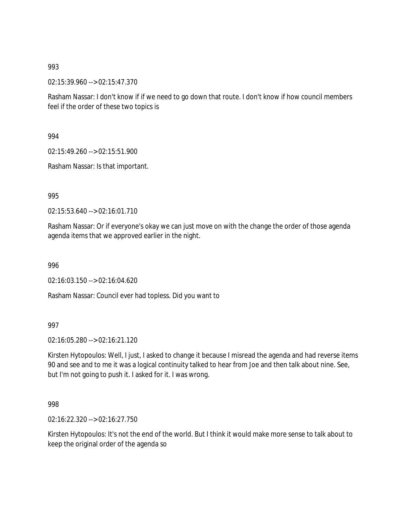02:15:39.960 --> 02:15:47.370

Rasham Nassar: I don't know if if we need to go down that route. I don't know if how council members feel if the order of these two topics is

994

02:15:49.260 --> 02:15:51.900

Rasham Nassar: Is that important.

995

02:15:53.640 --> 02:16:01.710

Rasham Nassar: Or if everyone's okay we can just move on with the change the order of those agenda agenda items that we approved earlier in the night.

996

02:16:03.150 --> 02:16:04.620

Rasham Nassar: Council ever had topless. Did you want to

997

02:16:05.280 --> 02:16:21.120

Kirsten Hytopoulos: Well, I just, I asked to change it because I misread the agenda and had reverse items 90 and see and to me it was a logical continuity talked to hear from Joe and then talk about nine. See, but I'm not going to push it. I asked for it. I was wrong.

998

02:16:22.320 --> 02:16:27.750

Kirsten Hytopoulos: It's not the end of the world. But I think it would make more sense to talk about to keep the original order of the agenda so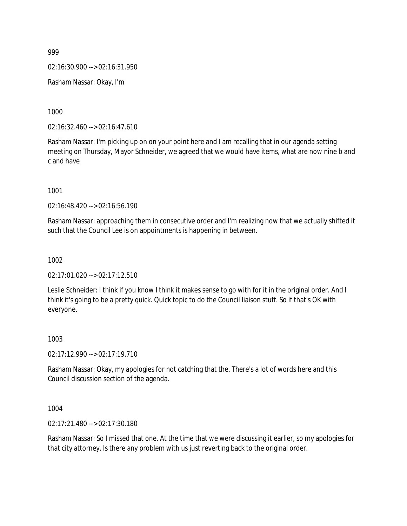02:16:30.900 --> 02:16:31.950

Rasham Nassar: Okay, I'm

1000

02:16:32.460 --> 02:16:47.610

Rasham Nassar: I'm picking up on on your point here and I am recalling that in our agenda setting meeting on Thursday, Mayor Schneider, we agreed that we would have items, what are now nine b and c and have

1001

02:16:48.420 --> 02:16:56.190

Rasham Nassar: approaching them in consecutive order and I'm realizing now that we actually shifted it such that the Council Lee is on appointments is happening in between.

1002

 $02:17:01.020 \rightarrow 02:17:12.510$ 

Leslie Schneider: I think if you know I think it makes sense to go with for it in the original order. And I think it's going to be a pretty quick. Quick topic to do the Council liaison stuff. So if that's OK with everyone.

1003

02:17:12.990 --> 02:17:19.710

Rasham Nassar: Okay, my apologies for not catching that the. There's a lot of words here and this Council discussion section of the agenda.

1004

02:17:21.480 --> 02:17:30.180

Rasham Nassar: So I missed that one. At the time that we were discussing it earlier, so my apologies for that city attorney. Is there any problem with us just reverting back to the original order.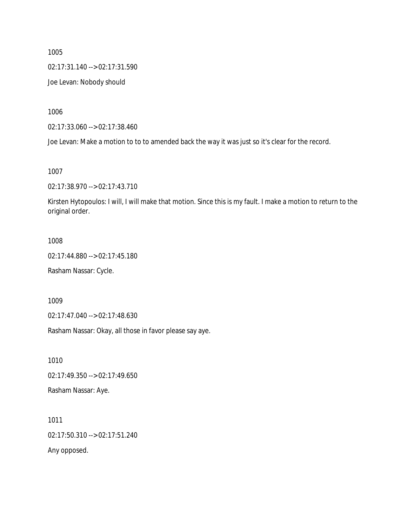02:17:31.140 --> 02:17:31.590

Joe Levan: Nobody should

1006

02:17:33.060 --> 02:17:38.460

Joe Levan: Make a motion to to to amended back the way it was just so it's clear for the record.

1007

02:17:38.970 --> 02:17:43.710

Kirsten Hytopoulos: I will, I will make that motion. Since this is my fault. I make a motion to return to the original order.

1008

02:17:44.880 --> 02:17:45.180

Rasham Nassar: Cycle.

1009

02:17:47.040 --> 02:17:48.630

Rasham Nassar: Okay, all those in favor please say aye.

1010

02:17:49.350 --> 02:17:49.650

Rasham Nassar: Aye.

1011 02:17:50.310 --> 02:17:51.240

Any opposed.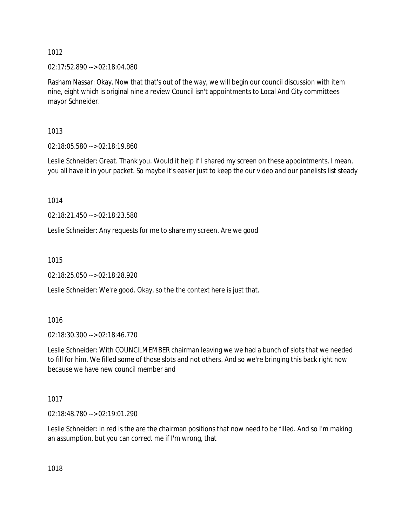02:17:52.890 --> 02:18:04.080

Rasham Nassar: Okay. Now that that's out of the way, we will begin our council discussion with item nine, eight which is original nine a review Council isn't appointments to Local And City committees mayor Schneider.

1013

02:18:05.580 --> 02:18:19.860

Leslie Schneider: Great. Thank you. Would it help if I shared my screen on these appointments. I mean, you all have it in your packet. So maybe it's easier just to keep the our video and our panelists list steady

1014

02:18:21.450 --> 02:18:23.580

Leslie Schneider: Any requests for me to share my screen. Are we good

1015

02:18:25.050 --> 02:18:28.920

Leslie Schneider: We're good. Okay, so the the context here is just that.

1016

02:18:30.300 --> 02:18:46.770

Leslie Schneider: With COUNCILMEMBER chairman leaving we we had a bunch of slots that we needed to fill for him. We filled some of those slots and not others. And so we're bringing this back right now because we have new council member and

1017

02:18:48.780 --> 02:19:01.290

Leslie Schneider: In red is the are the chairman positions that now need to be filled. And so I'm making an assumption, but you can correct me if I'm wrong, that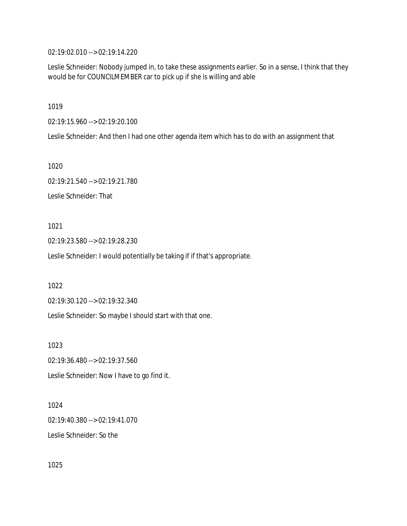02:19:02.010 --> 02:19:14.220

Leslie Schneider: Nobody jumped in, to take these assignments earlier. So in a sense, I think that they would be for COUNCILMEMBER car to pick up if she is willing and able

1019

02:19:15.960 --> 02:19:20.100

Leslie Schneider: And then I had one other agenda item which has to do with an assignment that

1020

02:19:21.540 --> 02:19:21.780

Leslie Schneider: That

1021

02:19:23.580 --> 02:19:28.230

Leslie Schneider: I would potentially be taking if if that's appropriate.

1022

02:19:30.120 --> 02:19:32.340

Leslie Schneider: So maybe I should start with that one.

1023 02:19:36.480 --> 02:19:37.560 Leslie Schneider: Now I have to go find it.

1024 02:19:40.380 --> 02:19:41.070 Leslie Schneider: So the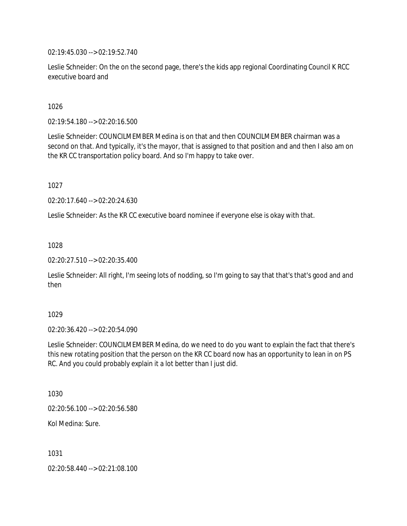02:19:45.030 --> 02:19:52.740

Leslie Schneider: On the on the second page, there's the kids app regional Coordinating Council K RCC executive board and

1026

02:19:54.180 --> 02:20:16.500

Leslie Schneider: COUNCILMEMBER Medina is on that and then COUNCILMEMBER chairman was a second on that. And typically, it's the mayor, that is assigned to that position and and then I also am on the KR CC transportation policy board. And so I'm happy to take over.

1027

02:20:17.640 --> 02:20:24.630

Leslie Schneider: As the KR CC executive board nominee if everyone else is okay with that.

1028

02:20:27.510 --> 02:20:35.400

Leslie Schneider: All right, I'm seeing lots of nodding, so I'm going to say that that's that's good and and then

1029

02:20:36.420 --> 02:20:54.090

Leslie Schneider: COUNCILMEMBER Medina, do we need to do you want to explain the fact that there's this new rotating position that the person on the KR CC board now has an opportunity to lean in on PS RC. And you could probably explain it a lot better than I just did.

1030

02:20:56.100 --> 02:20:56.580

Kol Medina: Sure.

1031

02:20:58.440 --> 02:21:08.100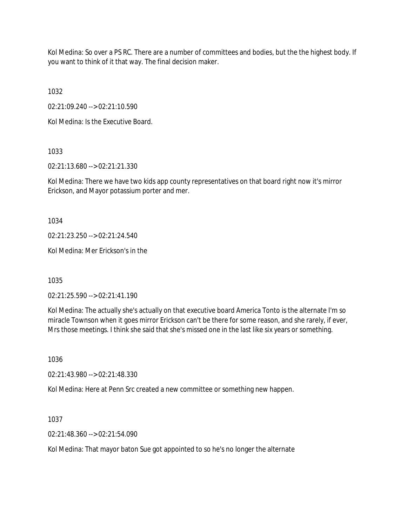Kol Medina: So over a PS RC. There are a number of committees and bodies, but the the highest body. If you want to think of it that way. The final decision maker.

1032

02:21:09.240 --> 02:21:10.590

Kol Medina: Is the Executive Board.

1033

02:21:13.680 --> 02:21:21.330

Kol Medina: There we have two kids app county representatives on that board right now it's mirror Erickson, and Mayor potassium porter and mer.

1034

02:21:23.250 --> 02:21:24.540

Kol Medina: Mer Erickson's in the

1035

02:21:25.590 --> 02:21:41.190

Kol Medina: The actually she's actually on that executive board America Tonto is the alternate I'm so miracle Townson when it goes mirror Erickson can't be there for some reason, and she rarely, if ever, Mrs those meetings. I think she said that she's missed one in the last like six years or something.

1036

02:21:43.980 --> 02:21:48.330

Kol Medina: Here at Penn Src created a new committee or something new happen.

1037

02:21:48.360 --> 02:21:54.090

Kol Medina: That mayor baton Sue got appointed to so he's no longer the alternate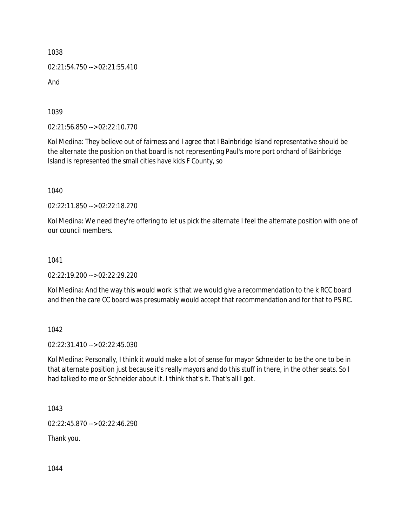02:21:54.750 --> 02:21:55.410

And

1039

02:21:56.850 --> 02:22:10.770

Kol Medina: They believe out of fairness and I agree that I Bainbridge Island representative should be the alternate the position on that board is not representing Paul's more port orchard of Bainbridge Island is represented the small cities have kids F County, so

1040

02:22:11.850 --> 02:22:18.270

Kol Medina: We need they're offering to let us pick the alternate I feel the alternate position with one of our council members.

1041

02:22:19.200 --> 02:22:29.220

Kol Medina: And the way this would work is that we would give a recommendation to the k RCC board and then the care CC board was presumably would accept that recommendation and for that to PS RC.

1042

02:22:31.410 --> 02:22:45.030

Kol Medina: Personally, I think it would make a lot of sense for mayor Schneider to be the one to be in that alternate position just because it's really mayors and do this stuff in there, in the other seats. So I had talked to me or Schneider about it. I think that's it. That's all I got.

1043

02:22:45.870 --> 02:22:46.290

Thank you.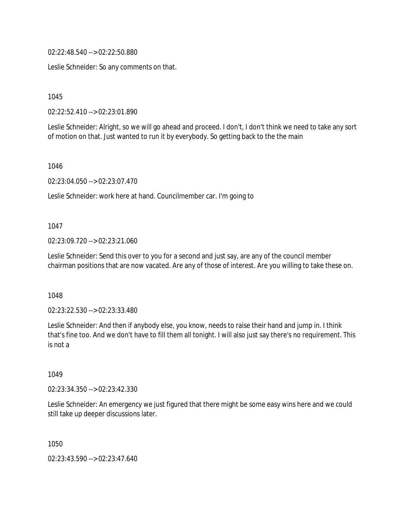02:22:48.540 --> 02:22:50.880

Leslie Schneider: So any comments on that.

1045

02:22:52.410 --> 02:23:01.890

Leslie Schneider: Alright, so we will go ahead and proceed. I don't, I don't think we need to take any sort of motion on that. Just wanted to run it by everybody. So getting back to the the main

1046

02:23:04.050 --> 02:23:07.470

Leslie Schneider: work here at hand. Councilmember car. I'm going to

1047

02:23:09.720 --> 02:23:21.060

Leslie Schneider: Send this over to you for a second and just say, are any of the council member chairman positions that are now vacated. Are any of those of interest. Are you willing to take these on.

1048

02:23:22.530 --> 02:23:33.480

Leslie Schneider: And then if anybody else, you know, needs to raise their hand and jump in. I think that's fine too. And we don't have to fill them all tonight. I will also just say there's no requirement. This is not a

1049

02:23:34.350 --> 02:23:42.330

Leslie Schneider: An emergency we just figured that there might be some easy wins here and we could still take up deeper discussions later.

1050

02:23:43.590 --> 02:23:47.640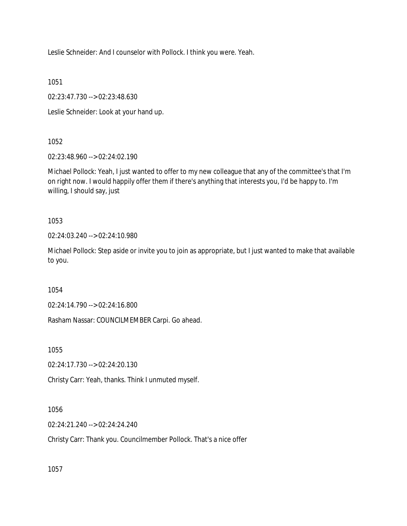Leslie Schneider: And I counselor with Pollock. I think you were. Yeah.

1051

02:23:47.730 --> 02:23:48.630

Leslie Schneider: Look at your hand up.

1052

02:23:48.960 --> 02:24:02.190

Michael Pollock: Yeah, I just wanted to offer to my new colleague that any of the committee's that I'm on right now. I would happily offer them if there's anything that interests you, I'd be happy to. I'm willing, I should say, just

1053

02:24:03.240 --> 02:24:10.980

Michael Pollock: Step aside or invite you to join as appropriate, but I just wanted to make that available to you.

1054

02:24:14.790 --> 02:24:16.800

Rasham Nassar: COUNCILMEMBER Carpi. Go ahead.

1055

02:24:17.730 --> 02:24:20.130

Christy Carr: Yeah, thanks. Think I unmuted myself.

1056

02:24:21.240 --> 02:24:24.240

Christy Carr: Thank you. Councilmember Pollock. That's a nice offer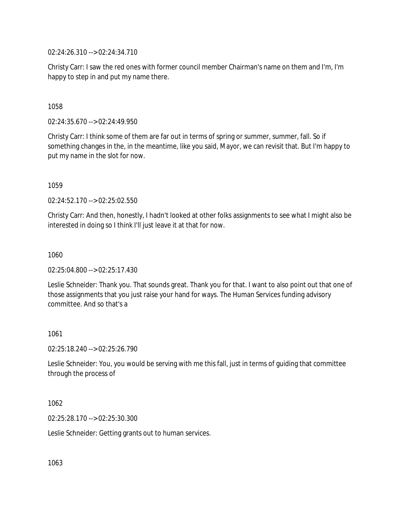02:24:26.310 --> 02:24:34.710

Christy Carr: I saw the red ones with former council member Chairman's name on them and I'm, I'm happy to step in and put my name there.

# 1058

02:24:35.670 --> 02:24:49.950

Christy Carr: I think some of them are far out in terms of spring or summer, summer, fall. So if something changes in the, in the meantime, like you said, Mayor, we can revisit that. But I'm happy to put my name in the slot for now.

1059

02:24:52.170 --> 02:25:02.550

Christy Carr: And then, honestly, I hadn't looked at other folks assignments to see what I might also be interested in doing so I think I'll just leave it at that for now.

1060

02:25:04.800 --> 02:25:17.430

Leslie Schneider: Thank you. That sounds great. Thank you for that. I want to also point out that one of those assignments that you just raise your hand for ways. The Human Services funding advisory committee. And so that's a

## 1061

02:25:18.240 --> 02:25:26.790

Leslie Schneider: You, you would be serving with me this fall, just in terms of guiding that committee through the process of

1062

02:25:28.170 --> 02:25:30.300

Leslie Schneider: Getting grants out to human services.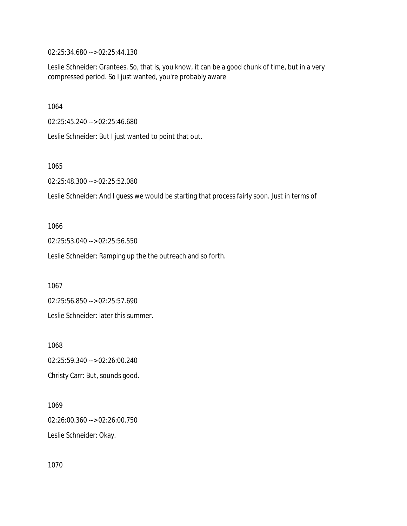02:25:34.680 --> 02:25:44.130

Leslie Schneider: Grantees. So, that is, you know, it can be a good chunk of time, but in a very compressed period. So I just wanted, you're probably aware

1064

02:25:45.240 --> 02:25:46.680

Leslie Schneider: But I just wanted to point that out.

1065

02:25:48.300 --> 02:25:52.080

Leslie Schneider: And I guess we would be starting that process fairly soon. Just in terms of

1066

02:25:53.040 --> 02:25:56.550

Leslie Schneider: Ramping up the the outreach and so forth.

1067

02:25:56.850 --> 02:25:57.690

Leslie Schneider: later this summer.

1068 02:25:59.340 --> 02:26:00.240 Christy Carr: But, sounds good.

1069 02:26:00.360 --> 02:26:00.750 Leslie Schneider: Okay.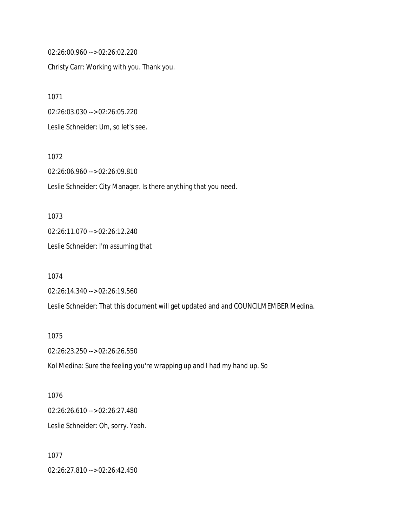02:26:00.960 --> 02:26:02.220 Christy Carr: Working with you. Thank you.

1071

02:26:03.030 --> 02:26:05.220

Leslie Schneider: Um, so let's see.

1072

02:26:06.960 --> 02:26:09.810

Leslie Schneider: City Manager. Is there anything that you need.

1073 02:26:11.070 --> 02:26:12.240 Leslie Schneider: I'm assuming that

1074 02:26:14.340 --> 02:26:19.560 Leslie Schneider: That this document will get updated and and COUNCILMEMBER Medina.

1075

02:26:23.250 --> 02:26:26.550

Kol Medina: Sure the feeling you're wrapping up and I had my hand up. So

1076 02:26:26.610 --> 02:26:27.480 Leslie Schneider: Oh, sorry. Yeah.

1077 02:26:27.810 --> 02:26:42.450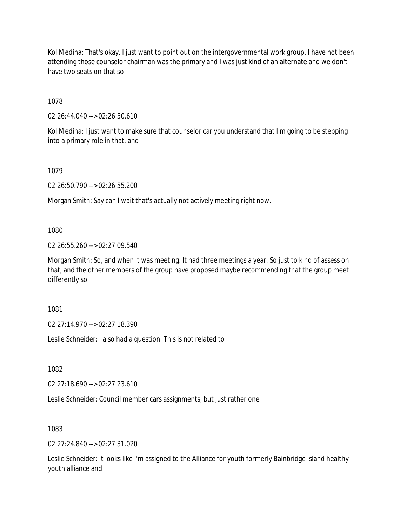Kol Medina: That's okay. I just want to point out on the intergovernmental work group. I have not been attending those counselor chairman was the primary and I was just kind of an alternate and we don't have two seats on that so

1078

02:26:44.040 --> 02:26:50.610

Kol Medina: I just want to make sure that counselor car you understand that I'm going to be stepping into a primary role in that, and

1079

02:26:50.790 --> 02:26:55.200

Morgan Smith: Say can I wait that's actually not actively meeting right now.

1080

02:26:55.260 --> 02:27:09.540

Morgan Smith: So, and when it was meeting. It had three meetings a year. So just to kind of assess on that, and the other members of the group have proposed maybe recommending that the group meet differently so

1081

02:27:14.970 --> 02:27:18.390

Leslie Schneider: I also had a question. This is not related to

1082

02:27:18.690 --> 02:27:23.610

Leslie Schneider: Council member cars assignments, but just rather one

1083

02:27:24.840 --> 02:27:31.020

Leslie Schneider: It looks like I'm assigned to the Alliance for youth formerly Bainbridge Island healthy youth alliance and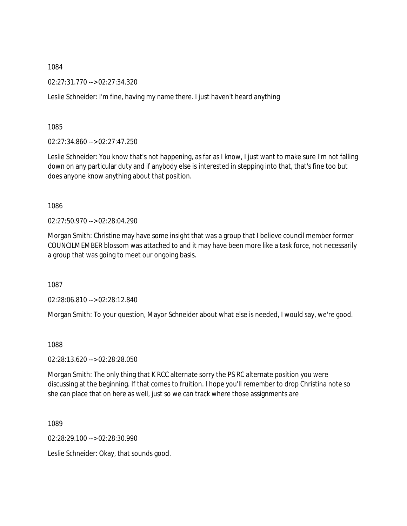02:27:31.770 --> 02:27:34.320

Leslie Schneider: I'm fine, having my name there. I just haven't heard anything

1085

02:27:34.860 --> 02:27:47.250

Leslie Schneider: You know that's not happening, as far as I know, I just want to make sure I'm not falling down on any particular duty and if anybody else is interested in stepping into that, that's fine too but does anyone know anything about that position.

1086

02:27:50.970 --> 02:28:04.290

Morgan Smith: Christine may have some insight that was a group that I believe council member former COUNCILMEMBER blossom was attached to and it may have been more like a task force, not necessarily a group that was going to meet our ongoing basis.

1087

02:28:06.810 --> 02:28:12.840

Morgan Smith: To your question, Mayor Schneider about what else is needed, I would say, we're good.

1088

02:28:13.620 --> 02:28:28.050

Morgan Smith: The only thing that K RCC alternate sorry the PS RC alternate position you were discussing at the beginning. If that comes to fruition. I hope you'll remember to drop Christina note so she can place that on here as well, just so we can track where those assignments are

1089

02:28:29.100 --> 02:28:30.990

Leslie Schneider: Okay, that sounds good.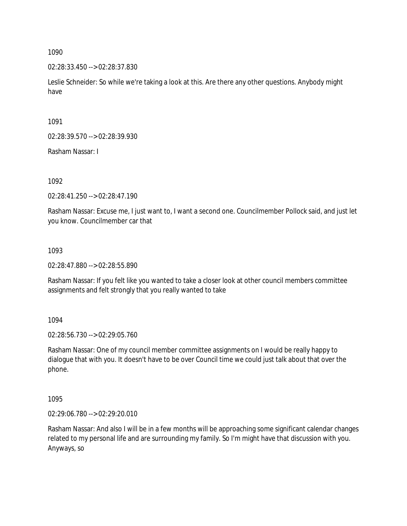02:28:33.450 --> 02:28:37.830

Leslie Schneider: So while we're taking a look at this. Are there any other questions. Anybody might have

1091

02:28:39.570 --> 02:28:39.930

Rasham Nassar: I

1092

02:28:41.250 --> 02:28:47.190

Rasham Nassar: Excuse me, I just want to, I want a second one. Councilmember Pollock said, and just let you know. Councilmember car that

1093

02:28:47.880 --> 02:28:55.890

Rasham Nassar: If you felt like you wanted to take a closer look at other council members committee assignments and felt strongly that you really wanted to take

1094

02:28:56.730 --> 02:29:05.760

Rasham Nassar: One of my council member committee assignments on I would be really happy to dialogue that with you. It doesn't have to be over Council time we could just talk about that over the phone.

1095

02:29:06.780 --> 02:29:20.010

Rasham Nassar: And also I will be in a few months will be approaching some significant calendar changes related to my personal life and are surrounding my family. So I'm might have that discussion with you. Anyways, so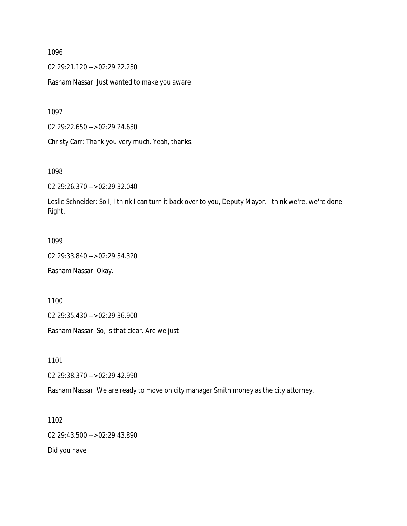02:29:21.120 --> 02:29:22.230

Rasham Nassar: Just wanted to make you aware

1097

02:29:22.650 --> 02:29:24.630

Christy Carr: Thank you very much. Yeah, thanks.

1098

02:29:26.370 --> 02:29:32.040

Leslie Schneider: So I, I think I can turn it back over to you, Deputy Mayor. I think we're, we're done. Right.

#### 1099

02:29:33.840 --> 02:29:34.320 Rasham Nassar: Okay.

1100

02:29:35.430 --> 02:29:36.900

Rasham Nassar: So, is that clear. Are we just

1101

02:29:38.370 --> 02:29:42.990

Rasham Nassar: We are ready to move on city manager Smith money as the city attorney.

1102 02:29:43.500 --> 02:29:43.890

Did you have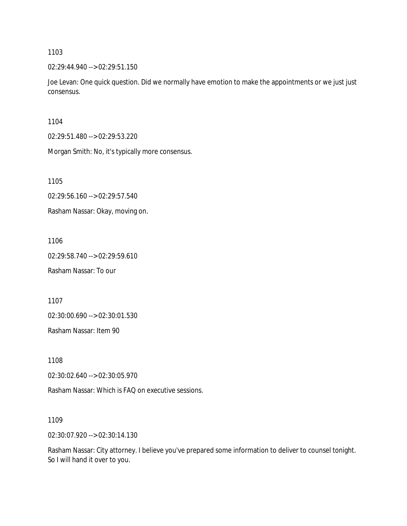02:29:44.940 --> 02:29:51.150

Joe Levan: One quick question. Did we normally have emotion to make the appointments or we just just consensus.

1104

02:29:51.480 --> 02:29:53.220

Morgan Smith: No, it's typically more consensus.

1105

02:29:56.160 --> 02:29:57.540

Rasham Nassar: Okay, moving on.

1106

02:29:58.740 --> 02:29:59.610

Rasham Nassar: To our

1107

02:30:00.690 --> 02:30:01.530

Rasham Nassar: Item 90

1108

02:30:02.640 --> 02:30:05.970

Rasham Nassar: Which is FAQ on executive sessions.

1109

02:30:07.920 --> 02:30:14.130

Rasham Nassar: City attorney. I believe you've prepared some information to deliver to counsel tonight. So I will hand it over to you.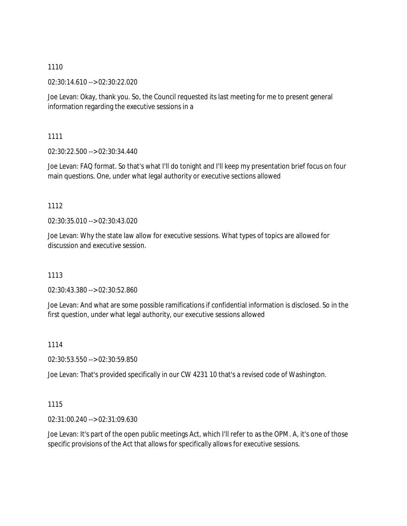02:30:14.610 --> 02:30:22.020

Joe Levan: Okay, thank you. So, the Council requested its last meeting for me to present general information regarding the executive sessions in a

1111

02:30:22.500 --> 02:30:34.440

Joe Levan: FAQ format. So that's what I'll do tonight and I'll keep my presentation brief focus on four main questions. One, under what legal authority or executive sections allowed

1112

02:30:35.010 --> 02:30:43.020

Joe Levan: Why the state law allow for executive sessions. What types of topics are allowed for discussion and executive session.

1113

02:30:43.380 --> 02:30:52.860

Joe Levan: And what are some possible ramifications if confidential information is disclosed. So in the first question, under what legal authority, our executive sessions allowed

1114

02:30:53.550 --> 02:30:59.850

Joe Levan: That's provided specifically in our CW 4231 10 that's a revised code of Washington.

## 1115

02:31:00.240 --> 02:31:09.630

Joe Levan: It's part of the open public meetings Act, which I'll refer to as the OPM. A, it's one of those specific provisions of the Act that allows for specifically allows for executive sessions.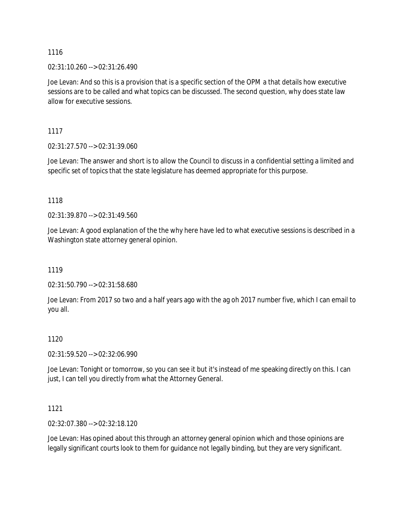02:31:10.260 --> 02:31:26.490

Joe Levan: And so this is a provision that is a specific section of the OPM a that details how executive sessions are to be called and what topics can be discussed. The second question, why does state law allow for executive sessions.

1117

02:31:27.570 --> 02:31:39.060

Joe Levan: The answer and short is to allow the Council to discuss in a confidential setting a limited and specific set of topics that the state legislature has deemed appropriate for this purpose.

1118

02:31:39.870 --> 02:31:49.560

Joe Levan: A good explanation of the the why here have led to what executive sessions is described in a Washington state attorney general opinion.

1119

02:31:50.790 --> 02:31:58.680

Joe Levan: From 2017 so two and a half years ago with the ag oh 2017 number five, which I can email to you all.

## 1120

02:31:59.520 --> 02:32:06.990

Joe Levan: Tonight or tomorrow, so you can see it but it's instead of me speaking directly on this. I can just, I can tell you directly from what the Attorney General.

## 1121

02:32:07.380 --> 02:32:18.120

Joe Levan: Has opined about this through an attorney general opinion which and those opinions are legally significant courts look to them for guidance not legally binding, but they are very significant.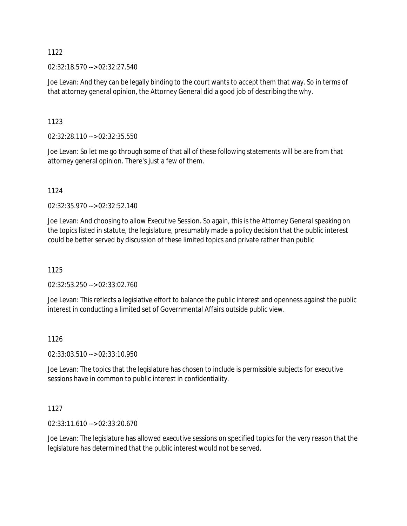02:32:18.570 --> 02:32:27.540

Joe Levan: And they can be legally binding to the court wants to accept them that way. So in terms of that attorney general opinion, the Attorney General did a good job of describing the why.

1123

02:32:28.110 --> 02:32:35.550

Joe Levan: So let me go through some of that all of these following statements will be are from that attorney general opinion. There's just a few of them.

1124

02:32:35.970 --> 02:32:52.140

Joe Levan: And choosing to allow Executive Session. So again, this is the Attorney General speaking on the topics listed in statute, the legislature, presumably made a policy decision that the public interest could be better served by discussion of these limited topics and private rather than public

1125

02:32:53.250 --> 02:33:02.760

Joe Levan: This reflects a legislative effort to balance the public interest and openness against the public interest in conducting a limited set of Governmental Affairs outside public view.

## 1126

02:33:03.510 --> 02:33:10.950

Joe Levan: The topics that the legislature has chosen to include is permissible subjects for executive sessions have in common to public interest in confidentiality.

## 1127

02:33:11.610 --> 02:33:20.670

Joe Levan: The legislature has allowed executive sessions on specified topics for the very reason that the legislature has determined that the public interest would not be served.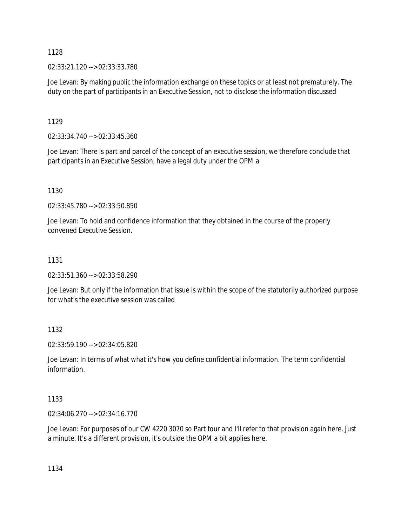02:33:21.120 --> 02:33:33.780

Joe Levan: By making public the information exchange on these topics or at least not prematurely. The duty on the part of participants in an Executive Session, not to disclose the information discussed

## 1129

02:33:34.740 --> 02:33:45.360

Joe Levan: There is part and parcel of the concept of an executive session, we therefore conclude that participants in an Executive Session, have a legal duty under the OPM a

1130

02:33:45.780 --> 02:33:50.850

Joe Levan: To hold and confidence information that they obtained in the course of the properly convened Executive Session.

# 1131

02:33:51.360 --> 02:33:58.290

Joe Levan: But only if the information that issue is within the scope of the statutorily authorized purpose for what's the executive session was called

## 1132

02:33:59.190 --> 02:34:05.820

Joe Levan: In terms of what what it's how you define confidential information. The term confidential information.

# 1133

02:34:06.270 --> 02:34:16.770

Joe Levan: For purposes of our CW 4220 3070 so Part four and I'll refer to that provision again here. Just a minute. It's a different provision, it's outside the OPM a bit applies here.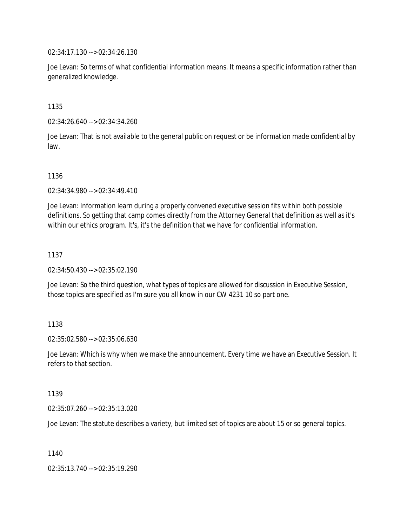02:34:17.130 --> 02:34:26.130

Joe Levan: So terms of what confidential information means. It means a specific information rather than generalized knowledge.

1135

02:34:26.640 --> 02:34:34.260

Joe Levan: That is not available to the general public on request or be information made confidential by law.

#### 1136

02:34:34.980 --> 02:34:49.410

Joe Levan: Information learn during a properly convened executive session fits within both possible definitions. So getting that camp comes directly from the Attorney General that definition as well as it's within our ethics program. It's, it's the definition that we have for confidential information.

### 1137

02:34:50.430 --> 02:35:02.190

Joe Levan: So the third question, what types of topics are allowed for discussion in Executive Session, those topics are specified as I'm sure you all know in our CW 4231 10 so part one.

## 1138

02:35:02.580 --> 02:35:06.630

Joe Levan: Which is why when we make the announcement. Every time we have an Executive Session. It refers to that section.

#### 1139

02:35:07.260 --> 02:35:13.020

Joe Levan: The statute describes a variety, but limited set of topics are about 15 or so general topics.

1140

02:35:13.740 --> 02:35:19.290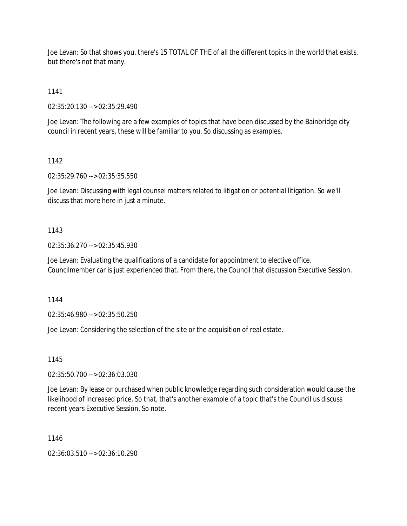Joe Levan: So that shows you, there's 15 TOTAL OF THE of all the different topics in the world that exists, but there's not that many.

1141

02:35:20.130 --> 02:35:29.490

Joe Levan: The following are a few examples of topics that have been discussed by the Bainbridge city council in recent years, these will be familiar to you. So discussing as examples.

# 1142

02:35:29.760 --> 02:35:35.550

Joe Levan: Discussing with legal counsel matters related to litigation or potential litigation. So we'll discuss that more here in just a minute.

# 1143

02:35:36.270 --> 02:35:45.930

Joe Levan: Evaluating the qualifications of a candidate for appointment to elective office. Councilmember car is just experienced that. From there, the Council that discussion Executive Session.

1144

02:35:46.980 --> 02:35:50.250

Joe Levan: Considering the selection of the site or the acquisition of real estate.

# 1145

02:35:50.700 --> 02:36:03.030

Joe Levan: By lease or purchased when public knowledge regarding such consideration would cause the likelihood of increased price. So that, that's another example of a topic that's the Council us discuss recent years Executive Session. So note.

1146

02:36:03.510 --> 02:36:10.290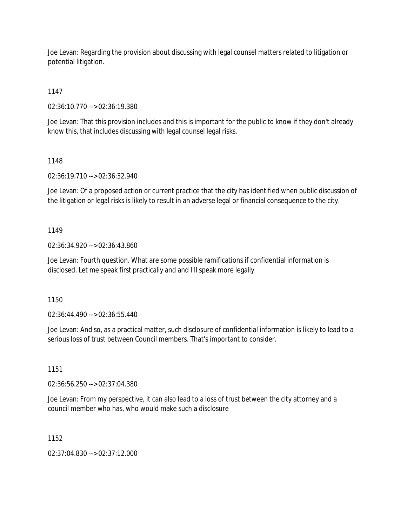Joe Levan: Regarding the provision about discussing with legal counsel matters related to litigation or potential litigation.

1147

02:36:10.770 --> 02:36:19.380

Joe Levan: That this provision includes and this is important for the public to know if they don't already know this, that includes discussing with legal counsel legal risks.

# 1148

02:36:19.710 --> 02:36:32.940

Joe Levan: Of a proposed action or current practice that the city has identified when public discussion of the litigation or legal risks is likely to result in an adverse legal or financial consequence to the city.

# 1149

02:36:34.920 --> 02:36:43.860

Joe Levan: Fourth question. What are some possible ramifications if confidential information is disclosed. Let me speak first practically and and I'll speak more legally

1150

02:36:44.490 --> 02:36:55.440

Joe Levan: And so, as a practical matter, such disclosure of confidential information is likely to lead to a serious loss of trust between Council members. That's important to consider.

## 1151

02:36:56.250 --> 02:37:04.380

Joe Levan: From my perspective, it can also lead to a loss of trust between the city attorney and a council member who has, who would make such a disclosure

1152

02:37:04.830 --> 02:37:12.000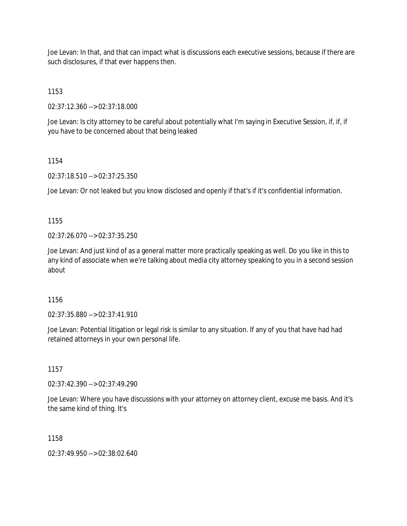Joe Levan: In that, and that can impact what is discussions each executive sessions, because if there are such disclosures, if that ever happens then.

1153

02:37:12.360 --> 02:37:18.000

Joe Levan: Is city attorney to be careful about potentially what I'm saying in Executive Session, if, if, if you have to be concerned about that being leaked

#### 1154

02:37:18.510 --> 02:37:25.350

Joe Levan: Or not leaked but you know disclosed and openly if that's if it's confidential information.

1155

02:37:26.070 --> 02:37:35.250

Joe Levan: And just kind of as a general matter more practically speaking as well. Do you like in this to any kind of associate when we're talking about media city attorney speaking to you in a second session about

1156

02:37:35.880 --> 02:37:41.910

Joe Levan: Potential litigation or legal risk is similar to any situation. If any of you that have had had retained attorneys in your own personal life.

1157

02:37:42.390 --> 02:37:49.290

Joe Levan: Where you have discussions with your attorney on attorney client, excuse me basis. And it's the same kind of thing. It's

1158

02:37:49.950 --> 02:38:02.640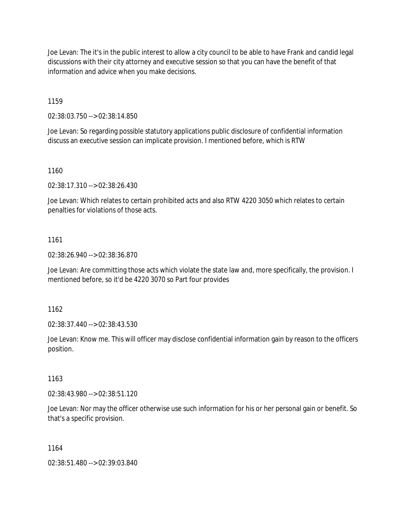Joe Levan: The it's in the public interest to allow a city council to be able to have Frank and candid legal discussions with their city attorney and executive session so that you can have the benefit of that information and advice when you make decisions.

1159

02:38:03.750 --> 02:38:14.850

Joe Levan: So regarding possible statutory applications public disclosure of confidential information discuss an executive session can implicate provision. I mentioned before, which is RTW

1160

02:38:17.310 --> 02:38:26.430

Joe Levan: Which relates to certain prohibited acts and also RTW 4220 3050 which relates to certain penalties for violations of those acts.

#### 1161

02:38:26.940 --> 02:38:36.870

Joe Levan: Are committing those acts which violate the state law and, more specifically, the provision. I mentioned before, so it'd be 4220 3070 so Part four provides

1162

02:38:37.440 --> 02:38:43.530

Joe Levan: Know me. This will officer may disclose confidential information gain by reason to the officers position.

1163

02:38:43.980 --> 02:38:51.120

Joe Levan: Nor may the officer otherwise use such information for his or her personal gain or benefit. So that's a specific provision.

1164

02:38:51.480 --> 02:39:03.840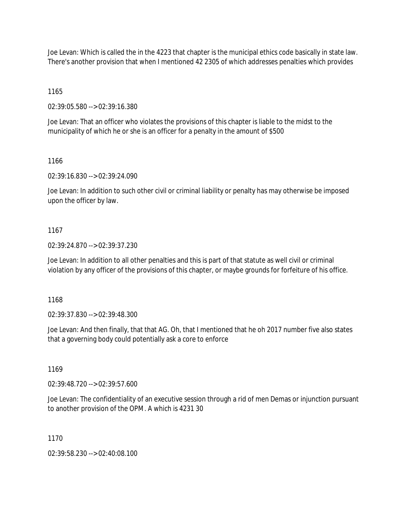Joe Levan: Which is called the in the 4223 that chapter is the municipal ethics code basically in state law. There's another provision that when I mentioned 42 2305 of which addresses penalties which provides

1165

02:39:05.580 --> 02:39:16.380

Joe Levan: That an officer who violates the provisions of this chapter is liable to the midst to the municipality of which he or she is an officer for a penalty in the amount of \$500

#### 1166

02:39:16.830 --> 02:39:24.090

Joe Levan: In addition to such other civil or criminal liability or penalty has may otherwise be imposed upon the officer by law.

## 1167

02:39:24.870 --> 02:39:37.230

Joe Levan: In addition to all other penalties and this is part of that statute as well civil or criminal violation by any officer of the provisions of this chapter, or maybe grounds for forfeiture of his office.

1168

02:39:37.830 --> 02:39:48.300

Joe Levan: And then finally, that that AG. Oh, that I mentioned that he oh 2017 number five also states that a governing body could potentially ask a core to enforce

## 1169

02:39:48.720 --> 02:39:57.600

Joe Levan: The confidentiality of an executive session through a rid of men Demas or injunction pursuant to another provision of the OPM. A which is 4231 30

## 1170

02:39:58.230 --> 02:40:08.100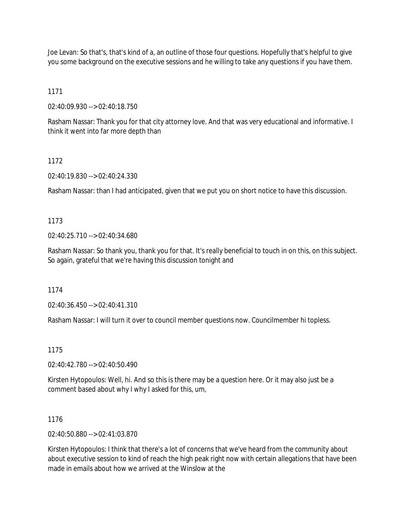Joe Levan: So that's, that's kind of a, an outline of those four questions. Hopefully that's helpful to give you some background on the executive sessions and he willing to take any questions if you have them.

1171

02:40:09.930 --> 02:40:18.750

Rasham Nassar: Thank you for that city attorney love. And that was very educational and informative. I think it went into far more depth than

# 1172

02:40:19.830 --> 02:40:24.330

Rasham Nassar: than I had anticipated, given that we put you on short notice to have this discussion.

# 1173

02:40:25.710 --> 02:40:34.680

Rasham Nassar: So thank you, thank you for that. It's really beneficial to touch in on this, on this subject. So again, grateful that we're having this discussion tonight and

1174

02:40:36.450 --> 02:40:41.310

Rasham Nassar: I will turn it over to council member questions now. Councilmember hi topless.

## 1175

02:40:42.780 --> 02:40:50.490

Kirsten Hytopoulos: Well, hi. And so this is there may be a question here. Or it may also just be a comment based about why I why I asked for this, um,

## 1176

02:40:50.880 --> 02:41:03.870

Kirsten Hytopoulos: I think that there's a lot of concerns that we've heard from the community about about executive session to kind of reach the high peak right now with certain allegations that have been made in emails about how we arrived at the Winslow at the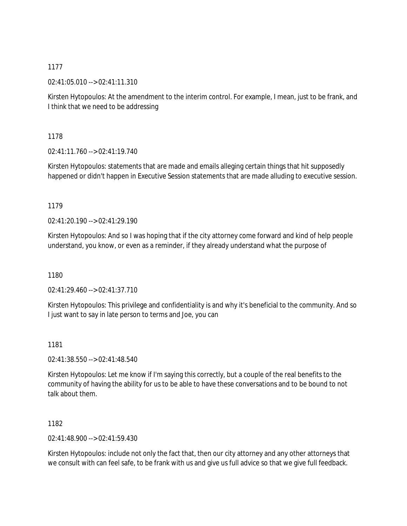02:41:05.010 --> 02:41:11.310

Kirsten Hytopoulos: At the amendment to the interim control. For example, I mean, just to be frank, and I think that we need to be addressing

1178

 $02:41:11.760 \rightarrow 02:41:19.740$ 

Kirsten Hytopoulos: statements that are made and emails alleging certain things that hit supposedly happened or didn't happen in Executive Session statements that are made alluding to executive session.

1179

 $02.41.20190 -502.41.29190$ 

Kirsten Hytopoulos: And so I was hoping that if the city attorney come forward and kind of help people understand, you know, or even as a reminder, if they already understand what the purpose of

1180

02:41:29.460 --> 02:41:37.710

Kirsten Hytopoulos: This privilege and confidentiality is and why it's beneficial to the community. And so I just want to say in late person to terms and Joe, you can

1181

02:41:38.550 --> 02:41:48.540

Kirsten Hytopoulos: Let me know if I'm saying this correctly, but a couple of the real benefits to the community of having the ability for us to be able to have these conversations and to be bound to not talk about them.

1182

02:41:48.900 --> 02:41:59.430

Kirsten Hytopoulos: include not only the fact that, then our city attorney and any other attorneys that we consult with can feel safe, to be frank with us and give us full advice so that we give full feedback.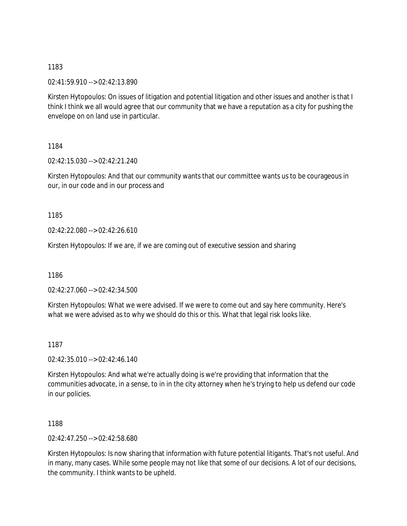02:41:59.910 --> 02:42:13.890

Kirsten Hytopoulos: On issues of litigation and potential litigation and other issues and another is that I think I think we all would agree that our community that we have a reputation as a city for pushing the envelope on on land use in particular.

1184

02:42:15.030 --> 02:42:21.240

Kirsten Hytopoulos: And that our community wants that our committee wants us to be courageous in our, in our code and in our process and

1185

02:42:22.080 --> 02:42:26.610

Kirsten Hytopoulos: If we are, if we are coming out of executive session and sharing

1186

02:42:27.060 --> 02:42:34.500

Kirsten Hytopoulos: What we were advised. If we were to come out and say here community. Here's what we were advised as to why we should do this or this. What that legal risk looks like.

1187

 $02:42:35.010 -> 02:42:46.140$ 

Kirsten Hytopoulos: And what we're actually doing is we're providing that information that the communities advocate, in a sense, to in in the city attorney when he's trying to help us defend our code in our policies.

1188

02:42:47.250 --> 02:42:58.680

Kirsten Hytopoulos: Is now sharing that information with future potential litigants. That's not useful. And in many, many cases. While some people may not like that some of our decisions. A lot of our decisions, the community. I think wants to be upheld.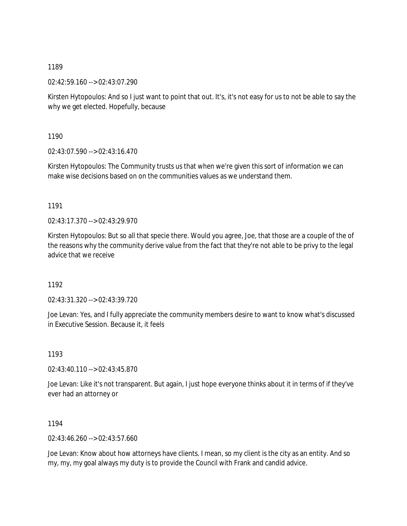02:42:59.160 --> 02:43:07.290

Kirsten Hytopoulos: And so I just want to point that out. It's, it's not easy for us to not be able to say the why we get elected. Hopefully, because

1190

02:43:07.590 --> 02:43:16.470

Kirsten Hytopoulos: The Community trusts us that when we're given this sort of information we can make wise decisions based on on the communities values as we understand them.

1191

02:43:17.370 --> 02:43:29.970

Kirsten Hytopoulos: But so all that specie there. Would you agree, Joe, that those are a couple of the of the reasons why the community derive value from the fact that they're not able to be privy to the legal advice that we receive

1192

02:43:31.320 --> 02:43:39.720

Joe Levan: Yes, and I fully appreciate the community members desire to want to know what's discussed in Executive Session. Because it, it feels

1193

02:43:40.110 --> 02:43:45.870

Joe Levan: Like it's not transparent. But again, I just hope everyone thinks about it in terms of if they've ever had an attorney or

1194

02:43:46.260 --> 02:43:57.660

Joe Levan: Know about how attorneys have clients. I mean, so my client is the city as an entity. And so my, my, my goal always my duty is to provide the Council with Frank and candid advice.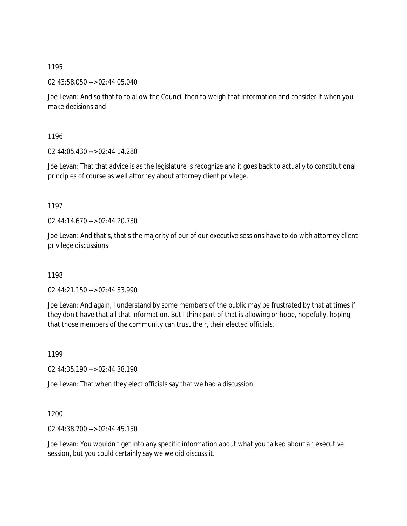02:43:58.050 --> 02:44:05.040

Joe Levan: And so that to to allow the Council then to weigh that information and consider it when you make decisions and

1196

02:44:05.430 --> 02:44:14.280

Joe Levan: That that advice is as the legislature is recognize and it goes back to actually to constitutional principles of course as well attorney about attorney client privilege.

1197

02:44:14.670 --> 02:44:20.730

Joe Levan: And that's, that's the majority of our of our executive sessions have to do with attorney client privilege discussions.

1198

02:44:21.150 --> 02:44:33.990

Joe Levan: And again, I understand by some members of the public may be frustrated by that at times if they don't have that all that information. But I think part of that is allowing or hope, hopefully, hoping that those members of the community can trust their, their elected officials.

1199

02:44:35.190 --> 02:44:38.190

Joe Levan: That when they elect officials say that we had a discussion.

1200

02:44:38.700 --> 02:44:45.150

Joe Levan: You wouldn't get into any specific information about what you talked about an executive session, but you could certainly say we we did discuss it.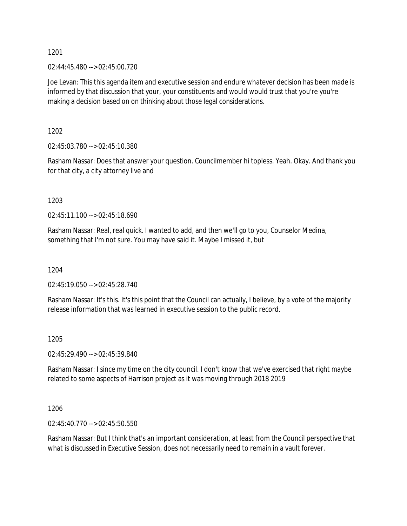02:44:45.480 --> 02:45:00.720

Joe Levan: This this agenda item and executive session and endure whatever decision has been made is informed by that discussion that your, your constituents and would would trust that you're you're making a decision based on on thinking about those legal considerations.

1202

02:45:03.780 --> 02:45:10.380

Rasham Nassar: Does that answer your question. Councilmember hi topless. Yeah. Okay. And thank you for that city, a city attorney live and

1203

02:45:11.100 --> 02:45:18.690

Rasham Nassar: Real, real quick. I wanted to add, and then we'll go to you, Counselor Medina, something that I'm not sure. You may have said it. Maybe I missed it, but

1204

02:45:19.050 --> 02:45:28.740

Rasham Nassar: It's this. It's this point that the Council can actually, I believe, by a vote of the majority release information that was learned in executive session to the public record.

## 1205

02:45:29.490 --> 02:45:39.840

Rasham Nassar: I since my time on the city council. I don't know that we've exercised that right maybe related to some aspects of Harrison project as it was moving through 2018 2019

1206

02:45:40.770 --> 02:45:50.550

Rasham Nassar: But I think that's an important consideration, at least from the Council perspective that what is discussed in Executive Session, does not necessarily need to remain in a vault forever.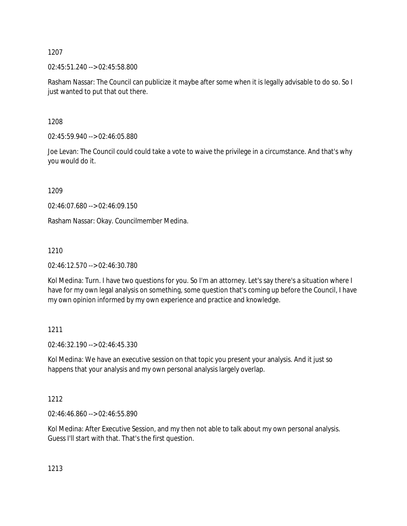02:45:51.240 --> 02:45:58.800

Rasham Nassar: The Council can publicize it maybe after some when it is legally advisable to do so. So I just wanted to put that out there.

1208

02:45:59.940 --> 02:46:05.880

Joe Levan: The Council could could take a vote to waive the privilege in a circumstance. And that's why you would do it.

1209

02:46:07.680 --> 02:46:09.150

Rasham Nassar: Okay. Councilmember Medina.

1210

02:46:12.570 --> 02:46:30.780

Kol Medina: Turn. I have two questions for you. So I'm an attorney. Let's say there's a situation where I have for my own legal analysis on something, some question that's coming up before the Council, I have my own opinion informed by my own experience and practice and knowledge.

1211

02:46:32.190 --> 02:46:45.330

Kol Medina: We have an executive session on that topic you present your analysis. And it just so happens that your analysis and my own personal analysis largely overlap.

1212

02:46:46.860 --> 02:46:55.890

Kol Medina: After Executive Session, and my then not able to talk about my own personal analysis. Guess I'll start with that. That's the first question.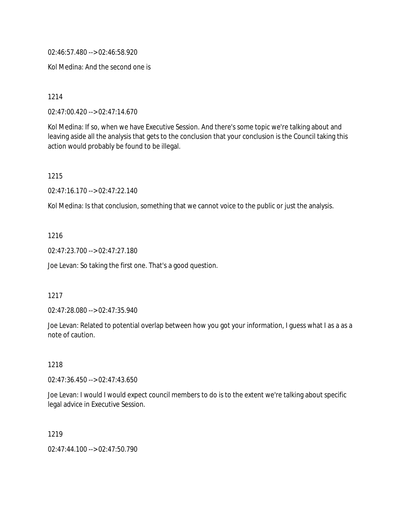02:46:57.480 --> 02:46:58.920

Kol Medina: And the second one is

1214

02:47:00.420 --> 02:47:14.670

Kol Medina: If so, when we have Executive Session. And there's some topic we're talking about and leaving aside all the analysis that gets to the conclusion that your conclusion is the Council taking this action would probably be found to be illegal.

1215

02:47:16.170 --> 02:47:22.140

Kol Medina: Is that conclusion, something that we cannot voice to the public or just the analysis.

# 1216

02:47:23.700 --> 02:47:27.180

Joe Levan: So taking the first one. That's a good question.

## 1217

02:47:28.080 --> 02:47:35.940

Joe Levan: Related to potential overlap between how you got your information, I guess what I as a as a note of caution.

# 1218

02:47:36.450 --> 02:47:43.650

Joe Levan: I would I would expect council members to do is to the extent we're talking about specific legal advice in Executive Session.

# 1219

02:47:44.100 --> 02:47:50.790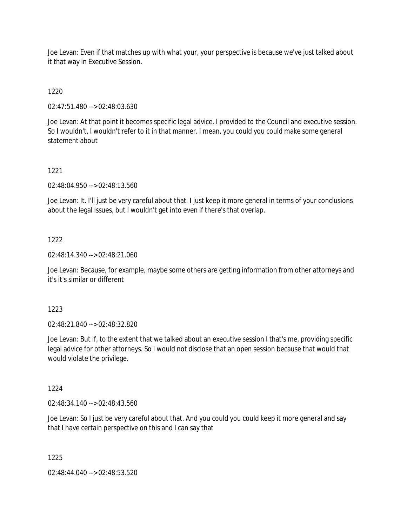Joe Levan: Even if that matches up with what your, your perspective is because we've just talked about it that way in Executive Session.

1220

02:47:51.480 --> 02:48:03.630

Joe Levan: At that point it becomes specific legal advice. I provided to the Council and executive session. So I wouldn't, I wouldn't refer to it in that manner. I mean, you could you could make some general statement about

## 1221

02:48:04.950 --> 02:48:13.560

Joe Levan: It. I'll just be very careful about that. I just keep it more general in terms of your conclusions about the legal issues, but I wouldn't get into even if there's that overlap.

#### 1222

02:48:14.340 --> 02:48:21.060

Joe Levan: Because, for example, maybe some others are getting information from other attorneys and it's it's similar or different

#### 1223

02:48:21.840 --> 02:48:32.820

Joe Levan: But if, to the extent that we talked about an executive session I that's me, providing specific legal advice for other attorneys. So I would not disclose that an open session because that would that would violate the privilege.

## 1224

02:48:34.140 --> 02:48:43.560

Joe Levan: So I just be very careful about that. And you could you could keep it more general and say that I have certain perspective on this and I can say that

1225

02:48:44.040 --> 02:48:53.520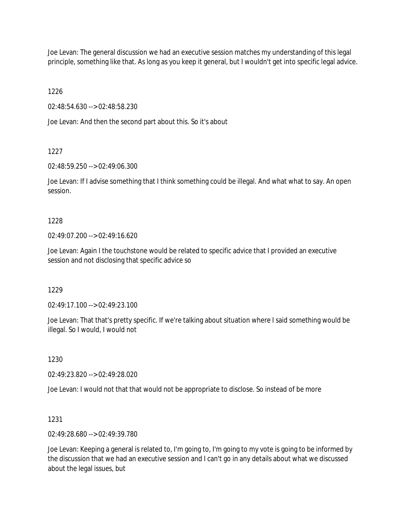Joe Levan: The general discussion we had an executive session matches my understanding of this legal principle, something like that. As long as you keep it general, but I wouldn't get into specific legal advice.

1226

02:48:54.630 --> 02:48:58.230

Joe Levan: And then the second part about this. So it's about

1227

02:48:59.250 --> 02:49:06.300

Joe Levan: If I advise something that I think something could be illegal. And what what to say. An open session.

# 1228

02:49:07.200 --> 02:49:16.620

Joe Levan: Again I the touchstone would be related to specific advice that I provided an executive session and not disclosing that specific advice so

1229

02:49:17.100 --> 02:49:23.100

Joe Levan: That that's pretty specific. If we're talking about situation where I said something would be illegal. So I would, I would not

1230

02:49:23.820 --> 02:49:28.020

Joe Levan: I would not that that would not be appropriate to disclose. So instead of be more

# 1231

02:49:28.680 --> 02:49:39.780

Joe Levan: Keeping a general is related to, I'm going to, I'm going to my vote is going to be informed by the discussion that we had an executive session and I can't go in any details about what we discussed about the legal issues, but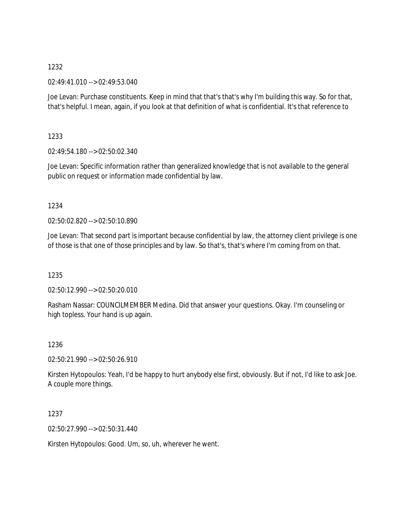## 02:49:41.010 --> 02:49:53.040

Joe Levan: Purchase constituents. Keep in mind that that's that's why I'm building this way. So for that, that's helpful. I mean, again, if you look at that definition of what is confidential. It's that reference to

1233

02:49:54.180 --> 02:50:02.340

Joe Levan: Specific information rather than generalized knowledge that is not available to the general public on request or information made confidential by law.

## 1234

02:50:02.820 --> 02:50:10.890

Joe Levan: That second part is important because confidential by law, the attorney client privilege is one of those is that one of those principles and by law. So that's, that's where I'm coming from on that.

1235

02:50:12.990 --> 02:50:20.010

Rasham Nassar: COUNCILMEMBER Medina. Did that answer your questions. Okay. I'm counseling or high topless. Your hand is up again.

## 1236

02:50:21.990 --> 02:50:26.910

Kirsten Hytopoulos: Yeah, I'd be happy to hurt anybody else first, obviously. But if not, I'd like to ask Joe. A couple more things.

1237

02:50:27.990 --> 02:50:31.440

Kirsten Hytopoulos: Good. Um, so, uh, wherever he went.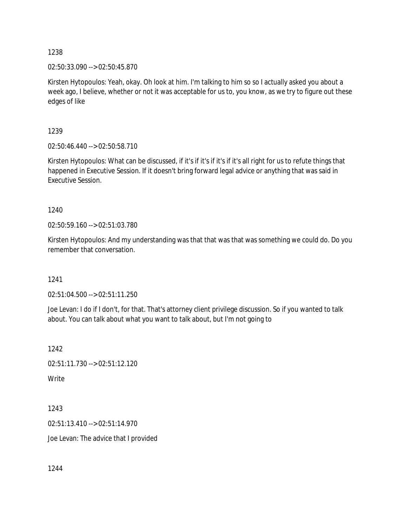02:50:33.090 --> 02:50:45.870

Kirsten Hytopoulos: Yeah, okay. Oh look at him. I'm talking to him so so I actually asked you about a week ago, I believe, whether or not it was acceptable for us to, you know, as we try to figure out these edges of like

1239

02:50:46.440 --> 02:50:58.710

Kirsten Hytopoulos: What can be discussed, if it's if it's if it's if it's all right for us to refute things that happened in Executive Session. If it doesn't bring forward legal advice or anything that was said in Executive Session.

1240

02:50:59.160 --> 02:51:03.780

Kirsten Hytopoulos: And my understanding was that that was that was something we could do. Do you remember that conversation.

1241

02:51:04.500 --> 02:51:11.250

Joe Levan: I do if I don't, for that. That's attorney client privilege discussion. So if you wanted to talk about. You can talk about what you want to talk about, but I'm not going to

1242 02:51:11.730 --> 02:51:12.120 Write

1243 02:51:13.410 --> 02:51:14.970 Joe Levan: The advice that I provided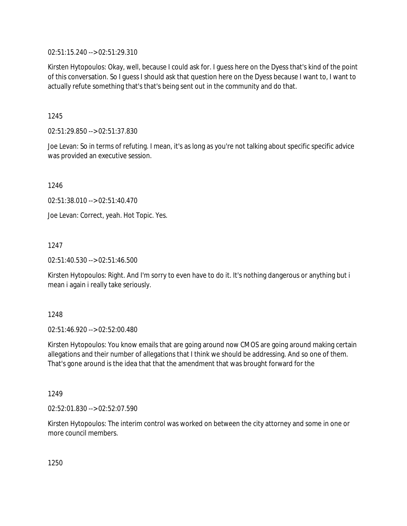02:51:15.240 --> 02:51:29.310

Kirsten Hytopoulos: Okay, well, because I could ask for. I guess here on the Dyess that's kind of the point of this conversation. So I guess I should ask that question here on the Dyess because I want to, I want to actually refute something that's that's being sent out in the community and do that.

1245

02:51:29.850 --> 02:51:37.830

Joe Levan: So in terms of refuting. I mean, it's as long as you're not talking about specific specific advice was provided an executive session.

1246

02:51:38.010 --> 02:51:40.470

Joe Levan: Correct, yeah. Hot Topic. Yes.

1247

02:51:40.530 --> 02:51:46.500

Kirsten Hytopoulos: Right. And I'm sorry to even have to do it. It's nothing dangerous or anything but i mean i again i really take seriously.

1248

02:51:46.920 --> 02:52:00.480

Kirsten Hytopoulos: You know emails that are going around now CMOS are going around making certain allegations and their number of allegations that I think we should be addressing. And so one of them. That's gone around is the idea that that the amendment that was brought forward for the

1249

02:52:01.830 --> 02:52:07.590

Kirsten Hytopoulos: The interim control was worked on between the city attorney and some in one or more council members.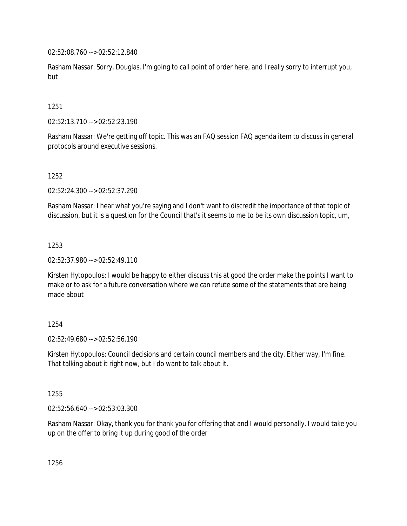02:52:08.760 --> 02:52:12.840

Rasham Nassar: Sorry, Douglas. I'm going to call point of order here, and I really sorry to interrupt you, but

1251

02:52:13.710 --> 02:52:23.190

Rasham Nassar: We're getting off topic. This was an FAQ session FAQ agenda item to discuss in general protocols around executive sessions.

1252

02:52:24.300 --> 02:52:37.290

Rasham Nassar: I hear what you're saying and I don't want to discredit the importance of that topic of discussion, but it is a question for the Council that's it seems to me to be its own discussion topic, um,

1253

02:52:37.980 --> 02:52:49.110

Kirsten Hytopoulos: I would be happy to either discuss this at good the order make the points I want to make or to ask for a future conversation where we can refute some of the statements that are being made about

1254

02:52:49.680 --> 02:52:56.190

Kirsten Hytopoulos: Council decisions and certain council members and the city. Either way, I'm fine. That talking about it right now, but I do want to talk about it.

1255

02:52:56.640 --> 02:53:03.300

Rasham Nassar: Okay, thank you for thank you for offering that and I would personally, I would take you up on the offer to bring it up during good of the order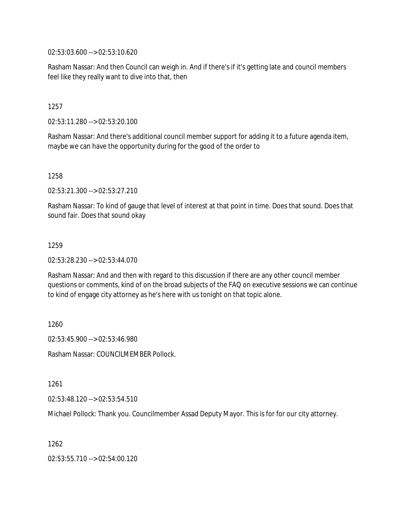02:53:03.600 --> 02:53:10.620

Rasham Nassar: And then Council can weigh in. And if there's if it's getting late and council members feel like they really want to dive into that, then

1257

02:53:11.280 --> 02:53:20.100

Rasham Nassar: And there's additional council member support for adding it to a future agenda item, maybe we can have the opportunity during for the good of the order to

1258

02:53:21.300 --> 02:53:27.210

Rasham Nassar: To kind of gauge that level of interest at that point in time. Does that sound. Does that sound fair. Does that sound okay

1259

02:53:28.230 --> 02:53:44.070

Rasham Nassar: And and then with regard to this discussion if there are any other council member questions or comments, kind of on the broad subjects of the FAQ on executive sessions we can continue to kind of engage city attorney as he's here with us tonight on that topic alone.

1260

02:53:45.900 --> 02:53:46.980

Rasham Nassar: COUNCILMEMBER Pollock.

1261

02:53:48.120 --> 02:53:54.510

Michael Pollock: Thank you. Councilmember Assad Deputy Mayor. This is for for our city attorney.

1262

02:53:55.710 --> 02:54:00.120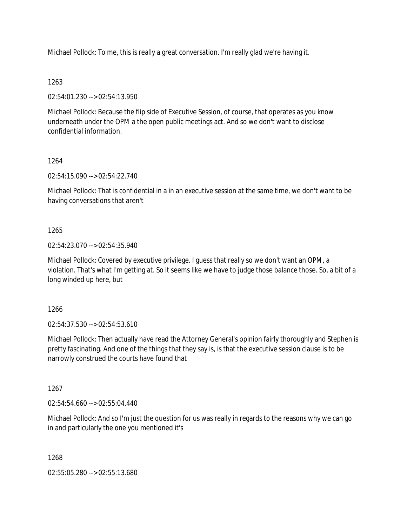Michael Pollock: To me, this is really a great conversation. I'm really glad we're having it.

# 1263

02:54:01.230 --> 02:54:13.950

Michael Pollock: Because the flip side of Executive Session, of course, that operates as you know underneath under the OPM a the open public meetings act. And so we don't want to disclose confidential information.

# 1264

02:54:15.090 --> 02:54:22.740

Michael Pollock: That is confidential in a in an executive session at the same time, we don't want to be having conversations that aren't

# 1265

02:54:23.070 --> 02:54:35.940

Michael Pollock: Covered by executive privilege. I guess that really so we don't want an OPM, a violation. That's what I'm getting at. So it seems like we have to judge those balance those. So, a bit of a long winded up here, but

1266

02:54:37.530 --> 02:54:53.610

Michael Pollock: Then actually have read the Attorney General's opinion fairly thoroughly and Stephen is pretty fascinating. And one of the things that they say is, is that the executive session clause is to be narrowly construed the courts have found that

1267

 $02:54:54.660 \rightarrow 02:55:04.440$ 

Michael Pollock: And so I'm just the question for us was really in regards to the reasons why we can go in and particularly the one you mentioned it's

1268

02:55:05.280 --> 02:55:13.680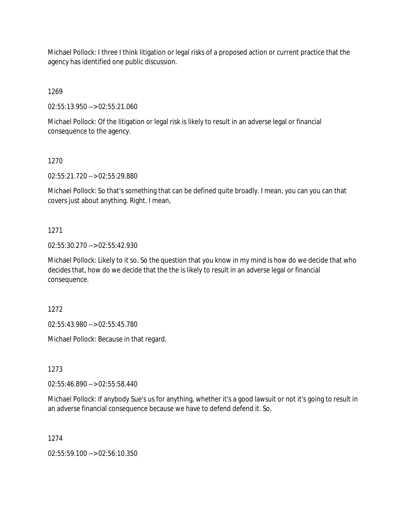Michael Pollock: I three I think litigation or legal risks of a proposed action or current practice that the agency has identified one public discussion.

1269

02:55:13.950 --> 02:55:21.060

Michael Pollock: Of the litigation or legal risk is likely to result in an adverse legal or financial consequence to the agency.

# 1270

02:55:21.720 --> 02:55:29.880

Michael Pollock: So that's something that can be defined quite broadly. I mean, you can you can that covers just about anything. Right. I mean,

# 1271

02:55:30.270 --> 02:55:42.930

Michael Pollock: Likely to it so. So the question that you know in my mind is how do we decide that who decides that, how do we decide that the the is likely to result in an adverse legal or financial consequence.

1272

02:55:43.980 --> 02:55:45.780

Michael Pollock: Because in that regard.

1273

02:55:46.890 --> 02:55:58.440

Michael Pollock: If anybody Sue's us for anything, whether it's a good lawsuit or not it's going to result in an adverse financial consequence because we have to defend defend it. So,

1274

02:55:59.100 --> 02:56:10.350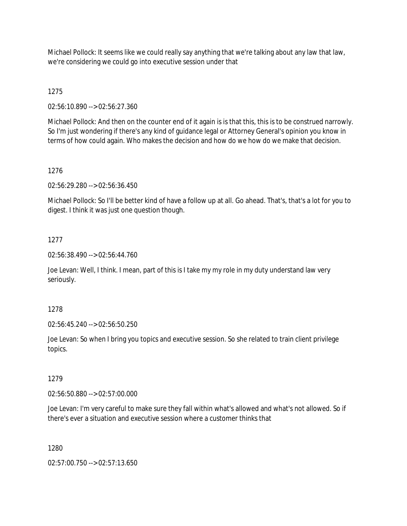Michael Pollock: It seems like we could really say anything that we're talking about any law that law, we're considering we could go into executive session under that

1275

02:56:10.890 --> 02:56:27.360

Michael Pollock: And then on the counter end of it again is is that this, this is to be construed narrowly. So I'm just wondering if there's any kind of guidance legal or Attorney General's opinion you know in terms of how could again. Who makes the decision and how do we how do we make that decision.

# 1276

02:56:29.280 --> 02:56:36.450

Michael Pollock: So I'll be better kind of have a follow up at all. Go ahead. That's, that's a lot for you to digest. I think it was just one question though.

# 1277

02:56:38.490 --> 02:56:44.760

Joe Levan: Well, I think. I mean, part of this is I take my my role in my duty understand law very seriously.

1278

02:56:45.240 --> 02:56:50.250

Joe Levan: So when I bring you topics and executive session. So she related to train client privilege topics.

## 1279

02:56:50.880 --> 02:57:00.000

Joe Levan: I'm very careful to make sure they fall within what's allowed and what's not allowed. So if there's ever a situation and executive session where a customer thinks that

1280

02:57:00.750 --> 02:57:13.650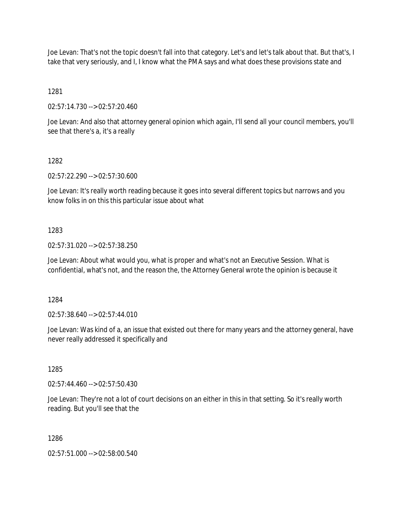Joe Levan: That's not the topic doesn't fall into that category. Let's and let's talk about that. But that's, I take that very seriously, and I, I know what the PMA says and what does these provisions state and

1281

02:57:14.730 --> 02:57:20.460

Joe Levan: And also that attorney general opinion which again, I'll send all your council members, you'll see that there's a, it's a really

# 1282

02:57:22.290 --> 02:57:30.600

Joe Levan: It's really worth reading because it goes into several different topics but narrows and you know folks in on this this particular issue about what

# 1283

02:57:31.020 --> 02:57:38.250

Joe Levan: About what would you, what is proper and what's not an Executive Session. What is confidential, what's not, and the reason the, the Attorney General wrote the opinion is because it

1284

02:57:38.640 --> 02:57:44.010

Joe Levan: Was kind of a, an issue that existed out there for many years and the attorney general, have never really addressed it specifically and

# 1285

02:57:44.460 --> 02:57:50.430

Joe Levan: They're not a lot of court decisions on an either in this in that setting. So it's really worth reading. But you'll see that the

1286

02:57:51.000 --> 02:58:00.540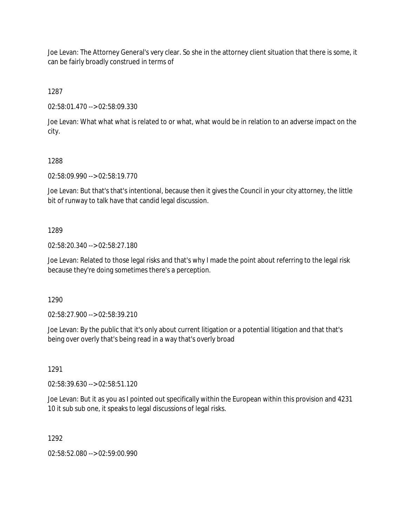Joe Levan: The Attorney General's very clear. So she in the attorney client situation that there is some, it can be fairly broadly construed in terms of

1287

02:58:01.470 --> 02:58:09.330

Joe Levan: What what what is related to or what, what would be in relation to an adverse impact on the city.

# 1288

02:58:09.990 --> 02:58:19.770

Joe Levan: But that's that's intentional, because then it gives the Council in your city attorney, the little bit of runway to talk have that candid legal discussion.

# 1289

02:58:20.340 --> 02:58:27.180

Joe Levan: Related to those legal risks and that's why I made the point about referring to the legal risk because they're doing sometimes there's a perception.

1290

02:58:27.900 --> 02:58:39.210

Joe Levan: By the public that it's only about current litigation or a potential litigation and that that's being over overly that's being read in a way that's overly broad

# 1291

02:58:39.630 --> 02:58:51.120

Joe Levan: But it as you as I pointed out specifically within the European within this provision and 4231 10 it sub sub one, it speaks to legal discussions of legal risks.

# 1292

02:58:52.080 --> 02:59:00.990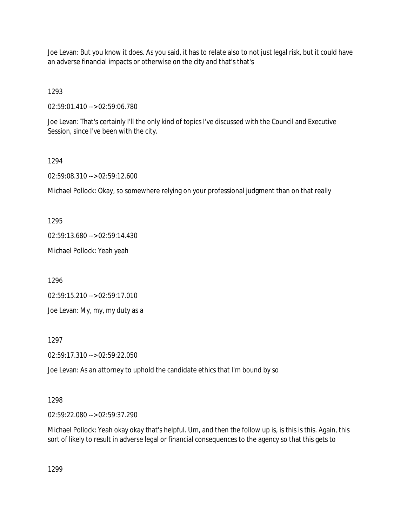Joe Levan: But you know it does. As you said, it has to relate also to not just legal risk, but it could have an adverse financial impacts or otherwise on the city and that's that's

1293

02:59:01.410 --> 02:59:06.780

Joe Levan: That's certainly I'll the only kind of topics I've discussed with the Council and Executive Session, since I've been with the city.

## 1294

02:59:08.310 --> 02:59:12.600

Michael Pollock: Okay, so somewhere relying on your professional judgment than on that really

1295

02:59:13.680 --> 02:59:14.430

Michael Pollock: Yeah yeah

1296

02:59:15.210 --> 02:59:17.010

Joe Levan: My, my, my duty as a

1297

02:59:17.310 --> 02:59:22.050

Joe Levan: As an attorney to uphold the candidate ethics that I'm bound by so

# 1298

02:59:22.080 --> 02:59:37.290

Michael Pollock: Yeah okay okay that's helpful. Um, and then the follow up is, is this is this. Again, this sort of likely to result in adverse legal or financial consequences to the agency so that this gets to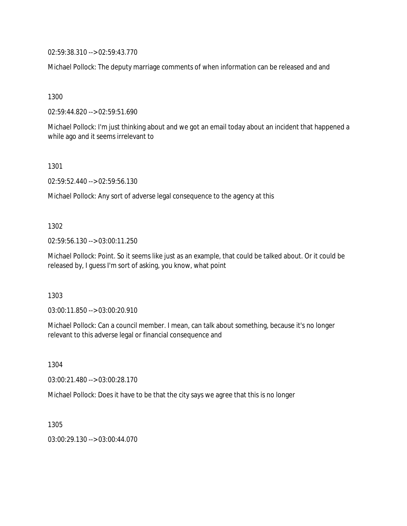02:59:38.310 --> 02:59:43.770

Michael Pollock: The deputy marriage comments of when information can be released and and

1300

02:59:44.820 --> 02:59:51.690

Michael Pollock: I'm just thinking about and we got an email today about an incident that happened a while ago and it seems irrelevant to

1301

02:59:52.440 --> 02:59:56.130

Michael Pollock: Any sort of adverse legal consequence to the agency at this

1302

02:59:56.130 --> 03:00:11.250

Michael Pollock: Point. So it seems like just as an example, that could be talked about. Or it could be released by, I guess I'm sort of asking, you know, what point

1303

03:00:11.850 --> 03:00:20.910

Michael Pollock: Can a council member. I mean, can talk about something, because it's no longer relevant to this adverse legal or financial consequence and

1304

03:00:21.480 --> 03:00:28.170

Michael Pollock: Does it have to be that the city says we agree that this is no longer

1305 03:00:29.130 --> 03:00:44.070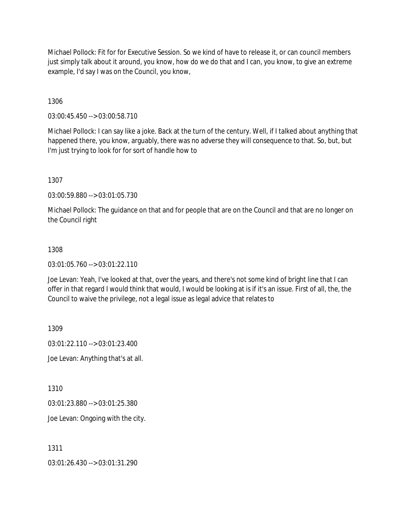Michael Pollock: Fit for for Executive Session. So we kind of have to release it, or can council members just simply talk about it around, you know, how do we do that and I can, you know, to give an extreme example, I'd say I was on the Council, you know,

1306

03:00:45.450 --> 03:00:58.710

Michael Pollock: I can say like a joke. Back at the turn of the century. Well, if I talked about anything that happened there, you know, arguably, there was no adverse they will consequence to that. So, but, but I'm just trying to look for for sort of handle how to

1307

03:00:59.880 --> 03:01:05.730

Michael Pollock: The guidance on that and for people that are on the Council and that are no longer on the Council right

## 1308

03:01:05.760 --> 03:01:22.110

Joe Levan: Yeah, I've looked at that, over the years, and there's not some kind of bright line that I can offer in that regard I would think that would, I would be looking at is if it's an issue. First of all, the, the Council to waive the privilege, not a legal issue as legal advice that relates to

1309

03:01:22.110 --> 03:01:23.400

Joe Levan: Anything that's at all.

1310

03:01:23.880 --> 03:01:25.380

Joe Levan: Ongoing with the city.

1311

03:01:26.430 --> 03:01:31.290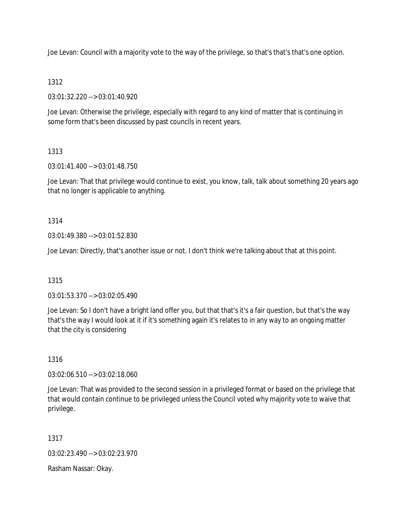Joe Levan: Council with a majority vote to the way of the privilege, so that's that's that's one option.

# 1312

03:01:32.220 --> 03:01:40.920

Joe Levan: Otherwise the privilege, especially with regard to any kind of matter that is continuing in some form that's been discussed by past councils in recent years.

# 1313

03:01:41.400 --> 03:01:48.750

Joe Levan: That that privilege would continue to exist, you know, talk, talk about something 20 years ago that no longer is applicable to anything.

# 1314

03:01:49.380 --> 03:01:52.830

Joe Levan: Directly, that's another issue or not. I don't think we're talking about that at this point.

## 1315

03:01:53.370 --> 03:02:05.490

Joe Levan: So I don't have a bright land offer you, but that that's it's a fair question, but that's the way that's the way I would look at it if it's something again it's relates to in any way to an ongoing matter that the city is considering

## 1316

03:02:06.510 --> 03:02:18.060

Joe Levan: That was provided to the second session in a privileged format or based on the privilege that that would contain continue to be privileged unless the Council voted why majority vote to waive that privilege.

## 1317

03:02:23.490 --> 03:02:23.970

Rasham Nassar: Okay.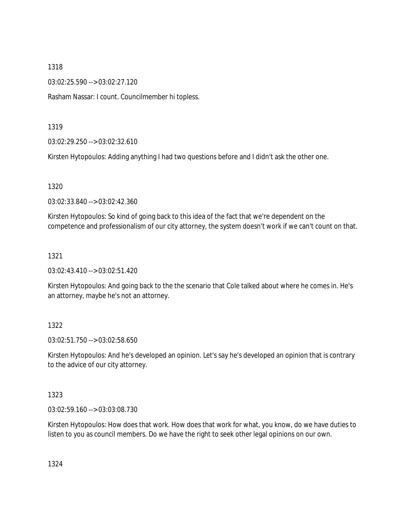03:02:25.590 --> 03:02:27.120

Rasham Nassar: I count. Councilmember hi topless.

1319

03:02:29.250 --> 03:02:32.610

Kirsten Hytopoulos: Adding anything I had two questions before and I didn't ask the other one.

1320

03:02:33.840 --> 03:02:42.360

Kirsten Hytopoulos: So kind of going back to this idea of the fact that we're dependent on the competence and professionalism of our city attorney, the system doesn't work if we can't count on that.

1321

03:02:43.410 --> 03:02:51.420

Kirsten Hytopoulos: And going back to the the scenario that Cole talked about where he comes in. He's an attorney, maybe he's not an attorney.

# 1322

03:02:51.750 --> 03:02:58.650

Kirsten Hytopoulos: And he's developed an opinion. Let's say he's developed an opinion that is contrary to the advice of our city attorney.

1323

03:02:59.160 --> 03:03:08.730

Kirsten Hytopoulos: How does that work. How does that work for what, you know, do we have duties to listen to you as council members. Do we have the right to seek other legal opinions on our own.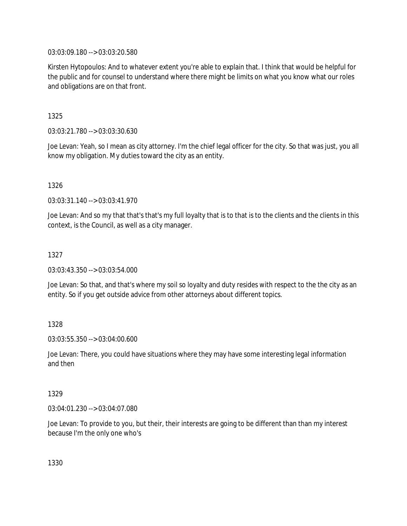03:03:09.180 --> 03:03:20.580

Kirsten Hytopoulos: And to whatever extent you're able to explain that. I think that would be helpful for the public and for counsel to understand where there might be limits on what you know what our roles and obligations are on that front.

1325

03:03:21.780 --> 03:03:30.630

Joe Levan: Yeah, so I mean as city attorney. I'm the chief legal officer for the city. So that was just, you all know my obligation. My duties toward the city as an entity.

1326

03:03:31.140 --> 03:03:41.970

Joe Levan: And so my that that's that's my full loyalty that is to that is to the clients and the clients in this context, is the Council, as well as a city manager.

1327

03:03:43.350 --> 03:03:54.000

Joe Levan: So that, and that's where my soil so loyalty and duty resides with respect to the the city as an entity. So if you get outside advice from other attorneys about different topics.

1328

03:03:55.350 --> 03:04:00.600

Joe Levan: There, you could have situations where they may have some interesting legal information and then

1329

03:04:01.230 --> 03:04:07.080

Joe Levan: To provide to you, but their, their interests are going to be different than than my interest because I'm the only one who's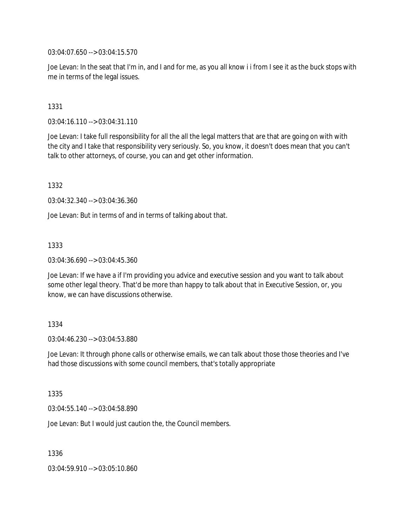03:04:07.650 --> 03:04:15.570

Joe Levan: In the seat that I'm in, and I and for me, as you all know i i from I see it as the buck stops with me in terms of the legal issues.

#### 1331

03:04:16.110 --> 03:04:31.110

Joe Levan: I take full responsibility for all the all the legal matters that are that are going on with with the city and I take that responsibility very seriously. So, you know, it doesn't does mean that you can't talk to other attorneys, of course, you can and get other information.

1332

03:04:32.340 --> 03:04:36.360

Joe Levan: But in terms of and in terms of talking about that.

#### 1333

03:04:36.690 --> 03:04:45.360

Joe Levan: If we have a if I'm providing you advice and executive session and you want to talk about some other legal theory. That'd be more than happy to talk about that in Executive Session, or, you know, we can have discussions otherwise.

#### 1334

03:04:46.230 --> 03:04:53.880

Joe Levan: It through phone calls or otherwise emails, we can talk about those those theories and I've had those discussions with some council members, that's totally appropriate

#### 1335

03:04:55.140 --> 03:04:58.890

Joe Levan: But I would just caution the, the Council members.

1336

03:04:59.910 --> 03:05:10.860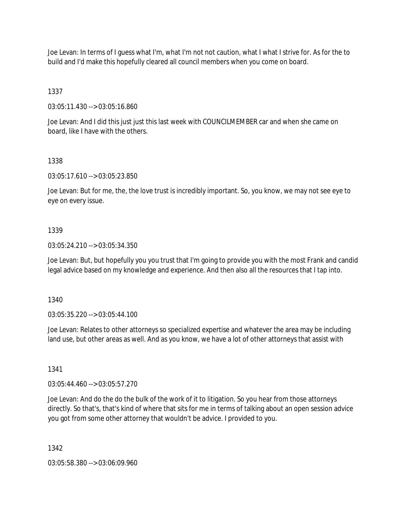Joe Levan: In terms of I guess what I'm, what I'm not not caution, what I what I strive for. As for the to build and I'd make this hopefully cleared all council members when you come on board.

1337

03:05:11.430 --> 03:05:16.860

Joe Levan: And I did this just just this last week with COUNCILMEMBER car and when she came on board, like I have with the others.

## 1338

03:05:17.610 --> 03:05:23.850

Joe Levan: But for me, the, the love trust is incredibly important. So, you know, we may not see eye to eye on every issue.

#### 1339

03:05:24.210 --> 03:05:34.350

Joe Levan: But, but hopefully you you trust that I'm going to provide you with the most Frank and candid legal advice based on my knowledge and experience. And then also all the resources that I tap into.

1340

03:05:35.220 --> 03:05:44.100

Joe Levan: Relates to other attorneys so specialized expertise and whatever the area may be including land use, but other areas as well. And as you know, we have a lot of other attorneys that assist with

1341

03:05:44.460 --> 03:05:57.270

Joe Levan: And do the do the bulk of the work of it to litigation. So you hear from those attorneys directly. So that's, that's kind of where that sits for me in terms of talking about an open session advice you got from some other attorney that wouldn't be advice. I provided to you.

1342

03:05:58.380 --> 03:06:09.960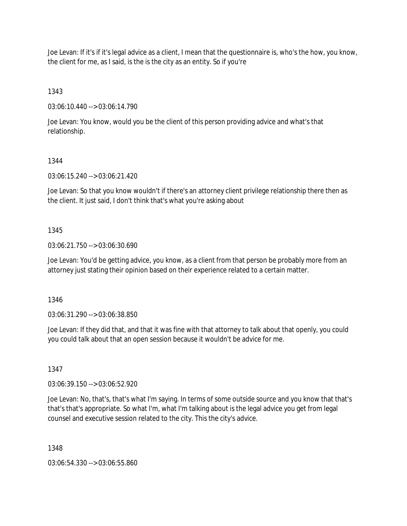Joe Levan: If it's if it's legal advice as a client, I mean that the questionnaire is, who's the how, you know, the client for me, as I said, is the is the city as an entity. So if you're

1343

03:06:10.440 --> 03:06:14.790

Joe Levan: You know, would you be the client of this person providing advice and what's that relationship.

## 1344

03:06:15.240 --> 03:06:21.420

Joe Levan: So that you know wouldn't if there's an attorney client privilege relationship there then as the client. It just said, I don't think that's what you're asking about

## 1345

03:06:21.750 --> 03:06:30.690

Joe Levan: You'd be getting advice, you know, as a client from that person be probably more from an attorney just stating their opinion based on their experience related to a certain matter.

1346

03:06:31.290 --> 03:06:38.850

Joe Levan: If they did that, and that it was fine with that attorney to talk about that openly, you could you could talk about that an open session because it wouldn't be advice for me.

## 1347

03:06:39.150 --> 03:06:52.920

Joe Levan: No, that's, that's what I'm saying. In terms of some outside source and you know that that's that's that's appropriate. So what I'm, what I'm talking about is the legal advice you get from legal counsel and executive session related to the city. This the city's advice.

1348

03:06:54.330 --> 03:06:55.860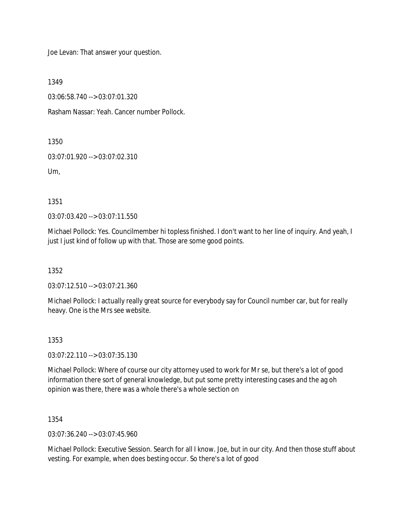Joe Levan: That answer your question.

1349

03:06:58.740 --> 03:07:01.320

Rasham Nassar: Yeah. Cancer number Pollock.

1350

03:07:01.920 --> 03:07:02.310

Um,

1351

03:07:03.420 --> 03:07:11.550

Michael Pollock: Yes. Councilmember hi topless finished. I don't want to her line of inquiry. And yeah, I just I just kind of follow up with that. Those are some good points.

1352

03:07:12.510 --> 03:07:21.360

Michael Pollock: I actually really great source for everybody say for Council number car, but for really heavy. One is the Mrs see website.

## 1353

03:07:22.110 --> 03:07:35.130

Michael Pollock: Where of course our city attorney used to work for Mr se, but there's a lot of good information there sort of general knowledge, but put some pretty interesting cases and the ag oh opinion was there, there was a whole there's a whole section on

1354

03:07:36.240 --> 03:07:45.960

Michael Pollock: Executive Session. Search for all I know. Joe, but in our city. And then those stuff about vesting. For example, when does besting occur. So there's a lot of good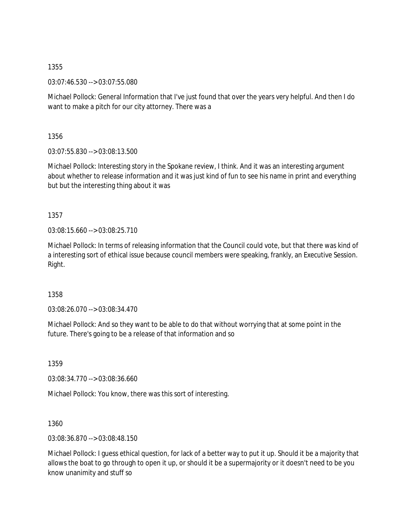03:07:46.530 --> 03:07:55.080

Michael Pollock: General Information that I've just found that over the years very helpful. And then I do want to make a pitch for our city attorney. There was a

1356

03:07:55.830 --> 03:08:13.500

Michael Pollock: Interesting story in the Spokane review, I think. And it was an interesting argument about whether to release information and it was just kind of fun to see his name in print and everything but but the interesting thing about it was

1357

03:08:15.660 --> 03:08:25.710

Michael Pollock: In terms of releasing information that the Council could vote, but that there was kind of a interesting sort of ethical issue because council members were speaking, frankly, an Executive Session. Right.

1358

03:08:26.070 --> 03:08:34.470

Michael Pollock: And so they want to be able to do that without worrying that at some point in the future. There's going to be a release of that information and so

1359

03:08:34.770 --> 03:08:36.660

Michael Pollock: You know, there was this sort of interesting.

1360

03:08:36.870 --> 03:08:48.150

Michael Pollock: I guess ethical question, for lack of a better way to put it up. Should it be a majority that allows the boat to go through to open it up, or should it be a supermajority or it doesn't need to be you know unanimity and stuff so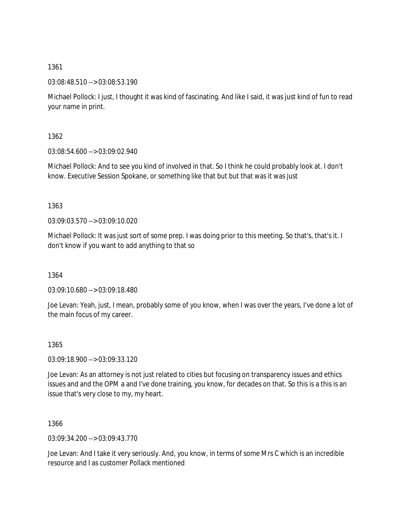03:08:48.510 --> 03:08:53.190

Michael Pollock: I just, I thought it was kind of fascinating. And like I said, it was just kind of fun to read your name in print.

1362

03:08:54.600 --> 03:09:02.940

Michael Pollock: And to see you kind of involved in that. So I think he could probably look at. I don't know. Executive Session Spokane, or something like that but but that was it was just

1363

03:09:03.570 --> 03:09:10.020

Michael Pollock: It was just sort of some prep. I was doing prior to this meeting. So that's, that's it. I don't know if you want to add anything to that so

1364

03:09:10.680 --> 03:09:18.480

Joe Levan: Yeah, just, I mean, probably some of you know, when I was over the years, I've done a lot of the main focus of my career.

1365

03:09:18.900 --> 03:09:33.120

Joe Levan: As an attorney is not just related to cities but focusing on transparency issues and ethics issues and and the OPM a and I've done training, you know, for decades on that. So this is a this is an issue that's very close to my, my heart.

1366

03:09:34.200 --> 03:09:43.770

Joe Levan: And I take it very seriously. And, you know, in terms of some Mrs C which is an incredible resource and I as customer Pollack mentioned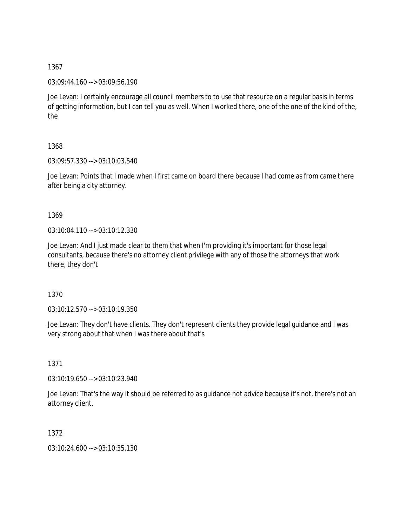03:09:44.160 --> 03:09:56.190

Joe Levan: I certainly encourage all council members to to use that resource on a regular basis in terms of getting information, but I can tell you as well. When I worked there, one of the one of the kind of the, the

1368

03:09:57.330 --> 03:10:03.540

Joe Levan: Points that I made when I first came on board there because I had come as from came there after being a city attorney.

1369

03:10:04.110 --> 03:10:12.330

Joe Levan: And I just made clear to them that when I'm providing it's important for those legal consultants, because there's no attorney client privilege with any of those the attorneys that work there, they don't

1370

03:10:12.570 --> 03:10:19.350

Joe Levan: They don't have clients. They don't represent clients they provide legal guidance and I was very strong about that when I was there about that's

1371

03:10:19.650 --> 03:10:23.940

Joe Levan: That's the way it should be referred to as guidance not advice because it's not, there's not an attorney client.

1372

03:10:24.600 --> 03:10:35.130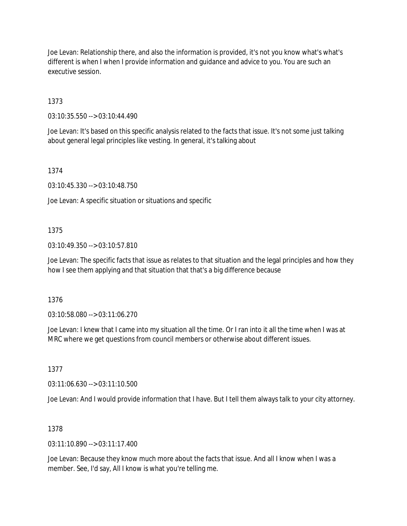Joe Levan: Relationship there, and also the information is provided, it's not you know what's what's different is when I when I provide information and guidance and advice to you. You are such an executive session.

1373

03:10:35.550 --> 03:10:44.490

Joe Levan: It's based on this specific analysis related to the facts that issue. It's not some just talking about general legal principles like vesting. In general, it's talking about

1374

03:10:45.330 --> 03:10:48.750

Joe Levan: A specific situation or situations and specific

### 1375

03:10:49.350 --> 03:10:57.810

Joe Levan: The specific facts that issue as relates to that situation and the legal principles and how they how I see them applying and that situation that that's a big difference because

#### 1376

03:10:58.080 --> 03:11:06.270

Joe Levan: I knew that I came into my situation all the time. Or I ran into it all the time when I was at MRC where we get questions from council members or otherwise about different issues.

1377

03:11:06.630 --> 03:11:10.500

Joe Levan: And I would provide information that I have. But I tell them always talk to your city attorney.

### 1378

 $03:11:10.890 \rightarrow 03:11:17.400$ 

Joe Levan: Because they know much more about the facts that issue. And all I know when I was a member. See, I'd say, All I know is what you're telling me.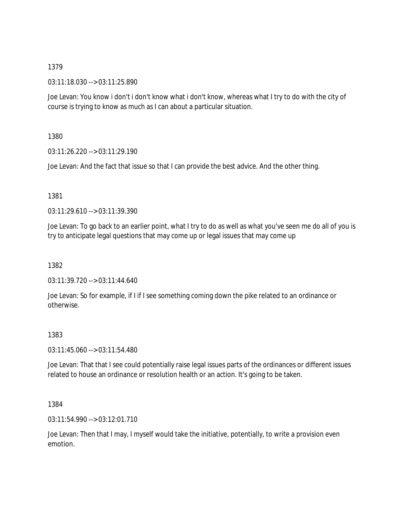03:11:18.030 --> 03:11:25.890

Joe Levan: You know i don't i don't know what i don't know, whereas what I try to do with the city of course is trying to know as much as I can about a particular situation.

1380

03:11:26.220 --> 03:11:29.190

Joe Levan: And the fact that issue so that I can provide the best advice. And the other thing.

1381

03:11:29.610 --> 03:11:39.390

Joe Levan: To go back to an earlier point, what I try to do as well as what you've seen me do all of you is try to anticipate legal questions that may come up or legal issues that may come up

1382

03:11:39.720 --> 03:11:44.640

Joe Levan: So for example, if I if I see something coming down the pike related to an ordinance or otherwise.

1383

03:11:45.060 --> 03:11:54.480

Joe Levan: That that I see could potentially raise legal issues parts of the ordinances or different issues related to house an ordinance or resolution health or an action. It's going to be taken.

1384

03:11:54.990 --> 03:12:01.710

Joe Levan: Then that I may, I myself would take the initiative, potentially, to write a provision even emotion.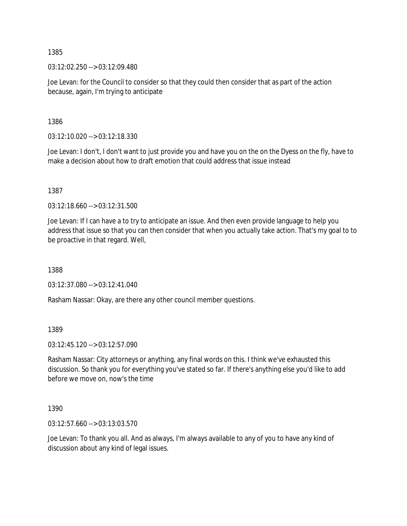03:12:02.250 --> 03:12:09.480

Joe Levan: for the Council to consider so that they could then consider that as part of the action because, again, I'm trying to anticipate

1386

03:12:10.020 --> 03:12:18.330

Joe Levan: I don't, I don't want to just provide you and have you on the on the Dyess on the fly, have to make a decision about how to draft emotion that could address that issue instead

1387

03:12:18.660 --> 03:12:31.500

Joe Levan: If I can have a to try to anticipate an issue. And then even provide language to help you address that issue so that you can then consider that when you actually take action. That's my goal to to be proactive in that regard. Well,

1388

03:12:37.080 --> 03:12:41.040

Rasham Nassar: Okay, are there any other council member questions.

1389

03:12:45.120 --> 03:12:57.090

Rasham Nassar: City attorneys or anything, any final words on this. I think we've exhausted this discussion. So thank you for everything you've stated so far. If there's anything else you'd like to add before we move on, now's the time

1390

03:12:57.660 --> 03:13:03.570

Joe Levan: To thank you all. And as always, I'm always available to any of you to have any kind of discussion about any kind of legal issues.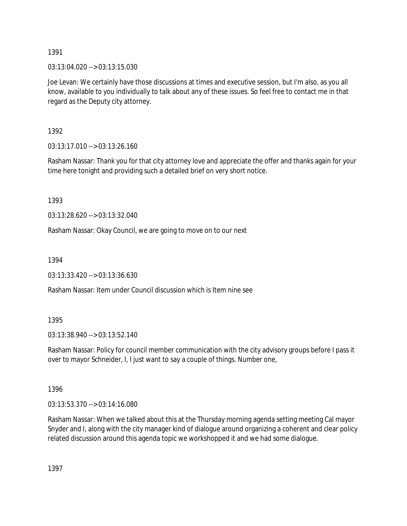03:13:04.020 --> 03:13:15.030

Joe Levan: We certainly have those discussions at times and executive session, but I'm also, as you all know, available to you individually to talk about any of these issues. So feel free to contact me in that regard as the Deputy city attorney.

1392

03:13:17.010 --> 03:13:26.160

Rasham Nassar: Thank you for that city attorney love and appreciate the offer and thanks again for your time here tonight and providing such a detailed brief on very short notice.

1393

03:13:28.620 --> 03:13:32.040

Rasham Nassar: Okay Council, we are going to move on to our next

1394

03:13:33.420 --> 03:13:36.630

Rasham Nassar: Item under Council discussion which is Item nine see

1395

03:13:38.940 --> 03:13:52.140

Rasham Nassar: Policy for council member communication with the city advisory groups before I pass it over to mayor Schneider, I, I just want to say a couple of things. Number one,

1396

03:13:53.370 --> 03:14:16.080

Rasham Nassar: When we talked about this at the Thursday morning agenda setting meeting Cal mayor Snyder and I, along with the city manager kind of dialogue around organizing a coherent and clear policy related discussion around this agenda topic we workshopped it and we had some dialogue.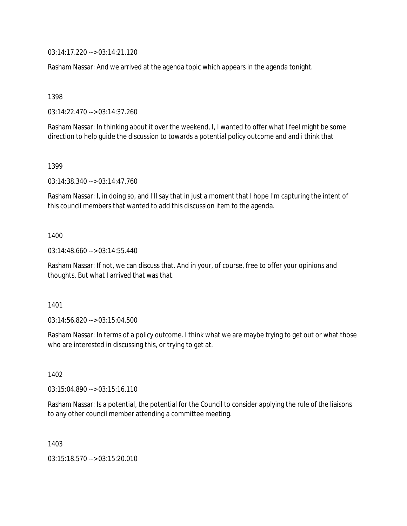03:14:17.220 --> 03:14:21.120

Rasham Nassar: And we arrived at the agenda topic which appears in the agenda tonight.

1398

03:14:22.470 --> 03:14:37.260

Rasham Nassar: In thinking about it over the weekend, I, I wanted to offer what I feel might be some direction to help guide the discussion to towards a potential policy outcome and and i think that

1399

03:14:38.340 --> 03:14:47.760

Rasham Nassar: I, in doing so, and I'll say that in just a moment that I hope I'm capturing the intent of this council members that wanted to add this discussion item to the agenda.

#### 1400

03:14:48.660 --> 03:14:55.440

Rasham Nassar: If not, we can discuss that. And in your, of course, free to offer your opinions and thoughts. But what I arrived that was that.

#### 1401

03:14:56.820 --> 03:15:04.500

Rasham Nassar: In terms of a policy outcome. I think what we are maybe trying to get out or what those who are interested in discussing this, or trying to get at.

1402

03:15:04.890 --> 03:15:16.110

Rasham Nassar: Is a potential, the potential for the Council to consider applying the rule of the liaisons to any other council member attending a committee meeting.

1403

03:15:18.570 --> 03:15:20.010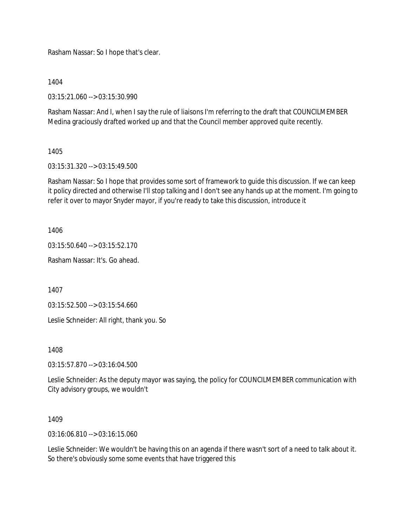Rasham Nassar: So I hope that's clear.

1404

03:15:21.060 --> 03:15:30.990

Rasham Nassar: And I, when I say the rule of liaisons I'm referring to the draft that COUNCILMEMBER Medina graciously drafted worked up and that the Council member approved quite recently.

### 1405

03:15:31.320 --> 03:15:49.500

Rasham Nassar: So I hope that provides some sort of framework to guide this discussion. If we can keep it policy directed and otherwise I'll stop talking and I don't see any hands up at the moment. I'm going to refer it over to mayor Snyder mayor, if you're ready to take this discussion, introduce it

1406

03:15:50.640 --> 03:15:52.170

Rasham Nassar: It's. Go ahead.

1407

03:15:52.500 --> 03:15:54.660

Leslie Schneider: All right, thank you. So

1408

03:15:57.870 --> 03:16:04.500

Leslie Schneider: As the deputy mayor was saying, the policy for COUNCILMEMBER communication with City advisory groups, we wouldn't

1409

03:16:06.810 --> 03:16:15.060

Leslie Schneider: We wouldn't be having this on an agenda if there wasn't sort of a need to talk about it. So there's obviously some some events that have triggered this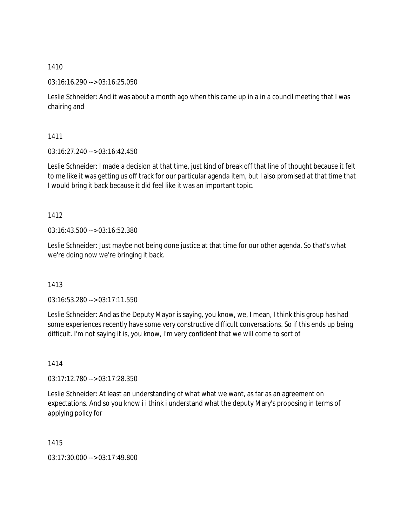03:16:16.290 --> 03:16:25.050

Leslie Schneider: And it was about a month ago when this came up in a in a council meeting that I was chairing and

1411

03:16:27.240 --> 03:16:42.450

Leslie Schneider: I made a decision at that time, just kind of break off that line of thought because it felt to me like it was getting us off track for our particular agenda item, but I also promised at that time that I would bring it back because it did feel like it was an important topic.

1412

03:16:43.500 --> 03:16:52.380

Leslie Schneider: Just maybe not being done justice at that time for our other agenda. So that's what we're doing now we're bringing it back.

1413

03:16:53.280 --> 03:17:11.550

Leslie Schneider: And as the Deputy Mayor is saying, you know, we, I mean, I think this group has had some experiences recently have some very constructive difficult conversations. So if this ends up being difficult. I'm not saying it is, you know, I'm very confident that we will come to sort of

1414

03:17:12.780 --> 03:17:28.350

Leslie Schneider: At least an understanding of what what we want, as far as an agreement on expectations. And so you know i i think i understand what the deputy Mary's proposing in terms of applying policy for

1415

03:17:30.000 --> 03:17:49.800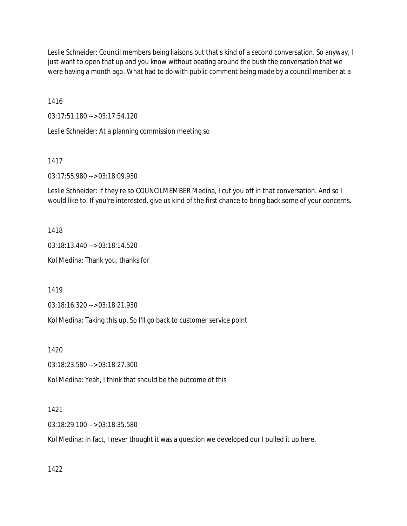Leslie Schneider: Council members being liaisons but that's kind of a second conversation. So anyway, I just want to open that up and you know without beating around the bush the conversation that we were having a month ago. What had to do with public comment being made by a council member at a

1416

03:17:51.180 --> 03:17:54.120

Leslie Schneider: At a planning commission meeting so

1417

03:17:55.980 --> 03:18:09.930

Leslie Schneider: If they're so COUNCILMEMBER Medina, I cut you off in that conversation. And so I would like to. If you're interested, give us kind of the first chance to bring back some of your concerns.

1418

03:18:13.440 --> 03:18:14.520

Kol Medina: Thank you, thanks for

1419

03:18:16.320 --> 03:18:21.930

Kol Medina: Taking this up. So I'll go back to customer service point

1420

03:18:23.580 --> 03:18:27.300

Kol Medina: Yeah, I think that should be the outcome of this

1421

03:18:29.100 --> 03:18:35.580

Kol Medina: In fact, I never thought it was a question we developed our I pulled it up here.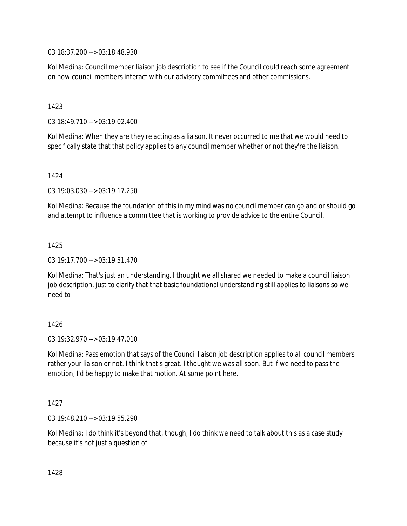03:18:37.200 --> 03:18:48.930

Kol Medina: Council member liaison job description to see if the Council could reach some agreement on how council members interact with our advisory committees and other commissions.

### 1423

03:18:49.710 --> 03:19:02.400

Kol Medina: When they are they're acting as a liaison. It never occurred to me that we would need to specifically state that that policy applies to any council member whether or not they're the liaison.

### 1424

03:19:03.030 --> 03:19:17.250

Kol Medina: Because the foundation of this in my mind was no council member can go and or should go and attempt to influence a committee that is working to provide advice to the entire Council.

## 1425

03:19:17.700 --> 03:19:31.470

Kol Medina: That's just an understanding. I thought we all shared we needed to make a council liaison job description, just to clarify that that basic foundational understanding still applies to liaisons so we need to

### 1426

 $03:19:32.970 \rightarrow 03:19:47.010$ 

Kol Medina: Pass emotion that says of the Council liaison job description applies to all council members rather your liaison or not. I think that's great. I thought we was all soon. But if we need to pass the emotion, I'd be happy to make that motion. At some point here.

### 1427

03:19:48.210 --> 03:19:55.290

Kol Medina: I do think it's beyond that, though, I do think we need to talk about this as a case study because it's not just a question of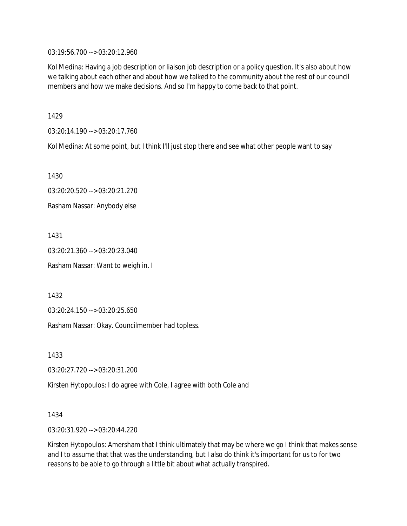03:19:56.700 --> 03:20:12.960

Kol Medina: Having a job description or liaison job description or a policy question. It's also about how we talking about each other and about how we talked to the community about the rest of our council members and how we make decisions. And so I'm happy to come back to that point.

1429

03:20:14.190 --> 03:20:17.760

Kol Medina: At some point, but I think I'll just stop there and see what other people want to say

1430

03:20:20.520 --> 03:20:21.270 Rasham Nassar: Anybody else

1431

03:20:21.360 --> 03:20:23.040 Rasham Nassar: Want to weigh in. I

1432

03:20:24.150 --> 03:20:25.650

Rasham Nassar: Okay. Councilmember had topless.

1433

03:20:27.720 --> 03:20:31.200

Kirsten Hytopoulos: I do agree with Cole, I agree with both Cole and

1434

03:20:31.920 --> 03:20:44.220

Kirsten Hytopoulos: Amersham that I think ultimately that may be where we go I think that makes sense and I to assume that that was the understanding, but I also do think it's important for us to for two reasons to be able to go through a little bit about what actually transpired.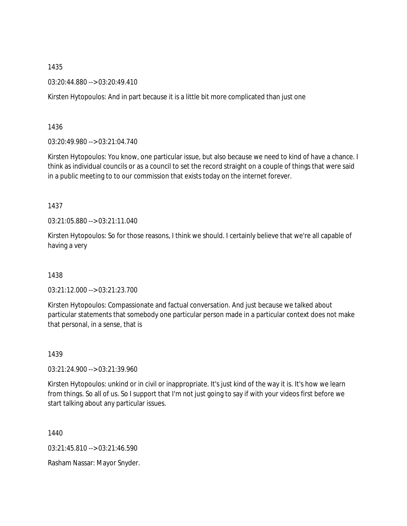03:20:44.880 --> 03:20:49.410

Kirsten Hytopoulos: And in part because it is a little bit more complicated than just one

1436

03:20:49.980 --> 03:21:04.740

Kirsten Hytopoulos: You know, one particular issue, but also because we need to kind of have a chance. I think as individual councils or as a council to set the record straight on a couple of things that were said in a public meeting to to our commission that exists today on the internet forever.

1437

03:21:05.880 --> 03:21:11.040

Kirsten Hytopoulos: So for those reasons, I think we should. I certainly believe that we're all capable of having a very

1438

03:21:12.000 --> 03:21:23.700

Kirsten Hytopoulos: Compassionate and factual conversation. And just because we talked about particular statements that somebody one particular person made in a particular context does not make that personal, in a sense, that is

1439

03:21:24.900 --> 03:21:39.960

Kirsten Hytopoulos: unkind or in civil or inappropriate. It's just kind of the way it is. It's how we learn from things. So all of us. So I support that I'm not just going to say if with your videos first before we start talking about any particular issues.

1440

03:21:45.810 --> 03:21:46.590

Rasham Nassar: Mayor Snyder.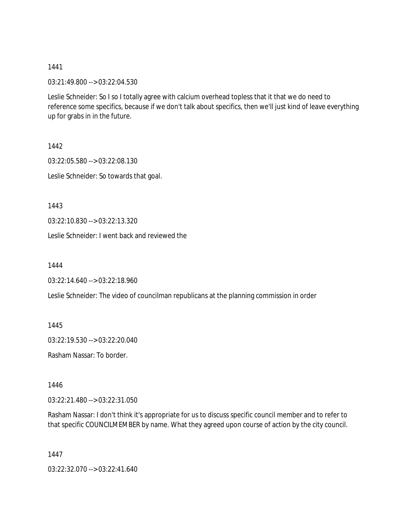03:21:49.800 --> 03:22:04.530

Leslie Schneider: So I so I totally agree with calcium overhead topless that it that we do need to reference some specifics, because if we don't talk about specifics, then we'll just kind of leave everything up for grabs in in the future.

1442 03:22:05.580 --> 03:22:08.130 Leslie Schneider: So towards that goal.

1443

03:22:10.830 --> 03:22:13.320

Leslie Schneider: I went back and reviewed the

1444

03:22:14.640 --> 03:22:18.960

Leslie Schneider: The video of councilman republicans at the planning commission in order

1445

03:22:19.530 --> 03:22:20.040

Rasham Nassar: To border.

1446

03:22:21.480 --> 03:22:31.050

Rasham Nassar: I don't think it's appropriate for us to discuss specific council member and to refer to that specific COUNCILMEMBER by name. What they agreed upon course of action by the city council.

1447

03:22:32.070 --> 03:22:41.640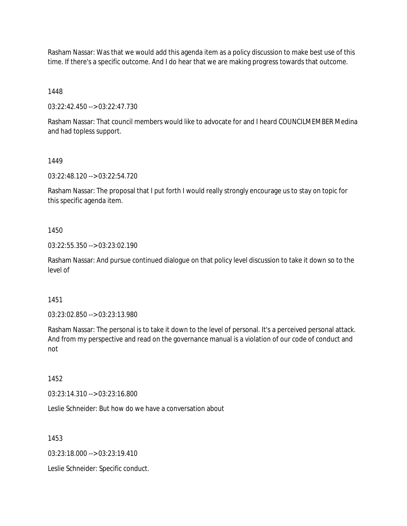Rasham Nassar: Was that we would add this agenda item as a policy discussion to make best use of this time. If there's a specific outcome. And I do hear that we are making progress towards that outcome.

1448

03:22:42.450 --> 03:22:47.730

Rasham Nassar: That council members would like to advocate for and I heard COUNCILMEMBER Medina and had topless support.

#### 1449

03:22:48.120 --> 03:22:54.720

Rasham Nassar: The proposal that I put forth I would really strongly encourage us to stay on topic for this specific agenda item.

#### 1450

03:22:55.350 --> 03:23:02.190

Rasham Nassar: And pursue continued dialogue on that policy level discussion to take it down so to the level of

### 1451

03:23:02.850 --> 03:23:13.980

Rasham Nassar: The personal is to take it down to the level of personal. It's a perceived personal attack. And from my perspective and read on the governance manual is a violation of our code of conduct and not

### 1452

03:23:14.310 --> 03:23:16.800

Leslie Schneider: But how do we have a conversation about

1453

03:23:18.000 --> 03:23:19.410

Leslie Schneider: Specific conduct.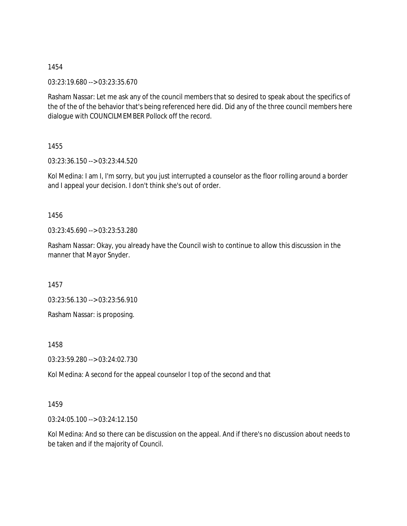03:23:19.680 --> 03:23:35.670

Rasham Nassar: Let me ask any of the council members that so desired to speak about the specifics of the of the of the behavior that's being referenced here did. Did any of the three council members here dialogue with COUNCILMEMBER Pollock off the record.

1455

03:23:36.150 --> 03:23:44.520

Kol Medina: I am I, I'm sorry, but you just interrupted a counselor as the floor rolling around a border and I appeal your decision. I don't think she's out of order.

1456

03:23:45.690 --> 03:23:53.280

Rasham Nassar: Okay, you already have the Council wish to continue to allow this discussion in the manner that Mayor Snyder.

1457

03:23:56.130 --> 03:23:56.910

Rasham Nassar: is proposing.

1458

03:23:59.280 --> 03:24:02.730

Kol Medina: A second for the appeal counselor I top of the second and that

1459

03:24:05.100 --> 03:24:12.150

Kol Medina: And so there can be discussion on the appeal. And if there's no discussion about needs to be taken and if the majority of Council.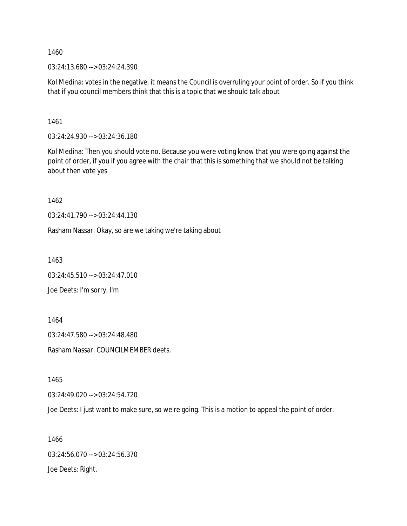03:24:13.680 --> 03:24:24.390

Kol Medina: votes in the negative, it means the Council is overruling your point of order. So if you think that if you council members think that this is a topic that we should talk about

1461

03:24:24.930 --> 03:24:36.180

Kol Medina: Then you should vote no. Because you were voting know that you were going against the point of order, if you if you agree with the chair that this is something that we should not be talking about then vote yes

1462

03:24:41.790 --> 03:24:44.130

Rasham Nassar: Okay, so are we taking we're taking about

1463

03:24:45.510 --> 03:24:47.010

Joe Deets: I'm sorry, I'm

1464

03:24:47.580 --> 03:24:48.480

Rasham Nassar: COUNCILMEMBER deets.

1465

03:24:49.020 --> 03:24:54.720

Joe Deets: I just want to make sure, so we're going. This is a motion to appeal the point of order.

1466 03:24:56.070 --> 03:24:56.370 Joe Deets: Right.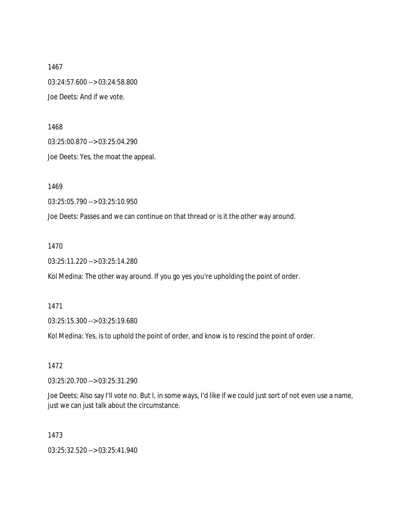1467 03:24:57.600 --> 03:24:58.800 Joe Deets: And if we vote.

1468

03:25:00.870 --> 03:25:04.290

Joe Deets: Yes, the moat the appeal.

1469

03:25:05.790 --> 03:25:10.950

Joe Deets: Passes and we can continue on that thread or is it the other way around.

### 1470

03:25:11.220 --> 03:25:14.280

Kol Medina: The other way around. If you go yes you're upholding the point of order.

1471

03:25:15.300 --> 03:25:19.680

Kol Medina: Yes, is to uphold the point of order, and know is to rescind the point of order.

1472

03:25:20.700 --> 03:25:31.290

Joe Deets: Also say I'll vote no. But I, in some ways, I'd like if we could just sort of not even use a name, just we can just talk about the circumstance.

1473

03:25:32.520 --> 03:25:41.940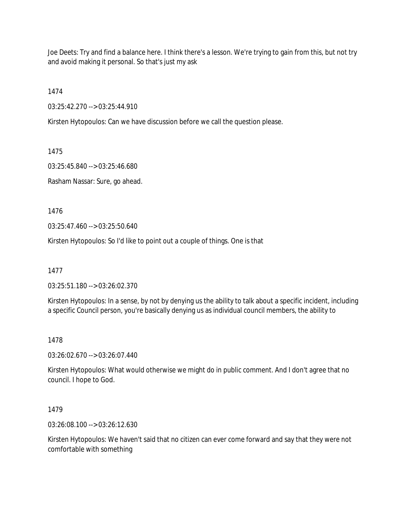Joe Deets: Try and find a balance here. I think there's a lesson. We're trying to gain from this, but not try and avoid making it personal. So that's just my ask

1474

03:25:42.270 --> 03:25:44.910

Kirsten Hytopoulos: Can we have discussion before we call the question please.

1475

03:25:45.840 --> 03:25:46.680

Rasham Nassar: Sure, go ahead.

1476

03:25:47.460 --> 03:25:50.640

Kirsten Hytopoulos: So I'd like to point out a couple of things. One is that

1477

03:25:51.180 --> 03:26:02.370

Kirsten Hytopoulos: In a sense, by not by denying us the ability to talk about a specific incident, including a specific Council person, you're basically denying us as individual council members, the ability to

### 1478

03:26:02.670 --> 03:26:07.440

Kirsten Hytopoulos: What would otherwise we might do in public comment. And I don't agree that no council. I hope to God.

### 1479

03:26:08.100 --> 03:26:12.630

Kirsten Hytopoulos: We haven't said that no citizen can ever come forward and say that they were not comfortable with something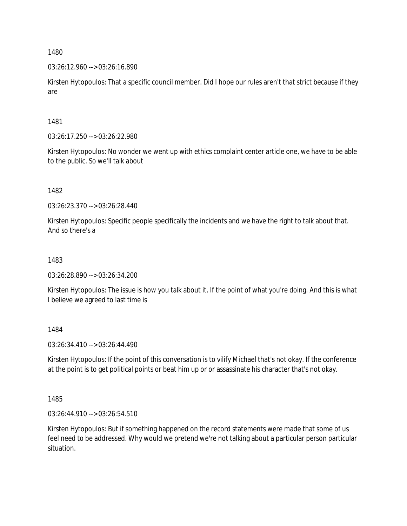03:26:12.960 --> 03:26:16.890

Kirsten Hytopoulos: That a specific council member. Did I hope our rules aren't that strict because if they are

1481

03:26:17.250 --> 03:26:22.980

Kirsten Hytopoulos: No wonder we went up with ethics complaint center article one, we have to be able to the public. So we'll talk about

1482

03:26:23.370 --> 03:26:28.440

Kirsten Hytopoulos: Specific people specifically the incidents and we have the right to talk about that. And so there's a

1483

03:26:28.890 --> 03:26:34.200

Kirsten Hytopoulos: The issue is how you talk about it. If the point of what you're doing. And this is what I believe we agreed to last time is

1484

03:26:34.410 --> 03:26:44.490

Kirsten Hytopoulos: If the point of this conversation is to vilify Michael that's not okay. If the conference at the point is to get political points or beat him up or or assassinate his character that's not okay.

1485

03:26:44.910 --> 03:26:54.510

Kirsten Hytopoulos: But if something happened on the record statements were made that some of us feel need to be addressed. Why would we pretend we're not talking about a particular person particular situation.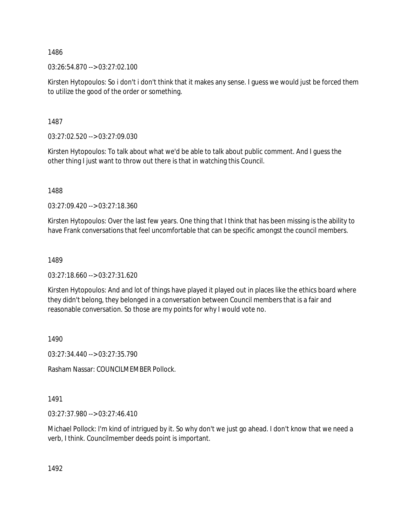03:26:54.870 --> 03:27:02.100

Kirsten Hytopoulos: So i don't i don't think that it makes any sense. I guess we would just be forced them to utilize the good of the order or something.

1487

03:27:02.520 --> 03:27:09.030

Kirsten Hytopoulos: To talk about what we'd be able to talk about public comment. And I guess the other thing I just want to throw out there is that in watching this Council.

1488

03:27:09.420 --> 03:27:18.360

Kirsten Hytopoulos: Over the last few years. One thing that I think that has been missing is the ability to have Frank conversations that feel uncomfortable that can be specific amongst the council members.

1489

 $03:27:18.660 \rightarrow 03:27:31.620$ 

Kirsten Hytopoulos: And and lot of things have played it played out in places like the ethics board where they didn't belong, they belonged in a conversation between Council members that is a fair and reasonable conversation. So those are my points for why I would vote no.

1490

03:27:34.440 --> 03:27:35.790

Rasham Nassar: COUNCILMEMBER Pollock.

1491

03:27:37.980 --> 03:27:46.410

Michael Pollock: I'm kind of intrigued by it. So why don't we just go ahead. I don't know that we need a verb, I think. Councilmember deeds point is important.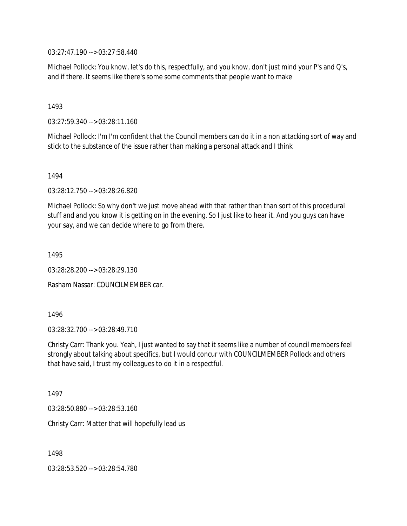03:27:47.190 --> 03:27:58.440

Michael Pollock: You know, let's do this, respectfully, and you know, don't just mind your P's and Q's, and if there. It seems like there's some some comments that people want to make

1493

03:27:59.340 --> 03:28:11.160

Michael Pollock: I'm I'm confident that the Council members can do it in a non attacking sort of way and stick to the substance of the issue rather than making a personal attack and I think

1494

03:28:12.750 --> 03:28:26.820

Michael Pollock: So why don't we just move ahead with that rather than than sort of this procedural stuff and and you know it is getting on in the evening. So I just like to hear it. And you guys can have your say, and we can decide where to go from there.

1495

03:28:28.200 --> 03:28:29.130

Rasham Nassar: COUNCILMEMBER car.

1496

03:28:32.700 --> 03:28:49.710

Christy Carr: Thank you. Yeah, I just wanted to say that it seems like a number of council members feel strongly about talking about specifics, but I would concur with COUNCILMEMBER Pollock and others that have said, I trust my colleagues to do it in a respectful.

1497

03:28:50.880 --> 03:28:53.160

Christy Carr: Matter that will hopefully lead us

1498

03:28:53.520 --> 03:28:54.780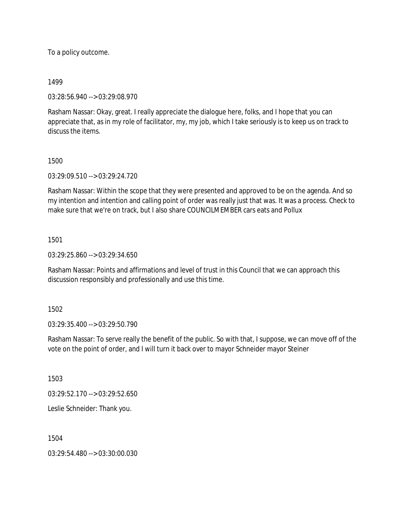To a policy outcome.

1499

03:28:56.940 --> 03:29:08.970

Rasham Nassar: Okay, great. I really appreciate the dialogue here, folks, and I hope that you can appreciate that, as in my role of facilitator, my, my job, which I take seriously is to keep us on track to discuss the items.

### 1500

03:29:09.510 --> 03:29:24.720

Rasham Nassar: Within the scope that they were presented and approved to be on the agenda. And so my intention and intention and calling point of order was really just that was. It was a process. Check to make sure that we're on track, but I also share COUNCILMEMBER cars eats and Pollux

1501

03:29:25.860 --> 03:29:34.650

Rasham Nassar: Points and affirmations and level of trust in this Council that we can approach this discussion responsibly and professionally and use this time.

1502

03:29:35.400 --> 03:29:50.790

Rasham Nassar: To serve really the benefit of the public. So with that, I suppose, we can move off of the vote on the point of order, and I will turn it back over to mayor Schneider mayor Steiner

1503

03:29:52.170 --> 03:29:52.650

Leslie Schneider: Thank you.

1504

03:29:54.480 --> 03:30:00.030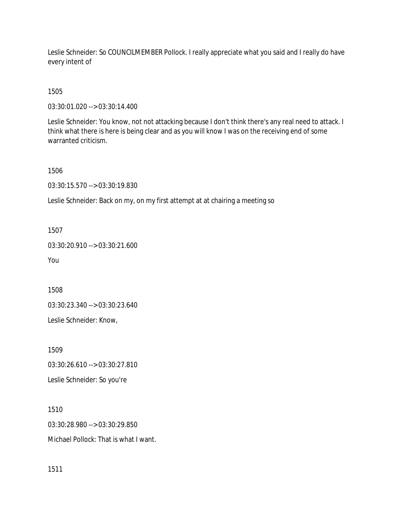Leslie Schneider: So COUNCILMEMBER Pollock. I really appreciate what you said and I really do have every intent of

1505

03:30:01.020 --> 03:30:14.400

Leslie Schneider: You know, not not attacking because I don't think there's any real need to attack. I think what there is here is being clear and as you will know I was on the receiving end of some warranted criticism.

1506

03:30:15.570 --> 03:30:19.830

Leslie Schneider: Back on my, on my first attempt at at chairing a meeting so

1507

03:30:20.910 --> 03:30:21.600

You

1508

03:30:23.340 --> 03:30:23.640

Leslie Schneider: Know,

1509

03:30:26.610 --> 03:30:27.810

Leslie Schneider: So you're

1510 03:30:28.980 --> 03:30:29.850 Michael Pollock: That is what I want.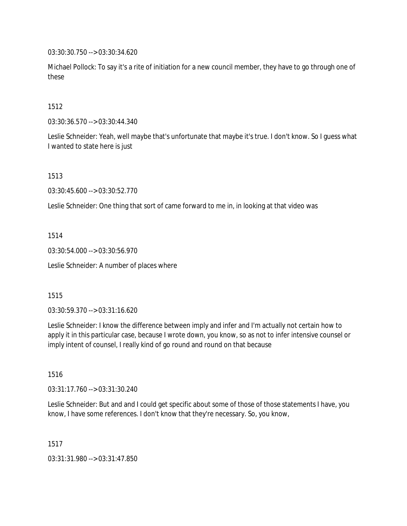03:30:30.750 --> 03:30:34.620

Michael Pollock: To say it's a rite of initiation for a new council member, they have to go through one of these

## 1512

03:30:36.570 --> 03:30:44.340

Leslie Schneider: Yeah, well maybe that's unfortunate that maybe it's true. I don't know. So I guess what I wanted to state here is just

### 1513

03:30:45.600 --> 03:30:52.770

Leslie Schneider: One thing that sort of came forward to me in, in looking at that video was

### 1514

03:30:54.000 --> 03:30:56.970

Leslie Schneider: A number of places where

### 1515

03:30:59.370 --> 03:31:16.620

Leslie Schneider: I know the difference between imply and infer and I'm actually not certain how to apply it in this particular case, because I wrote down, you know, so as not to infer intensive counsel or imply intent of counsel, I really kind of go round and round on that because

### 1516

03:31:17.760 --> 03:31:30.240

Leslie Schneider: But and and I could get specific about some of those of those statements I have, you know, I have some references. I don't know that they're necessary. So, you know,

1517

03:31:31.980 --> 03:31:47.850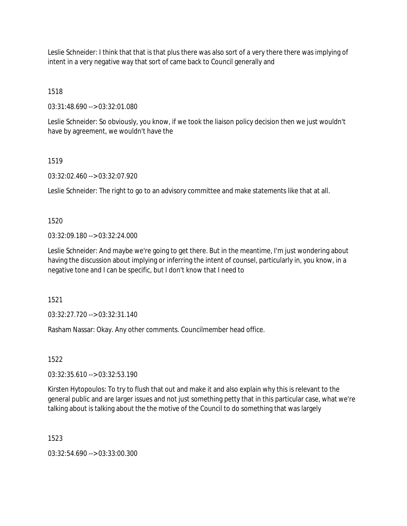Leslie Schneider: I think that that is that plus there was also sort of a very there there was implying of intent in a very negative way that sort of came back to Council generally and

1518

03:31:48.690 --> 03:32:01.080

Leslie Schneider: So obviously, you know, if we took the liaison policy decision then we just wouldn't have by agreement, we wouldn't have the

## 1519

03:32:02.460 --> 03:32:07.920

Leslie Schneider: The right to go to an advisory committee and make statements like that at all.

1520

03:32:09.180 --> 03:32:24.000

Leslie Schneider: And maybe we're going to get there. But in the meantime, I'm just wondering about having the discussion about implying or inferring the intent of counsel, particularly in, you know, in a negative tone and I can be specific, but I don't know that I need to

1521

03:32:27.720 --> 03:32:31.140

Rasham Nassar: Okay. Any other comments. Councilmember head office.

1522

03:32:35.610 --> 03:32:53.190

Kirsten Hytopoulos: To try to flush that out and make it and also explain why this is relevant to the general public and are larger issues and not just something petty that in this particular case, what we're talking about is talking about the the motive of the Council to do something that was largely

1523

03:32:54.690 --> 03:33:00.300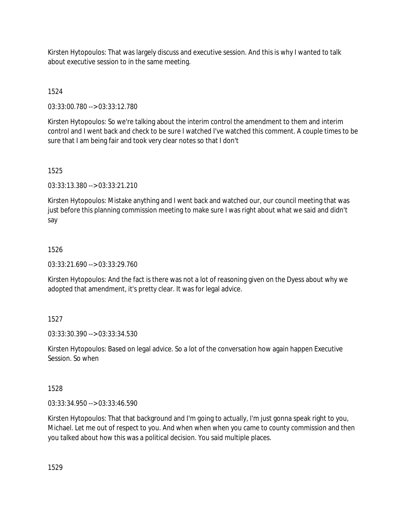Kirsten Hytopoulos: That was largely discuss and executive session. And this is why I wanted to talk about executive session to in the same meeting.

1524

03:33:00.780 --> 03:33:12.780

Kirsten Hytopoulos: So we're talking about the interim control the amendment to them and interim control and I went back and check to be sure I watched I've watched this comment. A couple times to be sure that I am being fair and took very clear notes so that I don't

1525

03:33:13.380 --> 03:33:21.210

Kirsten Hytopoulos: Mistake anything and I went back and watched our, our council meeting that was just before this planning commission meeting to make sure I was right about what we said and didn't say

## 1526

03:33:21.690 --> 03:33:29.760

Kirsten Hytopoulos: And the fact is there was not a lot of reasoning given on the Dyess about why we adopted that amendment, it's pretty clear. It was for legal advice.

# 1527

03:33:30.390 --> 03:33:34.530

Kirsten Hytopoulos: Based on legal advice. So a lot of the conversation how again happen Executive Session. So when

1528

03:33:34.950 --> 03:33:46.590

Kirsten Hytopoulos: That that background and I'm going to actually, I'm just gonna speak right to you, Michael. Let me out of respect to you. And when when when you came to county commission and then you talked about how this was a political decision. You said multiple places.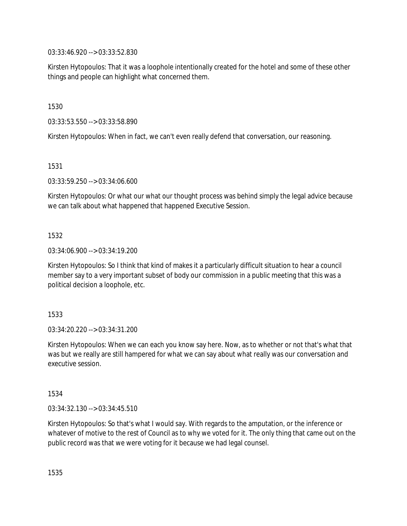03:33:46.920 --> 03:33:52.830

Kirsten Hytopoulos: That it was a loophole intentionally created for the hotel and some of these other things and people can highlight what concerned them.

1530

03:33:53.550 --> 03:33:58.890

Kirsten Hytopoulos: When in fact, we can't even really defend that conversation, our reasoning.

1531

03:33:59.250 --> 03:34:06.600

Kirsten Hytopoulos: Or what our what our thought process was behind simply the legal advice because we can talk about what happened that happened Executive Session.

1532

03:34:06.900 --> 03:34:19.200

Kirsten Hytopoulos: So I think that kind of makes it a particularly difficult situation to hear a council member say to a very important subset of body our commission in a public meeting that this was a political decision a loophole, etc.

1533

03:34:20.220 --> 03:34:31.200

Kirsten Hytopoulos: When we can each you know say here. Now, as to whether or not that's what that was but we really are still hampered for what we can say about what really was our conversation and executive session.

1534

03:34:32.130 --> 03:34:45.510

Kirsten Hytopoulos: So that's what I would say. With regards to the amputation, or the inference or whatever of motive to the rest of Council as to why we voted for it. The only thing that came out on the public record was that we were voting for it because we had legal counsel.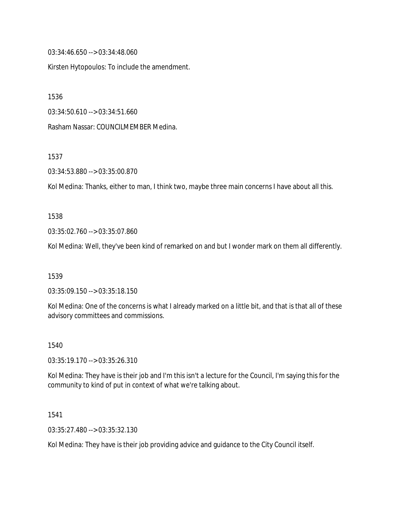03:34:46.650 --> 03:34:48.060

Kirsten Hytopoulos: To include the amendment.

1536

03:34:50.610 --> 03:34:51.660

Rasham Nassar: COUNCILMEMBER Medina.

1537

03:34:53.880 --> 03:35:00.870

Kol Medina: Thanks, either to man, I think two, maybe three main concerns I have about all this.

1538

03:35:02.760 --> 03:35:07.860

Kol Medina: Well, they've been kind of remarked on and but I wonder mark on them all differently.

1539

03:35:09.150 --> 03:35:18.150

Kol Medina: One of the concerns is what I already marked on a little bit, and that is that all of these advisory committees and commissions.

1540

03:35:19.170 --> 03:35:26.310

Kol Medina: They have is their job and I'm this isn't a lecture for the Council, I'm saying this for the community to kind of put in context of what we're talking about.

1541

03:35:27.480 --> 03:35:32.130

Kol Medina: They have is their job providing advice and guidance to the City Council itself.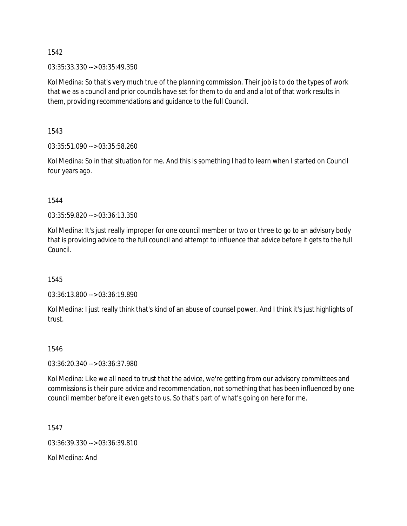03:35:33.330 --> 03:35:49.350

Kol Medina: So that's very much true of the planning commission. Their job is to do the types of work that we as a council and prior councils have set for them to do and and a lot of that work results in them, providing recommendations and guidance to the full Council.

1543

03:35:51.090 --> 03:35:58.260

Kol Medina: So in that situation for me. And this is something I had to learn when I started on Council four years ago.

1544

03:35:59.820 --> 03:36:13.350

Kol Medina: It's just really improper for one council member or two or three to go to an advisory body that is providing advice to the full council and attempt to influence that advice before it gets to the full Council.

1545

03:36:13.800 --> 03:36:19.890

Kol Medina: I just really think that's kind of an abuse of counsel power. And I think it's just highlights of trust.

1546

03:36:20.340 --> 03:36:37.980

Kol Medina: Like we all need to trust that the advice, we're getting from our advisory committees and commissions is their pure advice and recommendation, not something that has been influenced by one council member before it even gets to us. So that's part of what's going on here for me.

1547

03:36:39.330 --> 03:36:39.810

Kol Medina: And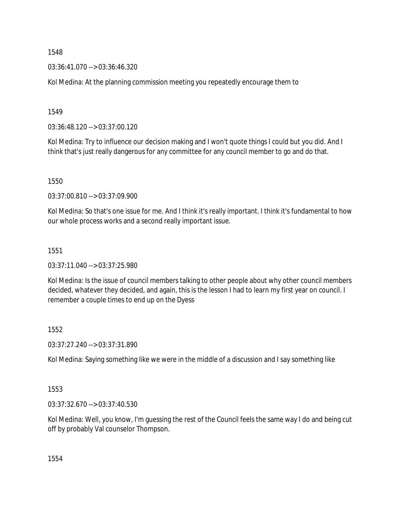03:36:41.070 --> 03:36:46.320

Kol Medina: At the planning commission meeting you repeatedly encourage them to

1549

03:36:48.120 --> 03:37:00.120

Kol Medina: Try to influence our decision making and I won't quote things I could but you did. And I think that's just really dangerous for any committee for any council member to go and do that.

1550

03:37:00.810 --> 03:37:09.900

Kol Medina: So that's one issue for me. And I think it's really important. I think it's fundamental to how our whole process works and a second really important issue.

## 1551

03:37:11.040 --> 03:37:25.980

Kol Medina: Is the issue of council members talking to other people about why other council members decided, whatever they decided, and again, this is the lesson I had to learn my first year on council. I remember a couple times to end up on the Dyess

# 1552

03:37:27.240 --> 03:37:31.890

Kol Medina: Saying something like we were in the middle of a discussion and I say something like

# 1553

03:37:32.670 --> 03:37:40.530

Kol Medina: Well, you know, I'm guessing the rest of the Council feels the same way I do and being cut off by probably Val counselor Thompson.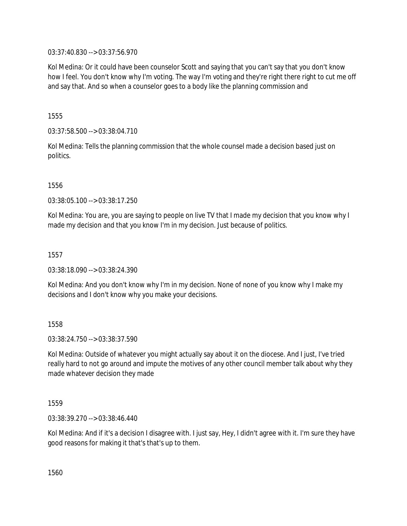03:37:40.830 --> 03:37:56.970

Kol Medina: Or it could have been counselor Scott and saying that you can't say that you don't know how I feel. You don't know why I'm voting. The way I'm voting and they're right there right to cut me off and say that. And so when a counselor goes to a body like the planning commission and

1555

03:37:58.500 --> 03:38:04.710

Kol Medina: Tells the planning commission that the whole counsel made a decision based just on politics.

1556

03:38:05.100 --> 03:38:17.250

Kol Medina: You are, you are saying to people on live TV that I made my decision that you know why I made my decision and that you know I'm in my decision. Just because of politics.

1557

03:38:18.090 --> 03:38:24.390

Kol Medina: And you don't know why I'm in my decision. None of none of you know why I make my decisions and I don't know why you make your decisions.

1558

03:38:24.750 --> 03:38:37.590

Kol Medina: Outside of whatever you might actually say about it on the diocese. And I just, I've tried really hard to not go around and impute the motives of any other council member talk about why they made whatever decision they made

1559

03:38:39.270 --> 03:38:46.440

Kol Medina: And if it's a decision I disagree with. I just say, Hey, I didn't agree with it. I'm sure they have good reasons for making it that's that's up to them.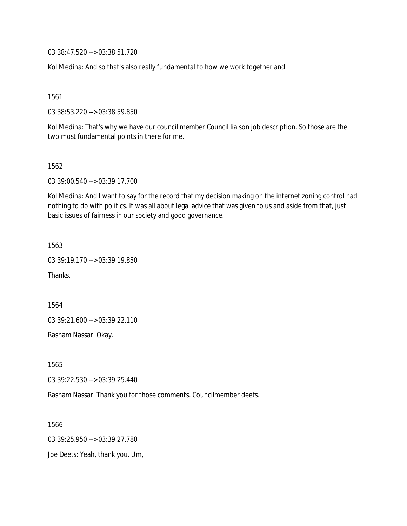03:38:47.520 --> 03:38:51.720

Kol Medina: And so that's also really fundamental to how we work together and

1561

03:38:53.220 --> 03:38:59.850

Kol Medina: That's why we have our council member Council liaison job description. So those are the two most fundamental points in there for me.

1562

03:39:00.540 --> 03:39:17.700

Kol Medina: And I want to say for the record that my decision making on the internet zoning control had nothing to do with politics. It was all about legal advice that was given to us and aside from that, just basic issues of fairness in our society and good governance.

1563

03:39:19.170 --> 03:39:19.830

Thanks.

1564

03:39:21.600 --> 03:39:22.110

Rasham Nassar: Okay.

1565

03:39:22.530 --> 03:39:25.440

Rasham Nassar: Thank you for those comments. Councilmember deets.

1566 03:39:25.950 --> 03:39:27.780 Joe Deets: Yeah, thank you. Um,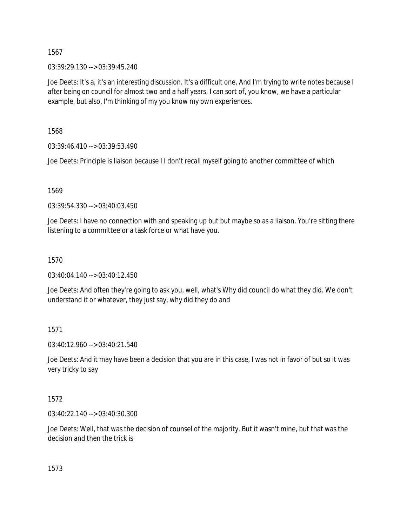03:39:29.130 --> 03:39:45.240

Joe Deets: It's a, it's an interesting discussion. It's a difficult one. And I'm trying to write notes because I after being on council for almost two and a half years. I can sort of, you know, we have a particular example, but also, I'm thinking of my you know my own experiences.

1568

03:39:46.410 --> 03:39:53.490

Joe Deets: Principle is liaison because I I don't recall myself going to another committee of which

1569

03:39:54.330 --> 03:40:03.450

Joe Deets: I have no connection with and speaking up but but maybe so as a liaison. You're sitting there listening to a committee or a task force or what have you.

### 1570

 $03:40:04.140 \rightarrow 03:40:12.450$ 

Joe Deets: And often they're going to ask you, well, what's Why did council do what they did. We don't understand it or whatever, they just say, why did they do and

1571

03:40:12.960 --> 03:40:21.540

Joe Deets: And it may have been a decision that you are in this case, I was not in favor of but so it was very tricky to say

1572

03:40:22.140 --> 03:40:30.300

Joe Deets: Well, that was the decision of counsel of the majority. But it wasn't mine, but that was the decision and then the trick is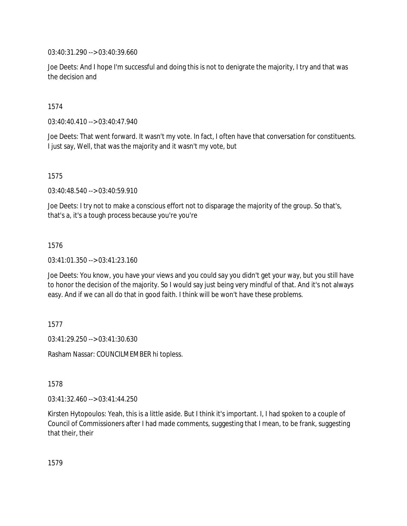03:40:31.290 --> 03:40:39.660

Joe Deets: And I hope I'm successful and doing this is not to denigrate the majority, I try and that was the decision and

1574

03:40:40.410 --> 03:40:47.940

Joe Deets: That went forward. It wasn't my vote. In fact, I often have that conversation for constituents. I just say, Well, that was the majority and it wasn't my vote, but

1575

03:40:48.540 --> 03:40:59.910

Joe Deets: I try not to make a conscious effort not to disparage the majority of the group. So that's, that's a, it's a tough process because you're you're

1576

03:41:01.350 --> 03:41:23.160

Joe Deets: You know, you have your views and you could say you didn't get your way, but you still have to honor the decision of the majority. So I would say just being very mindful of that. And it's not always easy. And if we can all do that in good faith. I think will be won't have these problems.

1577

03:41:29.250 --> 03:41:30.630

Rasham Nassar: COUNCILMEMBER hi topless.

1578

03:41:32.460 --> 03:41:44.250

Kirsten Hytopoulos: Yeah, this is a little aside. But I think it's important. I, I had spoken to a couple of Council of Commissioners after I had made comments, suggesting that I mean, to be frank, suggesting that their, their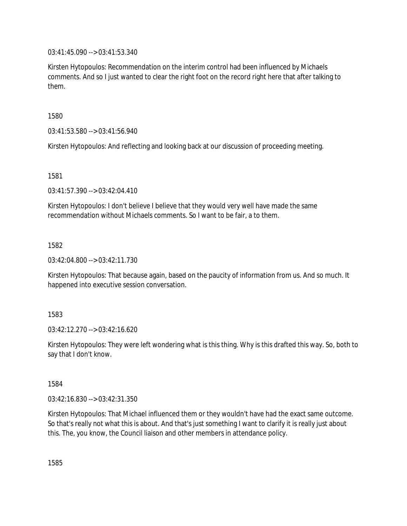03:41:45.090 --> 03:41:53.340

Kirsten Hytopoulos: Recommendation on the interim control had been influenced by Michaels comments. And so I just wanted to clear the right foot on the record right here that after talking to them.

1580

03:41:53.580 --> 03:41:56.940

Kirsten Hytopoulos: And reflecting and looking back at our discussion of proceeding meeting.

1581

03:41:57.390 --> 03:42:04.410

Kirsten Hytopoulos: I don't believe I believe that they would very well have made the same recommendation without Michaels comments. So I want to be fair, a to them.

1582

03:42:04.800 --> 03:42:11.730

Kirsten Hytopoulos: That because again, based on the paucity of information from us. And so much. It happened into executive session conversation.

1583

03:42:12.270 --> 03:42:16.620

Kirsten Hytopoulos: They were left wondering what is this thing. Why is this drafted this way. So, both to say that I don't know.

1584

03:42:16.830 --> 03:42:31.350

Kirsten Hytopoulos: That Michael influenced them or they wouldn't have had the exact same outcome. So that's really not what this is about. And that's just something I want to clarify it is really just about this. The, you know, the Council liaison and other members in attendance policy.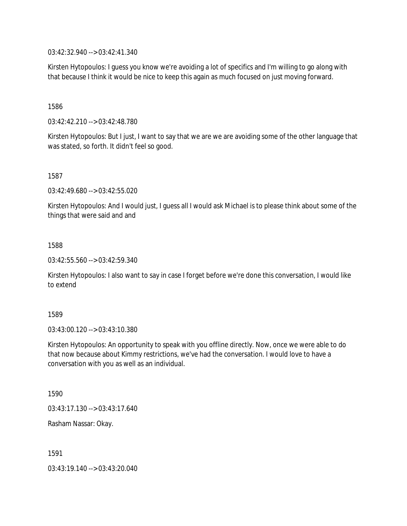03:42:32.940 --> 03:42:41.340

Kirsten Hytopoulos: I guess you know we're avoiding a lot of specifics and I'm willing to go along with that because I think it would be nice to keep this again as much focused on just moving forward.

1586

03:42:42.210 --> 03:42:48.780

Kirsten Hytopoulos: But I just, I want to say that we are we are avoiding some of the other language that was stated, so forth. It didn't feel so good.

1587

03:42:49.680 --> 03:42:55.020

Kirsten Hytopoulos: And I would just, I guess all I would ask Michael is to please think about some of the things that were said and and

1588

03:42:55.560 --> 03:42:59.340

Kirsten Hytopoulos: I also want to say in case I forget before we're done this conversation, I would like to extend

1589

03:43:00.120 --> 03:43:10.380

Kirsten Hytopoulos: An opportunity to speak with you offline directly. Now, once we were able to do that now because about Kimmy restrictions, we've had the conversation. I would love to have a conversation with you as well as an individual.

1590

03:43:17.130 --> 03:43:17.640

Rasham Nassar: Okay.

1591

03:43:19.140 --> 03:43:20.040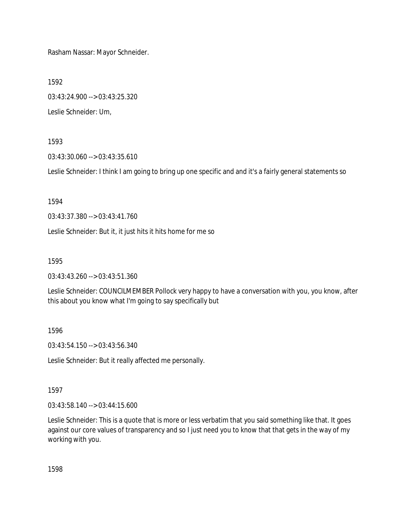Rasham Nassar: Mayor Schneider.

1592

03:43:24.900 --> 03:43:25.320

Leslie Schneider: Um,

1593

03:43:30.060 --> 03:43:35.610

Leslie Schneider: I think I am going to bring up one specific and and it's a fairly general statements so

1594

03:43:37.380 --> 03:43:41.760

Leslie Schneider: But it, it just hits it hits home for me so

1595

03:43:43.260 --> 03:43:51.360

Leslie Schneider: COUNCILMEMBER Pollock very happy to have a conversation with you, you know, after this about you know what I'm going to say specifically but

1596

03:43:54.150 --> 03:43:56.340

Leslie Schneider: But it really affected me personally.

1597

03:43:58.140 --> 03:44:15.600

Leslie Schneider: This is a quote that is more or less verbatim that you said something like that. It goes against our core values of transparency and so I just need you to know that that gets in the way of my working with you.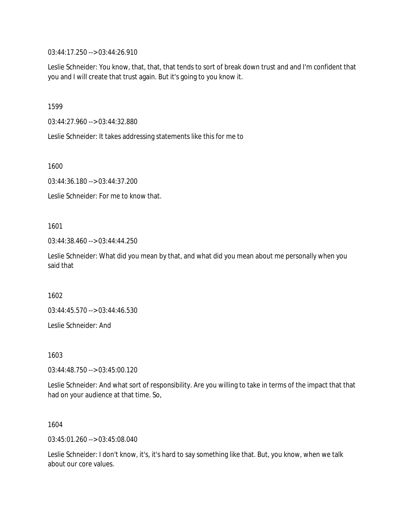03:44:17.250 --> 03:44:26.910

Leslie Schneider: You know, that, that, that tends to sort of break down trust and and I'm confident that you and I will create that trust again. But it's going to you know it.

1599

03:44:27.960 --> 03:44:32.880

Leslie Schneider: It takes addressing statements like this for me to

1600

03:44:36.180 --> 03:44:37.200

Leslie Schneider: For me to know that.

1601

03:44:38.460 --> 03:44:44.250

Leslie Schneider: What did you mean by that, and what did you mean about me personally when you said that

1602

03:44:45.570 --> 03:44:46.530

Leslie Schneider: And

1603

03:44:48.750 --> 03:45:00.120

Leslie Schneider: And what sort of responsibility. Are you willing to take in terms of the impact that that had on your audience at that time. So,

1604

03:45:01.260 --> 03:45:08.040

Leslie Schneider: I don't know, it's, it's hard to say something like that. But, you know, when we talk about our core values.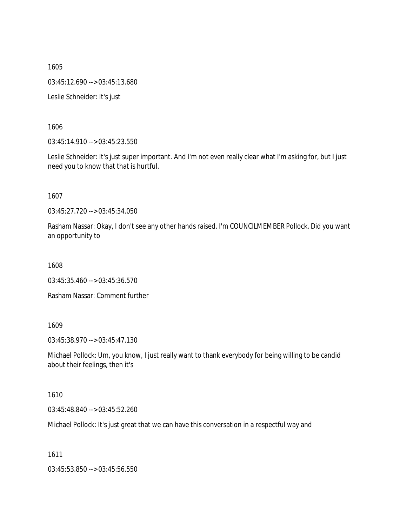1605 03:45:12.690 --> 03:45:13.680 Leslie Schneider: It's just

1606

03:45:14.910 --> 03:45:23.550

Leslie Schneider: It's just super important. And I'm not even really clear what I'm asking for, but I just need you to know that that is hurtful.

1607

03:45:27.720 --> 03:45:34.050

Rasham Nassar: Okay, I don't see any other hands raised. I'm COUNCILMEMBER Pollock. Did you want an opportunity to

1608

03:45:35.460 --> 03:45:36.570

Rasham Nassar: Comment further

1609

03:45:38.970 --> 03:45:47.130

Michael Pollock: Um, you know, I just really want to thank everybody for being willing to be candid about their feelings, then it's

1610

03:45:48.840 --> 03:45:52.260

Michael Pollock: It's just great that we can have this conversation in a respectful way and

1611

03:45:53.850 --> 03:45:56.550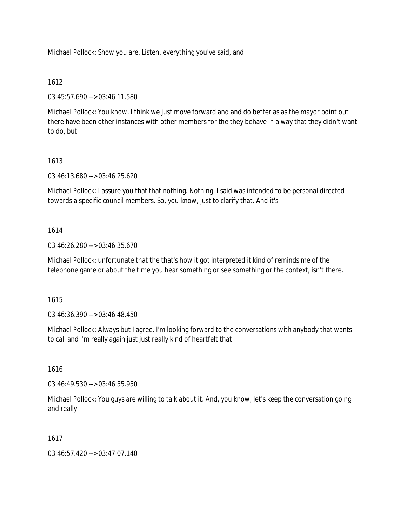Michael Pollock: Show you are. Listen, everything you've said, and

## 1612

03:45:57.690 --> 03:46:11.580

Michael Pollock: You know, I think we just move forward and and do better as as the mayor point out there have been other instances with other members for the they behave in a way that they didn't want to do, but

## 1613

03:46:13.680 --> 03:46:25.620

Michael Pollock: I assure you that that nothing. Nothing. I said was intended to be personal directed towards a specific council members. So, you know, just to clarify that. And it's

## 1614

03:46:26.280 --> 03:46:35.670

Michael Pollock: unfortunate that the that's how it got interpreted it kind of reminds me of the telephone game or about the time you hear something or see something or the context, isn't there.

## 1615

03:46:36.390 --> 03:46:48.450

Michael Pollock: Always but I agree. I'm looking forward to the conversations with anybody that wants to call and I'm really again just just really kind of heartfelt that

## 1616

03:46:49.530 --> 03:46:55.950

Michael Pollock: You guys are willing to talk about it. And, you know, let's keep the conversation going and really

## 1617

03:46:57.420 --> 03:47:07.140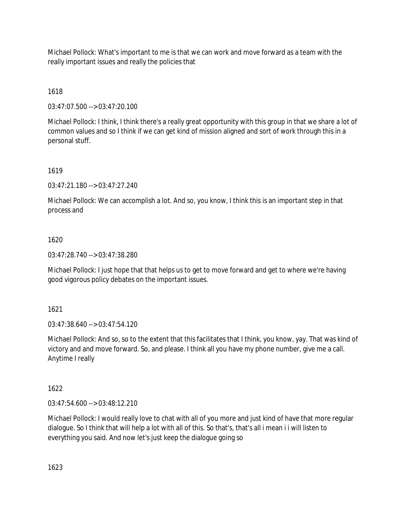Michael Pollock: What's important to me is that we can work and move forward as a team with the really important issues and really the policies that

# 1618

03:47:07.500 --> 03:47:20.100

Michael Pollock: I think, I think there's a really great opportunity with this group in that we share a lot of common values and so I think if we can get kind of mission aligned and sort of work through this in a personal stuff.

## 1619

03:47:21.180 --> 03:47:27.240

Michael Pollock: We can accomplish a lot. And so, you know, I think this is an important step in that process and

## 1620

03:47:28.740 --> 03:47:38.280

Michael Pollock: I just hope that that helps us to get to move forward and get to where we're having good vigorous policy debates on the important issues.

## 1621

03:47:38.640 --> 03:47:54.120

Michael Pollock: And so, so to the extent that this facilitates that I think, you know, yay. That was kind of victory and and move forward. So, and please. I think all you have my phone number, give me a call. Anytime I really

# 1622

 $03:47:54.600 \rightarrow 03:48:12.210$ 

Michael Pollock: I would really love to chat with all of you more and just kind of have that more regular dialogue. So I think that will help a lot with all of this. So that's, that's all i mean i i will listen to everything you said. And now let's just keep the dialogue going so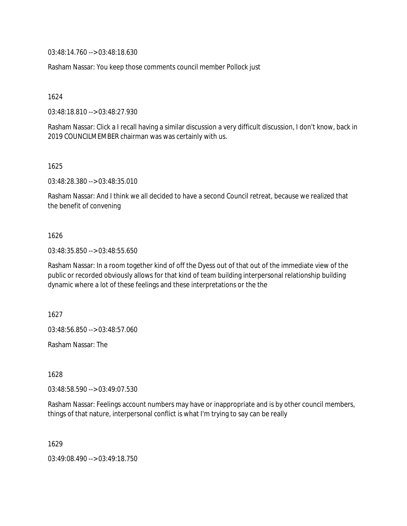03:48:14.760 --> 03:48:18.630

Rasham Nassar: You keep those comments council member Pollock just

1624

03:48:18.810 --> 03:48:27.930

Rasham Nassar: Click a I recall having a similar discussion a very difficult discussion, I don't know, back in 2019 COUNCILMEMBER chairman was was certainly with us.

1625

03:48:28.380 --> 03:48:35.010

Rasham Nassar: And I think we all decided to have a second Council retreat, because we realized that the benefit of convening

#### 1626

03:48:35.850 --> 03:48:55.650

Rasham Nassar: In a room together kind of off the Dyess out of that out of the immediate view of the public or recorded obviously allows for that kind of team building interpersonal relationship building dynamic where a lot of these feelings and these interpretations or the the

1627

03:48:56.850 --> 03:48:57.060

Rasham Nassar: The

1628

03:48:58.590 --> 03:49:07.530

Rasham Nassar: Feelings account numbers may have or inappropriate and is by other council members, things of that nature, interpersonal conflict is what I'm trying to say can be really

1629

03:49:08.490 --> 03:49:18.750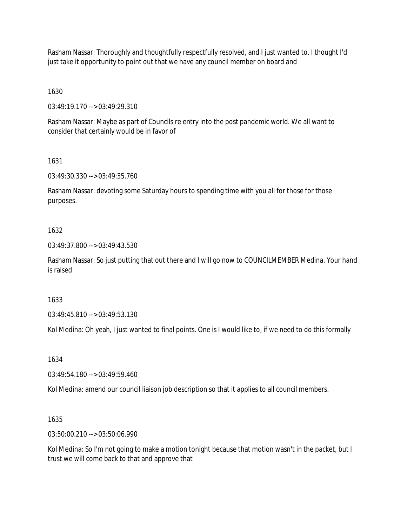Rasham Nassar: Thoroughly and thoughtfully respectfully resolved, and I just wanted to. I thought I'd just take it opportunity to point out that we have any council member on board and

1630

03:49:19.170 --> 03:49:29.310

Rasham Nassar: Maybe as part of Councils re entry into the post pandemic world. We all want to consider that certainly would be in favor of

1631

03:49:30.330 --> 03:49:35.760

Rasham Nassar: devoting some Saturday hours to spending time with you all for those for those purposes.

## 1632

03:49:37.800 --> 03:49:43.530

Rasham Nassar: So just putting that out there and I will go now to COUNCILMEMBER Medina. Your hand is raised

## 1633

03:49:45.810 --> 03:49:53.130

Kol Medina: Oh yeah, I just wanted to final points. One is I would like to, if we need to do this formally

1634

03:49:54.180 --> 03:49:59.460

Kol Medina: amend our council liaison job description so that it applies to all council members.

1635

03:50:00.210 --> 03:50:06.990

Kol Medina: So I'm not going to make a motion tonight because that motion wasn't in the packet, but I trust we will come back to that and approve that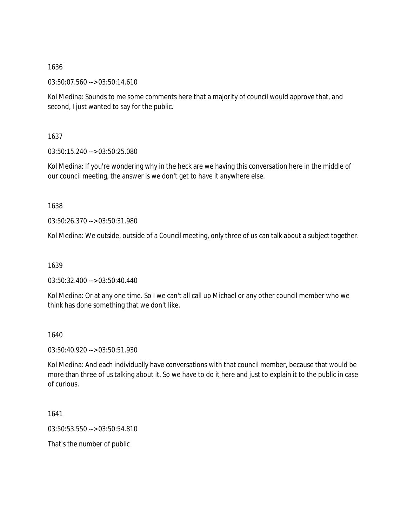03:50:07.560 --> 03:50:14.610

Kol Medina: Sounds to me some comments here that a majority of council would approve that, and second, I just wanted to say for the public.

1637

03:50:15.240 --> 03:50:25.080

Kol Medina: If you're wondering why in the heck are we having this conversation here in the middle of our council meeting, the answer is we don't get to have it anywhere else.

1638

03:50:26.370 --> 03:50:31.980

Kol Medina: We outside, outside of a Council meeting, only three of us can talk about a subject together.

1639

03:50:32.400 --> 03:50:40.440

Kol Medina: Or at any one time. So I we can't all call up Michael or any other council member who we think has done something that we don't like.

1640

03:50:40.920 --> 03:50:51.930

Kol Medina: And each individually have conversations with that council member, because that would be more than three of us talking about it. So we have to do it here and just to explain it to the public in case of curious.

1641

03:50:53.550 --> 03:50:54.810

That's the number of public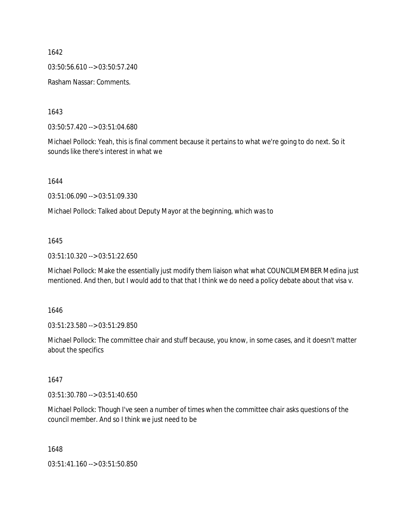03:50:56.610 --> 03:50:57.240

Rasham Nassar: Comments.

1643

03:50:57.420 --> 03:51:04.680

Michael Pollock: Yeah, this is final comment because it pertains to what we're going to do next. So it sounds like there's interest in what we

1644

03:51:06.090 --> 03:51:09.330

Michael Pollock: Talked about Deputy Mayor at the beginning, which was to

1645

03:51:10.320 --> 03:51:22.650

Michael Pollock: Make the essentially just modify them liaison what what COUNCILMEMBER Medina just mentioned. And then, but I would add to that that I think we do need a policy debate about that visa v.

1646

03:51:23.580 --> 03:51:29.850

Michael Pollock: The committee chair and stuff because, you know, in some cases, and it doesn't matter about the specifics

1647

03:51:30.780 --> 03:51:40.650

Michael Pollock: Though I've seen a number of times when the committee chair asks questions of the council member. And so I think we just need to be

1648

03:51:41.160 --> 03:51:50.850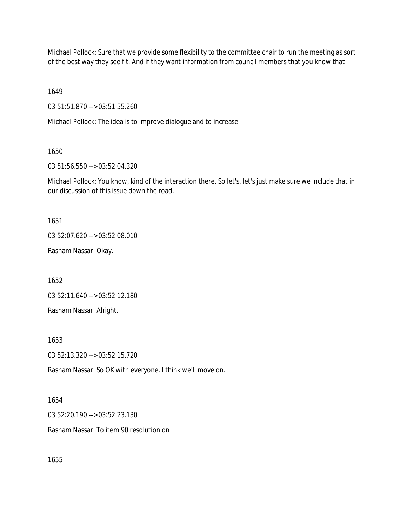Michael Pollock: Sure that we provide some flexibility to the committee chair to run the meeting as sort of the best way they see fit. And if they want information from council members that you know that

1649

03:51:51.870 --> 03:51:55.260

Michael Pollock: The idea is to improve dialogue and to increase

1650

03:51:56.550 --> 03:52:04.320

Michael Pollock: You know, kind of the interaction there. So let's, let's just make sure we include that in our discussion of this issue down the road.

1651

03:52:07.620 --> 03:52:08.010

Rasham Nassar: Okay.

1652

03:52:11.640 --> 03:52:12.180

Rasham Nassar: Alright.

1653

03:52:13.320 --> 03:52:15.720

Rasham Nassar: So OK with everyone. I think we'll move on.

1654

03:52:20.190 --> 03:52:23.130

Rasham Nassar: To item 90 resolution on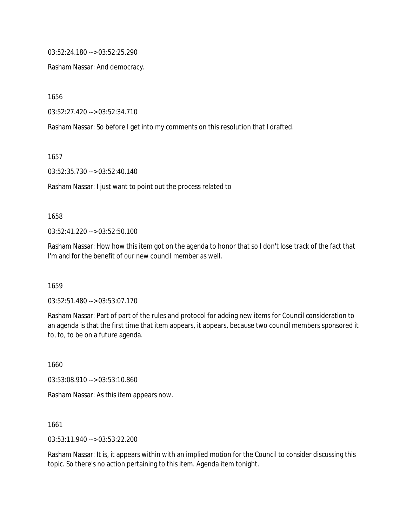03:52:24.180 --> 03:52:25.290

Rasham Nassar: And democracy.

1656

03:52:27.420 --> 03:52:34.710

Rasham Nassar: So before I get into my comments on this resolution that I drafted.

1657

03:52:35.730 --> 03:52:40.140

Rasham Nassar: I just want to point out the process related to

#### 1658

03:52:41.220 --> 03:52:50.100

Rasham Nassar: How how this item got on the agenda to honor that so I don't lose track of the fact that I'm and for the benefit of our new council member as well.

1659

03:52:51.480 --> 03:53:07.170

Rasham Nassar: Part of part of the rules and protocol for adding new items for Council consideration to an agenda is that the first time that item appears, it appears, because two council members sponsored it to, to, to be on a future agenda.

1660

03:53:08.910 --> 03:53:10.860

Rasham Nassar: As this item appears now.

1661

03:53:11.940 --> 03:53:22.200

Rasham Nassar: It is, it appears within with an implied motion for the Council to consider discussing this topic. So there's no action pertaining to this item. Agenda item tonight.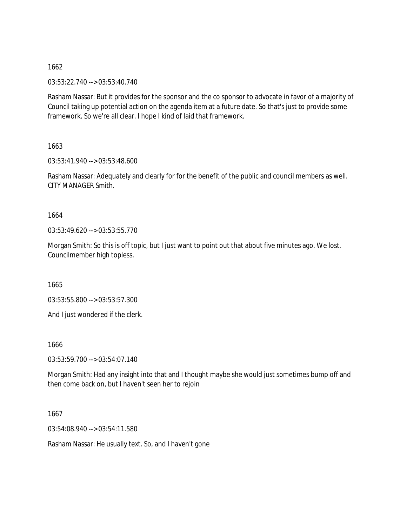03:53:22.740 --> 03:53:40.740

Rasham Nassar: But it provides for the sponsor and the co sponsor to advocate in favor of a majority of Council taking up potential action on the agenda item at a future date. So that's just to provide some framework. So we're all clear. I hope I kind of laid that framework.

1663

03:53:41.940 --> 03:53:48.600

Rasham Nassar: Adequately and clearly for for the benefit of the public and council members as well. CITY MANAGER Smith.

1664

03:53:49.620 --> 03:53:55.770

Morgan Smith: So this is off topic, but I just want to point out that about five minutes ago. We lost. Councilmember high topless.

1665

03:53:55.800 --> 03:53:57.300

And I just wondered if the clerk.

1666

03:53:59.700 --> 03:54:07.140

Morgan Smith: Had any insight into that and I thought maybe she would just sometimes bump off and then come back on, but I haven't seen her to rejoin

1667

03:54:08.940 --> 03:54:11.580

Rasham Nassar: He usually text. So, and I haven't gone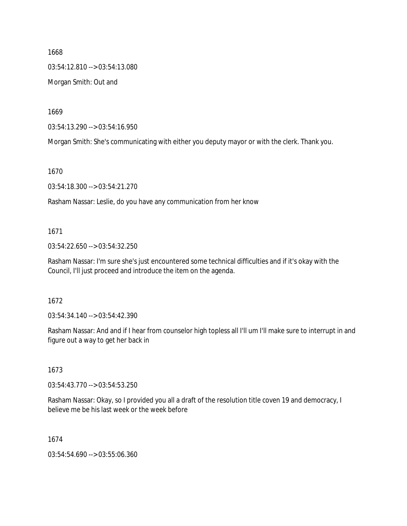1668 03:54:12.810 --> 03:54:13.080 Morgan Smith: Out and

1669

03:54:13.290 --> 03:54:16.950

Morgan Smith: She's communicating with either you deputy mayor or with the clerk. Thank you.

1670

03:54:18.300 --> 03:54:21.270

Rasham Nassar: Leslie, do you have any communication from her know

#### 1671

03:54:22.650 --> 03:54:32.250

Rasham Nassar: I'm sure she's just encountered some technical difficulties and if it's okay with the Council, I'll just proceed and introduce the item on the agenda.

## 1672

03:54:34.140 --> 03:54:42.390

Rasham Nassar: And and if I hear from counselor high topless all I'll um I'll make sure to interrupt in and figure out a way to get her back in

## 1673

03:54:43.770 --> 03:54:53.250

Rasham Nassar: Okay, so I provided you all a draft of the resolution title coven 19 and democracy, I believe me be his last week or the week before

1674

03:54:54.690 --> 03:55:06.360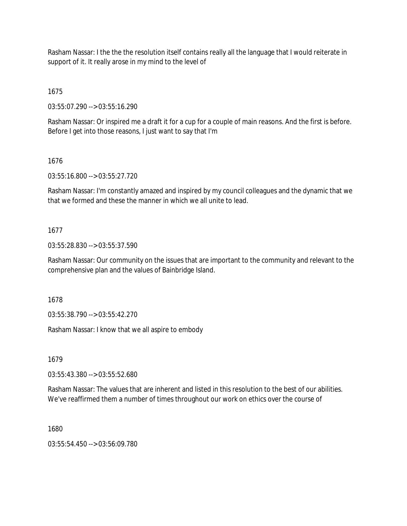Rasham Nassar: I the the the resolution itself contains really all the language that I would reiterate in support of it. It really arose in my mind to the level of

1675

03:55:07.290 --> 03:55:16.290

Rasham Nassar: Or inspired me a draft it for a cup for a couple of main reasons. And the first is before. Before I get into those reasons, I just want to say that I'm

## 1676

03:55:16.800 --> 03:55:27.720

Rasham Nassar: I'm constantly amazed and inspired by my council colleagues and the dynamic that we that we formed and these the manner in which we all unite to lead.

## 1677

03:55:28.830 --> 03:55:37.590

Rasham Nassar: Our community on the issues that are important to the community and relevant to the comprehensive plan and the values of Bainbridge Island.

1678

03:55:38.790 --> 03:55:42.270

Rasham Nassar: I know that we all aspire to embody

1679

03:55:43.380 --> 03:55:52.680

Rasham Nassar: The values that are inherent and listed in this resolution to the best of our abilities. We've reaffirmed them a number of times throughout our work on ethics over the course of

1680

03:55:54.450 --> 03:56:09.780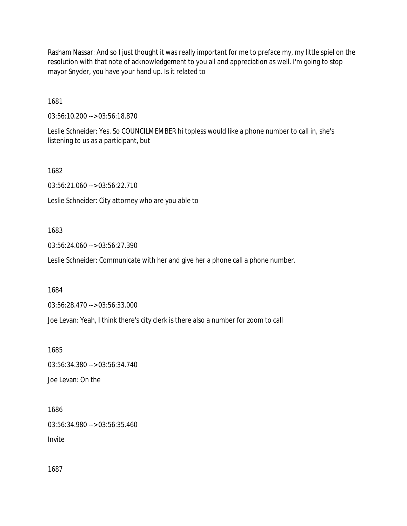Rasham Nassar: And so I just thought it was really important for me to preface my, my little spiel on the resolution with that note of acknowledgement to you all and appreciation as well. I'm going to stop mayor Snyder, you have your hand up. Is it related to

1681

03:56:10.200 --> 03:56:18.870

Leslie Schneider: Yes. So COUNCILMEMBER hi topless would like a phone number to call in, she's listening to us as a participant, but

1682

03:56:21.060 --> 03:56:22.710

Leslie Schneider: City attorney who are you able to

#### 1683

03:56:24.060 --> 03:56:27.390

Leslie Schneider: Communicate with her and give her a phone call a phone number.

1684

03:56:28.470 --> 03:56:33.000

Joe Levan: Yeah, I think there's city clerk is there also a number for zoom to call

1685

03:56:34.380 --> 03:56:34.740

Joe Levan: On the

1686 03:56:34.980 --> 03:56:35.460 Invite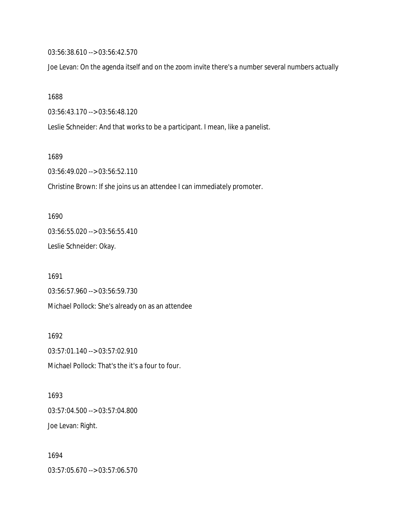03:56:38.610 --> 03:56:42.570

Joe Levan: On the agenda itself and on the zoom invite there's a number several numbers actually

1688

03:56:43.170 --> 03:56:48.120

Leslie Schneider: And that works to be a participant. I mean, like a panelist.

1689

03:56:49.020 --> 03:56:52.110

Christine Brown: If she joins us an attendee I can immediately promoter.

1690 03:56:55.020 --> 03:56:55.410 Leslie Schneider: Okay.

1691 03:56:57.960 --> 03:56:59.730 Michael Pollock: She's already on as an attendee

1692 03:57:01.140 --> 03:57:02.910 Michael Pollock: That's the it's a four to four.

1693 03:57:04.500 --> 03:57:04.800 Joe Levan: Right.

1694 03:57:05.670 --> 03:57:06.570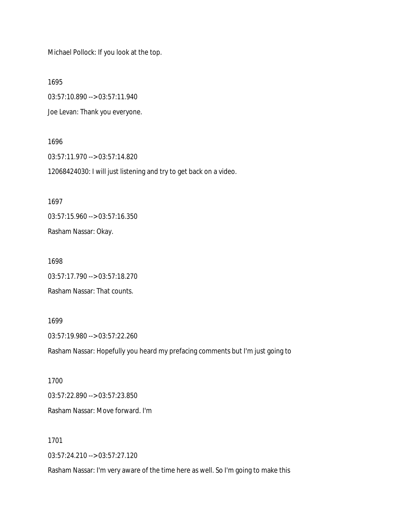Michael Pollock: If you look at the top.

1695

03:57:10.890 --> 03:57:11.940

Joe Levan: Thank you everyone.

1696

03:57:11.970 --> 03:57:14.820

12068424030: I will just listening and try to get back on a video.

1697

03:57:15.960 --> 03:57:16.350

Rasham Nassar: Okay.

1698 03:57:17.790 --> 03:57:18.270

Rasham Nassar: That counts.

1699

03:57:19.980 --> 03:57:22.260

Rasham Nassar: Hopefully you heard my prefacing comments but I'm just going to

1700 03:57:22.890 --> 03:57:23.850 Rasham Nassar: Move forward. I'm

1701

03:57:24.210 --> 03:57:27.120

Rasham Nassar: I'm very aware of the time here as well. So I'm going to make this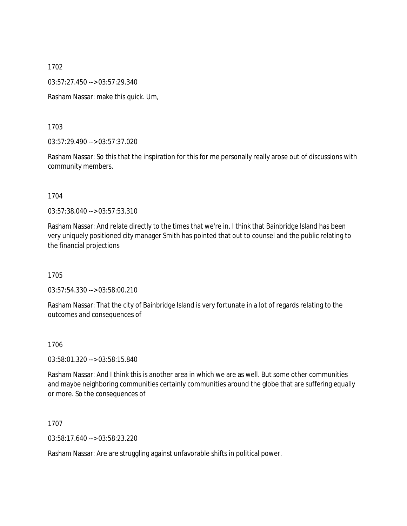03:57:27.450 --> 03:57:29.340

Rasham Nassar: make this quick. Um,

1703

03:57:29.490 --> 03:57:37.020

Rasham Nassar: So this that the inspiration for this for me personally really arose out of discussions with community members.

#### 1704

03:57:38.040 --> 03:57:53.310

Rasham Nassar: And relate directly to the times that we're in. I think that Bainbridge Island has been very uniquely positioned city manager Smith has pointed that out to counsel and the public relating to the financial projections

1705

03:57:54.330 --> 03:58:00.210

Rasham Nassar: That the city of Bainbridge Island is very fortunate in a lot of regards relating to the outcomes and consequences of

1706

03:58:01.320 --> 03:58:15.840

Rasham Nassar: And I think this is another area in which we are as well. But some other communities and maybe neighboring communities certainly communities around the globe that are suffering equally or more. So the consequences of

1707

03:58:17.640 --> 03:58:23.220

Rasham Nassar: Are are struggling against unfavorable shifts in political power.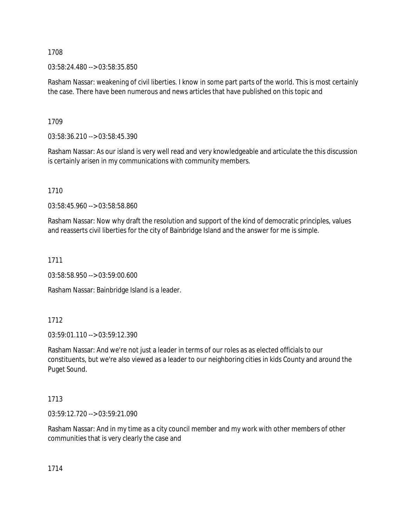03:58:24.480 --> 03:58:35.850

Rasham Nassar: weakening of civil liberties. I know in some part parts of the world. This is most certainly the case. There have been numerous and news articles that have published on this topic and

1709

03:58:36.210 --> 03:58:45.390

Rasham Nassar: As our island is very well read and very knowledgeable and articulate the this discussion is certainly arisen in my communications with community members.

1710

03:58:45.960 --> 03:58:58.860

Rasham Nassar: Now why draft the resolution and support of the kind of democratic principles, values and reasserts civil liberties for the city of Bainbridge Island and the answer for me is simple.

1711

03:58:58.950 --> 03:59:00.600

Rasham Nassar: Bainbridge Island is a leader.

## 1712

03:59:01.110 --> 03:59:12.390

Rasham Nassar: And we're not just a leader in terms of our roles as as elected officials to our constituents, but we're also viewed as a leader to our neighboring cities in kids County and around the Puget Sound.

## 1713

03:59:12.720 --> 03:59:21.090

Rasham Nassar: And in my time as a city council member and my work with other members of other communities that is very clearly the case and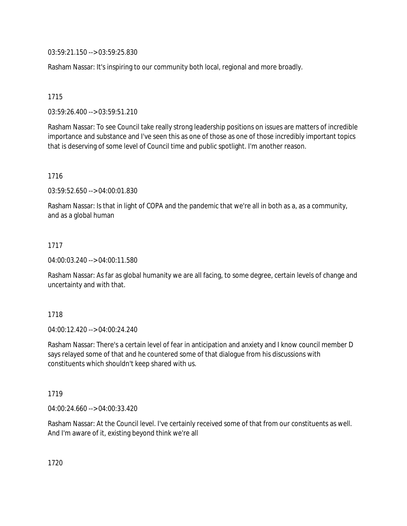03:59:21.150 --> 03:59:25.830

Rasham Nassar: It's inspiring to our community both local, regional and more broadly.

1715

03:59:26.400 --> 03:59:51.210

Rasham Nassar: To see Council take really strong leadership positions on issues are matters of incredible importance and substance and I've seen this as one of those as one of those incredibly important topics that is deserving of some level of Council time and public spotlight. I'm another reason.

1716

03:59:52.650 --> 04:00:01.830

Rasham Nassar: Is that in light of COPA and the pandemic that we're all in both as a, as a community, and as a global human

## 1717

04:00:03.240 --> 04:00:11.580

Rasham Nassar: As far as global humanity we are all facing, to some degree, certain levels of change and uncertainty and with that.

#### 1718

04:00:12.420 --> 04:00:24.240

Rasham Nassar: There's a certain level of fear in anticipation and anxiety and I know council member D says relayed some of that and he countered some of that dialogue from his discussions with constituents which shouldn't keep shared with us.

1719

04:00:24.660 --> 04:00:33.420

Rasham Nassar: At the Council level. I've certainly received some of that from our constituents as well. And I'm aware of it, existing beyond think we're all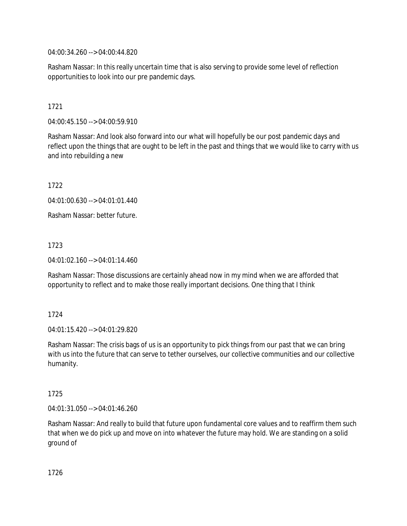04:00:34.260 --> 04:00:44.820

Rasham Nassar: In this really uncertain time that is also serving to provide some level of reflection opportunities to look into our pre pandemic days.

## 1721

04:00:45.150 --> 04:00:59.910

Rasham Nassar: And look also forward into our what will hopefully be our post pandemic days and reflect upon the things that are ought to be left in the past and things that we would like to carry with us and into rebuilding a new

1722

04:01:00.630 --> 04:01:01.440

Rasham Nassar: better future.

1723

04:01:02.160 --> 04:01:14.460

Rasham Nassar: Those discussions are certainly ahead now in my mind when we are afforded that opportunity to reflect and to make those really important decisions. One thing that I think

## 1724

04:01:15.420 --> 04:01:29.820

Rasham Nassar: The crisis bags of us is an opportunity to pick things from our past that we can bring with us into the future that can serve to tether ourselves, our collective communities and our collective humanity.

## 1725

04:01:31.050 --> 04:01:46.260

Rasham Nassar: And really to build that future upon fundamental core values and to reaffirm them such that when we do pick up and move on into whatever the future may hold. We are standing on a solid ground of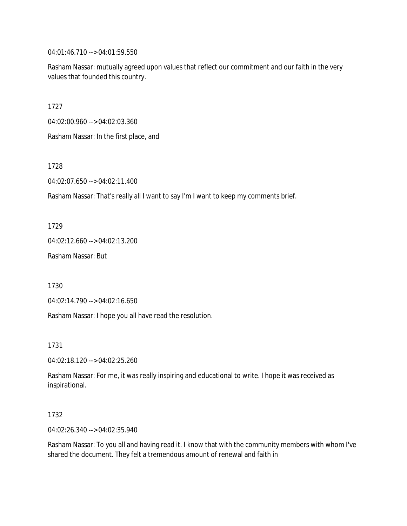04:01:46.710 --> 04:01:59.550

Rasham Nassar: mutually agreed upon values that reflect our commitment and our faith in the very values that founded this country.

1727

04:02:00.960 --> 04:02:03.360

Rasham Nassar: In the first place, and

1728

04:02:07.650 --> 04:02:11.400

Rasham Nassar: That's really all I want to say I'm I want to keep my comments brief.

1729

04:02:12.660 --> 04:02:13.200

Rasham Nassar: But

1730

04:02:14.790 --> 04:02:16.650

Rasham Nassar: I hope you all have read the resolution.

1731

04:02:18.120 --> 04:02:25.260

Rasham Nassar: For me, it was really inspiring and educational to write. I hope it was received as inspirational.

1732

04:02:26.340 --> 04:02:35.940

Rasham Nassar: To you all and having read it. I know that with the community members with whom I've shared the document. They felt a tremendous amount of renewal and faith in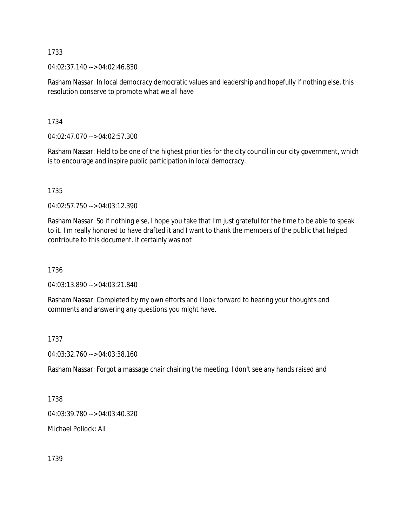04:02:37.140 --> 04:02:46.830

Rasham Nassar: In local democracy democratic values and leadership and hopefully if nothing else, this resolution conserve to promote what we all have

1734

04:02:47.070 --> 04:02:57.300

Rasham Nassar: Held to be one of the highest priorities for the city council in our city government, which is to encourage and inspire public participation in local democracy.

1735

04:02:57.750 --> 04:03:12.390

Rasham Nassar: So if nothing else, I hope you take that I'm just grateful for the time to be able to speak to it. I'm really honored to have drafted it and I want to thank the members of the public that helped contribute to this document. It certainly was not

1736

04:03:13.890 --> 04:03:21.840

Rasham Nassar: Completed by my own efforts and I look forward to hearing your thoughts and comments and answering any questions you might have.

1737

04:03:32.760 --> 04:03:38.160

Rasham Nassar: Forgot a massage chair chairing the meeting. I don't see any hands raised and

1738

04:03:39.780 --> 04:03:40.320

Michael Pollock: All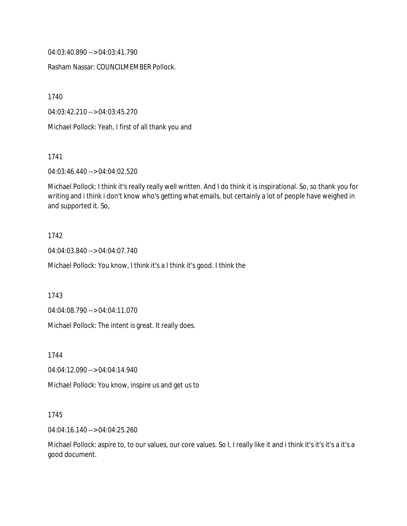04:03:40.890 --> 04:03:41.790

Rasham Nassar: COUNCILMEMBER Pollock.

1740

04:03:42.210 --> 04:03:45.270

Michael Pollock: Yeah, I first of all thank you and

1741

04:03:46.440 --> 04:04:02.520

Michael Pollock: I think it's really really well written. And I do think it is inspirational. So, so thank you for writing and i think i don't know who's getting what emails, but certainly a lot of people have weighed in and supported it. So,

#### 1742

04:04:03.840 --> 04:04:07.740

Michael Pollock: You know, I think it's a I think it's good. I think the

1743

04:04:08.790 --> 04:04:11.070

Michael Pollock: The intent is great. It really does.

1744

04:04:12.090 --> 04:04:14.940

Michael Pollock: You know, inspire us and get us to

## 1745

04:04:16.140 --> 04:04:25.260

Michael Pollock: aspire to, to our values, our core values. So I, I really like it and i think it's it's it's a it's a good document.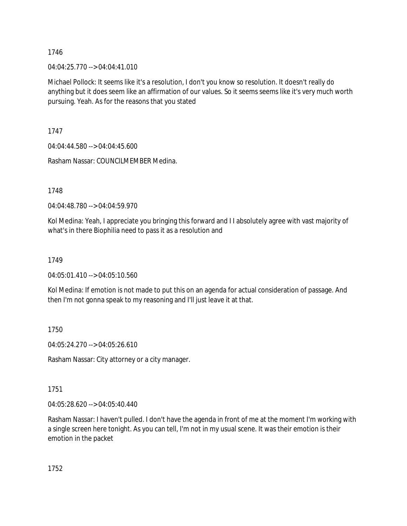04:04:25.770 --> 04:04:41.010

Michael Pollock: It seems like it's a resolution, I don't you know so resolution. It doesn't really do anything but it does seem like an affirmation of our values. So it seems seems like it's very much worth pursuing. Yeah. As for the reasons that you stated

1747

04:04:44.580 --> 04:04:45.600

Rasham Nassar: COUNCILMEMBER Medina.

1748

04:04:48.780 --> 04:04:59.970

Kol Medina: Yeah, I appreciate you bringing this forward and I I absolutely agree with vast majority of what's in there Biophilia need to pass it as a resolution and

1749

04:05:01.410 --> 04:05:10.560

Kol Medina: If emotion is not made to put this on an agenda for actual consideration of passage. And then I'm not gonna speak to my reasoning and I'll just leave it at that.

1750

04:05:24.270 --> 04:05:26.610

Rasham Nassar: City attorney or a city manager.

1751

04:05:28.620 --> 04:05:40.440

Rasham Nassar: I haven't pulled. I don't have the agenda in front of me at the moment I'm working with a single screen here tonight. As you can tell, I'm not in my usual scene. It was their emotion is their emotion in the packet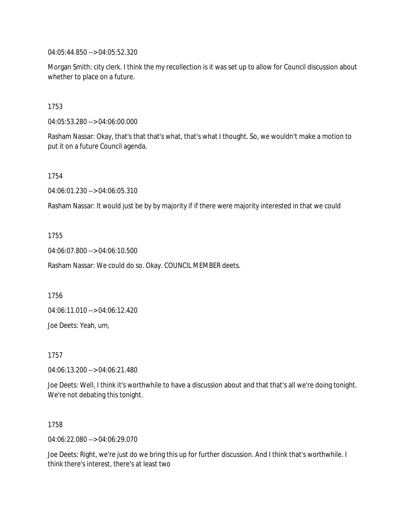04:05:44.850 --> 04:05:52.320

Morgan Smith: city clerk. I think the my recollection is it was set up to allow for Council discussion about whether to place on a future.

1753

04:05:53.280 --> 04:06:00.000

Rasham Nassar: Okay, that's that that's what, that's what I thought. So, we wouldn't make a motion to put it on a future Council agenda.

1754

04:06:01.230 --> 04:06:05.310

Rasham Nassar: It would just be by by majority if if there were majority interested in that we could

1755

04:06:07.800 --> 04:06:10.500

Rasham Nassar: We could do so. Okay. COUNCIL MEMBER deets.

1756

04:06:11.010 --> 04:06:12.420

Joe Deets: Yeah, um,

1757

04:06:13.200 --> 04:06:21.480

Joe Deets: Well, I think it's worthwhile to have a discussion about and that that's all we're doing tonight. We're not debating this tonight.

1758

04:06:22.080 --> 04:06:29.070

Joe Deets: Right, we're just do we bring this up for further discussion. And I think that's worthwhile. I think there's interest, there's at least two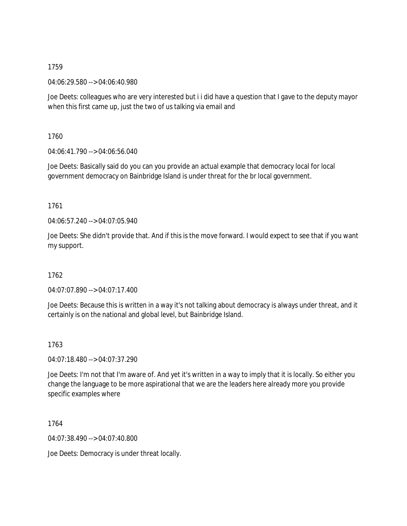04:06:29.580 --> 04:06:40.980

Joe Deets: colleagues who are very interested but i i did have a question that I gave to the deputy mayor when this first came up, just the two of us talking via email and

1760

04:06:41.790 --> 04:06:56.040

Joe Deets: Basically said do you can you provide an actual example that democracy local for local government democracy on Bainbridge Island is under threat for the br local government.

1761

04:06:57.240 --> 04:07:05.940

Joe Deets: She didn't provide that. And if this is the move forward. I would expect to see that if you want my support.

1762

04:07:07.890 --> 04:07:17.400

Joe Deets: Because this is written in a way it's not talking about democracy is always under threat, and it certainly is on the national and global level, but Bainbridge Island.

1763

04:07:18.480 --> 04:07:37.290

Joe Deets: I'm not that I'm aware of. And yet it's written in a way to imply that it is locally. So either you change the language to be more aspirational that we are the leaders here already more you provide specific examples where

1764

04:07:38.490 --> 04:07:40.800

Joe Deets: Democracy is under threat locally.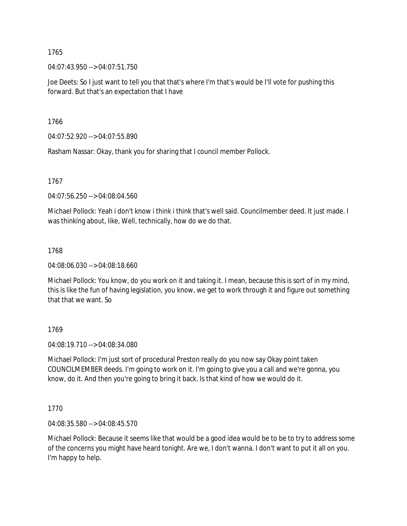04:07:43.950 --> 04:07:51.750

Joe Deets: So I just want to tell you that that's where I'm that's would be I'll vote for pushing this forward. But that's an expectation that I have

1766

04:07:52.920 --> 04:07:55.890

Rasham Nassar: Okay, thank you for sharing that I council member Pollock.

1767

04:07:56.250 --> 04:08:04.560

Michael Pollock: Yeah i don't know i think i think that's well said. Councilmember deed. It just made. I was thinking about, like, Well, technically, how do we do that.

## 1768

04:08:06.030 --> 04:08:18.660

Michael Pollock: You know, do you work on it and taking it. I mean, because this is sort of in my mind, this is like the fun of having legislation, you know, we get to work through it and figure out something that that we want. So

## 1769

04:08:19.710 --> 04:08:34.080

Michael Pollock: I'm just sort of procedural Preston really do you now say Okay point taken COUNCILMEMBER deeds. I'm going to work on it. I'm going to give you a call and we're gonna, you know, do it. And then you're going to bring it back. Is that kind of how we would do it.

1770

04:08:35.580 --> 04:08:45.570

Michael Pollock: Because it seems like that would be a good idea would be to be to try to address some of the concerns you might have heard tonight. Are we, I don't wanna. I don't want to put it all on you. I'm happy to help.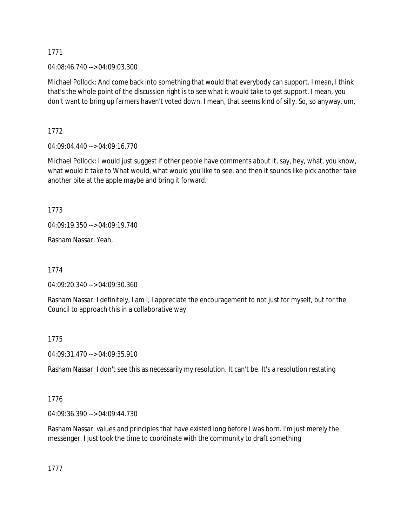04:08:46.740 --> 04:09:03.300

Michael Pollock: And come back into something that would that everybody can support. I mean, I think that's the whole point of the discussion right is to see what it would take to get support. I mean, you don't want to bring up farmers haven't voted down. I mean, that seems kind of silly. So, so anyway, um,

1772

04:09:04.440 --> 04:09:16.770

Michael Pollock: I would just suggest if other people have comments about it, say, hey, what, you know, what would it take to What would, what would you like to see, and then it sounds like pick another take another bite at the apple maybe and bring it forward.

1773

04:09:19.350 --> 04:09:19.740

Rasham Nassar: Yeah.

1774

04:09:20.340 --> 04:09:30.360

Rasham Nassar: I definitely, I am I, I appreciate the encouragement to not just for myself, but for the Council to approach this in a collaborative way.

1775

04:09:31.470 --> 04:09:35.910

Rasham Nassar: I don't see this as necessarily my resolution. It can't be. It's a resolution restating

1776

04:09:36.390 --> 04:09:44.730

Rasham Nassar: values and principles that have existed long before I was born. I'm just merely the messenger. I just took the time to coordinate with the community to draft something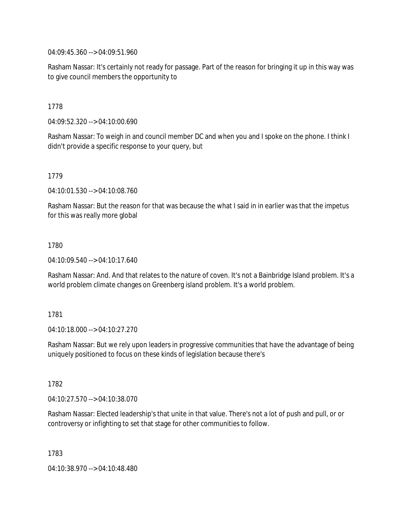04:09:45.360 --> 04:09:51.960

Rasham Nassar: It's certainly not ready for passage. Part of the reason for bringing it up in this way was to give council members the opportunity to

1778

04:09:52.320 --> 04:10:00.690

Rasham Nassar: To weigh in and council member DC and when you and I spoke on the phone. I think I didn't provide a specific response to your query, but

1779

04:10:01.530 --> 04:10:08.760

Rasham Nassar: But the reason for that was because the what I said in in earlier was that the impetus for this was really more global

1780

04:10:09.540 --> 04:10:17.640

Rasham Nassar: And. And that relates to the nature of coven. It's not a Bainbridge Island problem. It's a world problem climate changes on Greenberg island problem. It's a world problem.

1781

04:10:18.000 --> 04:10:27.270

Rasham Nassar: But we rely upon leaders in progressive communities that have the advantage of being uniquely positioned to focus on these kinds of legislation because there's

1782

04:10:27.570 --> 04:10:38.070

Rasham Nassar: Elected leadership's that unite in that value. There's not a lot of push and pull, or or controversy or infighting to set that stage for other communities to follow.

1783

04:10:38.970 --> 04:10:48.480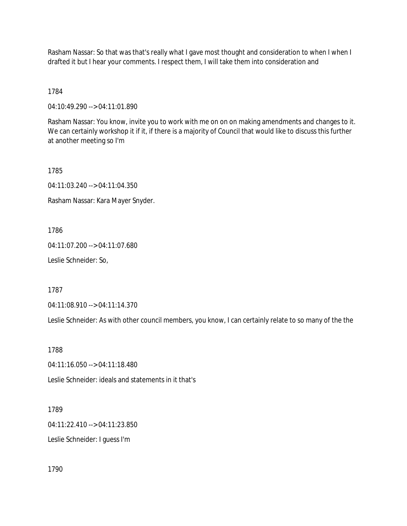Rasham Nassar: So that was that's really what I gave most thought and consideration to when I when I drafted it but I hear your comments. I respect them, I will take them into consideration and

1784

04:10:49.290 --> 04:11:01.890

Rasham Nassar: You know, invite you to work with me on on on making amendments and changes to it. We can certainly workshop it if it, if there is a majority of Council that would like to discuss this further at another meeting so I'm

1785

04:11:03.240 --> 04:11:04.350

Rasham Nassar: Kara Mayer Snyder.

1786

04:11:07.200 --> 04:11:07.680

Leslie Schneider: So,

1787

04:11:08.910 --> 04:11:14.370

Leslie Schneider: As with other council members, you know, I can certainly relate to so many of the the

1788

04:11:16.050 --> 04:11:18.480

Leslie Schneider: ideals and statements in it that's

1789

04:11:22.410 --> 04:11:23.850

Leslie Schneider: I guess I'm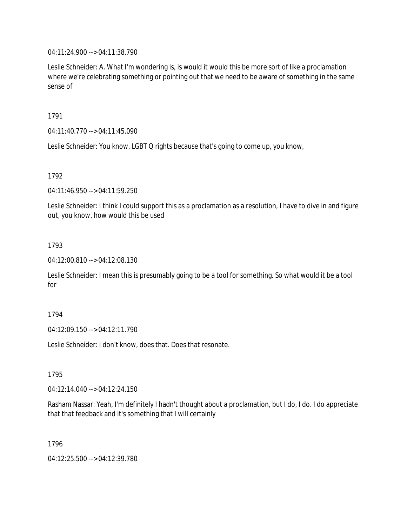04:11:24.900 --> 04:11:38.790

Leslie Schneider: A. What I'm wondering is, is would it would this be more sort of like a proclamation where we're celebrating something or pointing out that we need to be aware of something in the same sense of

1791

04:11:40.770 --> 04:11:45.090

Leslie Schneider: You know, LGBT Q rights because that's going to come up, you know,

1792

04:11:46.950 --> 04:11:59.250

Leslie Schneider: I think I could support this as a proclamation as a resolution, I have to dive in and figure out, you know, how would this be used

1793

04:12:00.810 --> 04:12:08.130

Leslie Schneider: I mean this is presumably going to be a tool for something. So what would it be a tool for

## 1794

04:12:09.150 --> 04:12:11.790

Leslie Schneider: I don't know, does that. Does that resonate.

1795

04:12:14.040 --> 04:12:24.150

Rasham Nassar: Yeah, I'm definitely I hadn't thought about a proclamation, but I do, I do. I do appreciate that that feedback and it's something that I will certainly

1796

04:12:25.500 --> 04:12:39.780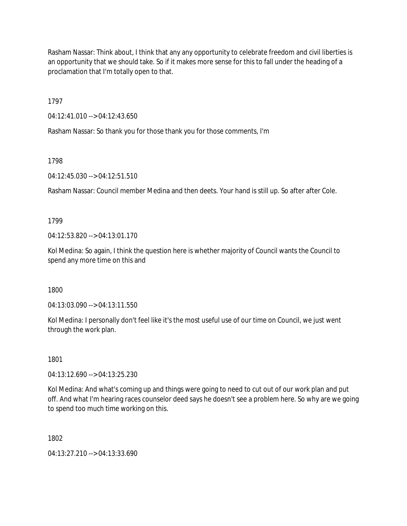Rasham Nassar: Think about, I think that any any opportunity to celebrate freedom and civil liberties is an opportunity that we should take. So if it makes more sense for this to fall under the heading of a proclamation that I'm totally open to that.

1797

04:12:41.010 --> 04:12:43.650

Rasham Nassar: So thank you for those thank you for those comments, I'm

1798

04:12:45.030 --> 04:12:51.510

Rasham Nassar: Council member Medina and then deets. Your hand is still up. So after after Cole.

1799

04:12:53.820 --> 04:13:01.170

Kol Medina: So again, I think the question here is whether majority of Council wants the Council to spend any more time on this and

1800

04:13:03.090 --> 04:13:11.550

Kol Medina: I personally don't feel like it's the most useful use of our time on Council, we just went through the work plan.

1801

04:13:12.690 --> 04:13:25.230

Kol Medina: And what's coming up and things were going to need to cut out of our work plan and put off. And what I'm hearing races counselor deed says he doesn't see a problem here. So why are we going to spend too much time working on this.

1802

04:13:27.210 --> 04:13:33.690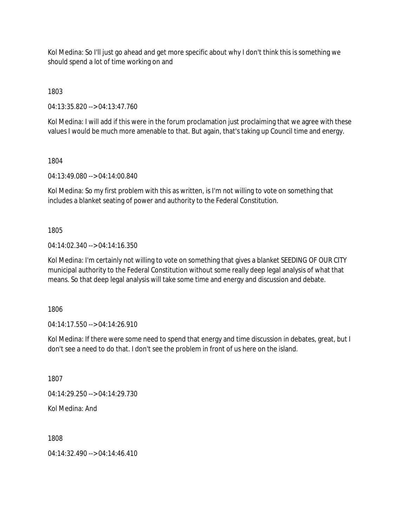Kol Medina: So I'll just go ahead and get more specific about why I don't think this is something we should spend a lot of time working on and

1803

04:13:35.820 --> 04:13:47.760

Kol Medina: I will add if this were in the forum proclamation just proclaiming that we agree with these values I would be much more amenable to that. But again, that's taking up Council time and energy.

1804

04:13:49.080 --> 04:14:00.840

Kol Medina: So my first problem with this as written, is I'm not willing to vote on something that includes a blanket seating of power and authority to the Federal Constitution.

1805

04:14:02.340 --> 04:14:16.350

Kol Medina: I'm certainly not willing to vote on something that gives a blanket SEEDING OF OUR CITY municipal authority to the Federal Constitution without some really deep legal analysis of what that means. So that deep legal analysis will take some time and energy and discussion and debate.

1806

04:14:17.550 --> 04:14:26.910

Kol Medina: If there were some need to spend that energy and time discussion in debates, great, but I don't see a need to do that. I don't see the problem in front of us here on the island.

1807

04:14:29.250 --> 04:14:29.730

Kol Medina: And

1808

04:14:32.490 --> 04:14:46.410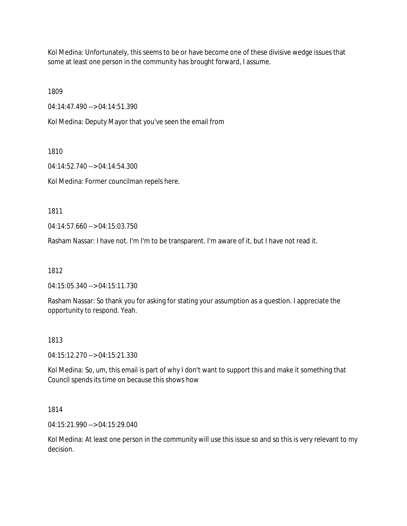Kol Medina: Unfortunately, this seems to be or have become one of these divisive wedge issues that some at least one person in the community has brought forward, I assume.

1809

04:14:47.490 --> 04:14:51.390

Kol Medina: Deputy Mayor that you've seen the email from

1810

04:14:52.740 --> 04:14:54.300

Kol Medina: Former councilman repels here.

1811

04:14:57.660 --> 04:15:03.750

Rasham Nassar: I have not. I'm I'm to be transparent. I'm aware of it, but I have not read it.

1812

04:15:05.340 --> 04:15:11.730

Rasham Nassar: So thank you for asking for stating your assumption as a question. I appreciate the opportunity to respond. Yeah.

## 1813

04:15:12.270 --> 04:15:21.330

Kol Medina: So, um, this email is part of why I don't want to support this and make it something that Council spends its time on because this shows how

## 1814

04:15:21.990 --> 04:15:29.040

Kol Medina: At least one person in the community will use this issue so and so this is very relevant to my decision.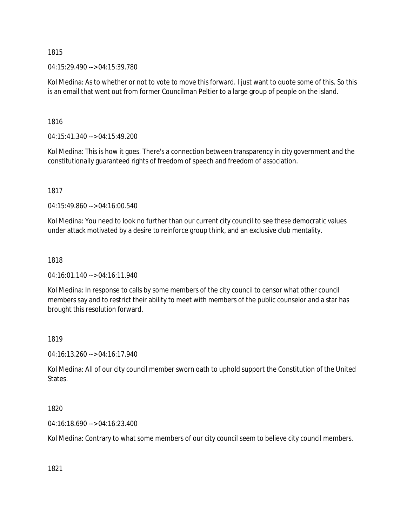04:15:29.490 --> 04:15:39.780

Kol Medina: As to whether or not to vote to move this forward. I just want to quote some of this. So this is an email that went out from former Councilman Peltier to a large group of people on the island.

1816

04:15:41.340 --> 04:15:49.200

Kol Medina: This is how it goes. There's a connection between transparency in city government and the constitutionally guaranteed rights of freedom of speech and freedom of association.

1817

04:15:49.860 --> 04:16:00.540

Kol Medina: You need to look no further than our current city council to see these democratic values under attack motivated by a desire to reinforce group think, and an exclusive club mentality.

1818

04:16:01.140 --> 04:16:11.940

Kol Medina: In response to calls by some members of the city council to censor what other council members say and to restrict their ability to meet with members of the public counselor and a star has brought this resolution forward.

1819

04:16:13.260 --> 04:16:17.940

Kol Medina: All of our city council member sworn oath to uphold support the Constitution of the United States.

1820

04:16:18.690 --> 04:16:23.400

Kol Medina: Contrary to what some members of our city council seem to believe city council members.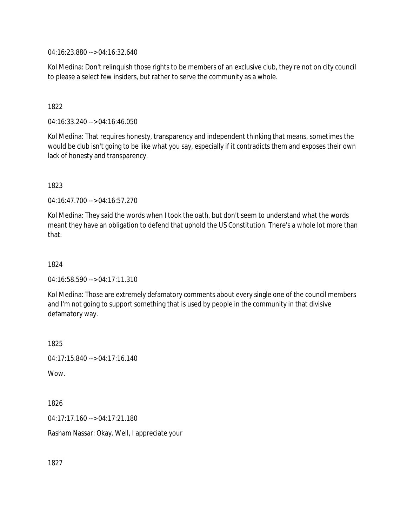04:16:23.880 --> 04:16:32.640

Kol Medina: Don't relinquish those rights to be members of an exclusive club, they're not on city council to please a select few insiders, but rather to serve the community as a whole.

## 1822

04:16:33.240 --> 04:16:46.050

Kol Medina: That requires honesty, transparency and independent thinking that means, sometimes the would be club isn't going to be like what you say, especially if it contradicts them and exposes their own lack of honesty and transparency.

## 1823

04:16:47.700 --> 04:16:57.270

Kol Medina: They said the words when I took the oath, but don't seem to understand what the words meant they have an obligation to defend that uphold the US Constitution. There's a whole lot more than that.

## 1824

04:16:58.590 --> 04:17:11.310

Kol Medina: Those are extremely defamatory comments about every single one of the council members and I'm not going to support something that is used by people in the community in that divisive defamatory way.

1825

04:17:15.840 --> 04:17:16.140

Wow.

1826

04:17:17.160 --> 04:17:21.180

Rasham Nassar: Okay. Well, I appreciate your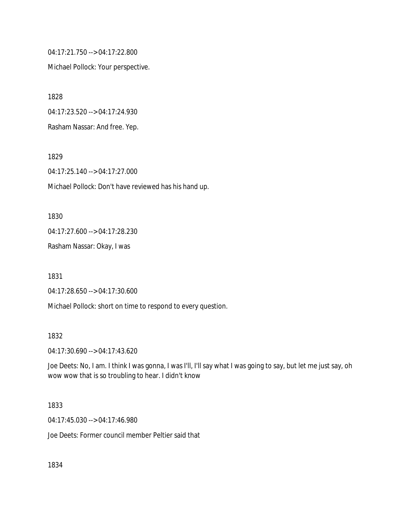04:17:21.750 --> 04:17:22.800

Michael Pollock: Your perspective.

1828 04:17:23.520 --> 04:17:24.930 Rasham Nassar: And free. Yep.

1829

04:17:25.140 --> 04:17:27.000

Michael Pollock: Don't have reviewed has his hand up.

1830

04:17:27.600 --> 04:17:28.230

Rasham Nassar: Okay, I was

1831

04:17:28.650 --> 04:17:30.600

Michael Pollock: short on time to respond to every question.

1832

04:17:30.690 --> 04:17:43.620

Joe Deets: No, I am. I think I was gonna, I was I'll, I'll say what I was going to say, but let me just say, oh wow wow that is so troubling to hear. I didn't know

#### 1833

04:17:45.030 --> 04:17:46.980

Joe Deets: Former council member Peltier said that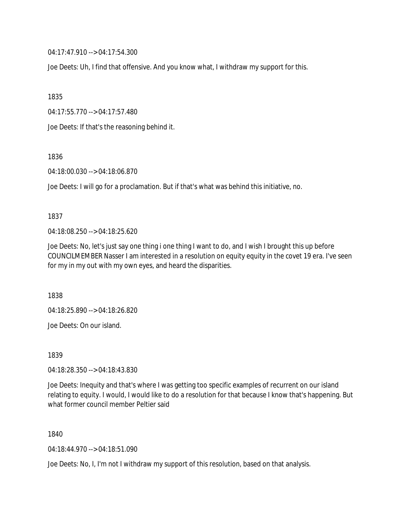04:17:47.910 --> 04:17:54.300

Joe Deets: Uh, I find that offensive. And you know what, I withdraw my support for this.

1835

04:17:55.770 --> 04:17:57.480

Joe Deets: If that's the reasoning behind it.

1836

04:18:00.030 --> 04:18:06.870

Joe Deets: I will go for a proclamation. But if that's what was behind this initiative, no.

1837

04:18:08.250 --> 04:18:25.620

Joe Deets: No, let's just say one thing i one thing I want to do, and I wish I brought this up before COUNCILMEMBER Nasser I am interested in a resolution on equity equity in the covet 19 era. I've seen for my in my out with my own eyes, and heard the disparities.

1838

04:18:25.890 --> 04:18:26.820

Joe Deets: On our island.

1839

04:18:28.350 --> 04:18:43.830

Joe Deets: Inequity and that's where I was getting too specific examples of recurrent on our island relating to equity. I would, I would like to do a resolution for that because I know that's happening. But what former council member Peltier said

1840

04:18:44.970 --> 04:18:51.090

Joe Deets: No, I, I'm not I withdraw my support of this resolution, based on that analysis.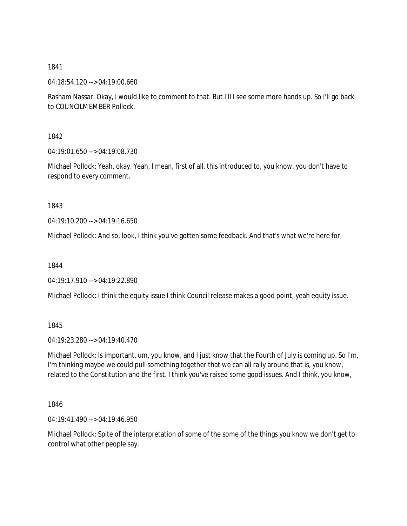04:18:54.120 --> 04:19:00.660

Rasham Nassar: Okay, I would like to comment to that. But I'll I see some more hands up. So I'll go back to COUNCILMEMBER Pollock.

1842

04:19:01.650 --> 04:19:08.730

Michael Pollock: Yeah, okay. Yeah, I mean, first of all, this introduced to, you know, you don't have to respond to every comment.

1843

04:19:10.200 --> 04:19:16.650

Michael Pollock: And so, look, I think you've gotten some feedback. And that's what we're here for.

1844

04:19:17.910 --> 04:19:22.890

Michael Pollock: I think the equity issue I think Council release makes a good point, yeah equity issue.

1845

04:19:23.280 --> 04:19:40.470

Michael Pollock: Is important, um, you know, and I just know that the Fourth of July is coming up. So I'm, I'm thinking maybe we could pull something together that we can all rally around that is, you know, related to the Constitution and the first. I think you've raised some good issues. And I think, you know,

1846

04:19:41.490 --> 04:19:46.950

Michael Pollock: Spite of the interpretation of some of the some of the things you know we don't get to control what other people say.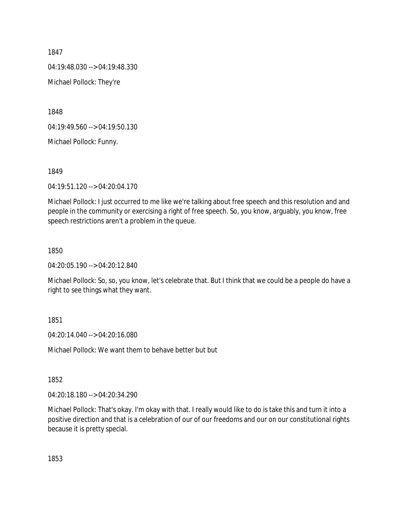04:19:48.030 --> 04:19:48.330

Michael Pollock: They're

1848

04:19:49.560 --> 04:19:50.130

Michael Pollock: Funny.

1849

04:19:51.120 --> 04:20:04.170

Michael Pollock: I just occurred to me like we're talking about free speech and this resolution and and people in the community or exercising a right of free speech. So, you know, arguably, you know, free speech restrictions aren't a problem in the queue.

#### 1850

04:20:05.190 --> 04:20:12.840

Michael Pollock: So, so, you know, let's celebrate that. But I think that we could be a people do have a right to see things what they want.

1851

04:20:14.040 --> 04:20:16.080

Michael Pollock: We want them to behave better but but

1852

04:20:18.180 --> 04:20:34.290

Michael Pollock: That's okay. I'm okay with that. I really would like to do is take this and turn it into a positive direction and that is a celebration of our of our freedoms and our on our constitutional rights because it is pretty special.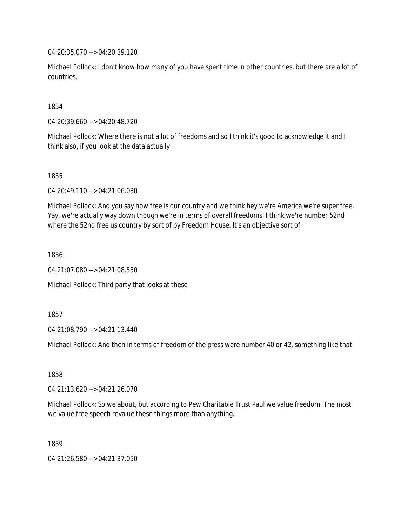04:20:35.070 --> 04:20:39.120

Michael Pollock: I don't know how many of you have spent time in other countries, but there are a lot of countries.

## 1854

04:20:39.660 --> 04:20:48.720

Michael Pollock: Where there is not a lot of freedoms and so I think it's good to acknowledge it and I think also, if you look at the data actually

1855

04:20:49.110 --> 04:21:06.030

Michael Pollock: And you say how free is our country and we think hey we're America we're super free. Yay, we're actually way down though we're in terms of overall freedoms, I think we're number 52nd where the 52nd free us country by sort of by Freedom House. It's an objective sort of

1856

04:21:07.080 --> 04:21:08.550

Michael Pollock: Third party that looks at these

## 1857

04:21:08.790 --> 04:21:13.440

Michael Pollock: And then in terms of freedom of the press were number 40 or 42, something like that.

1858

04:21:13.620 --> 04:21:26.070

Michael Pollock: So we about, but according to Pew Charitable Trust Paul we value freedom. The most we value free speech revalue these things more than anything.

1859

04:21:26.580 --> 04:21:37.050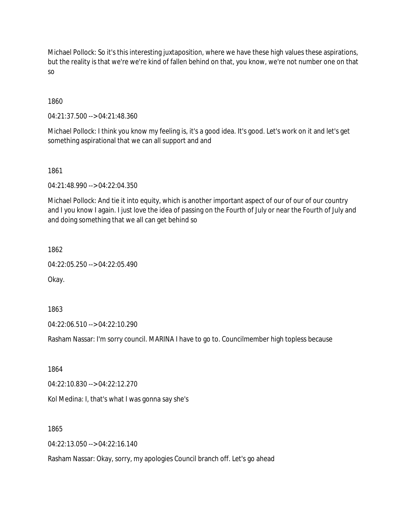Michael Pollock: So it's this interesting juxtaposition, where we have these high values these aspirations, but the reality is that we're we're kind of fallen behind on that, you know, we're not number one on that so

1860

04:21:37.500 --> 04:21:48.360

Michael Pollock: I think you know my feeling is, it's a good idea. It's good. Let's work on it and let's get something aspirational that we can all support and and

1861

04:21:48.990 --> 04:22:04.350

Michael Pollock: And tie it into equity, which is another important aspect of our of our of our country and I you know I again. I just love the idea of passing on the Fourth of July or near the Fourth of July and and doing something that we all can get behind so

1862

04:22:05.250 --> 04:22:05.490

Okay.

1863

04:22:06.510 --> 04:22:10.290

Rasham Nassar: I'm sorry council. MARINA I have to go to. Councilmember high topless because

1864

04:22:10.830 --> 04:22:12.270

Kol Medina: I, that's what I was gonna say she's

1865

04:22:13.050 --> 04:22:16.140

Rasham Nassar: Okay, sorry, my apologies Council branch off. Let's go ahead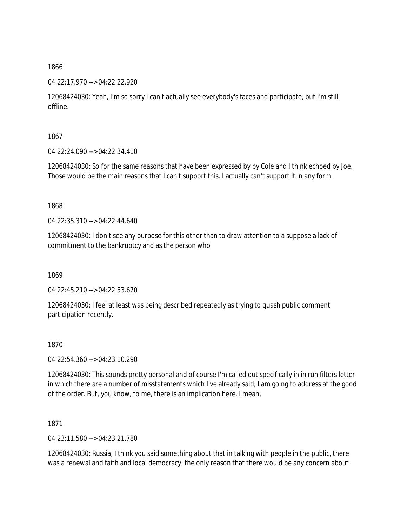04:22:17.970 --> 04:22:22.920

12068424030: Yeah, I'm so sorry I can't actually see everybody's faces and participate, but I'm still offline.

1867

04:22:24.090 --> 04:22:34.410

12068424030: So for the same reasons that have been expressed by by Cole and I think echoed by Joe. Those would be the main reasons that I can't support this. I actually can't support it in any form.

1868

 $04.22.35.310 -> 04.22.44.640$ 

12068424030: I don't see any purpose for this other than to draw attention to a suppose a lack of commitment to the bankruptcy and as the person who

1869

04:22:45.210 --> 04:22:53.670

12068424030: I feel at least was being described repeatedly as trying to quash public comment participation recently.

1870

04:22:54.360 --> 04:23:10.290

12068424030: This sounds pretty personal and of course I'm called out specifically in in run filters letter in which there are a number of misstatements which I've already said, I am going to address at the good of the order. But, you know, to me, there is an implication here. I mean,

1871

04:23:11.580 --> 04:23:21.780

12068424030: Russia, I think you said something about that in talking with people in the public, there was a renewal and faith and local democracy, the only reason that there would be any concern about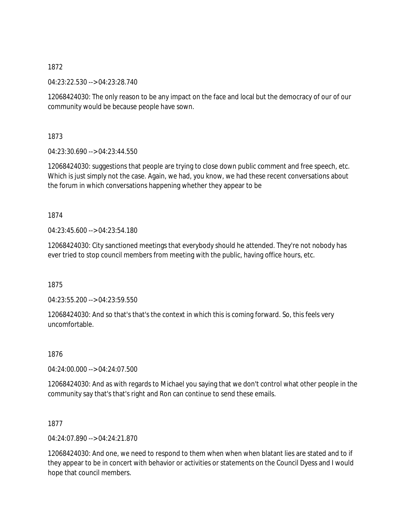04:23:22.530 --> 04:23:28.740

12068424030: The only reason to be any impact on the face and local but the democracy of our of our community would be because people have sown.

1873

04:23:30.690 --> 04:23:44.550

12068424030: suggestions that people are trying to close down public comment and free speech, etc. Which is just simply not the case. Again, we had, you know, we had these recent conversations about the forum in which conversations happening whether they appear to be

1874

04:23:45.600 --> 04:23:54.180

12068424030: City sanctioned meetings that everybody should he attended. They're not nobody has ever tried to stop council members from meeting with the public, having office hours, etc.

1875

04:23:55.200 --> 04:23:59.550

12068424030: And so that's that's the context in which this is coming forward. So, this feels very uncomfortable.

1876

04:24:00.000 --> 04:24:07.500

12068424030: And as with regards to Michael you saying that we don't control what other people in the community say that's that's right and Ron can continue to send these emails.

1877

04:24:07.890 --> 04:24:21.870

12068424030: And one, we need to respond to them when when when blatant lies are stated and to if they appear to be in concert with behavior or activities or statements on the Council Dyess and I would hope that council members.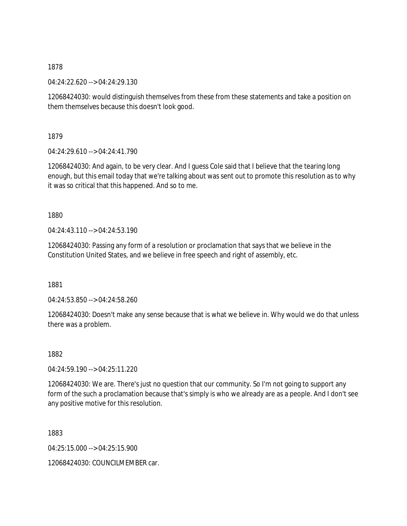04:24:22.620 --> 04:24:29.130

12068424030: would distinguish themselves from these from these statements and take a position on them themselves because this doesn't look good.

1879

04:24:29.610 --> 04:24:41.790

12068424030: And again, to be very clear. And I guess Cole said that I believe that the tearing long enough, but this email today that we're talking about was sent out to promote this resolution as to why it was so critical that this happened. And so to me.

1880

04:24:43.110 --> 04:24:53.190

12068424030: Passing any form of a resolution or proclamation that says that we believe in the Constitution United States, and we believe in free speech and right of assembly, etc.

1881

04:24:53.850 --> 04:24:58.260

12068424030: Doesn't make any sense because that is what we believe in. Why would we do that unless there was a problem.

1882

04:24:59.190 --> 04:25:11.220

12068424030: We are. There's just no question that our community. So I'm not going to support any form of the such a proclamation because that's simply is who we already are as a people. And I don't see any positive motive for this resolution.

1883

04:25:15.000 --> 04:25:15.900

12068424030: COUNCILMEMBER car.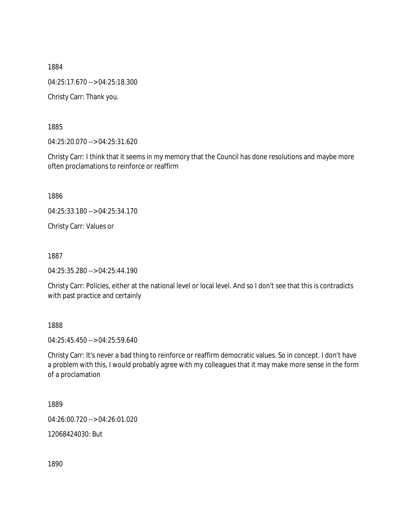1884 04:25:17.670 --> 04:25:18.300 Christy Carr: Thank you.

1885

04:25:20.070 --> 04:25:31.620

Christy Carr: I think that it seems in my memory that the Council has done resolutions and maybe more often proclamations to reinforce or reaffirm

1886

04:25:33.180 --> 04:25:34.170

Christy Carr: Values or

1887

04:25:35.280 --> 04:25:44.190

Christy Carr: Policies, either at the national level or local level. And so I don't see that this is contradicts with past practice and certainly

1888

04:25:45.450 --> 04:25:59.640

Christy Carr: It's never a bad thing to reinforce or reaffirm democratic values. So in concept. I don't have a problem with this, I would probably agree with my colleagues that it may make more sense in the form of a proclamation

1889

04:26:00.720 --> 04:26:01.020

12068424030: But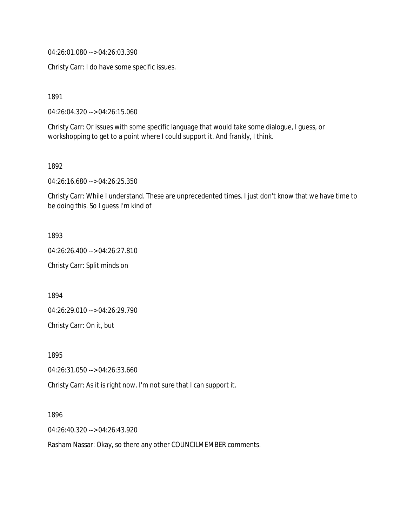04:26:01.080 --> 04:26:03.390

Christy Carr: I do have some specific issues.

1891

04:26:04.320 --> 04:26:15.060

Christy Carr: Or issues with some specific language that would take some dialogue, I guess, or workshopping to get to a point where I could support it. And frankly, I think.

1892

04:26:16.680 --> 04:26:25.350

Christy Carr: While I understand. These are unprecedented times. I just don't know that we have time to be doing this. So I guess I'm kind of

1893

04:26:26.400 --> 04:26:27.810

Christy Carr: Split minds on

1894

04:26:29.010 --> 04:26:29.790

Christy Carr: On it, but

1895

04:26:31.050 --> 04:26:33.660

Christy Carr: As it is right now. I'm not sure that I can support it.

1896

04:26:40.320 --> 04:26:43.920

Rasham Nassar: Okay, so there any other COUNCILMEMBER comments.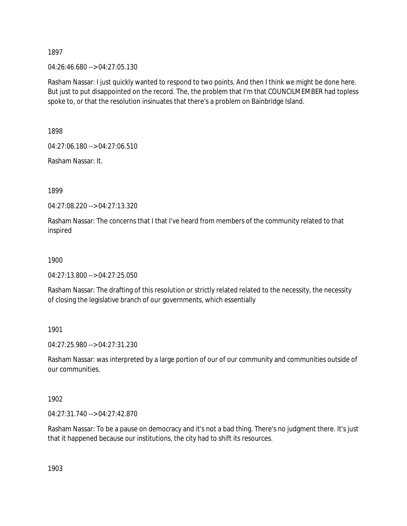04:26:46.680 --> 04:27:05.130

Rasham Nassar: I just quickly wanted to respond to two points. And then I think we might be done here. But just to put disappointed on the record. The, the problem that I'm that COUNCILMEMBER had topless spoke to, or that the resolution insinuates that there's a problem on Bainbridge Island.

1898

04:27:06.180 --> 04:27:06.510

Rasham Nassar: It.

1899

04:27:08.220 --> 04:27:13.320

Rasham Nassar: The concerns that I that I've heard from members of the community related to that inspired

1900

04:27:13.800 --> 04:27:25.050

Rasham Nassar: The drafting of this resolution or strictly related related to the necessity, the necessity of closing the legislative branch of our governments, which essentially

1901

04:27:25.980 --> 04:27:31.230

Rasham Nassar: was interpreted by a large portion of our of our community and communities outside of our communities.

1902

04:27:31.740 --> 04:27:42.870

Rasham Nassar: To be a pause on democracy and it's not a bad thing. There's no judgment there. It's just that it happened because our institutions, the city had to shift its resources.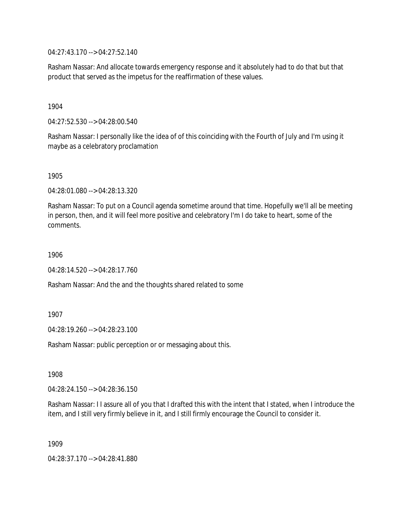04:27:43.170 --> 04:27:52.140

Rasham Nassar: And allocate towards emergency response and it absolutely had to do that but that product that served as the impetus for the reaffirmation of these values.

1904

04:27:52.530 --> 04:28:00.540

Rasham Nassar: I personally like the idea of of this coinciding with the Fourth of July and I'm using it maybe as a celebratory proclamation

1905

04:28:01.080 --> 04:28:13.320

Rasham Nassar: To put on a Council agenda sometime around that time. Hopefully we'll all be meeting in person, then, and it will feel more positive and celebratory I'm I do take to heart, some of the comments.

1906

04:28:14.520 --> 04:28:17.760

Rasham Nassar: And the and the thoughts shared related to some

1907

04:28:19.260 --> 04:28:23.100

Rasham Nassar: public perception or or messaging about this.

1908

04:28:24.150 --> 04:28:36.150

Rasham Nassar: I I assure all of you that I drafted this with the intent that I stated, when I introduce the item, and I still very firmly believe in it, and I still firmly encourage the Council to consider it.

1909

04:28:37.170 --> 04:28:41.880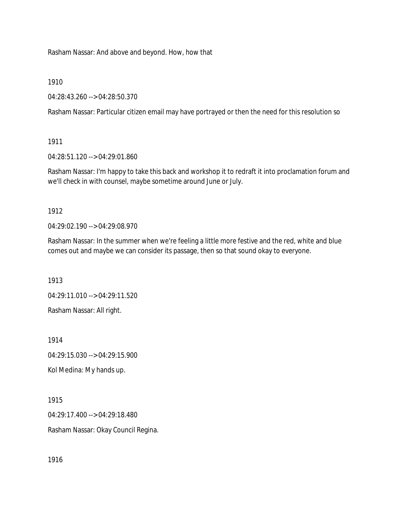Rasham Nassar: And above and beyond. How, how that

1910

04:28:43.260 --> 04:28:50.370

Rasham Nassar: Particular citizen email may have portrayed or then the need for this resolution so

1911

04:28:51.120 --> 04:29:01.860

Rasham Nassar: I'm happy to take this back and workshop it to redraft it into proclamation forum and we'll check in with counsel, maybe sometime around June or July.

1912

04:29:02.190 --> 04:29:08.970

Rasham Nassar: In the summer when we're feeling a little more festive and the red, white and blue comes out and maybe we can consider its passage, then so that sound okay to everyone.

1913

04:29:11.010 --> 04:29:11.520

Rasham Nassar: All right.

1914

04:29:15.030 --> 04:29:15.900

Kol Medina: My hands up.

1915

04:29:17.400 --> 04:29:18.480

Rasham Nassar: Okay Council Regina.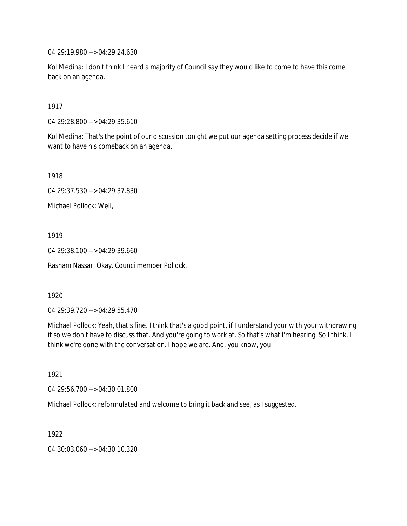04:29:19.980 --> 04:29:24.630

Kol Medina: I don't think I heard a majority of Council say they would like to come to have this come back on an agenda.

1917

04:29:28.800 --> 04:29:35.610

Kol Medina: That's the point of our discussion tonight we put our agenda setting process decide if we want to have his comeback on an agenda.

1918

04:29:37.530 --> 04:29:37.830

Michael Pollock: Well,

1919

04:29:38.100 --> 04:29:39.660

Rasham Nassar: Okay. Councilmember Pollock.

1920

04:29:39.720 --> 04:29:55.470

Michael Pollock: Yeah, that's fine. I think that's a good point, if I understand your with your withdrawing it so we don't have to discuss that. And you're going to work at. So that's what I'm hearing. So I think, I think we're done with the conversation. I hope we are. And, you know, you

1921

04:29:56.700 --> 04:30:01.800

Michael Pollock: reformulated and welcome to bring it back and see, as I suggested.

1922

04:30:03.060 --> 04:30:10.320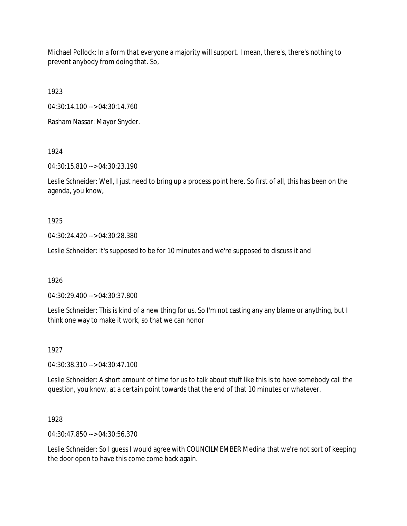Michael Pollock: In a form that everyone a majority will support. I mean, there's, there's nothing to prevent anybody from doing that. So,

1923

04:30:14.100 --> 04:30:14.760

Rasham Nassar: Mayor Snyder.

1924

04:30:15.810 --> 04:30:23.190

Leslie Schneider: Well, I just need to bring up a process point here. So first of all, this has been on the agenda, you know,

1925

04:30:24.420 --> 04:30:28.380

Leslie Schneider: It's supposed to be for 10 minutes and we're supposed to discuss it and

1926

04:30:29.400 --> 04:30:37.800

Leslie Schneider: This is kind of a new thing for us. So I'm not casting any any blame or anything, but I think one way to make it work, so that we can honor

1927

04:30:38.310 --> 04:30:47.100

Leslie Schneider: A short amount of time for us to talk about stuff like this is to have somebody call the question, you know, at a certain point towards that the end of that 10 minutes or whatever.

1928

04:30:47.850 --> 04:30:56.370

Leslie Schneider: So I guess I would agree with COUNCILMEMBER Medina that we're not sort of keeping the door open to have this come come back again.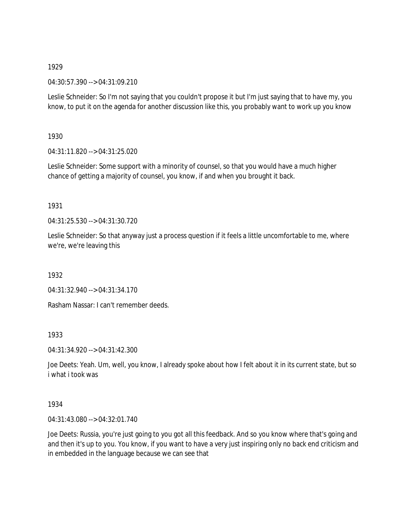04:30:57.390 --> 04:31:09.210

Leslie Schneider: So I'm not saying that you couldn't propose it but I'm just saying that to have my, you know, to put it on the agenda for another discussion like this, you probably want to work up you know

1930

04:31:11.820 --> 04:31:25.020

Leslie Schneider: Some support with a minority of counsel, so that you would have a much higher chance of getting a majority of counsel, you know, if and when you brought it back.

1931

04:31:25.530 --> 04:31:30.720

Leslie Schneider: So that anyway just a process question if it feels a little uncomfortable to me, where we're, we're leaving this

1932

04:31:32.940 --> 04:31:34.170

Rasham Nassar: I can't remember deeds.

1933

04:31:34.920 --> 04:31:42.300

Joe Deets: Yeah. Um, well, you know, I already spoke about how I felt about it in its current state, but so i what i took was

1934

04:31:43.080 --> 04:32:01.740

Joe Deets: Russia, you're just going to you got all this feedback. And so you know where that's going and and then it's up to you. You know, if you want to have a very just inspiring only no back end criticism and in embedded in the language because we can see that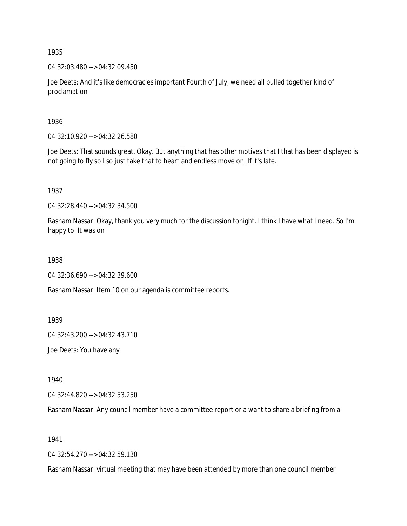04:32:03.480 --> 04:32:09.450

Joe Deets: And it's like democracies important Fourth of July, we need all pulled together kind of proclamation

1936

04:32:10.920 --> 04:32:26.580

Joe Deets: That sounds great. Okay. But anything that has other motives that I that has been displayed is not going to fly so I so just take that to heart and endless move on. If it's late.

1937

04:32:28.440 --> 04:32:34.500

Rasham Nassar: Okay, thank you very much for the discussion tonight. I think I have what I need. So I'm happy to. It was on

1938

04:32:36.690 --> 04:32:39.600

Rasham Nassar: Item 10 on our agenda is committee reports.

1939

04:32:43.200 --> 04:32:43.710

Joe Deets: You have any

1940

04:32:44.820 --> 04:32:53.250

Rasham Nassar: Any council member have a committee report or a want to share a briefing from a

1941

04:32:54.270 --> 04:32:59.130

Rasham Nassar: virtual meeting that may have been attended by more than one council member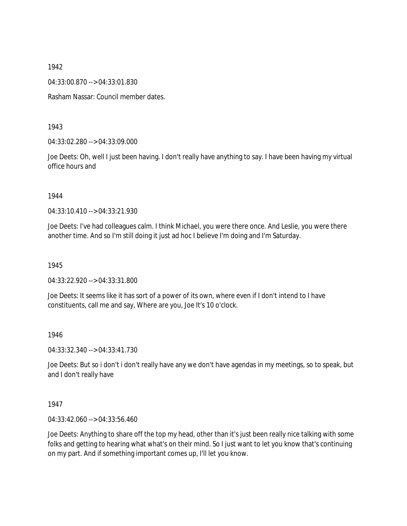04:33:00.870 --> 04:33:01.830

Rasham Nassar: Council member dates.

## 1943

04:33:02.280 --> 04:33:09.000

Joe Deets: Oh, well I just been having. I don't really have anything to say. I have been having my virtual office hours and

## 1944

04:33:10.410 --> 04:33:21.930

Joe Deets: I've had colleagues calm. I think Michael, you were there once. And Leslie, you were there another time. And so I'm still doing it just ad hoc I believe I'm doing and I'm Saturday.

## 1945

04:33:22.920 --> 04:33:31.800

Joe Deets: It seems like it has sort of a power of its own, where even if I don't intend to I have constituents, call me and say, Where are you, Joe It's 10 o'clock.

## 1946

04:33:32.340 --> 04:33:41.730

Joe Deets: But so i don't i don't really have any we don't have agendas in my meetings, so to speak, but and I don't really have

## 1947

04:33:42.060 --> 04:33:56.460

Joe Deets: Anything to share off the top my head, other than it's just been really nice talking with some folks and getting to hearing what what's on their mind. So I just want to let you know that's continuing on my part. And if something important comes up, I'll let you know.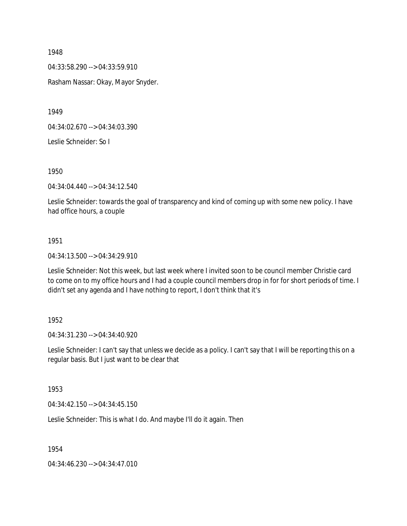04:33:58.290 --> 04:33:59.910

Rasham Nassar: Okay, Mayor Snyder.

1949

04:34:02.670 --> 04:34:03.390

Leslie Schneider: So I

1950

04:34:04.440 --> 04:34:12.540

Leslie Schneider: towards the goal of transparency and kind of coming up with some new policy. I have had office hours, a couple

#### 1951

04:34:13.500 --> 04:34:29.910

Leslie Schneider: Not this week, but last week where I invited soon to be council member Christie card to come on to my office hours and I had a couple council members drop in for for short periods of time. I didn't set any agenda and I have nothing to report, I don't think that it's

#### 1952

04:34:31.230 --> 04:34:40.920

Leslie Schneider: I can't say that unless we decide as a policy. I can't say that I will be reporting this on a regular basis. But I just want to be clear that

## 1953

04:34:42.150 --> 04:34:45.150

Leslie Schneider: This is what I do. And maybe I'll do it again. Then

1954

04:34:46.230 --> 04:34:47.010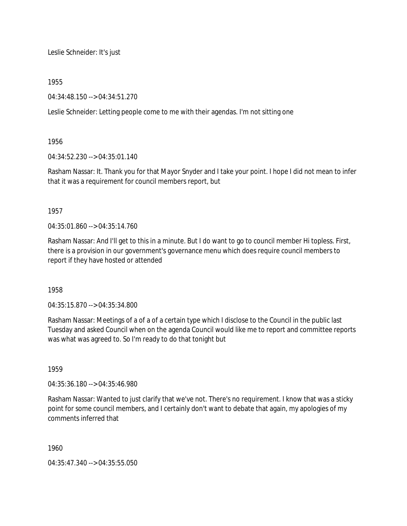Leslie Schneider: It's just

1955

04:34:48.150 --> 04:34:51.270

Leslie Schneider: Letting people come to me with their agendas. I'm not sitting one

1956

04:34:52.230 --> 04:35:01.140

Rasham Nassar: It. Thank you for that Mayor Snyder and I take your point. I hope I did not mean to infer that it was a requirement for council members report, but

1957

04:35:01.860 --> 04:35:14.760

Rasham Nassar: And I'll get to this in a minute. But I do want to go to council member Hi topless. First, there is a provision in our government's governance menu which does require council members to report if they have hosted or attended

1958

04:35:15.870 --> 04:35:34.800

Rasham Nassar: Meetings of a of a of a certain type which I disclose to the Council in the public last Tuesday and asked Council when on the agenda Council would like me to report and committee reports was what was agreed to. So I'm ready to do that tonight but

1959

04:35:36.180 --> 04:35:46.980

Rasham Nassar: Wanted to just clarify that we've not. There's no requirement. I know that was a sticky point for some council members, and I certainly don't want to debate that again, my apologies of my comments inferred that

1960

04:35:47.340 --> 04:35:55.050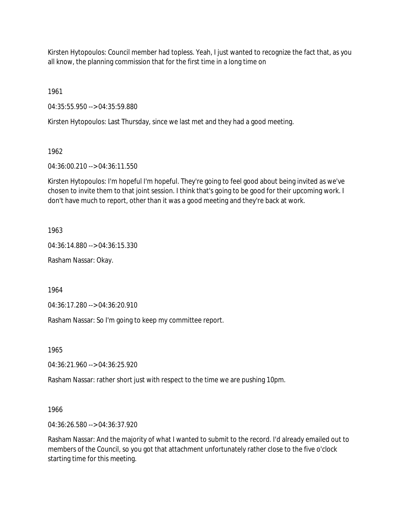Kirsten Hytopoulos: Council member had topless. Yeah, I just wanted to recognize the fact that, as you all know, the planning commission that for the first time in a long time on

1961

04:35:55.950 --> 04:35:59.880

Kirsten Hytopoulos: Last Thursday, since we last met and they had a good meeting.

## 1962

04:36:00.210 --> 04:36:11.550

Kirsten Hytopoulos: I'm hopeful I'm hopeful. They're going to feel good about being invited as we've chosen to invite them to that joint session. I think that's going to be good for their upcoming work. I don't have much to report, other than it was a good meeting and they're back at work.

1963

04:36:14.880 --> 04:36:15.330

Rasham Nassar: Okay.

1964

04:36:17.280 --> 04:36:20.910

Rasham Nassar: So I'm going to keep my committee report.

1965

04:36:21.960 --> 04:36:25.920

Rasham Nassar: rather short just with respect to the time we are pushing 10pm.

# 1966

04:36:26.580 --> 04:36:37.920

Rasham Nassar: And the majority of what I wanted to submit to the record. I'd already emailed out to members of the Council, so you got that attachment unfortunately rather close to the five o'clock starting time for this meeting.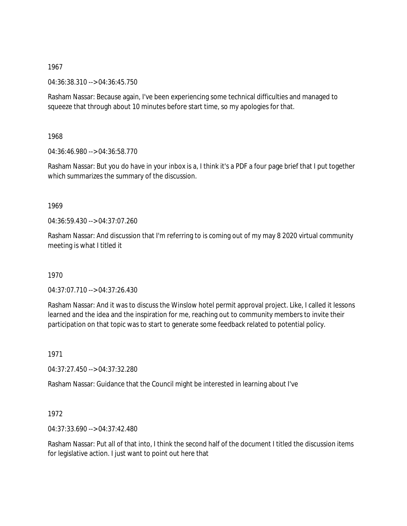04:36:38.310 --> 04:36:45.750

Rasham Nassar: Because again, I've been experiencing some technical difficulties and managed to squeeze that through about 10 minutes before start time, so my apologies for that.

1968

04:36:46.980 --> 04:36:58.770

Rasham Nassar: But you do have in your inbox is a, I think it's a PDF a four page brief that I put together which summarizes the summary of the discussion.

1969

04:36:59.430 --> 04:37:07.260

Rasham Nassar: And discussion that I'm referring to is coming out of my may 8 2020 virtual community meeting is what I titled it

1970

04:37:07.710 --> 04:37:26.430

Rasham Nassar: And it was to discuss the Winslow hotel permit approval project. Like, I called it lessons learned and the idea and the inspiration for me, reaching out to community members to invite their participation on that topic was to start to generate some feedback related to potential policy.

1971

04:37:27.450 --> 04:37:32.280

Rasham Nassar: Guidance that the Council might be interested in learning about I've

1972

04:37:33.690 --> 04:37:42.480

Rasham Nassar: Put all of that into, I think the second half of the document I titled the discussion items for legislative action. I just want to point out here that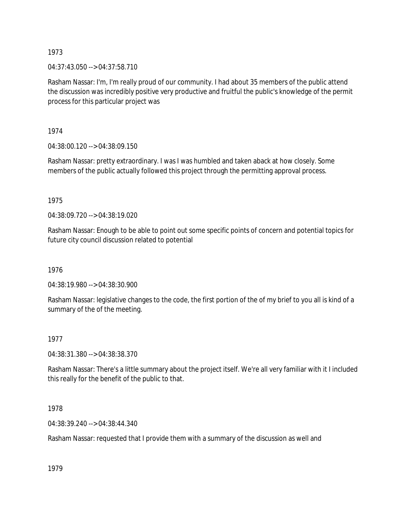04:37:43.050 --> 04:37:58.710

Rasham Nassar: I'm, I'm really proud of our community. I had about 35 members of the public attend the discussion was incredibly positive very productive and fruitful the public's knowledge of the permit process for this particular project was

1974

04:38:00.120 --> 04:38:09.150

Rasham Nassar: pretty extraordinary. I was I was humbled and taken aback at how closely. Some members of the public actually followed this project through the permitting approval process.

1975

04:38:09.720 --> 04:38:19.020

Rasham Nassar: Enough to be able to point out some specific points of concern and potential topics for future city council discussion related to potential

1976

04:38:19.980 --> 04:38:30.900

Rasham Nassar: legislative changes to the code, the first portion of the of my brief to you all is kind of a summary of the of the meeting.

## 1977

04:38:31.380 --> 04:38:38.370

Rasham Nassar: There's a little summary about the project itself. We're all very familiar with it I included this really for the benefit of the public to that.

1978

04:38:39.240 --> 04:38:44.340

Rasham Nassar: requested that I provide them with a summary of the discussion as well and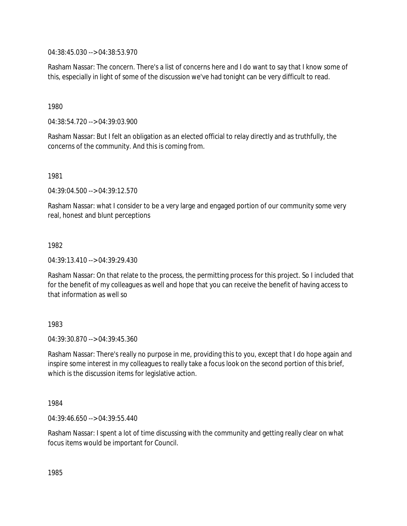04:38:45.030 --> 04:38:53.970

Rasham Nassar: The concern. There's a list of concerns here and I do want to say that I know some of this, especially in light of some of the discussion we've had tonight can be very difficult to read.

1980

04:38:54.720 --> 04:39:03.900

Rasham Nassar: But I felt an obligation as an elected official to relay directly and as truthfully, the concerns of the community. And this is coming from.

1981

04:39:04.500 --> 04:39:12.570

Rasham Nassar: what I consider to be a very large and engaged portion of our community some very real, honest and blunt perceptions

1982

04:39:13.410 --> 04:39:29.430

Rasham Nassar: On that relate to the process, the permitting process for this project. So I included that for the benefit of my colleagues as well and hope that you can receive the benefit of having access to that information as well so

1983

04:39:30.870 --> 04:39:45.360

Rasham Nassar: There's really no purpose in me, providing this to you, except that I do hope again and inspire some interest in my colleagues to really take a focus look on the second portion of this brief, which is the discussion items for legislative action.

1984

04:39:46.650 --> 04:39:55.440

Rasham Nassar: I spent a lot of time discussing with the community and getting really clear on what focus items would be important for Council.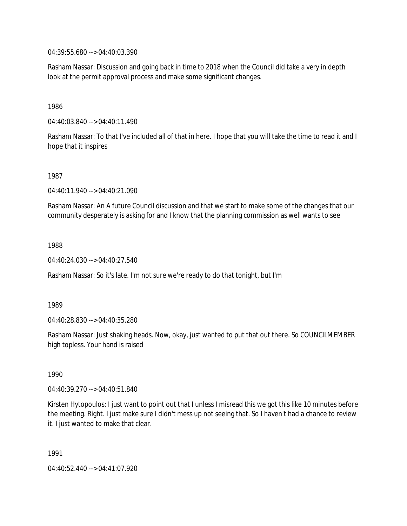04:39:55.680 --> 04:40:03.390

Rasham Nassar: Discussion and going back in time to 2018 when the Council did take a very in depth look at the permit approval process and make some significant changes.

1986

04:40:03.840 --> 04:40:11.490

Rasham Nassar: To that I've included all of that in here. I hope that you will take the time to read it and I hope that it inspires

1987

04:40:11.940 --> 04:40:21.090

Rasham Nassar: An A future Council discussion and that we start to make some of the changes that our community desperately is asking for and I know that the planning commission as well wants to see

1988

04:40:24.030 --> 04:40:27.540

Rasham Nassar: So it's late. I'm not sure we're ready to do that tonight, but I'm

1989

04:40:28.830 --> 04:40:35.280

Rasham Nassar: Just shaking heads. Now, okay, just wanted to put that out there. So COUNCILMEMBER high topless. Your hand is raised

1990

04:40:39.270 --> 04:40:51.840

Kirsten Hytopoulos: I just want to point out that I unless I misread this we got this like 10 minutes before the meeting. Right. I just make sure I didn't mess up not seeing that. So I haven't had a chance to review it. I just wanted to make that clear.

1991

04:40:52.440 --> 04:41:07.920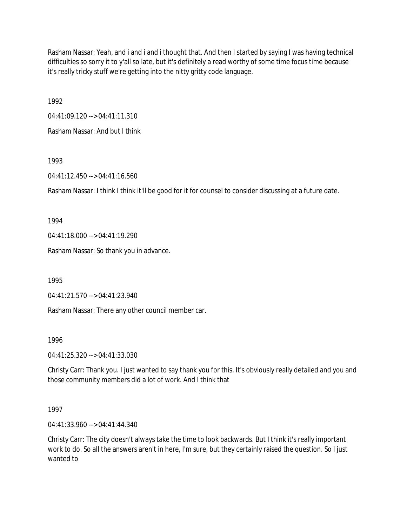Rasham Nassar: Yeah, and i and i and i thought that. And then I started by saying I was having technical difficulties so sorry it to y'all so late, but it's definitely a read worthy of some time focus time because it's really tricky stuff we're getting into the nitty gritty code language.

1992

04:41:09.120 --> 04:41:11.310

Rasham Nassar: And but I think

1993

04:41:12.450 --> 04:41:16.560

Rasham Nassar: I think I think it'll be good for it for counsel to consider discussing at a future date.

1994

04:41:18.000 --> 04:41:19.290

Rasham Nassar: So thank you in advance.

1995

04:41:21.570 --> 04:41:23.940

Rasham Nassar: There any other council member car.

1996

04:41:25.320 --> 04:41:33.030

Christy Carr: Thank you. I just wanted to say thank you for this. It's obviously really detailed and you and those community members did a lot of work. And I think that

1997

04:41:33.960 --> 04:41:44.340

Christy Carr: The city doesn't always take the time to look backwards. But I think it's really important work to do. So all the answers aren't in here, I'm sure, but they certainly raised the question. So I just wanted to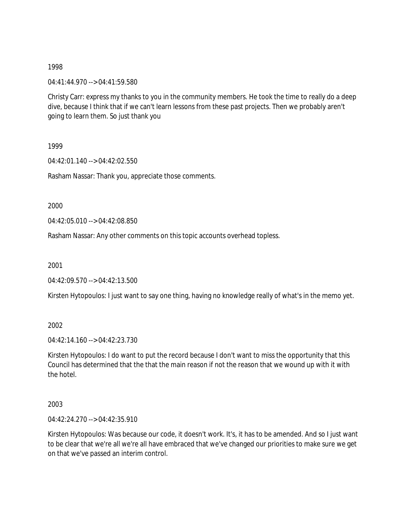04:41:44.970 --> 04:41:59.580

Christy Carr: express my thanks to you in the community members. He took the time to really do a deep dive, because I think that if we can't learn lessons from these past projects. Then we probably aren't going to learn them. So just thank you

1999

04:42:01.140 --> 04:42:02.550

Rasham Nassar: Thank you, appreciate those comments.

2000

04:42:05.010 --> 04:42:08.850

Rasham Nassar: Any other comments on this topic accounts overhead topless.

2001

04:42:09.570 --> 04:42:13.500

Kirsten Hytopoulos: I just want to say one thing, having no knowledge really of what's in the memo yet.

2002

04:42:14.160 --> 04:42:23.730

Kirsten Hytopoulos: I do want to put the record because I don't want to miss the opportunity that this Council has determined that the that the main reason if not the reason that we wound up with it with the hotel.

2003

04:42:24.270 --> 04:42:35.910

Kirsten Hytopoulos: Was because our code, it doesn't work. It's, it has to be amended. And so I just want to be clear that we're all we're all have embraced that we've changed our priorities to make sure we get on that we've passed an interim control.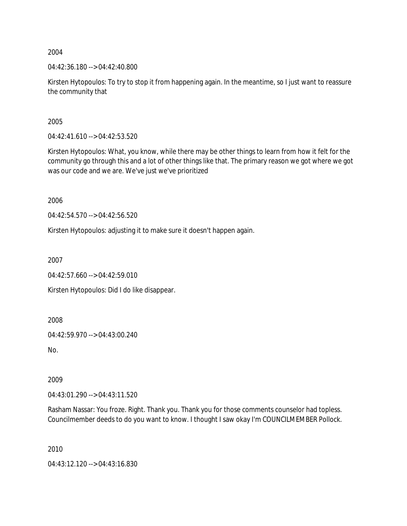04:42:36.180 --> 04:42:40.800

Kirsten Hytopoulos: To try to stop it from happening again. In the meantime, so I just want to reassure the community that

2005

04:42:41.610 --> 04:42:53.520

Kirsten Hytopoulos: What, you know, while there may be other things to learn from how it felt for the community go through this and a lot of other things like that. The primary reason we got where we got was our code and we are. We've just we've prioritized

2006

04:42:54.570 --> 04:42:56.520

Kirsten Hytopoulos: adjusting it to make sure it doesn't happen again.

2007

04:42:57.660 --> 04:42:59.010

Kirsten Hytopoulos: Did I do like disappear.

2008

04:42:59.970 --> 04:43:00.240

No.

2009

04:43:01.290 --> 04:43:11.520

Rasham Nassar: You froze. Right. Thank you. Thank you for those comments counselor had topless. Councilmember deeds to do you want to know. I thought I saw okay I'm COUNCILMEMBER Pollock.

2010

04:43:12.120 --> 04:43:16.830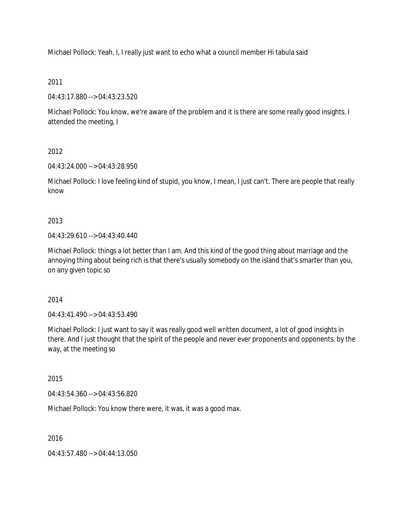Michael Pollock: Yeah, I, I really just want to echo what a council member Hi tabula said

## 2011

04:43:17.880 --> 04:43:23.520

Michael Pollock: You know, we're aware of the problem and it is there are some really good insights. I attended the meeting, I

# 2012

04:43:24.000 --> 04:43:28.950

Michael Pollock: I love feeling kind of stupid, you know, I mean, I just can't. There are people that really know

# 2013

04:43:29.610 --> 04:43:40.440

Michael Pollock: things a lot better than I am. And this kind of the good thing about marriage and the annoying thing about being rich is that there's usually somebody on the island that's smarter than you, on any given topic so

# 2014

04:43:41.490 --> 04:43:53.490

Michael Pollock: I just want to say it was really good well written document, a lot of good insights in there. And I just thought that the spirit of the people and never ever proponents and opponents, by the way, at the meeting so

# 2015

04:43:54.360 --> 04:43:56.820

Michael Pollock: You know there were, it was, it was a good max.

# 2016

04:43:57.480 --> 04:44:13.050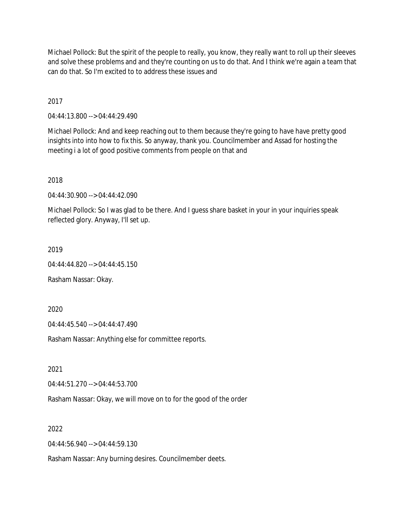Michael Pollock: But the spirit of the people to really, you know, they really want to roll up their sleeves and solve these problems and and they're counting on us to do that. And I think we're again a team that can do that. So I'm excited to to address these issues and

2017

04:44:13.800 --> 04:44:29.490

Michael Pollock: And and keep reaching out to them because they're going to have have pretty good insights into into how to fix this. So anyway, thank you. Councilmember and Assad for hosting the meeting i a lot of good positive comments from people on that and

2018

04:44:30.900 --> 04:44:42.090

Michael Pollock: So I was glad to be there. And I guess share basket in your in your inquiries speak reflected glory. Anyway, I'll set up.

2019

04:44:44.820 --> 04:44:45.150

Rasham Nassar: Okay.

2020

04:44:45.540 --> 04:44:47.490

Rasham Nassar: Anything else for committee reports.

2021

04:44:51.270 --> 04:44:53.700

Rasham Nassar: Okay, we will move on to for the good of the order

2022

 $04.44.56.940 -> 04.44.59.130$ 

Rasham Nassar: Any burning desires. Councilmember deets.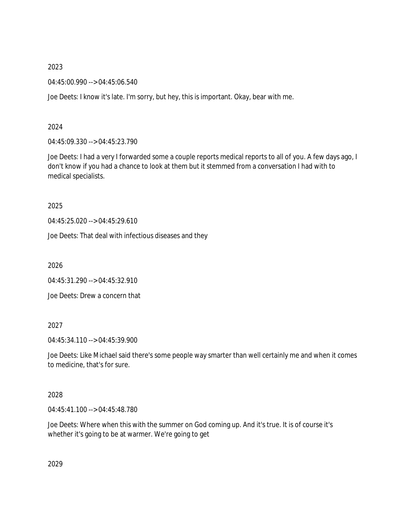04:45:00.990 --> 04:45:06.540

Joe Deets: I know it's late. I'm sorry, but hey, this is important. Okay, bear with me.

2024

04:45:09.330 --> 04:45:23.790

Joe Deets: I had a very I forwarded some a couple reports medical reports to all of you. A few days ago, I don't know if you had a chance to look at them but it stemmed from a conversation I had with to medical specialists.

2025

04:45:25.020 --> 04:45:29.610

Joe Deets: That deal with infectious diseases and they

2026

04:45:31.290 --> 04:45:32.910

Joe Deets: Drew a concern that

2027

04:45:34.110 --> 04:45:39.900

Joe Deets: Like Michael said there's some people way smarter than well certainly me and when it comes to medicine, that's for sure.

2028

04:45:41.100 --> 04:45:48.780

Joe Deets: Where when this with the summer on God coming up. And it's true. It is of course it's whether it's going to be at warmer. We're going to get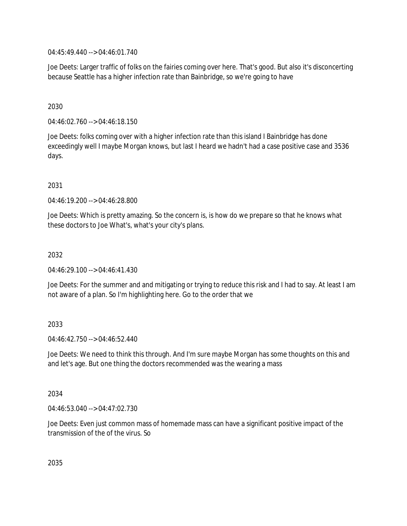04:45:49.440 --> 04:46:01.740

Joe Deets: Larger traffic of folks on the fairies coming over here. That's good. But also it's disconcerting because Seattle has a higher infection rate than Bainbridge, so we're going to have

## 2030

04:46:02.760 --> 04:46:18.150

Joe Deets: folks coming over with a higher infection rate than this island I Bainbridge has done exceedingly well I maybe Morgan knows, but last I heard we hadn't had a case positive case and 3536 days.

2031

04:46:19.200 --> 04:46:28.800

Joe Deets: Which is pretty amazing. So the concern is, is how do we prepare so that he knows what these doctors to Joe What's, what's your city's plans.

## 2032

04:46:29.100 --> 04:46:41.430

Joe Deets: For the summer and and mitigating or trying to reduce this risk and I had to say. At least I am not aware of a plan. So I'm highlighting here. Go to the order that we

## 2033

04:46:42.750 --> 04:46:52.440

Joe Deets: We need to think this through. And I'm sure maybe Morgan has some thoughts on this and and let's age. But one thing the doctors recommended was the wearing a mass

## 2034

04:46:53.040 --> 04:47:02.730

Joe Deets: Even just common mass of homemade mass can have a significant positive impact of the transmission of the of the virus. So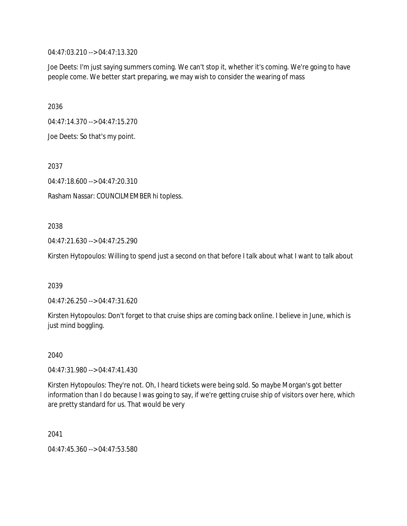04:47:03.210 --> 04:47:13.320

Joe Deets: I'm just saying summers coming. We can't stop it, whether it's coming. We're going to have people come. We better start preparing, we may wish to consider the wearing of mass

2036

04:47:14.370 --> 04:47:15.270

Joe Deets: So that's my point.

2037

04:47:18.600 --> 04:47:20.310

Rasham Nassar: COUNCILMEMBER hi topless.

#### 2038

04:47:21.630 --> 04:47:25.290

Kirsten Hytopoulos: Willing to spend just a second on that before I talk about what I want to talk about

2039

04:47:26.250 --> 04:47:31.620

Kirsten Hytopoulos: Don't forget to that cruise ships are coming back online. I believe in June, which is just mind boggling.

2040

04:47:31.980 --> 04:47:41.430

Kirsten Hytopoulos: They're not. Oh, I heard tickets were being sold. So maybe Morgan's got better information than I do because I was going to say, if we're getting cruise ship of visitors over here, which are pretty standard for us. That would be very

2041

04:47:45.360 --> 04:47:53.580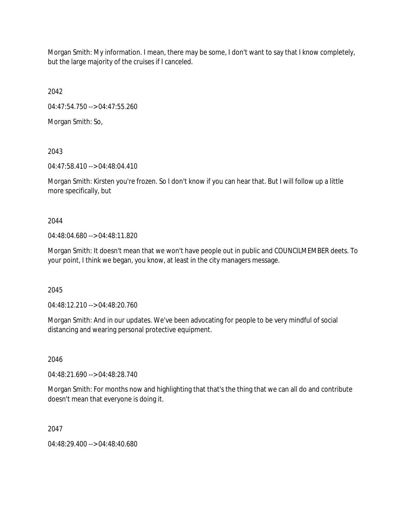Morgan Smith: My information. I mean, there may be some, I don't want to say that I know completely, but the large majority of the cruises if I canceled.

2042

04:47:54.750 --> 04:47:55.260

Morgan Smith: So,

2043

04:47:58.410 --> 04:48:04.410

Morgan Smith: Kirsten you're frozen. So I don't know if you can hear that. But I will follow up a little more specifically, but

2044

04:48:04.680 --> 04:48:11.820

Morgan Smith: It doesn't mean that we won't have people out in public and COUNCILMEMBER deets. To your point, I think we began, you know, at least in the city managers message.

2045

04:48:12.210 --> 04:48:20.760

Morgan Smith: And in our updates. We've been advocating for people to be very mindful of social distancing and wearing personal protective equipment.

2046

04:48:21.690 --> 04:48:28.740

Morgan Smith: For months now and highlighting that that's the thing that we can all do and contribute doesn't mean that everyone is doing it.

2047

04:48:29.400 --> 04:48:40.680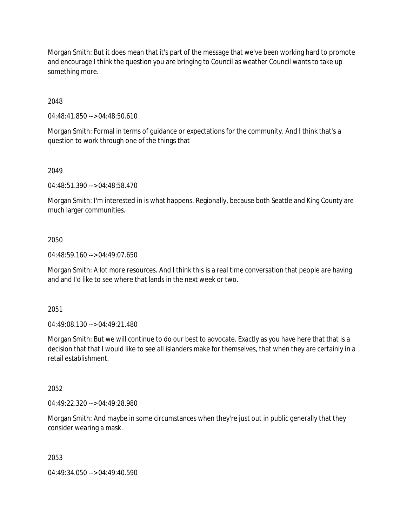Morgan Smith: But it does mean that it's part of the message that we've been working hard to promote and encourage I think the question you are bringing to Council as weather Council wants to take up something more.

2048

04:48:41.850 --> 04:48:50.610

Morgan Smith: Formal in terms of guidance or expectations for the community. And I think that's a question to work through one of the things that

### 2049

04:48:51.390 --> 04:48:58.470

Morgan Smith: I'm interested in is what happens. Regionally, because both Seattle and King County are much larger communities.

### 2050

04:48:59.160 --> 04:49:07.650

Morgan Smith: A lot more resources. And I think this is a real time conversation that people are having and and I'd like to see where that lands in the next week or two.

2051

04:49:08.130 --> 04:49:21.480

Morgan Smith: But we will continue to do our best to advocate. Exactly as you have here that that is a decision that that I would like to see all islanders make for themselves, that when they are certainly in a retail establishment.

### 2052

04:49:22.320 --> 04:49:28.980

Morgan Smith: And maybe in some circumstances when they're just out in public generally that they consider wearing a mask.

### 2053

04:49:34.050 --> 04:49:40.590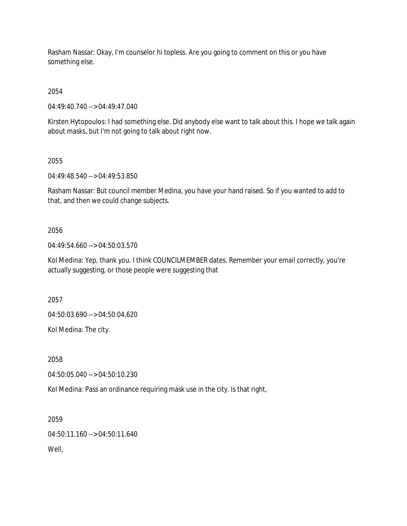Rasham Nassar: Okay, I'm counselor hi topless. Are you going to comment on this or you have something else.

2054

04:49:40.740 --> 04:49:47.040

Kirsten Hytopoulos: I had something else. Did anybody else want to talk about this. I hope we talk again about masks, but I'm not going to talk about right now.

2055

04:49:48.540 --> 04:49:53.850

Rasham Nassar: But council member Medina, you have your hand raised. So if you wanted to add to that, and then we could change subjects.

2056

04:49:54.660 --> 04:50:03.570

Kol Medina: Yep, thank you. I think COUNCILMEMBER dates. Remember your email correctly, you're actually suggesting, or those people were suggesting that

2057

04:50:03.690 --> 04:50:04.620

Kol Medina: The city.

2058

04:50:05.040 --> 04:50:10.230

Kol Medina: Pass an ordinance requiring mask use in the city. Is that right,

2059

04:50:11.160 --> 04:50:11.640

Well,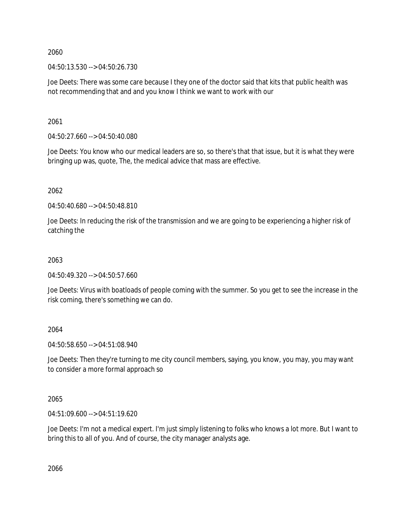04:50:13.530 --> 04:50:26.730

Joe Deets: There was some care because I they one of the doctor said that kits that public health was not recommending that and and you know I think we want to work with our

2061

04:50:27.660 --> 04:50:40.080

Joe Deets: You know who our medical leaders are so, so there's that that issue, but it is what they were bringing up was, quote, The, the medical advice that mass are effective.

2062

04:50:40.680 --> 04:50:48.810

Joe Deets: In reducing the risk of the transmission and we are going to be experiencing a higher risk of catching the

### 2063

04:50:49.320 --> 04:50:57.660

Joe Deets: Virus with boatloads of people coming with the summer. So you get to see the increase in the risk coming, there's something we can do.

2064

04:50:58.650 --> 04:51:08.940

Joe Deets: Then they're turning to me city council members, saying, you know, you may, you may want to consider a more formal approach so

2065

04:51:09.600 --> 04:51:19.620

Joe Deets: I'm not a medical expert. I'm just simply listening to folks who knows a lot more. But I want to bring this to all of you. And of course, the city manager analysts age.

2066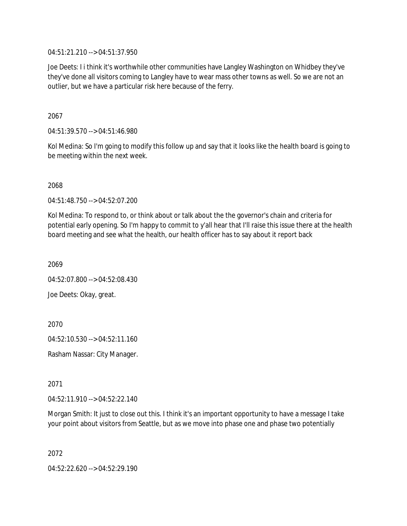04:51:21.210 --> 04:51:37.950

Joe Deets: I i think it's worthwhile other communities have Langley Washington on Whidbey they've they've done all visitors coming to Langley have to wear mass other towns as well. So we are not an outlier, but we have a particular risk here because of the ferry.

2067

04:51:39.570 --> 04:51:46.980

Kol Medina: So I'm going to modify this follow up and say that it looks like the health board is going to be meeting within the next week.

2068

04:51:48.750 --> 04:52:07.200

Kol Medina: To respond to, or think about or talk about the the governor's chain and criteria for potential early opening. So I'm happy to commit to y'all hear that I'll raise this issue there at the health board meeting and see what the health, our health officer has to say about it report back

2069

04:52:07.800 --> 04:52:08.430

Joe Deets: Okay, great.

2070

04:52:10.530 --> 04:52:11.160

Rasham Nassar: City Manager.

2071

04:52:11.910 --> 04:52:22.140

Morgan Smith: It just to close out this. I think it's an important opportunity to have a message I take your point about visitors from Seattle, but as we move into phase one and phase two potentially

2072

04:52:22.620 --> 04:52:29.190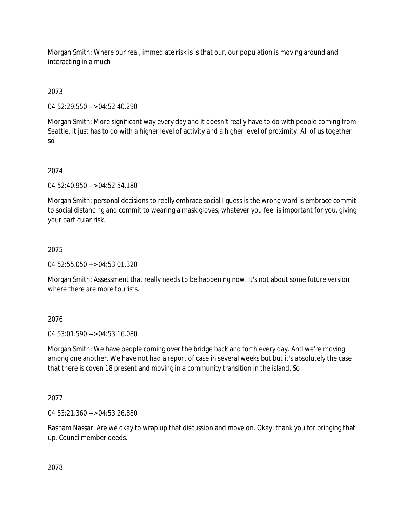Morgan Smith: Where our real, immediate risk is is that our, our population is moving around and interacting in a much

# 2073

04:52:29.550 --> 04:52:40.290

Morgan Smith: More significant way every day and it doesn't really have to do with people coming from Seattle, it just has to do with a higher level of activity and a higher level of proximity. All of us together so

# 2074

04:52:40.950 --> 04:52:54.180

Morgan Smith: personal decisions to really embrace social I guess is the wrong word is embrace commit to social distancing and commit to wearing a mask gloves, whatever you feel is important for you, giving your particular risk.

### 2075

04:52:55.050 --> 04:53:01.320

Morgan Smith: Assessment that really needs to be happening now. It's not about some future version where there are more tourists.

# 2076

04:53:01.590 --> 04:53:16.080

Morgan Smith: We have people coming over the bridge back and forth every day. And we're moving among one another. We have not had a report of case in several weeks but but it's absolutely the case that there is coven 18 present and moving in a community transition in the island. So

# 2077

04:53:21.360 --> 04:53:26.880

Rasham Nassar: Are we okay to wrap up that discussion and move on. Okay, thank you for bringing that up. Councilmember deeds.

2078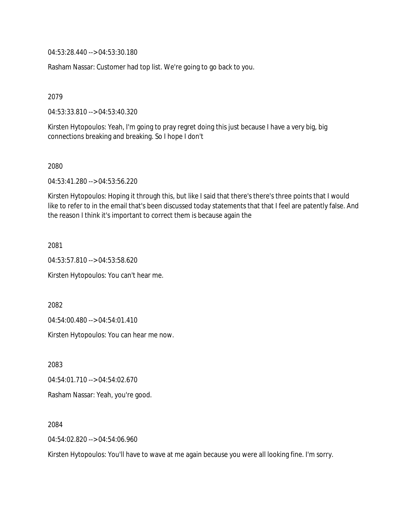04:53:28.440 --> 04:53:30.180

Rasham Nassar: Customer had top list. We're going to go back to you.

2079

04:53:33.810 --> 04:53:40.320

Kirsten Hytopoulos: Yeah, I'm going to pray regret doing this just because I have a very big, big connections breaking and breaking. So I hope I don't

2080

04:53:41.280 --> 04:53:56.220

Kirsten Hytopoulos: Hoping it through this, but like I said that there's there's three points that I would like to refer to in the email that's been discussed today statements that that I feel are patently false. And the reason I think it's important to correct them is because again the

2081

04:53:57.810 --> 04:53:58.620

Kirsten Hytopoulos: You can't hear me.

2082

04:54:00.480 --> 04:54:01.410

Kirsten Hytopoulos: You can hear me now.

2083

04:54:01.710 --> 04:54:02.670 Rasham Nassar: Yeah, you're good.

2084

04:54:02.820 --> 04:54:06.960

Kirsten Hytopoulos: You'll have to wave at me again because you were all looking fine. I'm sorry.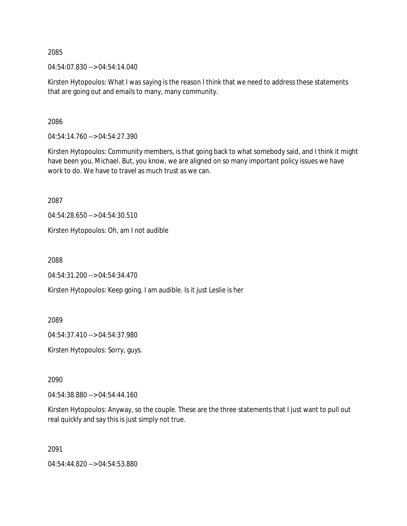04:54:07.830 --> 04:54:14.040

Kirsten Hytopoulos: What I was saying is the reason I think that we need to address these statements that are going out and emails to many, many community.

2086

04:54:14.760 --> 04:54:27.390

Kirsten Hytopoulos: Community members, is that going back to what somebody said, and I think it might have been you, Michael. But, you know, we are aligned on so many important policy issues we have work to do. We have to travel as much trust as we can.

2087

04:54:28.650 --> 04:54:30.510

Kirsten Hytopoulos: Oh, am I not audible

2088

04:54:31.200 --> 04:54:34.470

Kirsten Hytopoulos: Keep going. I am audible. Is it just Leslie is her

2089

04:54:37.410 --> 04:54:37.980

Kirsten Hytopoulos: Sorry, guys.

2090

04:54:38.880 --> 04:54:44.160

Kirsten Hytopoulos: Anyway, so the couple. These are the three statements that I just want to pull out real quickly and say this is just simply not true.

2091

04:54:44.820 --> 04:54:53.880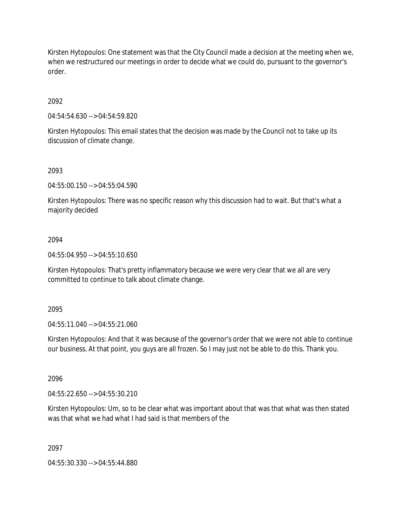Kirsten Hytopoulos: One statement was that the City Council made a decision at the meeting when we, when we restructured our meetings in order to decide what we could do, pursuant to the governor's order.

### 2092

04:54:54.630 --> 04:54:59.820

Kirsten Hytopoulos: This email states that the decision was made by the Council not to take up its discussion of climate change.

### 2093

04:55:00.150 --> 04:55:04.590

Kirsten Hytopoulos: There was no specific reason why this discussion had to wait. But that's what a majority decided

### 2094

04:55:04.950 --> 04:55:10.650

Kirsten Hytopoulos: That's pretty inflammatory because we were very clear that we all are very committed to continue to talk about climate change.

### 2095

04:55:11.040 --> 04:55:21.060

Kirsten Hytopoulos: And that it was because of the governor's order that we were not able to continue our business. At that point, you guys are all frozen. So I may just not be able to do this. Thank you.

### 2096

04:55:22.650 --> 04:55:30.210

Kirsten Hytopoulos: Um, so to be clear what was important about that was that what was then stated was that what we had what I had said is that members of the

### 2097

04:55:30.330 --> 04:55:44.880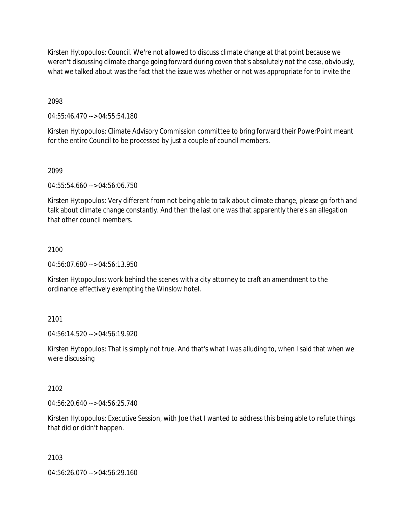Kirsten Hytopoulos: Council. We're not allowed to discuss climate change at that point because we weren't discussing climate change going forward during coven that's absolutely not the case, obviously, what we talked about was the fact that the issue was whether or not was appropriate for to invite the

### 2098

04:55:46.470 --> 04:55:54.180

Kirsten Hytopoulos: Climate Advisory Commission committee to bring forward their PowerPoint meant for the entire Council to be processed by just a couple of council members.

### 2099

04:55:54.660 --> 04:56:06.750

Kirsten Hytopoulos: Very different from not being able to talk about climate change, please go forth and talk about climate change constantly. And then the last one was that apparently there's an allegation that other council members.

### 2100

04:56:07.680 --> 04:56:13.950

Kirsten Hytopoulos: work behind the scenes with a city attorney to craft an amendment to the ordinance effectively exempting the Winslow hotel.

# 2101

04:56:14.520 --> 04:56:19.920

Kirsten Hytopoulos: That is simply not true. And that's what I was alluding to, when I said that when we were discussing

### 2102

04:56:20.640 --> 04:56:25.740

Kirsten Hytopoulos: Executive Session, with Joe that I wanted to address this being able to refute things that did or didn't happen.

### 2103

04:56:26.070 --> 04:56:29.160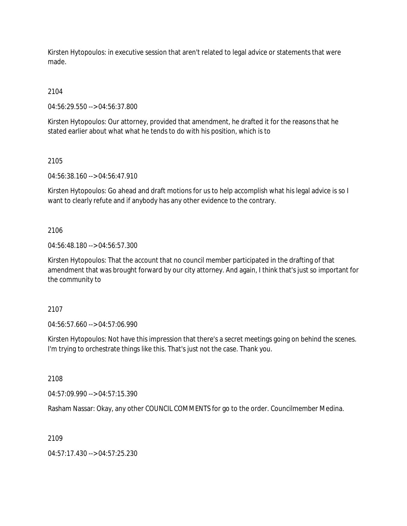Kirsten Hytopoulos: in executive session that aren't related to legal advice or statements that were made.

2104

04:56:29.550 --> 04:56:37.800

Kirsten Hytopoulos: Our attorney, provided that amendment, he drafted it for the reasons that he stated earlier about what what he tends to do with his position, which is to

2105

04:56:38.160 --> 04:56:47.910

Kirsten Hytopoulos: Go ahead and draft motions for us to help accomplish what his legal advice is so I want to clearly refute and if anybody has any other evidence to the contrary.

2106

04:56:48.180 --> 04:56:57.300

Kirsten Hytopoulos: That the account that no council member participated in the drafting of that amendment that was brought forward by our city attorney. And again, I think that's just so important for the community to

2107

04:56:57.660 --> 04:57:06.990

Kirsten Hytopoulos: Not have this impression that there's a secret meetings going on behind the scenes. I'm trying to orchestrate things like this. That's just not the case. Thank you.

2108

04:57:09.990 --> 04:57:15.390

Rasham Nassar: Okay, any other COUNCIL COMMENTS for go to the order. Councilmember Medina.

2109

04:57:17.430 --> 04:57:25.230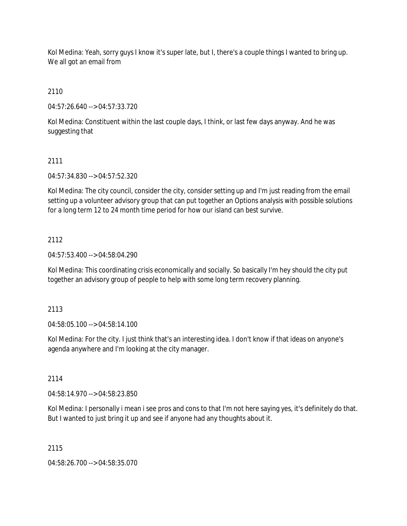Kol Medina: Yeah, sorry guys I know it's super late, but I, there's a couple things I wanted to bring up. We all got an email from

2110

04:57:26.640 --> 04:57:33.720

Kol Medina: Constituent within the last couple days, I think, or last few days anyway. And he was suggesting that

# 2111

04:57:34.830 --> 04:57:52.320

Kol Medina: The city council, consider the city, consider setting up and I'm just reading from the email setting up a volunteer advisory group that can put together an Options analysis with possible solutions for a long term 12 to 24 month time period for how our island can best survive.

# 2112

04:57:53.400 --> 04:58:04.290

Kol Medina: This coordinating crisis economically and socially. So basically I'm hey should the city put together an advisory group of people to help with some long term recovery planning.

# 2113

04:58:05.100 --> 04:58:14.100

Kol Medina: For the city. I just think that's an interesting idea. I don't know if that ideas on anyone's agenda anywhere and I'm looking at the city manager.

# 2114

04:58:14.970 --> 04:58:23.850

Kol Medina: I personally i mean i see pros and cons to that I'm not here saying yes, it's definitely do that. But I wanted to just bring it up and see if anyone had any thoughts about it.

# 2115

04:58:26.700 --> 04:58:35.070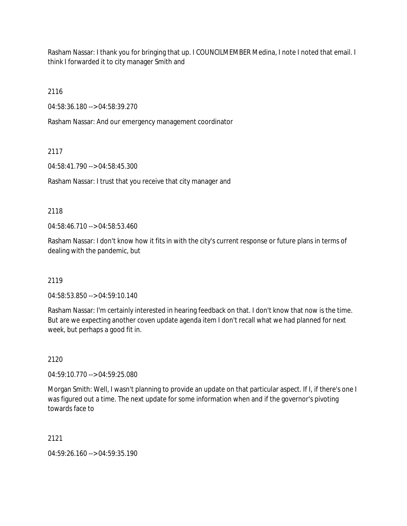Rasham Nassar: I thank you for bringing that up. I COUNCILMEMBER Medina, I note I noted that email. I think I forwarded it to city manager Smith and

2116

04:58:36.180 --> 04:58:39.270

Rasham Nassar: And our emergency management coordinator

# 2117

04:58:41.790 --> 04:58:45.300

Rasham Nassar: I trust that you receive that city manager and

# 2118

04:58:46.710 --> 04:58:53.460

Rasham Nassar: I don't know how it fits in with the city's current response or future plans in terms of dealing with the pandemic, but

# 2119

04:58:53.850 --> 04:59:10.140

Rasham Nassar: I'm certainly interested in hearing feedback on that. I don't know that now is the time. But are we expecting another coven update agenda item I don't recall what we had planned for next week, but perhaps a good fit in.

# 2120

04:59:10.770 --> 04:59:25.080

Morgan Smith: Well, I wasn't planning to provide an update on that particular aspect. If I, if there's one I was figured out a time. The next update for some information when and if the governor's pivoting towards face to

# 2121

04:59:26.160 --> 04:59:35.190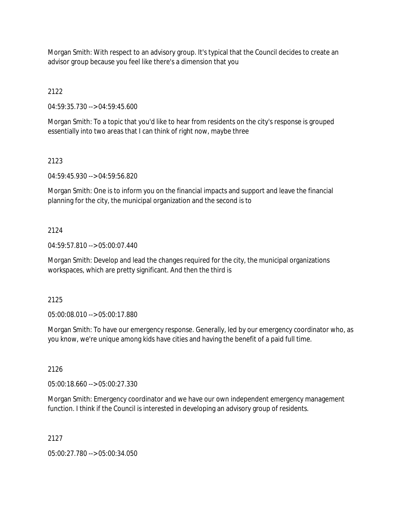Morgan Smith: With respect to an advisory group. It's typical that the Council decides to create an advisor group because you feel like there's a dimension that you

2122

04:59:35.730 --> 04:59:45.600

Morgan Smith: To a topic that you'd like to hear from residents on the city's response is grouped essentially into two areas that I can think of right now, maybe three

# 2123

04:59:45.930 --> 04:59:56.820

Morgan Smith: One is to inform you on the financial impacts and support and leave the financial planning for the city, the municipal organization and the second is to

### 2124

04:59:57.810 --> 05:00:07.440

Morgan Smith: Develop and lead the changes required for the city, the municipal organizations workspaces, which are pretty significant. And then the third is

2125

05:00:08.010 --> 05:00:17.880

Morgan Smith: To have our emergency response. Generally, led by our emergency coordinator who, as you know, we're unique among kids have cities and having the benefit of a paid full time.

2126

05:00:18.660 --> 05:00:27.330

Morgan Smith: Emergency coordinator and we have our own independent emergency management function. I think if the Council is interested in developing an advisory group of residents.

2127

05:00:27.780 --> 05:00:34.050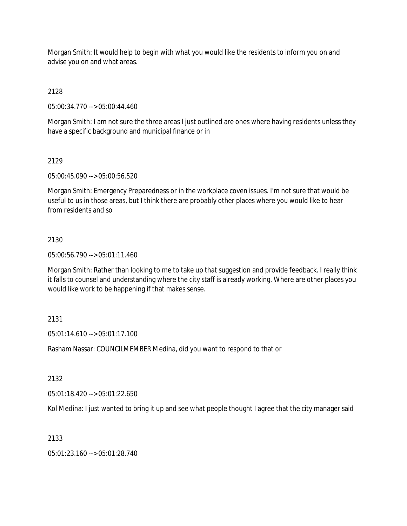Morgan Smith: It would help to begin with what you would like the residents to inform you on and advise you on and what areas.

2128

05:00:34.770 --> 05:00:44.460

Morgan Smith: I am not sure the three areas I just outlined are ones where having residents unless they have a specific background and municipal finance or in

# 2129

05:00:45.090 --> 05:00:56.520

Morgan Smith: Emergency Preparedness or in the workplace coven issues. I'm not sure that would be useful to us in those areas, but I think there are probably other places where you would like to hear from residents and so

### 2130

05:00:56.790 --> 05:01:11.460

Morgan Smith: Rather than looking to me to take up that suggestion and provide feedback. I really think it falls to counsel and understanding where the city staff is already working. Where are other places you would like work to be happening if that makes sense.

# 2131

05:01:14.610 --> 05:01:17.100

Rasham Nassar: COUNCILMEMBER Medina, did you want to respond to that or

2132

05:01:18.420 --> 05:01:22.650

Kol Medina: I just wanted to bring it up and see what people thought I agree that the city manager said

### 2133

05:01:23.160 --> 05:01:28.740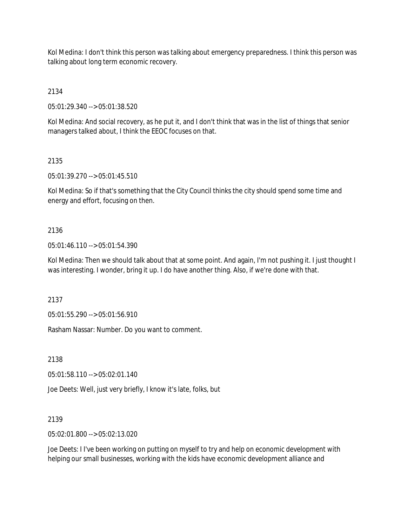Kol Medina: I don't think this person was talking about emergency preparedness. I think this person was talking about long term economic recovery.

2134

05:01:29.340 --> 05:01:38.520

Kol Medina: And social recovery, as he put it, and I don't think that was in the list of things that senior managers talked about, I think the EEOC focuses on that.

2135

05:01:39.270 --> 05:01:45.510

Kol Medina: So if that's something that the City Council thinks the city should spend some time and energy and effort, focusing on then.

### 2136

05:01:46.110 --> 05:01:54.390

Kol Medina: Then we should talk about that at some point. And again, I'm not pushing it. I just thought I was interesting. I wonder, bring it up. I do have another thing. Also, if we're done with that.

2137

05:01:55.290 --> 05:01:56.910

Rasham Nassar: Number. Do you want to comment.

2138

05:01:58.110 --> 05:02:01.140

Joe Deets: Well, just very briefly, I know it's late, folks, but

2139

05:02:01.800 --> 05:02:13.020

Joe Deets: I I've been working on putting on myself to try and help on economic development with helping our small businesses, working with the kids have economic development alliance and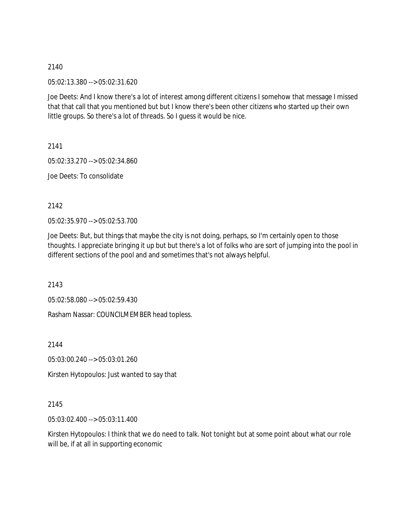05:02:13.380 --> 05:02:31.620

Joe Deets: And I know there's a lot of interest among different citizens I somehow that message I missed that that call that you mentioned but but I know there's been other citizens who started up their own little groups. So there's a lot of threads. So I guess it would be nice.

2141

05:02:33.270 --> 05:02:34.860

Joe Deets: To consolidate

2142

05:02:35.970 --> 05:02:53.700

Joe Deets: But, but things that maybe the city is not doing, perhaps, so I'm certainly open to those thoughts. I appreciate bringing it up but but there's a lot of folks who are sort of jumping into the pool in different sections of the pool and and sometimes that's not always helpful.

2143

05:02:58.080 --> 05:02:59.430

Rasham Nassar: COUNCILMEMBER head topless.

2144

05:03:00.240 --> 05:03:01.260

Kirsten Hytopoulos: Just wanted to say that

### 2145

05:03:02.400 --> 05:03:11.400

Kirsten Hytopoulos: I think that we do need to talk. Not tonight but at some point about what our role will be, if at all in supporting economic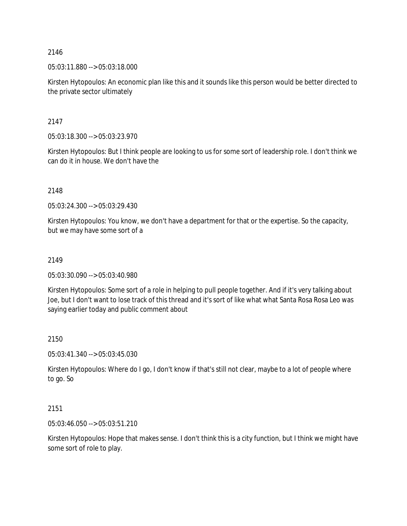05:03:11.880 --> 05:03:18.000

Kirsten Hytopoulos: An economic plan like this and it sounds like this person would be better directed to the private sector ultimately

2147

05:03:18.300 --> 05:03:23.970

Kirsten Hytopoulos: But I think people are looking to us for some sort of leadership role. I don't think we can do it in house. We don't have the

2148

05:03:24.300 --> 05:03:29.430

Kirsten Hytopoulos: You know, we don't have a department for that or the expertise. So the capacity, but we may have some sort of a

### 2149

05:03:30.090 --> 05:03:40.980

Kirsten Hytopoulos: Some sort of a role in helping to pull people together. And if it's very talking about Joe, but I don't want to lose track of this thread and it's sort of like what what Santa Rosa Rosa Leo was saying earlier today and public comment about

#### 2150

05:03:41.340 --> 05:03:45.030

Kirsten Hytopoulos: Where do I go, I don't know if that's still not clear, maybe to a lot of people where to go. So

### 2151

05:03:46.050 --> 05:03:51.210

Kirsten Hytopoulos: Hope that makes sense. I don't think this is a city function, but I think we might have some sort of role to play.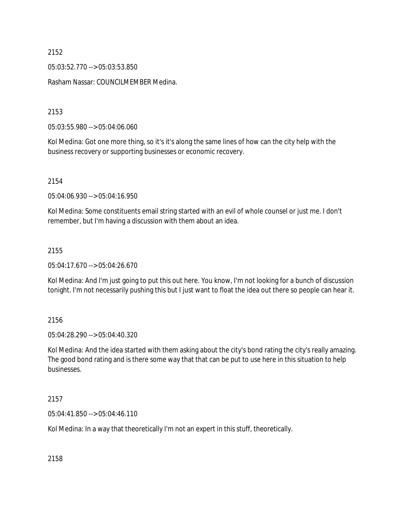05:03:52.770 --> 05:03:53.850

Rasham Nassar: COUNCILMEMBER Medina.

2153

05:03:55.980 --> 05:04:06.060

Kol Medina: Got one more thing, so it's it's along the same lines of how can the city help with the business recovery or supporting businesses or economic recovery.

2154

05:04:06.930 --> 05:04:16.950

Kol Medina: Some constituents email string started with an evil of whole counsel or just me. I don't remember, but I'm having a discussion with them about an idea.

### 2155

05:04:17.670 --> 05:04:26.670

Kol Medina: And I'm just going to put this out here. You know, I'm not looking for a bunch of discussion tonight. I'm not necessarily pushing this but I just want to float the idea out there so people can hear it.

2156

05:04:28.290 --> 05:04:40.320

Kol Medina: And the idea started with them asking about the city's bond rating the city's really amazing. The good bond rating and is there some way that that can be put to use here in this situation to help businesses.

2157

05:04:41.850 --> 05:04:46.110

Kol Medina: In a way that theoretically I'm not an expert in this stuff, theoretically.

2158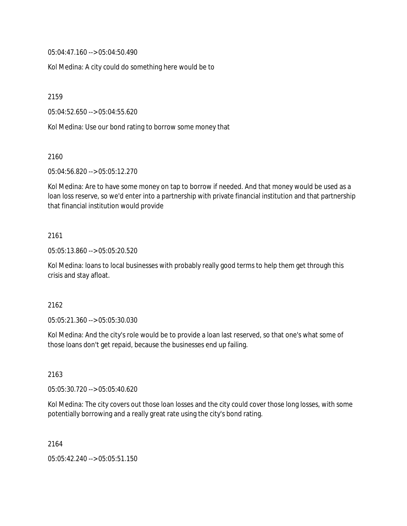05:04:47.160 --> 05:04:50.490

Kol Medina: A city could do something here would be to

2159

05:04:52.650 --> 05:04:55.620

Kol Medina: Use our bond rating to borrow some money that

2160

05:04:56.820 --> 05:05:12.270

Kol Medina: Are to have some money on tap to borrow if needed. And that money would be used as a loan loss reserve, so we'd enter into a partnership with private financial institution and that partnership that financial institution would provide

#### 2161

05:05:13.860 --> 05:05:20.520

Kol Medina: loans to local businesses with probably really good terms to help them get through this crisis and stay afloat.

#### 2162

05:05:21.360 --> 05:05:30.030

Kol Medina: And the city's role would be to provide a loan last reserved, so that one's what some of those loans don't get repaid, because the businesses end up failing.

2163

05:05:30.720 --> 05:05:40.620

Kol Medina: The city covers out those loan losses and the city could cover those long losses, with some potentially borrowing and a really great rate using the city's bond rating.

2164

05:05:42.240 --> 05:05:51.150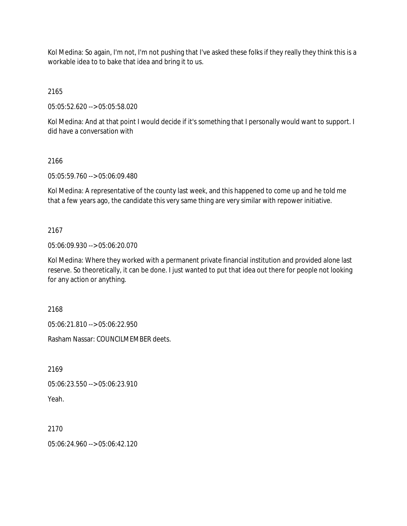Kol Medina: So again, I'm not, I'm not pushing that I've asked these folks if they really they think this is a workable idea to to bake that idea and bring it to us.

2165

05:05:52.620 --> 05:05:58.020

Kol Medina: And at that point I would decide if it's something that I personally would want to support. I did have a conversation with

# 2166

05:05:59.760 --> 05:06:09.480

Kol Medina: A representative of the county last week, and this happened to come up and he told me that a few years ago, the candidate this very same thing are very similar with repower initiative.

# 2167

05:06:09.930 --> 05:06:20.070

Kol Medina: Where they worked with a permanent private financial institution and provided alone last reserve. So theoretically, it can be done. I just wanted to put that idea out there for people not looking for any action or anything.

2168

05:06:21.810 --> 05:06:22.950

Rasham Nassar: COUNCILMEMBER deets.

2169

05:06:23.550 --> 05:06:23.910

Yeah.

2170

 $05:06:24.960 \rightarrow 05:06:42.120$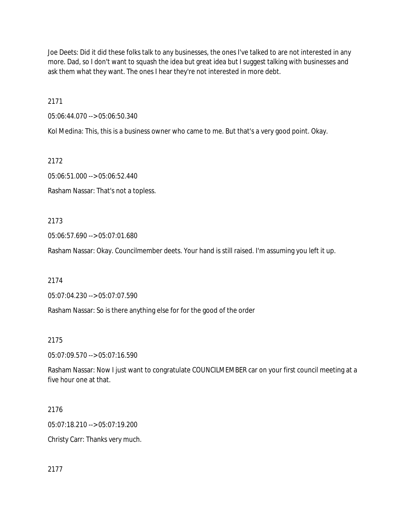Joe Deets: Did it did these folks talk to any businesses, the ones I've talked to are not interested in any more. Dad, so I don't want to squash the idea but great idea but I suggest talking with businesses and ask them what they want. The ones I hear they're not interested in more debt.

2171

05:06:44.070 --> 05:06:50.340

Kol Medina: This, this is a business owner who came to me. But that's a very good point. Okay.

2172

05:06:51.000 --> 05:06:52.440

Rasham Nassar: That's not a topless.

2173

05:06:57.690 --> 05:07:01.680

Rasham Nassar: Okay. Councilmember deets. Your hand is still raised. I'm assuming you left it up.

2174

05:07:04.230 --> 05:07:07.590

Rasham Nassar: So is there anything else for for the good of the order

2175

05:07:09.570 --> 05:07:16.590

Rasham Nassar: Now I just want to congratulate COUNCILMEMBER car on your first council meeting at a five hour one at that.

2176

05:07:18.210 --> 05:07:19.200

Christy Carr: Thanks very much.

2177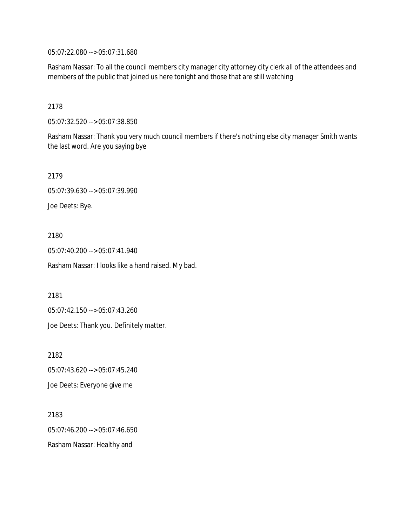05:07:22.080 --> 05:07:31.680

Rasham Nassar: To all the council members city manager city attorney city clerk all of the attendees and members of the public that joined us here tonight and those that are still watching

#### 2178

05:07:32.520 --> 05:07:38.850

Rasham Nassar: Thank you very much council members if there's nothing else city manager Smith wants the last word. Are you saying bye

2179 05:07:39.630 --> 05:07:39.990 Joe Deets: Bye.

#### 2180

05:07:40.200 --> 05:07:41.940

Rasham Nassar: I looks like a hand raised. My bad.

2181

05:07:42.150 --> 05:07:43.260

Joe Deets: Thank you. Definitely matter.

2182

05:07:43.620 --> 05:07:45.240

Joe Deets: Everyone give me

2183 05:07:46.200 --> 05:07:46.650 Rasham Nassar: Healthy and